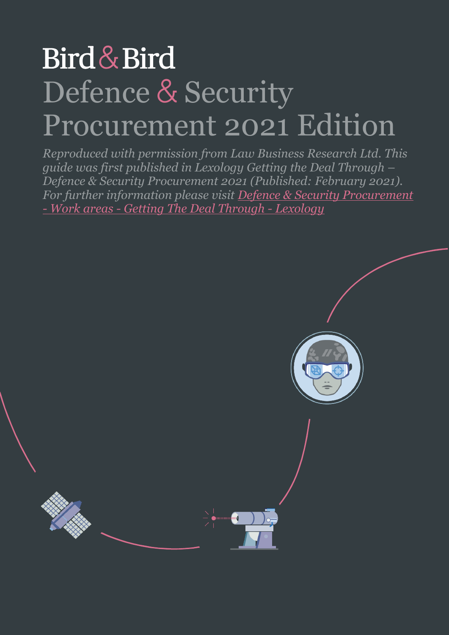# Bird & Bird Defence & Security Procurement 2021 Edition

*Reproduced with permission from Law Business Research Ltd. This guide was first published in Lexology Getting the Deal Through – Defence & Security Procurement 2021 (Published: February 2021). For further information please visit [Defence & Security Procurement](https://www.lexology.com/gtdt/workareas/defence-and-security-procurement?utm_source=Lexology%2bDaily%2bNewsfeed&utm_medium=HTML%2bemail%2b-%2bPro%2bExtra%2b-%2bGeneral%2bsection&utm_campaign=Lexology%2bsubscriber%2bdaily%2bfeed&utm_content=Lexology%2bDaily%2bNewsfeed%2b2021-01-28)  [- Work areas - Getting The Deal Through - Lexology](https://www.lexology.com/gtdt/workareas/defence-and-security-procurement?utm_source=Lexology%2bDaily%2bNewsfeed&utm_medium=HTML%2bemail%2b-%2bPro%2bExtra%2b-%2bGeneral%2bsection&utm_campaign=Lexology%2bsubscriber%2bdaily%2bfeed&utm_content=Lexology%2bDaily%2bNewsfeed%2b2021-01-28)*

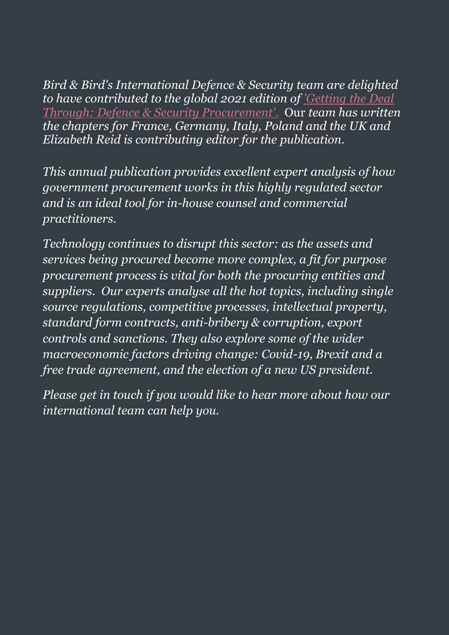*Bird & Bird's International Defence & Security team are delighted to have contributed to the global 2021 edition of ['Getting the Deal](https://www.lexology.com/gtdt/workareas/defence-and-security-procurement?utm_source=Lexology%2bDaily%2bNewsfeed&utm_medium=HTML%2bemail%2b-%2bPro%2bExtra%2b-%2bGeneral%2bsection&utm_campaign=Lexology%2bsubscriber%2bdaily%2bfeed&utm_content=Lexology%2bDaily%2bNewsfeed%2b2021-01-28)  [Through: Defence & Security Procurement'.](https://www.lexology.com/gtdt/workareas/defence-and-security-procurement?utm_source=Lexology%2bDaily%2bNewsfeed&utm_medium=HTML%2bemail%2b-%2bPro%2bExtra%2b-%2bGeneral%2bsection&utm_campaign=Lexology%2bsubscriber%2bdaily%2bfeed&utm_content=Lexology%2bDaily%2bNewsfeed%2b2021-01-28)* Our *team has written the chapters for France, Germany, Italy, Poland and the UK and Elizabeth Reid is contributing editor for the publication.*

*This annual publication provides excellent expert analysis of how government procurement works in this highly regulated sector and is an ideal tool for in-house counsel and commercial practitioners.* 

*Technology continues to disrupt this sector: as the assets and services being procured become more complex, a fit for purpose procurement process is vital for both the procuring entities and suppliers. Our experts analyse all the hot topics, including single source regulations, competitive processes, intellectual property, standard form contracts, anti-bribery & corruption, export controls and sanctions. They also explore some of the wider macroeconomic factors driving change: Covid-19, Brexit and a free trade agreement, and the election of a new US president.* 

*Please get in touch if you would like to hear more about how our international team can help you.*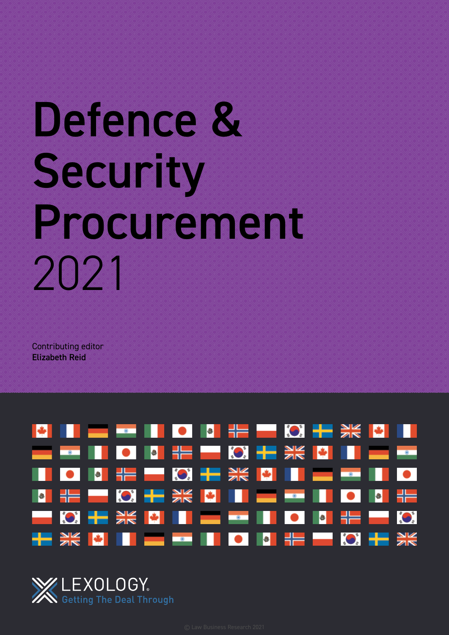# Defence & Security Procurement 2021

Contributing editor Elizabeth Reid



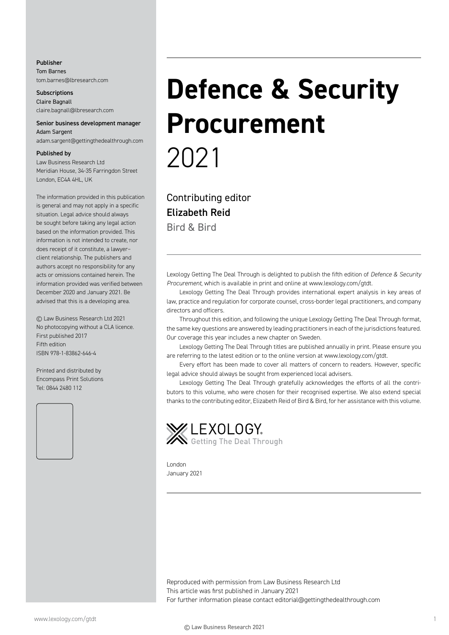#### Publisher Tom Barnes tom.barnes@lbresearch.com

**Subscriptions** Claire Bagnall claire.bagnall@lbresearch.com

#### Senior business development manager Adam Sargent

adam.sargent@gettingthedealthrough.com

#### Published by

Law Business Research Ltd Meridian House, 34-35 Farringdon Street London, EC4A 4HL, UK

The information provided in this publication is general and may not apply in a specific situation. Legal advice should always be sought before taking any legal action based on the information provided. This information is not intended to create, nor does receipt of it constitute, a lawyer– client relationship. The publishers and authors accept no responsibility for any acts or omissions contained herein. The information provided was verified between December 2020 and January 2021. Be advised that this is a developing area.

© Law Business Research Ltd 2021 No photocopying without a CLA licence. First published 2017 Fifth edition ISBN 978-1-83862-646-4

Printed and distributed by Encompass Print Solutions Tel: 0844 2480 112



# **Defence & Security Procurement** 2021

Contributing editor Elizabeth Reid Bird & Bird

Lexology Getting The Deal Through is delighted to publish the fifth edition of *Defence & Security Procurement*, which is available in print and online at www.lexology.com/gtdt.

Lexology Getting The Deal Through provides international expert analysis in key areas of law, practice and regulation for corporate counsel, cross-border legal practitioners, and company directors and officers.

Throughout this edition, and following the unique Lexology Getting The Deal Through format, the same key questions are answered by leading practitioners in each of the jurisdictions featured. Our coverage this year includes a new chapter on Sweden.

Lexology Getting The Deal Through titles are published annually in print. Please ensure you are referring to the latest edition or to the online version at www.lexology.com/gtdt.

Every effort has been made to cover all matters of concern to readers. However, specific legal advice should always be sought from experienced local advisers.

Lexology Getting The Deal Through gratefully acknowledges the efforts of all the contributors to this volume, who were chosen for their recognised expertise. We also extend special thanks to the contributing editor, Elizabeth Reid of Bird & Bird, for her assistance with this volume.



London January 2021

Reproduced with permission from Law Business Research Ltd This article was first published in January 2021 For further information please contact editorial@gettingthedealthrough.com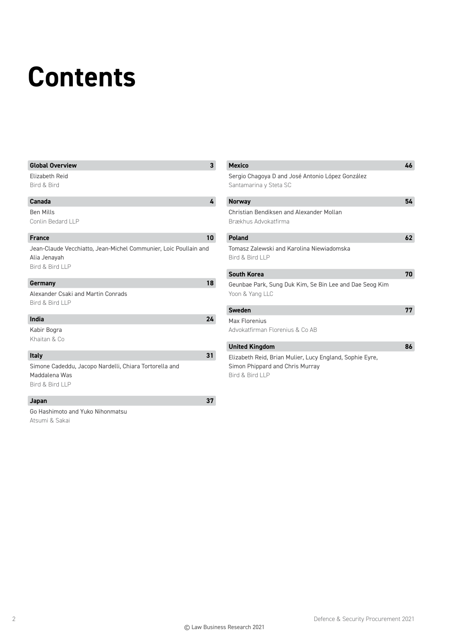# **Contents**

| <b>Global Overview</b>                                                                              | $\mathbf{3}$    | <b>Mexico</b>                                                              | 46 |
|-----------------------------------------------------------------------------------------------------|-----------------|----------------------------------------------------------------------------|----|
| Elizabeth Reid<br>Bird & Bird                                                                       |                 | Sergio Chagoya D and José Antonio López González<br>Santamarina y Steta SC |    |
| Canada                                                                                              | 4               | <b>Norway</b>                                                              | 54 |
| <b>Ben Mills</b><br>Conlin Bedard LLP                                                               |                 | Christian Bendiksen and Alexander Mollan<br>Brækhus Advokatfirma           |    |
| <b>France</b>                                                                                       | 10 <sub>1</sub> | <b>Poland</b>                                                              | 62 |
| Jean-Claude Vecchiatto, Jean-Michel Communier, Loic Poullain and<br>Alia Jenayah<br>Bird & Bird LLP |                 | Tomasz Zalewski and Karolina Niewiadomska<br>Bird & Bird LLP               |    |
|                                                                                                     |                 | <b>South Korea</b>                                                         | 70 |
| Germany<br>Alexander Csaki and Martin Conrads<br>Bird & Bird LLP                                    | 18              | Geunbae Park, Sung Duk Kim, Se Bin Lee and Dae Seog Kim<br>Yoon & Yang LLC |    |
|                                                                                                     |                 | <b>Sweden</b>                                                              | 77 |
| India                                                                                               | 24              | Max Florenius                                                              |    |
| Kabir Bogra<br>Khaitan & Co                                                                         |                 | Advokatfirman Florenius & Co AB                                            |    |
|                                                                                                     |                 | <b>United Kingdom</b>                                                      | 86 |
| <b>Italy</b>                                                                                        | 31              | Elizabeth Reid, Brian Mulier, Lucy England, Sophie Eyre,                   |    |
| Simone Cadeddu, Jacopo Nardelli, Chiara Tortorella and<br>Maddalena Was<br>Bird & Bird LLP          |                 | Simon Phippard and Chris Murray<br>Bird & Bird LLP                         |    |
| Japan                                                                                               | 37              |                                                                            |    |
| Go Hashimoto and Yuko Nihonmatsu<br>Atsumi & Sakai                                                  |                 |                                                                            |    |

2 Defence & Security Procurement 2021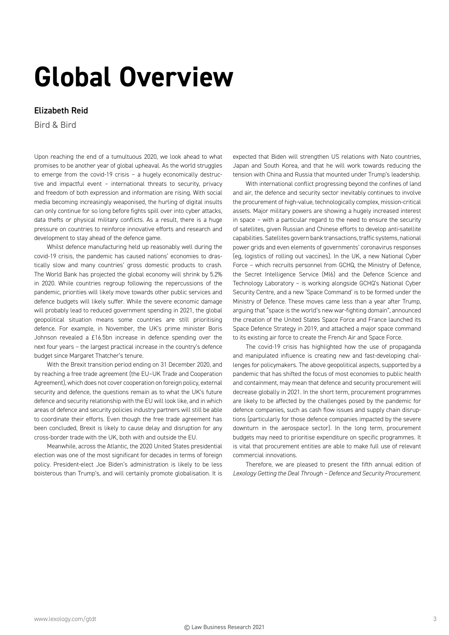# **Global Overview**

# Elizabeth Reid

Bird & Bird

Upon reaching the end of a tumultuous 2020, we look ahead to what promises to be another year of global upheaval. As the world struggles to emerge from the covid-19 crisis – a hugely economically destructive and impactful event – international threats to security, privacy and freedom of both expression and information are rising. With social media becoming increasingly weaponised, the hurling of digital insults can only continue for so long before fights spill over into cyber attacks, data thefts or physical military conflicts. As a result, there is a huge pressure on countries to reinforce innovative efforts and research and development to stay ahead of the defence game.

Whilst defence manufacturing held up reasonably well during the covid-19 crisis, the pandemic has caused nations' economies to drastically slow and many countries' gross domestic products to crash. The World Bank has projected the global economy will shrink by 5.2% in 2020. While countries regroup following the repercussions of the pandemic, priorities will likely move towards other public services and defence budgets will likely suffer. While the severe economic damage will probably lead to reduced government spending in 2021, the global geopolitical situation means some countries are still prioritising defence. For example, in November, the UK's prime minister Boris Johnson revealed a £16.5bn increase in defence spending over the next four years – the largest practical increase in the country's defence budget since Margaret Thatcher's tenure.

With the Brexit transition period ending on 31 December 2020, and by reaching a free trade agreement (the EU–UK Trade and Cooperation Agreement), which does not cover cooperation on foreign policy, external security and defence, the questions remain as to what the UK's future defence and security relationship with the EU will look like, and in which areas of defence and security policies industry partners will still be able to coordinate their efforts. Even though the free trade agreement has been concluded, Brexit is likely to cause delay and disruption for any cross-border trade with the UK, both with and outside the EU.

Meanwhile, across the Atlantic, the 2020 United States presidential election was one of the most significant for decades in terms of foreign policy. President-elect Joe Biden's administration is likely to be less boisterous than Trump's, and will certainly promote globalisation. It is expected that Biden will strengthen US relations with Nato countries, Japan and South Korea, and that he will work towards reducing the tension with China and Russia that mounted under Trump's leadership.

With international conflict progressing beyond the confines of land and air, the defence and security sector inevitably continues to involve the procurement of high-value, technologically complex, mission-critical assets. Major military powers are showing a hugely increased interest in space – with a particular regard to the need to ensure the security of satellites, given Russian and Chinese efforts to develop anti-satellite capabilities. Satellites govern bank transactions, traffic systems, national power grids and even elements of governments' coronavirus responses (eg, logistics of rolling out vaccines). In the UK, a new National Cyber Force – which recruits personnel from GCHQ, the Ministry of Defence, the Secret Intelligence Service (MI6) and the Defence Science and Technology Laboratory – is working alongside GCHQ's National Cyber Security Centre, and a new 'Space Command' is to be formed under the Ministry of Defence. These moves came less than a year after Trump, arguing that "space is the world's new war-fighting domain", announced the creation of the United States Space Force and France launched its Space Defence Strategy in 2019, and attached a major space command to its existing air force to create the French Air and Space Force.

The covid-19 crisis has highlighted how the use of propaganda and manipulated influence is creating new and fast-developing challenges for policymakers. The above geopolitical aspects, supported by a pandemic that has shifted the focus of most economies to public health and containment, may mean that defence and security procurement will decrease globally in 2021. In the short term, procurement programmes are likely to be affected by the challenges posed by the pandemic for defence companies, such as cash flow issues and supply chain disruptions (particularly for those defence companies impacted by the severe downturn in the aerospace sector). In the long term, procurement budgets may need to prioritise expenditure on specific programmes. It is vital that procurement entities are able to make full use of relevant commercial innovations.

Therefore, we are pleased to present the fifth annual edition of *Lexology Getting the Deal Through – Defence and Security Procurement*.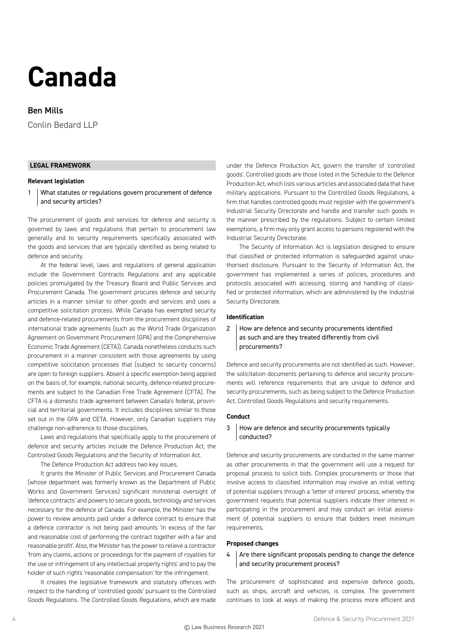# **Canada**

# Ben Mills

Conlin Bedard LLP

# **LEGAL FRAMEWORK**

#### **Relevant legislation**

1 What statutes or regulations govern procurement of defence and security articles?

The procurement of goods and services for defence and security is governed by laws and regulations that pertain to procurement law generally and to security requirements specifically associated with the goods and services that are typically identified as being related to defence and security.

At the federal level, laws and regulations of general application include the Government Contracts Regulations and any applicable policies promulgated by the Treasury Board and Public Services and Procurement Canada. The government procures defence and security articles in a manner similar to other goods and services and uses a competitive solicitation process. While Canada has exempted security and defence-related procurements from the procurement disciplines of international trade agreements (such as the World Trade Organization Agreement on Government Procurement (GPA) and the Comprehensive Economic Trade Agreement (CETA)), Canada nonetheless conducts such procurement in a manner consistent with those agreements by using competitive solicitation processes that (subject to security concerns) are open to foreign suppliers. Absent a specific exemption being applied on the basis of, for example, national security, defence-related procurements are subject to the Canadian Free Trade Agreement (CFTA). The CFTA is a domestic trade agreement between Canada's federal, provincial and territorial governments. It includes disciplines similar to those set out in the GPA and CETA. However, only Canadian suppliers may challenge non-adherence to those disciplines.

Laws and regulations that specifically apply to the procurement of defence and security articles include the Defence Production Act, the Controlled Goods Regulations and the Security of Information Act.

The Defence Production Act address two key issues.

It grants the Minister of Public Services and Procurement Canada (whose department was formerly known as the Department of Public Works and Government Services) significant ministerial oversight of 'defence contracts' and powers to secure goods, technology and services necessary for the defence of Canada. For example, the Minister has the power to review amounts paid under a defence contract to ensure that a defence contractor is not being paid amounts 'in excess of the fair and reasonable cost of performing the contract together with a fair and reasonable profit'. Also, the Minister has the power to relieve a contractor 'from any claims, actions or proceedings for the payment of royalties for the use or infringement of any intellectual property rights' and to pay the holder of such rights 'reasonable compensation' for the infringement.

It creates the legislative framework and statutory offences with respect to the handling of 'controlled goods' pursuant to the Controlled Goods Regulations. The Controlled Goods Regulations, which are made under the Defence Production Act, govern the transfer of 'controlled goods'. Controlled goods are those listed in the Schedule to the Defence Production Act, which lists various articles and associated data that have military applications. Pursuant to the Controlled Goods Regulations, a firm that handles controlled goods must register with the government's Industrial Security Directorate and handle and transfer such goods in the manner prescribed by the regulations. Subject to certain limited exemptions, a firm may only grant access to persons registered with the Industrial Security Directorate.

The Security of Information Act is legislation designed to ensure that classified or protected information is safeguarded against unauthorised disclosure. Pursuant to the Security of Information Act, the government has implemented a series of policies, procedures and protocols associated with accessing, storing and handling of classified or protected information, which are administered by the Industrial Security Directorate.

#### **Identification**

# 2 How are defence and security procurements identified as such and are they treated differently from civil procurements?

Defence and security procurements are not identified as such. However, the solicitation documents pertaining to defence and security procurements will reference requirements that are unique to defence and security procurements, such as being subject to the Defence Production Act, Controlled Goods Regulations and security requirements.

#### **Conduct**

# 3 How are defence and security procurements typically conducted?

Defence and security procurements are conducted in the same manner as other procurements in that the government will use a request for proposal process to solicit bids. Complex procurements or those that involve access to classified information may involve an initial vetting of potential suppliers through a 'letter of interest' process, whereby the government requests that potential suppliers indicate their interest in participating in the procurement and may conduct an initial assessment of potential suppliers to ensure that bidders meet minimum requirements.

#### **Proposed changes**

# $4 \mid$  Are there significant proposals pending to change the defence and security procurement process?

The procurement of sophisticated and expensive defence goods, such as ships, aircraft and vehicles, is complex. The government continues to look at ways of making the process more efficient and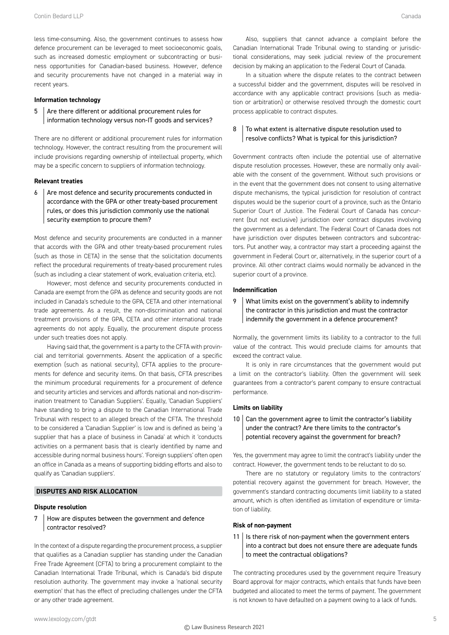less time-consuming. Also, the government continues to assess how defence procurement can be leveraged to meet socioeconomic goals, such as increased domestic employment or subcontracting or business opportunities for Canadian-based business. However, defence and security procurements have not changed in a material way in recent years.

#### **Information technology**

5 Are there different or additional procurement rules for information technology versus non-IT goods and services?

There are no different or additional procurement rules for information technology. However, the contract resulting from the procurement will include provisions regarding ownership of intellectual property, which may be a specific concern to suppliers of information technology.

#### **Relevant treaties**

 $6$  Are most defence and security procurements conducted in accordance with the GPA or other treaty-based procurement rules, or does this jurisdiction commonly use the national security exemption to procure them?

Most defence and security procurements are conducted in a manner that accords with the GPA and other treaty-based procurement rules (such as those in CETA) in the sense that the solicitation documents reflect the procedural requirements of treaty-based procurement rules (such as including a clear statement of work, evaluation criteria, etc).

However, most defence and security procurements conducted in Canada are exempt from the GPA as defence and security goods are not included in Canada's schedule to the GPA, CETA and other international trade agreements. As a result, the non-discrimination and national treatment provisions of the GPA, CETA and other international trade agreements do not apply. Equally, the procurement dispute process under such treaties does not apply.

Having said that, the government is a party to the CFTA with provincial and territorial governments. Absent the application of a specific exemption (such as national security), CFTA applies to the procurements for defence and security items. On that basis, CFTA prescribes the minimum procedural requirements for a procurement of defence and security articles and services and affords national and non-discrimination treatment to 'Canadian Suppliers'. Equally, 'Canadian Suppliers' have standing to bring a dispute to the Canadian International Trade Tribunal with respect to an alleged breach of the CFTA. The threshold to be considered a 'Canadian Supplier' is low and is defined as being 'a supplier that has a place of business in Canada' at which it 'conducts activities on a permanent basis that is clearly identified by name and accessible during normal business hours'. 'Foreign suppliers' often open an office in Canada as a means of supporting bidding efforts and also to qualify as 'Canadian suppliers'.

# **DISPUTES AND RISK ALLOCATION**

#### **Dispute resolution**

7 How are disputes between the government and defence contractor resolved?

In the context of a dispute regarding the procurement process, a supplier that qualifies as a Canadian supplier has standing under the Canadian Free Trade Agreement (CFTA) to bring a procurement complaint to the Canadian International Trade Tribunal, which is Canada's bid dispute resolution authority. The government may invoke a 'national security exemption' that has the effect of precluding challenges under the CFTA or any other trade agreement.

Also, suppliers that cannot advance a complaint before the Canadian International Trade Tribunal owing to standing or jurisdictional considerations, may seek judicial review of the procurement decision by making an application to the Federal Court of Canada.

In a situation where the dispute relates to the contract between a successful bidder and the government, disputes will be resolved in accordance with any applicable contract provisions (such as mediation or arbitration) or otherwise resolved through the domestic court process applicable to contract disputes.

# $8$  To what extent is alternative dispute resolution used to resolve conflicts? What is typical for this jurisdiction?

Government contracts often include the potential use of alternative dispute resolution processes. However, these are normally only available with the consent of the government. Without such provisions or in the event that the government does not consent to using alternative dispute mechanisms, the typical jurisdiction for resolution of contract disputes would be the superior court of a province, such as the Ontario Superior Court of Justice. The Federal Court of Canada has concurrent (but not exclusive) jurisdiction over contract disputes involving the government as a defendant. The Federal Court of Canada does not have jurisdiction over disputes between contractors and subcontractors. Put another way, a contractor may start a proceeding against the government in Federal Court or, alternatively, in the superior court of a province. All other contract claims would normally be advanced in the superior court of a province.

### **Indemnification**

9 | What limits exist on the government's ability to indemnify the contractor in this jurisdiction and must the contractor indemnify the government in a defence procurement?

Normally, the government limits its liability to a contractor to the full value of the contract. This would preclude claims for amounts that exceed the contract value.

It is only in rare circumstances that the government would put a limit on the contractor's liability. Often the government will seek guarantees from a contractor's parent company to ensure contractual performance.

#### **Limits on liability**

 $10$  Can the government agree to limit the contractor's liability under the contract? Are there limits to the contractor's potential recovery against the government for breach?

Yes, the government may agree to limit the contract's liability under the contract. However, the government tends to be reluctant to do so.

There are no statutory or regulatory limits to the contractors' potential recovery against the government for breach. However, the government's standard contracting documents limit liability to a stated amount, which is often identified as limitation of expenditure or limitation of liability.

#### **Risk of non-payment**

 $11$  | Is there risk of non-payment when the government enters into a contract but does not ensure there are adequate funds to meet the contractual obligations?

The contracting procedures used by the government require Treasury Board approval for major contracts, which entails that funds have been budgeted and allocated to meet the terms of payment. The government is not known to have defaulted on a payment owing to a lack of funds.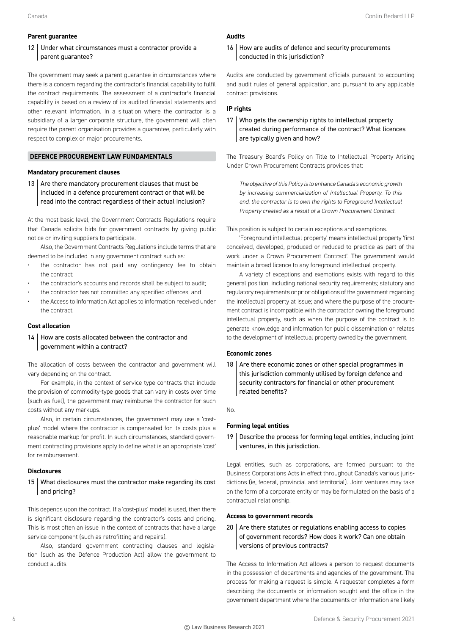#### **Parent guarantee**

# 12 Under what circumstances must a contractor provide a parent guarantee?

The government may seek a parent guarantee in circumstances where there is a concern regarding the contractor's financial capability to fulfil the contract requirements. The assessment of a contractor's financial capability is based on a review of its audited financial statements and other relevant information. In a situation where the contractor is a subsidiary of a larger corporate structure, the government will often require the parent organisation provides a guarantee, particularly with respect to complex or major procurements.

# **DEFENCE PROCUREMENT LAW FUNDAMENTALS**

#### **Mandatory procurement clauses**

13  $\vert$  Are there mandatory procurement clauses that must be included in a defence procurement contract or that will be read into the contract regardless of their actual inclusion?

At the most basic level, the Government Contracts Regulations require that Canada solicits bids for government contracts by giving public notice or inviting suppliers to participate.

Also, the Government Contracts Regulations include terms that are deemed to be included in any government contract such as:

- the contractor has not paid any contingency fee to obtain the contract;
- the contractor's accounts and records shall be subject to audit;
- the contractor has not committed any specified offences; and
- the Access to Information Act applies to information received under the contract.

#### **Cost allocation**

14 | How are costs allocated between the contractor and government within a contract?

The allocation of costs between the contractor and government will vary depending on the contract.

For example, in the context of service type contracts that include the provision of commodity-type goods that can vary in costs over time (such as fuel), the government may reimburse the contractor for such costs without any markups.

Also, in certain circumstances, the government may use a 'costplus' model where the contractor is compensated for its costs plus a reasonable markup for profit. In such circumstances, standard government contracting provisions apply to define what is an appropriate 'cost' for reimbursement.

#### **Disclosures**

15 What disclosures must the contractor make regarding its cost and pricing?

This depends upon the contract. If a 'cost-plus' model is used, then there is significant disclosure regarding the contractor's costs and pricing. This is most often an issue in the context of contracts that have a large service component (such as retrofitting and repairs).

Also, standard government contracting clauses and legislation (such as the Defence Production Act) allow the government to conduct audits.

# **Audits**

16 How are audits of defence and security procurements conducted in this jurisdiction?

Audits are conducted by government officials pursuant to accounting and audit rules of general application, and pursuant to any applicable contract provisions.

# **IP rights**

# 17 Who gets the ownership rights to intellectual property created during performance of the contract? What licences are typically given and how?

The Treasury Board's Policy on Title to Intellectual Property Arising Under Crown Procurement Contracts provides that:

*The objective of this Policy is to enhance Canada's economic growth by increasing commercialization of Intellectual Property. To this end, the contractor is to own the rights to Foreground Intellectual Property created as a result of a Crown Procurement Contract.*

This position is subject to certain exceptions and exemptions.

'Foreground intellectual property' means intellectual property 'first conceived, developed, produced or reduced to practice as part of the work under a Crown Procurement Contract'. The government would maintain a broad licence to any foreground intellectual property.

A variety of exceptions and exemptions exists with regard to this general position, including national security requirements; statutory and regulatory requirements or prior obligations of the government regarding the intellectual property at issue; and where the purpose of the procurement contract is incompatible with the contractor owning the foreground intellectual property, such as when the purpose of the contract is to generate knowledge and information for public dissemination or relates to the development of intellectual property owned by the government.

#### **Economic zones**

18  $\vert$  Are there economic zones or other special programmes in this jurisdiction commonly utilised by foreign defence and security contractors for financial or other procurement related benefits?

No.

# **Forming legal entities**

19 | Describe the process for forming legal entities, including joint ventures, in this jurisdiction.

Legal entities, such as corporations, are formed pursuant to the Business Corporations Acts in effect throughout Canada's various jurisdictions (ie, federal, provincial and territorial). Joint ventures may take on the form of a corporate entity or may be formulated on the basis of a contractual relationship.

# **Access to government records**

 $20$  Are there statutes or regulations enabling access to copies of government records? How does it work? Can one obtain versions of previous contracts?

The Access to Information Act allows a person to request documents in the possession of departments and agencies of the government. The process for making a request is simple. A requester completes a form describing the documents or information sought and the office in the government department where the documents or information are likely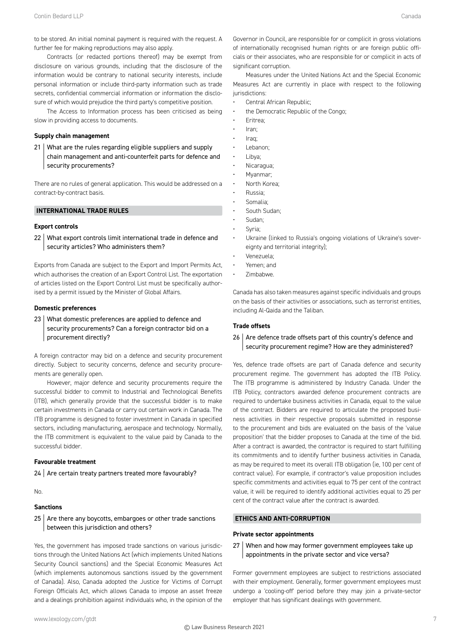to be stored. An initial nominal payment is required with the request. A further fee for making reproductions may also apply.

Contracts (or redacted portions thereof) may be exempt from disclosure on various grounds, including that the disclosure of the information would be contrary to national security interests, include personal information or include third-party information such as trade secrets, confidential commercial information or information the disclosure of which would prejudice the third party's competitive position.

The Access to Information process has been criticised as being slow in providing access to documents.

#### **Supply chain management**

21 What are the rules regarding eligible suppliers and supply chain management and anti-counterfeit parts for defence and security procurements?

There are no rules of general application. This would be addressed on a contract-by-contract basis.

# **INTERNATIONAL TRADE RULES**

#### **Export controls**

22 What export controls limit international trade in defence and security articles? Who administers them?

Exports from Canada are subject to the Export and Import Permits Act, which authorises the creation of an Export Control List. The exportation of articles listed on the Export Control List must be specifically authorised by a permit issued by the Minister of Global Affairs.

#### **Domestic preferences**

23 What domestic preferences are applied to defence and security procurements? Can a foreign contractor bid on a procurement directly?

A foreign contractor may bid on a defence and security procurement directly. Subject to security concerns, defence and security procurements are generally open.

However, major defence and security procurements require the successful bidder to commit to Industrial and Technological Benefits (ITB), which generally provide that the successful bidder is to make certain investments in Canada or carry out certain work in Canada. The ITB programme is designed to foster investment in Canada in specified sectors, including manufacturing, aerospace and technology. Normally, the ITB commitment is equivalent to the value paid by Canada to the successful bidder.

#### **Favourable treatment**

24 Are certain treaty partners treated more favourably?

No.

#### **Sanctions**

 $25$  Are there any boycotts, embargoes or other trade sanctions between this jurisdiction and others?

Yes, the government has imposed trade sanctions on various jurisdictions through the United Nations Act (which implements United Nations Security Council sanctions) and the Special Economic Measures Act (which implements autonomous sanctions issued by the government of Canada). Also, Canada adopted the Justice for Victims of Corrupt Foreign Officials Act, which allows Canada to impose an asset freeze and a dealings prohibition against individuals who, in the opinion of the Governor in Council, are responsible for or complicit in gross violations of internationally recognised human rights or are foreign public officials or their associates, who are responsible for or complicit in acts of significant corruption.

Measures under the United Nations Act and the Special Economic Measures Act are currently in place with respect to the following jurisdictions:

- Central African Republic;
- the Democratic Republic of the Congo;
- Eritrea;
- Iran;
- Iraq;
- Lebanon;
- Libya;
- Nicaragua;
- Myanmar;
- North Korea;
- Russia;
- Somalia;
- South Sudan; Sudan:
- Syria:
- 
- Ukraine (linked to Russia's ongoing violations of Ukraine's sovereignty and territorial integrity);
- Venezuela;
- Yemen; and
- Zimbabwe.

Canada has also taken measures against specific individuals and groups on the basis of their activities or associations, such as terrorist entities, including Al-Qaida and the Taliban.

#### **Trade offsets**

# $26$  Are defence trade offsets part of this country's defence and security procurement regime? How are they administered?

Yes, defence trade offsets are part of Canada defence and security procurement regime. The government has adopted the ITB Policy. The ITB programme is administered by Industry Canada. Under the ITB Policy, contractors awarded defence procurement contracts are required to undertake business activities in Canada, equal to the value of the contract. Bidders are required to articulate the proposed business activities in their respective proposals submitted in response to the procurement and bids are evaluated on the basis of the 'value proposition' that the bidder proposes to Canada at the time of the bid. After a contract is awarded, the contractor is required to start fulfilling its commitments and to identify further business activities in Canada, as may be required to meet its overall ITB obligation (ie, 100 per cent of contract value). For example, if contractor's value proposition includes specific commitments and activities equal to 75 per cent of the contract value, it will be required to identify additional activities equal to 25 per cent of the contract value after the contract is awarded.

#### **ETHICS AND ANTI-CORRUPTION**

#### **Private sector appointments**

27 When and how may former government employees take up appointments in the private sector and vice versa?

Former government employees are subject to restrictions associated with their employment. Generally, former government employees must undergo a 'cooling-off' period before they may join a private-sector employer that has significant dealings with government.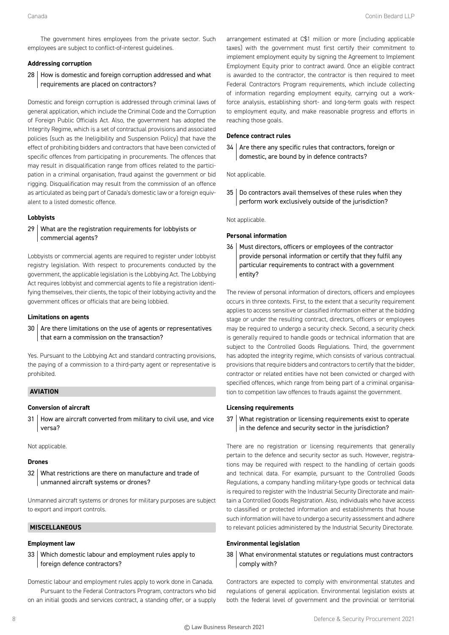The government hires employees from the private sector. Such employees are subject to conflict-of-interest guidelines.

#### **Addressing corruption**

28 How is domestic and foreign corruption addressed and what requirements are placed on contractors?

Domestic and foreign corruption is addressed through criminal laws of general application, which include the Criminal Code and the Corruption of Foreign Public Officials Act. Also, the government has adopted the Integrity Regime, which is a set of contractual provisions and associated policies (such as the Ineligibility and Suspension Policy) that have the effect of prohibiting bidders and contractors that have been convicted of specific offences from participating in procurements. The offences that may result in disqualification range from offices related to the participation in a criminal organisation, fraud against the government or bid rigging. Disqualification may result from the commission of an offence as articulated as being part of Canada's domestic law or a foreign equivalent to a listed domestic offence.

#### **Lobbyists**

29 What are the registration requirements for lobbyists or commercial agents?

Lobbyists or commercial agents are required to register under lobbyist registry legislation. With respect to procurements conducted by the government, the applicable legislation is the Lobbying Act. The Lobbying Act requires lobbyist and commercial agents to file a registration identifying themselves, their clients, the topic of their lobbying activity and the government offices or officials that are being lobbied.

### **Limitations on agents**

30 Are there limitations on the use of agents or representatives that earn a commission on the transaction?

Yes. Pursuant to the Lobbying Act and standard contracting provisions, the paying of a commission to a third-party agent or representative is prohibited.

# **AVIATION**

#### **Conversion of aircraft**

31 How are aircraft converted from military to civil use, and vice versa?

Not applicable.

#### **Drones**

32 What restrictions are there on manufacture and trade of unmanned aircraft systems or drones?

Unmanned aircraft systems or drones for military purposes are subject to export and import controls.

#### **MISCELLANEOUS**

#### **Employment law**

33 Which domestic labour and employment rules apply to foreign defence contractors?

Domestic labour and employment rules apply to work done in Canada. Pursuant to the Federal Contractors Program, contractors who bid on an initial goods and services contract, a standing offer, or a supply

arrangement estimated at C\$1 million or more (including applicable taxes) with the government must first certify their commitment to implement employment equity by signing the Agreement to Implement Employment Equity prior to contract award. Once an eligible contract is awarded to the contractor, the contractor is then required to meet Federal Contractors Program requirements, which include collecting of information regarding employment equity, carrying out a workforce analysis, establishing short- and long-term goals with respect to employment equity, and make reasonable progress and efforts in reaching those goals.

#### **Defence contract rules**

 $34$  Are there any specific rules that contractors, foreign or domestic, are bound by in defence contracts?

Not applicable.

35 Do contractors avail themselves of these rules when they perform work exclusively outside of the jurisdiction?

Not applicable.

# **Personal information**

36 Must directors, officers or employees of the contractor provide personal information or certify that they fulfil any particular requirements to contract with a government entity?

The review of personal information of directors, officers and employees occurs in three contexts. First, to the extent that a security requirement applies to access sensitive or classified information either at the bidding stage or under the resulting contract, directors, officers or employees may be required to undergo a security check. Second, a security check is generally required to handle goods or technical information that are subject to the Controlled Goods Regulations. Third, the government has adopted the integrity regime, which consists of various contractual provisions that require bidders and contractors to certify that the bidder, contractor or related entities have not been convicted or charged with specified offences, which range from being part of a criminal organisation to competition law offences to frauds against the government.

#### **Licensing requirements**

37 What registration or licensing requirements exist to operate in the defence and security sector in the jurisdiction?

There are no registration or licensing requirements that generally pertain to the defence and security sector as such. However, registrations may be required with respect to the handling of certain goods and technical data. For example, pursuant to the Controlled Goods Regulations, a company handling military-type goods or technical data is required to register with the Industrial Security Directorate and maintain a Controlled Goods Registration. Also, individuals who have access to classified or protected information and establishments that house such information will have to undergo a security assessment and adhere to relevant policies administered by the Industrial Security Directorate.

#### **Environmental legislation**

38 What environmental statutes or regulations must contractors comply with?

Contractors are expected to comply with environmental statutes and regulations of general application. Environmental legislation exists at both the federal level of government and the provincial or territorial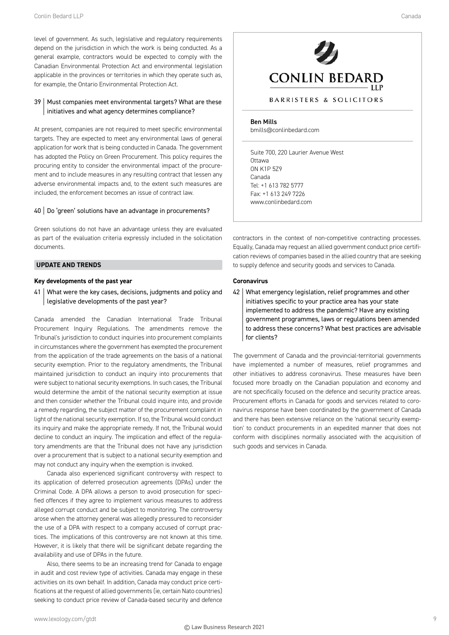level of government. As such, legislative and regulatory requirements depend on the jurisdiction in which the work is being conducted. As a general example, contractors would be expected to comply with the Canadian Environmental Protection Act and environmental legislation applicable in the provinces or territories in which they operate such as, for example, the Ontario Environmental Protection Act.

# 39 | Must companies meet environmental targets? What are these initiatives and what agency determines compliance?

At present, companies are not required to meet specific environmental targets. They are expected to meet any environmental laws of general application for work that is being conducted in Canada. The government has adopted the Policy on Green Procurement. This policy requires the procuring entity to consider the environmental impact of the procurement and to include measures in any resulting contract that lessen any adverse environmental impacts and, to the extent such measures are included, the enforcement becomes an issue of contract law.

#### 40 | Do 'green' solutions have an advantage in procurements?

Green solutions do not have an advantage unless they are evaluated as part of the evaluation criteria expressly included in the solicitation documents.

#### **UPDATE AND TRENDS**

#### **Key developments of the past year**

41 | What were the key cases, decisions, judgments and policy and legislative developments of the past year?

Canada amended the Canadian International Trade Tribunal Procurement Inquiry Regulations. The amendments remove the Tribunal's jurisdiction to conduct inquiries into procurement complaints in circumstances where the government has exempted the procurement from the application of the trade agreements on the basis of a national security exemption. Prior to the regulatory amendments, the Tribunal maintained jurisdiction to conduct an inquiry into procurements that were subject to national security exemptions. In such cases, the Tribunal would determine the ambit of the national security exemption at issue and then consider whether the Tribunal could inquire into, and provide a remedy regarding, the subject matter of the procurement complaint in light of the national security exemption. If so, the Tribunal would conduct its inquiry and make the appropriate remedy. If not, the Tribunal would decline to conduct an inquiry. The implication and effect of the regulatory amendments are that the Tribunal does not have any jurisdiction over a procurement that is subject to a national security exemption and may not conduct any inquiry when the exemption is invoked.

Canada also experienced significant controversy with respect to its application of deferred prosecution agreements (DPAs) under the Criminal Code. A DPA allows a person to avoid prosecution for specified offences if they agree to implement various measures to address alleged corrupt conduct and be subject to monitoring. The controversy arose when the attorney general was allegedly pressured to reconsider the use of a DPA with respect to a company accused of corrupt practices. The implications of this controversy are not known at this time. However, it is likely that there will be significant debate regarding the availability and use of DPAs in the future.

Also, there seems to be an increasing trend for Canada to engage in audit and cost review type of activities. Canada may engage in these activities on its own behalf. In addition, Canada may conduct price certifications at the request of allied governments (ie, certain Nato countries) seeking to conduct price review of Canada-based security and defence

# **CONLIN BEDARD**

# BARRISTERS & SOLICITORS

Ben Mills bmills@conlinbedard.com

Suite 700, 220 Laurier Avenue West **Ottawa** ON K1P 5Z9 Canada Tel: +1 613 782 5777 Fax: +1 613 249 7226 www.conlinbedard.com

contractors in the context of non-competitive contracting processes. Equally, Canada may request an allied government conduct price certification reviews of companies based in the allied country that are seeking to supply defence and security goods and services to Canada.

#### **Coronavirus**

42 What emergency legislation, relief programmes and other initiatives specific to your practice area has your state implemented to address the pandemic? Have any existing government programmes, laws or regulations been amended to address these concerns? What best practices are advisable for clients?

The government of Canada and the provincial-territorial governments have implemented a number of measures, relief programmes and other initiatives to address coronavirus. These measures have been focused more broadly on the Canadian population and economy and are not specifically focused on the defence and security practice areas. Procurement efforts in Canada for goods and services related to coronavirus response have been coordinated by the government of Canada and there has been extensive reliance on the 'national security exemption' to conduct procurements in an expedited manner that does not conform with disciplines normally associated with the acquisition of such goods and services in Canada.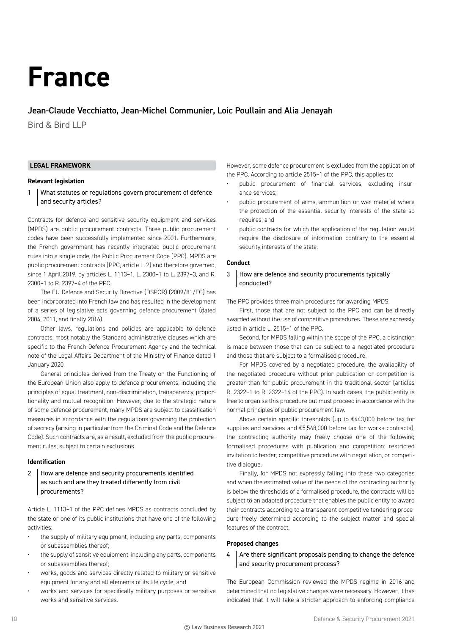# **France**

# Jean-Claude Vecchiatto, Jean-Michel Communier, Loic Poullain and Alia Jenayah

Bird & Bird LLP

# **LEGAL FRAMEWORK**

#### **Relevant legislation**

1 What statutes or regulations govern procurement of defence and security articles?

Contracts for defence and sensitive security equipment and services (MPDS) are public procurement contracts. Three public procurement codes have been successfully implemented since 2001. Furthermore, the French government has recently integrated public procurement rules into a single code, the Public Procurement Code (PPC). MPDS are public procurement contracts (PPC, article L. 2) and therefore governed, since 1 April 2019, by articles L. 1113–1, L. 2300–1 to L. 2397–3, and R. 2300–1 to R. 2397–4 of the PPC.

The EU Defence and Security Directive (DSPCR) (2009/81/EC) has been incorporated into French law and has resulted in the development of a series of legislative acts governing defence procurement (dated 2004, 2011, and finally 2016).

Other laws, regulations and policies are applicable to defence contracts, most notably the Standard administrative clauses which are specific to the French Defence Procurement Agency and the technical note of the Legal Affairs Department of the Ministry of Finance dated 1 January 2020.

General principles derived from the Treaty on the Functioning of the European Union also apply to defence procurements, including the principles of equal treatment, non-discrimination, transparency, proportionality and mutual recognition. However, due to the strategic nature of some defence procurement, many MPDS are subject to classification measures in accordance with the regulations governing the protection of secrecy (arising in particular from the Criminal Code and the Defence Code). Such contracts are, as a result, excluded from the public procurement rules, subject to certain exclusions.

#### **Identification**

2 How are defence and security procurements identified as such and are they treated differently from civil procurements?

Article L. 1113–1 of the PPC defines MPDS as contracts concluded by the state or one of its public institutions that have one of the following activities:

- the supply of military equipment, including any parts, components or subassemblies thereof;
- the supply of sensitive equipment, including any parts, components or subassemblies thereof;
- works, goods and services directly related to military or sensitive equipment for any and all elements of its life cycle; and
- works and services for specifically military purposes or sensitive works and sensitive services.

However, some defence procurement is excluded from the application of the PPC. According to article 2515–1 of the PPC, this applies to:

- public procurement of financial services, excluding insurance services;
- public procurement of arms, ammunition or war materiel where the protection of the essential security interests of the state so requires; and
- public contracts for which the application of the regulation would require the disclosure of information contrary to the essential security interests of the state.

#### **Conduct**

3 How are defence and security procurements typically conducted?

The PPC provides three main procedures for awarding MPDS.

First, those that are not subject to the PPC and can be directly awarded without the use of competitive procedures. These are expressly listed in article L. 2515–1 of the PPC.

Second, for MPDS falling within the scope of the PPC, a distinction is made between those that can be subject to a negotiated procedure and those that are subject to a formalised procedure.

For MPDS covered by a negotiated procedure, the availability of the negotiated procedure without prior publication or competition is greater than for public procurement in the traditional sector (articles R. 2322–1 to R. 2322–14 of the PPC). In such cases, the public entity is free to organise this procedure but must proceed in accordance with the normal principles of public procurement law.

Above certain specific thresholds (up to €443,000 before tax for supplies and services and €5,548,000 before tax for works contracts), the contracting authority may freely choose one of the following formalised procedures with publication and competition: restricted invitation to tender, competitive procedure with negotiation, or competitive dialogue.

Finally, for MPDS not expressly falling into these two categories and when the estimated value of the needs of the contracting authority is below the thresholds of a formalised procedure, the contracts will be subject to an adapted procedure that enables the public entity to award their contracts according to a transparent competitive tendering procedure freely determined according to the subject matter and special features of the contract.

#### **Proposed changes**

 $4 \mid$  Are there significant proposals pending to change the defence and security procurement process?

The European Commission reviewed the MPDS regime in 2016 and determined that no legislative changes were necessary. However, it has indicated that it will take a stricter approach to enforcing compliance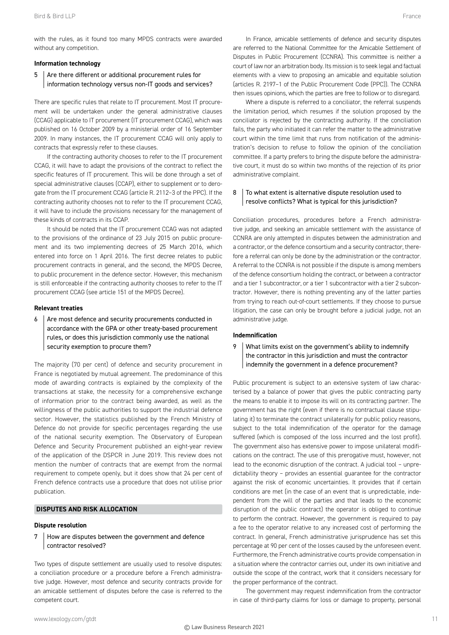#### **Information technology**

# 5 Are there different or additional procurement rules for information technology versus non-IT goods and services?

There are specific rules that relate to IT procurement. Most IT procurement will be undertaken under the general administrative clauses (CCAG) applicable to IT procurement (IT procurement CCAG), which was published on 16 October 2009 by a ministerial order of 16 September 2009. In many instances, the IT procurement CCAG will only apply to contracts that expressly refer to these clauses.

If the contracting authority chooses to refer to the IT procurement CCAG, it will have to adapt the provisions of the contract to reflect the specific features of IT procurement. This will be done through a set of special administrative clauses (CCAP), either to supplement or to derogate from the IT procurement CCAG (article R. 2112–3 of the PPC). If the contracting authority chooses not to refer to the IT procurement CCAG, it will have to include the provisions necessary for the management of these kinds of contracts in its CCAP.

It should be noted that the IT procurement CCAG was not adapted to the provisions of the ordinance of 23 July 2015 on public procurement and its two implementing decrees of 25 March 2016, which entered into force on 1 April 2016. The first decree relates to public procurement contracts in general, and the second, the MPDS Decree, to public procurement in the defence sector. However, this mechanism is still enforceable if the contracting authority chooses to refer to the IT procurement CCAG (see article 151 of the MPDS Decree).

#### **Relevant treaties**

 $6$  Are most defence and security procurements conducted in accordance with the GPA or other treaty-based procurement rules, or does this jurisdiction commonly use the national security exemption to procure them?

The majority (70 per cent) of defence and security procurement in France is negotiated by mutual agreement. The predominance of this mode of awarding contracts is explained by the complexity of the trans actions at stake, the necessity for a comprehensive exchange of information prior to the contract being awarded, as well as the willingness of the public authorities to support the industrial defence sector. However, the statistics published by the French Ministry of Defence do not provide for specific percentages regarding the use of the national security exemption. The Observatory of European Defence and Security Procurement published an eight-year review of the application of the DSPCR in June 2019. This review does not mention the number of contracts that are exempt from the normal requirement to compete openly, but it does show that 24 per cent of French defence contracts use a procedure that does not utilise prior publication.

# **DISPUTES AND RISK ALLOCATION**

#### **Dispute resolution**

7 How are disputes between the government and defence contractor resolved?

Two types of dispute settlement are usually used to resolve disputes: a conciliation procedure or a procedure before a French administrative judge. However, most defence and security contracts provide for an amicable settlement of disputes before the case is referred to the competent court.

In France, amicable settlements of defence and security disputes are referred to the National Committee for the Amicable Settlement of Disputes in Public Procurement (CCNRA). This committee is neither a court of law nor an arbitration body. Its mission is to seek legal and factual elements with a view to proposing an amicable and equitable solution (articles R. 2197–1 of the Public Procurement Code (PPC)). The CCNRA then issues opinions, which the parties are free to follow or to disregard.

Where a dispute is referred to a conciliator, the referral suspends the limitation period, which resumes if the solution proposed by the conciliator is rejected by the contracting authority. If the conciliation fails, the party who initiated it can refer the matter to the administrative court within the time limit that runs from notification of the administration's decision to refuse to follow the opinion of the conciliation committee. If a party prefers to bring the dispute before the administrative court, it must do so within two months of the rejection of its prior administrative complaint.

# 8 To what extent is alternative dispute resolution used to resolve conflicts? What is typical for this jurisdiction?

Conciliation procedures, procedures before a French administrative judge, and seeking an amicable settlement with the assistance of CCNRA are only attempted in disputes between the administration and a contractor, or the defence consortium and a security contractor, therefore a referral can only be done by the administration or the contractor. A referral to the CCNRA is not possible if the dispute is among members of the defence consortium holding the contract, or between a contractor and a tier 1 subcontractor, or a tier 1 subcontractor with a tier 2 subcontractor. However, there is nothing preventing any of the latter parties from trying to reach out-of-court settlements. If they choose to pursue litigation, the case can only be brought before a judicial judge, not an administrative judge.

# **Indemnification**

9 What limits exist on the government's ability to indemnify the contractor in this jurisdiction and must the contractor indemnify the government in a defence procurement?

Public procurement is subject to an extensive system of law characterised by a balance of power that gives the public contracting party the means to enable it to impose its will on its contracting partner. The government has the right (even if there is no contractual clause stipulating it) to terminate the contract unilaterally for public policy reasons, subject to the total indemnification of the operator for the damage suffered (which is composed of the loss incurred and the lost profit). The government also has extensive power to impose unilateral modifications on the contract. The use of this prerogative must, however, not lead to the economic disruption of the contract. A judicial tool – unpredictability theory – provides an essential guarantee for the contractor against the risk of economic uncertainties. It provides that if certain conditions are met (in the case of an event that is unpredictable, independent from the will of the parties and that leads to the economic disruption of the public contract) the operator is obliged to continue to perform the contract. However, the government is required to pay a fee to the operator relative to any increased cost of performing the contract. In general, French administrative jurisprudence has set this percentage at 90 per cent of the losses caused by the unforeseen event. Furthermore, the French administrative courts provide compensation in a situation where the contractor carries out, under its own initiative and outside the scope of the contract, work that it considers necessary for the proper performance of the contract.

The government may request indemnification from the contractor in case of third-party claims for loss or damage to property, personal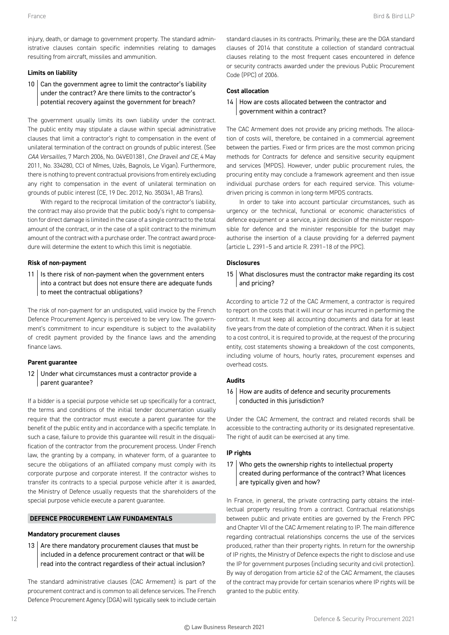injury, death, or damage to government property. The standard administrative clauses contain specific indemnities relating to damages resulting from aircraft, missiles and ammunition.

#### **Limits on liability**

10 Can the government agree to limit the contractor's liability under the contract? Are there limits to the contractor's potential recovery against the government for breach?

The government usually limits its own liability under the contract. The public entity may stipulate a clause within special administrative clauses that limit a contractor's right to compensation in the event of unilateral termination of the contract on grounds of public interest. (See *CAA Versailles*, 7 March 2006, No. 04VE01381, *Cne Draveil and CE*, 4 May 2011, No. 334280, CCI of Nîmes, Uzès, Bagnols, Le Vigan). Furthermore, there is nothing to prevent contractual provisions from entirely excluding any right to compensation in the event of unilateral termination on grounds of public interest (CE, 19 Dec. 2012, No. 350341, AB Trans).

With regard to the reciprocal limitation of the contractor's liability, the contract may also provide that the public body's right to compensation for direct damage is limited in the case of a single contract to the total amount of the contract, or in the case of a split contract to the minimum amount of the contract with a purchase order. The contract award procedure will determine the extent to which this limit is negotiable.

#### **Risk of non-payment**

 $11$  | Is there risk of non-payment when the government enters into a contract but does not ensure there are adequate funds to meet the contractual obligations?

The risk of non-payment for an undisputed, valid invoice by the French Defence Procurement Agency is perceived to be very low. The government's commitment to incur expenditure is subject to the availability of credit payment provided by the finance laws and the amending finance laws.

#### **Parent guarantee**

# 12 Under what circumstances must a contractor provide a parent guarantee?

If a bidder is a special purpose vehicle set up specifically for a contract, the terms and conditions of the initial tender documentation usually require that the contractor must execute a parent guarantee for the benefit of the public entity and in accordance with a specific template. In such a case, failure to provide this guarantee will result in the disqualification of the contractor from the procurement process. Under French law, the granting by a company, in whatever form, of a guarantee to secure the obligations of an affiliated company must comply with its corporate purpose and corporate interest. If the contractor wishes to transfer its contracts to a special purpose vehicle after it is awarded, the Ministry of Defence usually requests that the shareholders of the special purpose vehicle execute a parent guarantee.

#### **DEFENCE PROCUREMENT LAW FUNDAMENTALS**

#### **Mandatory procurement clauses**

13  $\vert$  Are there mandatory procurement clauses that must be included in a defence procurement contract or that will be read into the contract regardless of their actual inclusion?

The standard administrative clauses (CAC Armement) is part of the procurement contract and is common to all defence services. The French Defence Procurement Agency (DGA) will typically seek to include certain standard clauses in its contracts. Primarily, these are the DGA standard clauses of 2014 that constitute a collection of standard contractual clauses relating to the most frequent cases encountered in defence or security contracts awarded under the previous Public Procurement Code (PPC) of 2006.

# **Cost allocation**

# 14 How are costs allocated between the contractor and government within a contract?

The CAC Armement does not provide any pricing methods. The allocation of costs will, therefore, be contained in a commercial agreement between the parties. Fixed or firm prices are the most common pricing methods for Contracts for defence and sensitive security equipment and services (MPDS). However, under public procurement rules, the procuring entity may conclude a framework agreement and then issue individual purchase orders for each required service. This volumedriven pricing is common in long-term MPDS contracts.

In order to take into account particular circumstances, such as urgency or the technical, functional or economic characteristics of defence equipment or a service, a joint decision of the minister responsible for defence and the minister responsible for the budget may authorise the insertion of a clause providing for a deferred payment (article L. 2391–5 and article R. 2391–18 of the PPC).

# **Disclosures**

15 What disclosures must the contractor make regarding its cost and pricing?

According to article 7.2 of the CAC Armement, a contractor is required to report on the costs that it will incur or has incurred in performing the contract. It must keep all accounting documents and data for at least five years from the date of completion of the contract. When it is subject to a cost control, it is required to provide, at the request of the procuring entity, cost statements showing a breakdown of the cost components, including volume of hours, hourly rates, procurement expenses and overhead costs.

#### **Audits**

16 How are audits of defence and security procurements conducted in this jurisdiction?

Under the CAC Armement, the contract and related records shall be accessible to the contracting authority or its designated representative. The right of audit can be exercised at any time.

#### **IP rights**

# 17 Who gets the ownership rights to intellectual property created during performance of the contract? What licences are typically given and how?

In France, in general, the private contracting party obtains the intellectual property resulting from a contract. Contractual relationships between public and private entities are governed by the French PPC and Chapter VII of the CAC Armement relating to IP. The main difference regarding contractual relationships concerns the use of the services produced, rather than their property rights. In return for the ownership of IP rights, the Ministry of Defence expects the right to disclose and use the IP for government purposes (including security and civil protection). By way of derogation from article 62 of the CAC Armament, the clauses of the contract may provide for certain scenarios where IP rights will be granted to the public entity.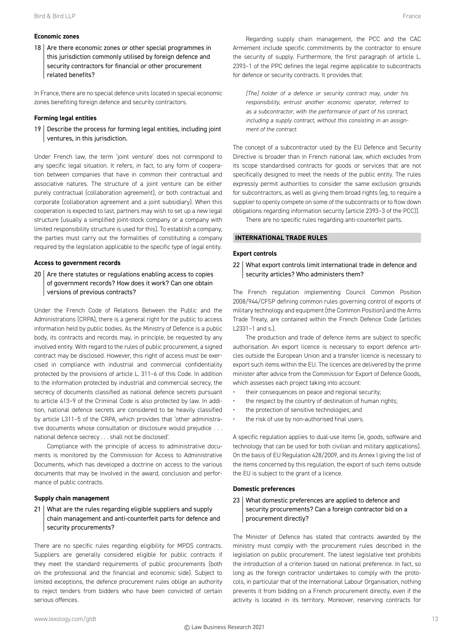# **Economic zones**

 $18$  Are there economic zones or other special programmes in this jurisdiction commonly utilised by foreign defence and security contractors for financial or other procurement related benefits?

In France, there are no special defence units located in special economic zones benefiting foreign defence and security contractors.

#### **Forming legal entities**

 $19$  Describe the process for forming legal entities, including joint ventures, in this jurisdiction.

Under French law, the term 'joint venture' does not correspond to any specific legal situation. It refers, in fact, to any form of cooperation between companies that have in common their contractual and associative natures. The structure of a joint venture can be either purely contractual (collaboration agreement), or both contractual and corporate (collaboration agreement and a joint subsidiary). When this cooperation is expected to last, partners may wish to set up a new legal structure (usually a simplified joint-stock company or a company with limited responsibility structure is used for this). To establish a company, the parties must carry out the formalities of constituting a company required by the legislation applicable to the specific type of legal entity.

#### **Access to government records**

 $20$  Are there statutes or regulations enabling access to copies of government records? How does it work? Can one obtain versions of previous contracts?

Under the French Code of Relations Between the Public and the Administrations (CRPA), there is a general right for the public to access information held by public bodies. As the Ministry of Defence is a public body, its contracts and records may, in principle, be requested by any involved entity. With regard to the rules of public procurement, a signed contract may be disclosed. However, this right of access must be exercised in compliance with industrial and commercial confidentiality protected by the provisions of article L. 311–6 of this Code. In addition to the information protected by industrial and commercial secrecy, the secrecy of documents classified as national defence secrets pursuant to article 413–9 of the Criminal Code is also protected by law. In addition, national defence secrets are considered to be heavily classified by article L311–5 of the CRPA, which provides that 'other administrative documents whose consultation or disclosure would prejudice . . . national defence secrecy . . . shall not be disclosed'.

Compliance with the principle of access to administrative documents is monitored by the Commission for Access to Administrative Documents, which has developed a doctrine on access to the various documents that may be involved in the award, conclusion and performance of public contracts.

#### **Supply chain management**

21 What are the rules regarding eligible suppliers and supply chain management and anti-counterfeit parts for defence and security procurements?

There are no specific rules regarding eligibility for MPDS contracts. Suppliers are generally considered eligible for public contracts if they meet the standard requirements of public procurements (both on the professional and the financial and economic side). Subject to limited exceptions, the defence procurement rules oblige an authority to reject tenders from bidders who have been convicted of certain serious offences.

Regarding supply chain management, the PCC and the CAC Armement include specific commitments by the contractor to ensure the security of supply. Furthermore, the first paragraph of article L. 2393–1 of the PPC defines the legal regime applicable to subcontracts for defence or security contracts. It provides that:

*[The] holder of a defence or security contract may, under his responsibility, entrust another economic operator, referred to as a subcontractor, with the performance of part of his contract, including a supply contract, without this consisting in an assignment of the contract.*

The concept of a subcontractor used by the EU Defence and Security Directive is broader than in French national law, which excludes from its scope standardised contracts for goods or services that are not specifically designed to meet the needs of the public entity. The rules expressly permit authorities to consider the same exclusion grounds for subcontractors, as well as giving them broad rights (eg, to require a supplier to openly compete on some of the subcontracts or to flow down obligations regarding information security (article 2393–3 of the PCC)).

There are no specific rules regarding anti-counterfeit parts.

# **INTERNATIONAL TRADE RULES**

#### **Export controls**

22 What export controls limit international trade in defence and security articles? Who administers them?

The French regulation implementing Council Common Position 2008/944/CFSP defining common rules governing control of exports of military technology and equipment (the Common Position) and the Arms Trade Treaty, are contained within the French Defence Code (articles L2331–1 and s.).

The production and trade of defence items are subject to specific authorisation. An export licence is necessary to export defence articles outside the European Union and a transfer licence is necessary to export such items within the EU. The licences are delivered by the prime minister after advice from the Commission for Export of Defence Goods, which assesses each project taking into account:

- their consequences on peace and regional security;
- the respect by the country of destination of human rights;
- the protection of sensitive technologies; and
- the risk of use by non-authorised final users.

A specific regulation applies to dual-use items (ie, goods, software and technology that can be used for both civilian and military applications). On the basis of EU Regulation 428/2009, and its Annex I giving the list of the items concerned by this regulation, the export of such items outside the EU is subject to the grant of a licence.

#### **Domestic preferences**

# 23 What domestic preferences are applied to defence and security procurements? Can a foreign contractor bid on a procurement directly?

The Minister of Defence has stated that contracts awarded by the ministry must comply with the procurement rules described in the legislation on public procurement. The latest legislative text prohibits the introduction of a criterion based on national preference. In fact, so long as the foreign contractor undertakes to comply with the protocols, in particular that of the International Labour Organisation, nothing prevents it from bidding on a French procurement directly, even if the activity is located in its territory. Moreover, reserving contracts for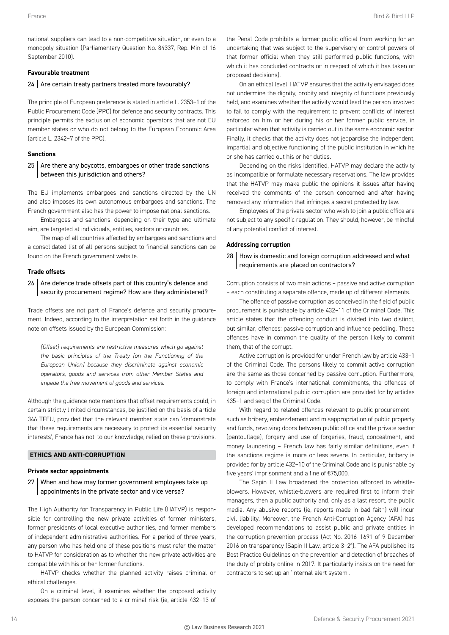national suppliers can lead to a non-competitive situation, or even to a monopoly situation (Parliamentary Question No. 84337, Rep. Min of 16 September 2010).

# **Favourable treatment**

# 24 Are certain treaty partners treated more favourably?

The principle of European preference is stated in article L. 2353–1 of the Public Procurement Code (PPC) for defence and security contracts. This principle permits the exclusion of economic operators that are not EU member states or who do not belong to the European Economic Area (article L. 2342–7 of the PPC).

# **Sanctions**

 $25$  Are there any boycotts, embargoes or other trade sanctions between this jurisdiction and others?

The EU implements embargoes and sanctions directed by the UN and also imposes its own autonomous embargoes and sanctions. The French government also has the power to impose national sanctions.

Embargoes and sanctions, depending on their type and ultimate aim, are targeted at individuals, entities, sectors or countries.

The map of all countries affected by embargoes and sanctions and a consolidated list of all persons subject to financial sanctions can be found on the French government website.

# **Trade offsets**

# 26 Are defence trade offsets part of this country's defence and security procurement regime? How are they administered?

Trade offsets are not part of France's defence and security procurement. Indeed, according to the interpretation set forth in the guidance note on offsets issued by the European Commission:

*[Offset] requirements are restrictive measures which go against the basic principles of the Treaty [on the Functioning of the European Union] because they discriminate against economic operators, goods and services from other Member States and impede the free movement of goods and services.*

Although the guidance note mentions that offset requirements could, in certain strictly limited circumstances, be justified on the basis of article 346 TFEU, provided that the relevant member state can 'demonstrate that these requirements are necessary to protect its essential security interests', France has not, to our knowledge, relied on these provisions.

# **ETHICS AND ANTI-CORRUPTION**

# **Private sector appointments**

27 When and how may former government employees take up appointments in the private sector and vice versa?

The High Authority for Transparency in Public Life (HATVP) is responsible for controlling the new private activities of former ministers, former presidents of local executive authorities, and former members of independent administrative authorities. For a period of three years, any person who has held one of these positions must refer the matter to HATVP for consideration as to whether the new private activities are compatible with his or her former functions.

HATVP checks whether the planned activity raises criminal or ethical challenges.

On a criminal level, it examines whether the proposed activity exposes the person concerned to a criminal risk (ie, article 432–13 of the Penal Code prohibits a former public official from working for an undertaking that was subject to the supervisory or control powers of that former official when they still performed public functions, with which it has concluded contracts or in respect of which it has taken or proposed decisions).

On an ethical level, HATVP ensures that the activity envisaged does not undermine the dignity, probity and integrity of functions previously held, and examines whether the activity would lead the person involved to fail to comply with the requirement to prevent conflicts of interest enforced on him or her during his or her former public service, in particular when that activity is carried out in the same economic sector. Finally, it checks that the activity does not jeopardise the independent, impartial and objective functioning of the public institution in which he or she has carried out his or her duties.

Depending on the risks identified, HATVP may declare the activity as incompatible or formulate necessary reservations. The law provides that the HATVP may make public the opinions it issues after having received the comments of the person concerned and after having removed any information that infringes a secret protected by law.

Employees of the private sector who wish to join a public office are not subject to any specific regulation. They should, however, be mindful of any potential conflict of interest.

# **Addressing corruption**

# 28 How is domestic and foreign corruption addressed and what requirements are placed on contractors?

Corruption consists of two main actions – passive and active corruption – each constituting a separate offence, made up of different elements.

The offence of passive corruption as conceived in the field of public procurement is punishable by article 432–11 of the Criminal Code. This article states that the offending conduct is divided into two distinct, but similar, offences: passive corruption and influence peddling. These offences have in common the quality of the person likely to commit them, that of the corrupt.

Active corruption is provided for under French law by article 433–1 of the Criminal Code. The persons likely to commit active corruption are the same as those concerned by passive corruption. Furthermore, to comply with France's international commitments, the offences of foreign and international public corruption are provided for by articles 435–1 and seq of the Criminal Code.

With regard to related offences relevant to public procurement – such as bribery, embezzlement and misappropriation of public property and funds, revolving doors between public office and the private sector (pantouflage), forgery and use of forgeries, fraud, concealment, and money laundering – French law has fairly similar definitions, even if the sanctions regime is more or less severe. In particular, bribery is provided for by article 432–10 of the Criminal Code and is punishable by five years' imprisonment and a fine of €75,000.

The Sapin II Law broadened the protection afforded to whistleblowers. However, whistle-blowers are required first to inform their managers, then a public authority and, only as a last resort, the public media. Any abusive reports (ie, reports made in bad faith) will incur civil liability. Moreover, the French Anti-Corruption Agency (AFA) has developed recommendations to assist public and private entities in the corruption prevention process (Act No. 2016–1691 of 9 December 2016 on transparency (Sapin II Law, article 3–2°). The AFA published its Best Practice Guidelines on the prevention and detection of breaches of the duty of probity online in 2017. It particularly insists on the need for contractors to set up an 'internal alert system'.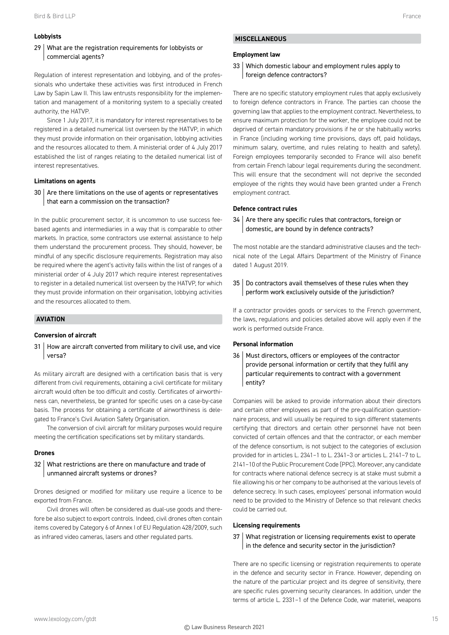# **Lobbyists**

# 29 What are the registration requirements for lobbyists or commercial agents?

Regulation of interest representation and lobbying, and of the professionals who undertake these activities was first introduced in French Law by Sapin Law II. This law entrusts responsibility for the implementation and management of a monitoring system to a specially created authority, the HATVP.

Since 1 July 2017, it is mandatory for interest representatives to be registered in a detailed numerical list overseen by the HATVP, in which they must provide information on their organisation, lobbying activities and the resources allocated to them. A ministerial order of 4 July 2017 established the list of ranges relating to the detailed numerical list of interest representatives.

#### **Limitations on agents**

 $30$  Are there limitations on the use of agents or representatives that earn a commission on the transaction?

In the public procurement sector, it is uncommon to use success feebased agents and intermediaries in a way that is comparable to other markets. In practice, some contractors use external assistance to help them understand the procurement process. They should, however, be mindful of any specific disclosure requirements. Registration may also be required where the agent's activity falls within the list of ranges of a ministerial order of 4 July 2017 which require interest representatives to register in a detailed numerical list overseen by the HATVP, for which they must provide information on their organisation, lobbying activities and the resources allocated to them.

#### **AVIATION**

#### **Conversion of aircraft**

31 How are aircraft converted from military to civil use, and vice versa?

As military aircraft are designed with a certification basis that is very different from civil requirements, obtaining a civil certificate for military aircraft would often be too difficult and costly. Certificates of airworthiness can, nevertheless, be granted for specific uses on a case-by-case basis. The process for obtaining a certificate of airworthiness is delegated to France's Civil Aviation Safety Organisation.

The conversion of civil aircraft for military purposes would require meeting the certification specifications set by military standards.

#### **Drones**

# 32 What restrictions are there on manufacture and trade of unmanned aircraft systems or drones?

Drones designed or modified for military use require a licence to be exported from France.

Civil drones will often be considered as dual-use goods and therefore be also subject to export controls. Indeed, civil drones often contain items covered by Category 6 of Annex I of EU Regulation 428/2009, such as infrared video cameras, lasers and other regulated parts.

#### **Employment law**

# 33 Which domestic labour and employment rules apply to foreign defence contractors?

There are no specific statutory employment rules that apply exclusively to foreign defence contractors in France. The parties can choose the governing law that applies to the employment contract. Nevertheless, to ensure maximum protection for the worker, the employee could not be deprived of certain mandatory provisions if he or she habitually works in France (including working time provisions, days off, paid holidays, minimum salary, overtime, and rules relating to health and safety). Foreign employees temporarily seconded to France will also benefit from certain French labour legal requirements during the secondment. This will ensure that the secondment will not deprive the seconded employee of the rights they would have been granted under a French employment contract.

#### **Defence contract rules**

 $34$  Are there any specific rules that contractors, foreign or domestic, are bound by in defence contracts?

The most notable are the standard administrative clauses and the technical note of the Legal Affairs Department of the Ministry of Finance dated 1 August 2019.

35 | Do contractors avail themselves of these rules when they perform work exclusively outside of the jurisdiction?

If a contractor provides goods or services to the French government, the laws, regulations and policies detailed above will apply even if the work is performed outside France.

#### **Personal information**

36 Must directors, officers or employees of the contractor provide personal information or certify that they fulfil any particular requirements to contract with a government entity?

Companies will be asked to provide information about their directors and certain other employees as part of the pre-qualification questionnaire process, and will usually be required to sign different statements certifying that directors and certain other personnel have not been convicted of certain offences and that the contractor, or each member of the defence consortium, is not subject to the categories of exclusion provided for in articles L. 2341–1 to L. 2341–3 or articles L. 2141–7 to L. 2141–10 of the Public Procurement Code (PPC). Moreover, any candidate for contracts where national defence secrecy is at stake must submit a file allowing his or her company to be authorised at the various levels of defence secrecy. In such cases, employees' personal information would need to be provided to the Ministry of Defence so that relevant checks could be carried out.

#### **Licensing requirements**

37 What registration or licensing requirements exist to operate in the defence and security sector in the jurisdiction?

There are no specific licensing or registration requirements to operate in the defence and security sector in France. However, depending on the nature of the particular project and its degree of sensitivity, there are specific rules governing security clearances. In addition, under the terms of article L. 2331–1 of the Defence Code, war materiel, weapons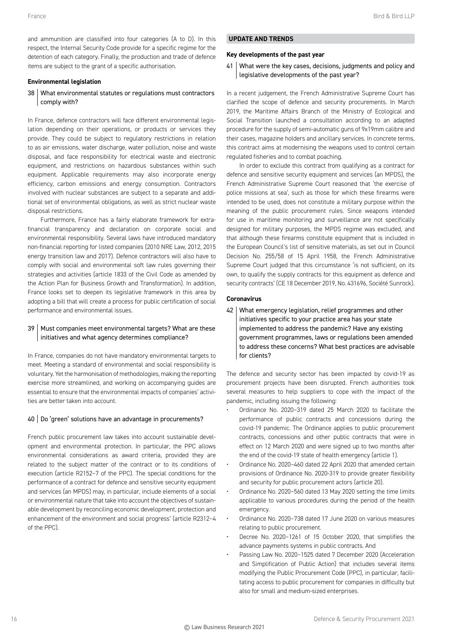and ammunition are classified into four categories (A to D). In this respect, the Internal Security Code provide for a specific regime for the detention of each category. Finally, the production and trade of defence items are subject to the grant of a specific authorisation.

# **Environmental legislation**

# 38 What environmental statutes or regulations must contractors comply with?

In France, defence contractors will face different environmental legislation depending on their operations, or products or services they provide. They could be subject to regulatory restrictions in relation to as air emissions, water discharge, water pollution, noise and waste disposal, and face responsibility for electrical waste and electronic equipment, and restrictions on hazardous substances within such equipment. Applicable requirements may also incorporate energy efficiency, carbon emissions and energy consumption. Contractors involved with nuclear substances are subject to a separate and additional set of environmental obligations, as well as strict nuclear waste disposal restrictions.

Furthermore, France has a fairly elaborate framework for extrafinancial transparency and declaration on corporate social and environmental responsibility. Several laws have introduced mandatory non-financial reporting for listed companies (2010 NRE Law, 2012, 2015 energy transition law and 2017). Defence contractors will also have to comply with social and environmental soft law rules governing their strategies and activities (article 1833 of the Civil Code as amended by the Action Plan for Business Growth and Transformation). In addition, France looks set to deepen its legislative framework in this area by adopting a bill that will create a process for public certification of social performance and environmental issues.

# 39 | Must companies meet environmental targets? What are these initiatives and what agency determines compliance?

In France, companies do not have mandatory environmental targets to meet. Meeting a standard of environmental and social responsibility is voluntary. Yet the harmonisation of methodologies, making the reporting exercise more streamlined, and working on accompanying guides are essential to ensure that the environmental impacts of companies' activities are better taken into account.

# 40 Do 'green' solutions have an advantage in procurements?

French public procurement law takes into account sustainable development and environmental protection. In particular, the PPC allows environmental considerations as award criteria, provided they are related to the subject matter of the contract or to its conditions of execution (article R2152–7 of the PPC). The special conditions for the performance of a contract for defence and sensitive security equipment and services (an MPDS) may, in particular, include elements of a social or environmental nature that take into account the objectives of sustainable development by reconciling economic development, protection and enhancement of the environment and social progress' (article R2312–4 of the PPC).

# **UPDATE AND TRENDS**

#### **Key developments of the past year**

# 41 | What were the key cases, decisions, judgments and policy and legislative developments of the past year?

In a recent judgement, the French Administrative Supreme Court has clarified the scope of defence and security procurements. In March 2019, the Maritime Affairs Branch of the Ministry of Ecological and Social Transition launched a consultation according to an adapted procedure for the supply of semi-automatic guns of 9x19mm calibre and their cases, magazine holders and ancillary services. In concrete terms, this contract aims at modernising the weapons used to control certain regulated fisheries and to combat poaching.

In order to exclude this contract from qualifying as a contract for defence and sensitive security equipment and services (an MPDS), the French Administrative Supreme Court reasoned that 'the exercise of police missions at sea', such as those for which these firearms were intended to be used, does not constitute a military purpose within the meaning of the public procurement rules. Since weapons intended for use in maritime monitoring and surveillance are not specifically designed for military purposes, the MPDS regime was excluded, and that although these firearms constitute equipment that is included in the European Council's list of sensitive materials, as set out in Council Decision No. 255/58 of 15 April 1958, the French Administrative Supreme Court judged that this circumstance 'is not sufficient, on its own, to qualify the supply contracts for this equipment as defence and security contracts' (CE 18 December 2019, No. 431696, Société Sunrock).

# **Coronavirus**

42 What emergency legislation, relief programmes and other initiatives specific to your practice area has your state implemented to address the pandemic? Have any existing government programmes, laws or regulations been amended to address these concerns? What best practices are advisable for clients?

The defence and security sector has been impacted by covid-19 as procurement projects have been disrupted. French authorities took several measures to help suppliers to cope with the impact of the pandemic, including issuing the following:

- Ordinance No. 2020–319 dated 25 March 2020 to facilitate the performance of public contracts and concessions during the covid-19 pandemic. The Ordinance applies to public procurement contracts, concessions and other public contracts that were in effect on 12 March 2020 and were signed up to two months after the end of the covid-19 state of health emergency (article 1).
- Ordinance No. 2020–460 dated 22 April 2020 that amended certain provisions of Ordinance No. 2020-319 to provide greater flexibility and security for public procurement actors (article 20).
- Ordinance No. 2020–560 dated 13 May 2020 setting the time limits applicable to various procedures during the period of the health emergency.
- Ordinance No. 2020–738 dated 17 June 2020 on various measures relating to public procurement.
- Decree No. 2020–1261 of 15 October 2020, that simplifies the advance payments systems in public contracts. And
- Passing Law No. 2020–1525 dated 7 December 2020 (Acceleration and Simplification of Public Action) that includes several items modifying the Public Procurement Code (PPC), in particular, facilitating access to public procurement for companies in difficulty but also for small and medium-sized enterprises.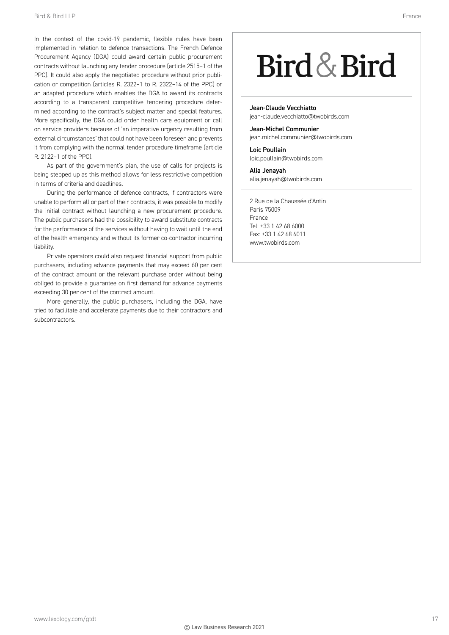In the context of the covid-19 pandemic, flexible rules have been implemented in relation to defence transactions. The French Defence Procurement Agency (DGA) could award certain public procurement contracts without launching any tender procedure (article 2515–1 of the PPC). It could also apply the negotiated procedure without prior publication or competition (articles R. 2322–1 to R. 2322–14 of the PPC) or an adapted procedure which enables the DGA to award its contracts according to a transparent competitive tendering procedure determined according to the contract's subject matter and special features. More specifically, the DGA could order health care equipment or call on service providers because of 'an imperative urgency resulting from external circumstances' that could not have been foreseen and prevents it from complying with the normal tender procedure timeframe (article R. 2122–1 of the PPC).

As part of the government's plan, the use of calls for projects is being stepped up as this method allows for less restrictive competition in terms of criteria and deadlines.

During the performance of defence contracts, if contractors were unable to perform all or part of their contracts, it was possible to modify the initial contract without launching a new procurement procedure. The public purchasers had the possibility to award substitute contracts for the performance of the services without having to wait until the end of the health emergency and without its former co-contractor incurring liability.

Private operators could also request financial support from public purchasers, including advance payments that may exceed 60 per cent of the contract amount or the relevant purchase order without being obliged to provide a guarantee on first demand for advance payments exceeding 30 per cent of the contract amount.

More generally, the public purchasers, including the DGA, have tried to facilitate and accelerate payments due to their contractors and subcontractors.

# Bird & Bird

Jean-Claude Vecchiatto jean-claude.vecchiatto@twobirds.com

Jean-Michel Communier jean.michel.communier@twobirds.com

Loic Poullain loic.poullain@twobirds.com

Alia Jenayah alia.jenayah@twobirds.com

2 Rue de la Chaussée d'Antin Paris 75009 France Tel: +33 1 42 68 6000 Fax: +33 1 42 68 6011 www.twobirds.com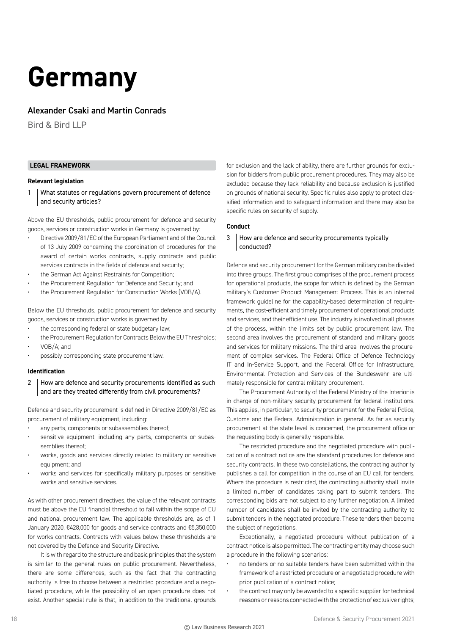# **Germany**

# Alexander Csaki and Martin Conrads

Bird & Bird LLP

# **LEGAL FRAMEWORK**

#### **Relevant legislation**

1 What statutes or regulations govern procurement of defence and security articles?

Above the EU thresholds, public procurement for defence and security goods, services or construction works in Germany is governed by:

- Directive 2009/81/EC of the European Parliament and of the Council of 13 July 2009 concerning the coordination of procedures for the award of certain works contracts, supply contracts and public services contracts in the fields of defence and security;
- the German Act Against Restraints for Competition;
- the Procurement Regulation for Defence and Security; and
- the Procurement Regulation for Construction Works (VOB/A).

Below the EU thresholds, public procurement for defence and security goods, services or construction works is governed by

- the corresponding federal or state budgetary law:
- the Procurement Regulation for Contracts Below the EU Thresholds;
- VOB/A; and
- possibly corresponding state procurement law.

#### **Identification**

2 How are defence and security procurements identified as such and are they treated differently from civil procurements?

Defence and security procurement is defined in Directive 2009/81/EC as procurement of military equipment, including:

- any parts, components or subassemblies thereof:
- sensitive equipment, including any parts, components or subassemblies thereof;
- works, goods and services directly related to military or sensitive equipment; and
- works and services for specifically military purposes or sensitive works and sensitive services.

As with other procurement directives, the value of the relevant contracts must be above the EU financial threshold to fall within the scope of EU and national procurement law. The applicable thresholds are, as of 1 January 2020, €428,000 for goods and service contracts and €5,350,000 for works contracts. Contracts with values below these thresholds are not covered by the Defence and Security Directive.

It is with regard to the structure and basic principles that the system is similar to the general rules on public procurement. Nevertheless, there are some differences, such as the fact that the contracting authority is free to choose between a restricted procedure and a negotiated procedure, while the possibility of an open procedure does not exist. Another special rule is that, in addition to the traditional grounds

for exclusion and the lack of ability, there are further grounds for exclusion for bidders from public procurement procedures. They may also be excluded because they lack reliability and because exclusion is justified on grounds of national security. Specific rules also apply to protect classified information and to safeguard information and there may also be specific rules on security of supply.

#### **Conduct**

# 3 How are defence and security procurements typically conducted?

Defence and security procurement for the German military can be divided into three groups. The first group comprises of the procurement process for operational products, the scope for which is defined by the German military's Customer Product Management Process. This is an internal framework guideline for the capability-based determination of requirements, the cost-efficient and timely procurement of operational products and services, and their efficient use. The industry is involved in all phases of the process, within the limits set by public procurement law. The second area involves the procurement of standard and military goods and services for military missions. The third area involves the procurement of complex services. The Federal Office of Defence Technology IT and In-Service Support, and the Federal Office for Infrastructure, Environmental Protection and Services of the Bundeswehr are ultimately responsible for central military procurement.

The Procurement Authority of the Federal Ministry of the Interior is in charge of non-military security procurement for federal institutions. This applies, in particular, to security procurement for the Federal Police, Customs and the Federal Administration in general. As far as security procurement at the state level is concerned, the procurement office or the requesting body is generally responsible.

The restricted procedure and the negotiated procedure with publication of a contract notice are the standard procedures for defence and security contracts. In these two constellations, the contracting authority publishes a call for competition in the course of an EU call for tenders. Where the procedure is restricted, the contracting authority shall invite a limited number of candidates taking part to submit tenders. The corresponding bids are not subject to any further negotiation. A limited number of candidates shall be invited by the contracting authority to submit tenders in the negotiated procedure. These tenders then become the subject of negotiations.

Exceptionally, a negotiated procedure without publication of a contract notice is also permitted. The contracting entity may choose such a procedure in the following scenarios:

- no tenders or no suitable tenders have been submitted within the framework of a restricted procedure or a negotiated procedure with prior publication of a contract notice;
- the contract may only be awarded to a specific supplier for technical reasons or reasons connected with the protection of exclusive rights;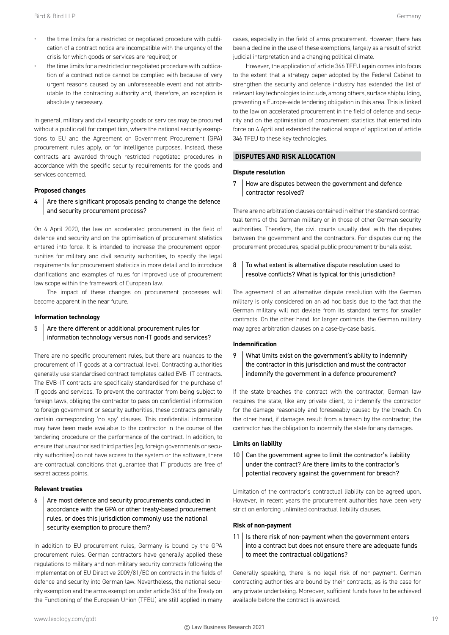- the time limits for a restricted or negotiated procedure with publication of a contract notice are incompatible with the urgency of the crisis for which goods or services are required; or
- the time limits for a restricted or negotiated procedure with publication of a contract notice cannot be complied with because of very urgent reasons caused by an unforeseeable event and not attributable to the contracting authority and, therefore, an exception is absolutely necessary.

In general, military and civil security goods or services may be procured without a public call for competition, where the national security exemptions to EU and the Agreement on Government Procurement (GPA) procurement rules apply, or for intelligence purposes. Instead, these contracts are awarded through restricted negotiated procedures in accordance with the specific security requirements for the goods and services concerned.

#### **Proposed changes**

4 Are there significant proposals pending to change the defence and security procurement process?

On 4 April 2020, the law on accelerated procurement in the field of defence and security and on the optimisation of procurement statistics entered into force. It is intended to increase the procurement opportunities for military and civil security authorities, to specify the legal requirements for procurement statistics in more detail and to introduce clarifications and examples of rules for improved use of procurement law scope within the framework of European law.

The impact of these changes on procurement processes will become apparent in the near future.

#### **Information technology**

 $5$  Are there different or additional procurement rules for information technology versus non-IT goods and services?

There are no specific procurement rules, but there are nuances to the procurement of IT goods at a contractual level. Contracting authorities generally use standardised contract templates called EVB–IT contracts. The EVB–IT contracts are specifically standardised for the purchase of IT goods and services. To prevent the contractor from being subject to foreign laws, obliging the contractor to pass on confidential information to foreign government or security authorities, these contracts generally contain corresponding 'no spy' clauses. This confidential information may have been made available to the contractor in the course of the tendering procedure or the performance of the contract. In addition, to ensure that unauthorised third parties (eg, foreign governments or security authorities) do not have access to the system or the software, there are contractual conditions that guarantee that IT products are free of secret access points.

#### **Relevant treaties**

 $6$  Are most defence and security procurements conducted in accordance with the GPA or other treaty-based procurement rules, or does this jurisdiction commonly use the national security exemption to procure them?

In addition to EU procurement rules, Germany is bound by the GPA procurement rules. German contractors have generally applied these regulations to military and non-military security contracts following the implementation of EU Directive 2009/81/EC on contracts in the fields of defence and security into German law. Nevertheless, the national security exemption and the arms exemption under article 346 of the Treaty on the Functioning of the European Union (TFEU) are still applied in many

However, the application of article 346 TFEU again comes into focus to the extent that a strategy paper adopted by the Federal Cabinet to strengthen the security and defence industry has extended the list of relevant key technologies to include, among others, surface shipbuilding, preventing a Europe-wide tendering obligation in this area. This is linked to the law on accelerated procurement in the field of defence and security and on the optimisation of procurement statistics that entered into force on 4 April and extended the national scope of application of article 346 TFEU to these key technologies.

#### **DISPUTES AND RISK ALLOCATION**

#### **Dispute resolution**

7 How are disputes between the government and defence contractor resolved?

There are no arbitration clauses contained in either the standard contractual terms of the German military or in those of other German security authorities. Therefore, the civil courts usually deal with the disputes between the government and the contractors. For disputes during the procurement procedures, special public procurement tribunals exist.

# 8 To what extent is alternative dispute resolution used to resolve conflicts? What is typical for this jurisdiction?

The agreement of an alternative dispute resolution with the German military is only considered on an ad hoc basis due to the fact that the German military will not deviate from its standard terms for smaller contracts. On the other hand, for larger contracts, the German military may agree arbitration clauses on a case-by-case basis.

#### **Indemnification**

# 9 What limits exist on the government's ability to indemnify the contractor in this jurisdiction and must the contractor indemnify the government in a defence procurement?

If the state breaches the contract with the contractor, German law requires the state, like any private client, to indemnify the contractor for the damage reasonably and foreseeably caused by the breach. On the other hand, if damages result from a breach by the contractor, the contractor has the obligation to indemnify the state for any damages.

#### **Limits on liability**

 $10$  Can the government agree to limit the contractor's liability under the contract? Are there limits to the contractor's potential recovery against the government for breach?

Limitation of the contractor's contractual liability can be agreed upon. However, in recent years the procurement authorities have been very strict on enforcing unlimited contractual liability clauses.

#### **Risk of non-payment**

 $11$  | Is there risk of non-payment when the government enters into a contract but does not ensure there are adequate funds to meet the contractual obligations?

Generally speaking, there is no legal risk of non-payment. German contracting authorities are bound by their contracts, as is the case for any private undertaking. Moreover, sufficient funds have to be achieved available before the contract is awarded.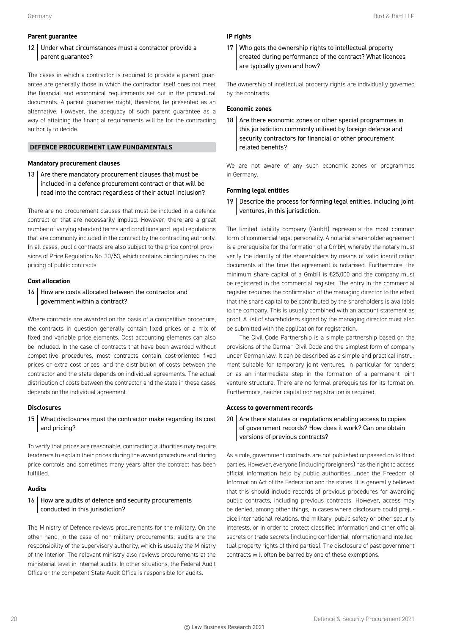### **Parent guarantee**

# 12 Under what circumstances must a contractor provide a parent guarantee?

The cases in which a contractor is required to provide a parent guarantee are generally those in which the contractor itself does not meet the financial and economical requirements set out in the procedural documents. A parent guarantee might, therefore, be presented as an alternative. However, the adequacy of such parent guarantee as a way of attaining the financial requirements will be for the contracting authority to decide.

# **DEFENCE PROCUREMENT LAW FUNDAMENTALS**

#### **Mandatory procurement clauses**

13  $\vert$  Are there mandatory procurement clauses that must be included in a defence procurement contract or that will be read into the contract regardless of their actual inclusion?

There are no procurement clauses that must be included in a defence contract or that are necessarily implied. However, there are a great number of varying standard terms and conditions and legal regulations that are commonly included in the contract by the contracting authority. In all cases, public contracts are also subject to the price control provisions of Price Regulation No. 30/53, which contains binding rules on the pricing of public contracts.

# **Cost allocation**

14 | How are costs allocated between the contractor and government within a contract?

Where contracts are awarded on the basis of a competitive procedure, the contracts in question generally contain fixed prices or a mix of fixed and variable price elements. Cost accounting elements can also be included. In the case of contracts that have been awarded without competitive procedures, most contracts contain cost-oriented fixed prices or extra cost prices, and the distribution of costs between the contractor and the state depends on individual agreements. The actual distribution of costs between the contractor and the state in these cases depends on the individual agreement.

# **Disclosures**

15 What disclosures must the contractor make regarding its cost and pricing?

To verify that prices are reasonable, contracting authorities may require tenderers to explain their prices during the award procedure and during price controls and sometimes many years after the contract has been fulfilled.

# **Audits**

# 16 How are audits of defence and security procurements conducted in this jurisdiction?

The Ministry of Defence reviews procurements for the military. On the other hand, in the case of non-military procurements, audits are the responsibility of the supervisory authority, which is usually the Ministry of the Interior. The relevant ministry also reviews procurements at the ministerial level in internal audits. In other situations, the Federal Audit Office or the competent State Audit Office is responsible for audits.

# **IP rights**

17 Who gets the ownership rights to intellectual property created during performance of the contract? What licences are typically given and how?

The ownership of intellectual property rights are individually governed by the contracts.

#### **Economic zones**

18  $\vert$  Are there economic zones or other special programmes in this jurisdiction commonly utilised by foreign defence and security contractors for financial or other procurement related benefits?

We are not aware of any such economic zones or programmes in Germany.

#### **Forming legal entities**

19 | Describe the process for forming legal entities, including joint ventures, in this jurisdiction.

The limited liability company (GmbH) represents the most common form of commercial legal personality. A notarial shareholder agreement is a prerequisite for the formation of a GmbH, whereby the notary must verify the identity of the shareholders by means of valid identification documents at the time the agreement is notarised. Furthermore, the minimum share capital of a GmbH is €25,000 and the company must be registered in the commercial register. The entry in the commercial register requires the confirmation of the managing director to the effect that the share capital to be contributed by the shareholders is available to the company. This is usually combined with an account statement as proof. A list of shareholders signed by the managing director must also be submitted with the application for registration.

The Civil Code Partnership is a simple partnership based on the provisions of the German Civil Code and the simplest form of company under German law. It can be described as a simple and practical instrument suitable for temporary joint ventures, in particular for tenders or as an intermediate step in the formation of a permanent joint venture structure. There are no formal prerequisites for its formation. Furthermore, neither capital nor registration is required.

#### **Access to government records**

 $20$  Are there statutes or regulations enabling access to copies of government records? How does it work? Can one obtain versions of previous contracts?

As a rule, government contracts are not published or passed on to third parties. However, everyone (including foreigners) has the right to access official information held by public authorities under the Freedom of Information Act of the Federation and the states. It is generally believed that this should include records of previous procedures for awarding public contracts, including previous contracts. However, access may be denied, among other things, in cases where disclosure could prejudice international relations, the military, public safety or other security interests, or in order to protect classified information and other official secrets or trade secrets (including confidential information and intellectual property rights of third parties). The disclosure of past government contracts will often be barred by one of these exemptions.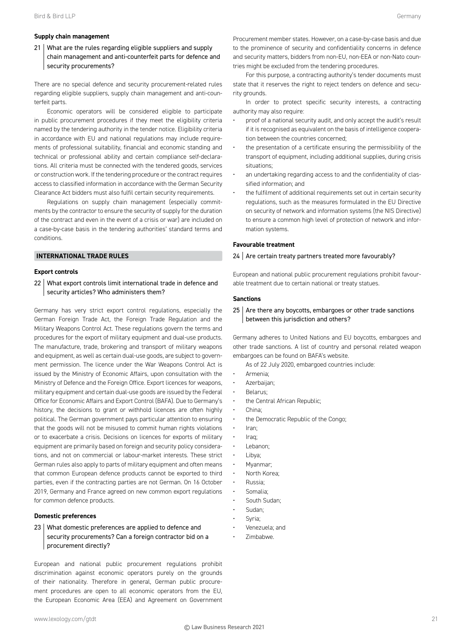#### **Supply chain management**

21 What are the rules regarding eligible suppliers and supply chain management and anti-counterfeit parts for defence and security procurements?

There are no special defence and security procurement-related rules regarding eligible suppliers, supply chain management and anti-counterfeit parts.

Economic operators will be considered eligible to participate in public procurement procedures if they meet the eligibility criteria named by the tendering authority in the tender notice. Eligibility criteria in accordance with EU and national regulations may include requirements of professional suitability, financial and economic standing and technical or professional ability and certain compliance self-declarations. All criteria must be connected with the tendered goods, services or construction work. If the tendering procedure or the contract requires access to classified information in accordance with the German Security Clearance Act bidders must also fulfil certain security requirements.

Regulations on supply chain management (especially commitments by the contractor to ensure the security of supply for the duration of the contract and even in the event of a crisis or war) are included on a case-by-case basis in the tendering authorities' standard terms and conditions.

# **INTERNATIONAL TRADE RULES**

#### **Export controls**

22 What export controls limit international trade in defence and security articles? Who administers them?

Germany has very strict export control regulations, especially the German Foreign Trade Act, the Foreign Trade Regulation and the Military Weapons Control Act. These regulations govern the terms and procedures for the export of military equipment and dual-use products. The manufacture, trade, brokering and transport of military weapons and equipment, as well as certain dual-use goods, are subject to government permission. The licence under the War Weapons Control Act is issued by the Ministry of Economic Affairs, upon consultation with the Ministry of Defence and the Foreign Office. Export licences for weapons, military equipment and certain dual-use goods are issued by the Federal Office for Economic Affairs and Export Control (BAFA). Due to Germany's history, the decisions to grant or withhold licences are often highly political. The German government pays particular attention to ensuring that the goods will not be misused to commit human rights violations or to exacerbate a crisis. Decisions on licences for exports of military equipment are primarily based on foreign and security policy considerations, and not on commercial or labour-market interests. These strict German rules also apply to parts of military equipment and often means that common European defence products cannot be exported to third parties, even if the contracting parties are not German. On 16 October 2019, Germany and France agreed on new common export regulations for common defence products.

#### **Domestic preferences**

23 What domestic preferences are applied to defence and security procurements? Can a foreign contractor bid on a procurement directly?

European and national public procurement regulations prohibit discrimination against economic operators purely on the grounds of their nationality. Therefore in general, German public procurement procedures are open to all economic operators from the EU, the European Economic Area (EEA) and Agreement on Government

Procurement member states. However, on a case-by-case basis and due to the prominence of security and confidentiality concerns in defence and security matters, bidders from non-EU, non-EEA or non-Nato countries might be excluded from the tendering procedures.

For this purpose, a contracting authority's tender documents must state that it reserves the right to reject tenders on defence and security grounds.

In order to protect specific security interests, a contracting authority may also require:

- proof of a national security audit, and only accept the audit's result if it is recognised as equivalent on the basis of intelligence cooperation between the countries concerned;
- the presentation of a certificate ensuring the permissibility of the transport of equipment, including additional supplies, during crisis situations;
- an undertaking regarding access to and the confidentiality of classified information; and
- the fulfilment of additional requirements set out in certain security regulations, such as the measures formulated in the EU Directive on security of network and information systems (the NIS Directive) to ensure a common high level of protection of network and information systems.

#### **Favourable treatment**

#### $24$  Are certain treaty partners treated more favourably?

European and national public procurement regulations prohibit favourable treatment due to certain national or treaty statues.

#### **Sanctions**

#### $25$  Are there any boycotts, embargoes or other trade sanctions between this jurisdiction and others?

Germany adheres to United Nations and EU boycotts, embargoes and other trade sanctions. A list of country and personal related weapon embargoes can be found on BAFA's website.

As of 22 July 2020, embargoed countries include:

- Armenia;
- Azerbaijan;
- Belarus;
- the Central African Republic;
- China;
- the Democratic Republic of the Congo;
- Iran;
- Iraq;
- Lebanon;
- Libya;
- Myanmar;
- North Korea;
- Russia;
- Somalia;
- South Sudan:
- Sudan;
- Syria;
- Venezuela; and
- Zimbabwe.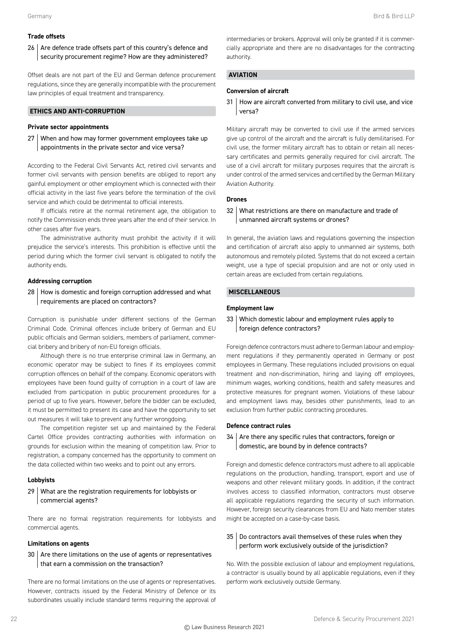# **Trade offsets**

26 Are defence trade offsets part of this country's defence and security procurement regime? How are they administered?

Offset deals are not part of the EU and German defence procurement regulations, since they are generally incompatible with the procurement law principles of equal treatment and transparency.

# **ETHICS AND ANTI-CORRUPTION**

### **Private sector appointments**

27 When and how may former government employees take up appointments in the private sector and vice versa?

According to the Federal Civil Servants Act, retired civil servants and former civil servants with pension benefits are obliged to report any gainful employment or other employment which is connected with their official activity in the last five years before the termination of the civil service and which could be detrimental to official interests.

If officials retire at the normal retirement age, the obligation to notify the Commission ends three years after the end of their service. In other cases after five years.

The administrative authority must prohibit the activity if it will prejudice the service's interests. This prohibition is effective until the period during which the former civil servant is obligated to notify the authority ends.

#### **Addressing corruption**

28 How is domestic and foreign corruption addressed and what requirements are placed on contractors?

Corruption is punishable under different sections of the German Criminal Code. Criminal offences include bribery of German and EU public officials and German soldiers, members of parliament, commercial bribery and bribery of non-EU foreign officials.

Although there is no true enterprise criminal law in Germany, an economic operator may be subject to fines if its employees commit corruption offences on behalf of the company. Economic operators with employees have been found guilty of corruption in a court of law are excluded from participation in public procurement procedures for a period of up to five years. However, before the bidder can be excluded, it must be permitted to present its case and have the opportunity to set out measures it will take to prevent any further wrongdoing.

The competition register set up and maintained by the Federal Cartel Office provides contracting authorities with information on grounds for exclusion within the meaning of competition law. Prior to registration, a company concerned has the opportunity to comment on the data collected within two weeks and to point out any errors.

#### **Lobbyists**

# 29 What are the registration requirements for lobbyists or commercial agents?

There are no formal registration requirements for lobbyists and commercial agents.

#### **Limitations on agents**

# 30 Are there limitations on the use of agents or representatives that earn a commission on the transaction?

There are no formal limitations on the use of agents or representatives. However, contracts issued by the Federal Ministry of Defence or its subordinates usually include standard terms requiring the approval of

intermediaries or brokers. Approval will only be granted if it is commercially appropriate and there are no disadvantages for the contracting authority.

# **AVIATION**

# **Conversion of aircraft**

31 How are aircraft converted from military to civil use, and vice versa?

Military aircraft may be converted to civil use if the armed services give up control of the aircraft and the aircraft is fully demilitarised. For civil use, the former military aircraft has to obtain or retain all necessary certificates and permits generally required for civil aircraft. The use of a civil aircraft for military purposes requires that the aircraft is under control of the armed services and certified by the German Military Aviation Authority.

### **Drones**

# 32 What restrictions are there on manufacture and trade of unmanned aircraft systems or drones?

In general, the aviation laws and regulations governing the inspection and certification of aircraft also apply to unmanned air systems, both autonomous and remotely piloted. Systems that do not exceed a certain weight, use a type of special propulsion and are not or only used in certain areas are excluded from certain regulations.

# **MISCELLANEOUS**

#### **Employment law**

# 33 Which domestic labour and employment rules apply to foreign defence contractors?

Foreign defence contractors must adhere to German labour and employment regulations if they permanently operated in Germany or post employees in Germany. These regulations included provisions on equal treatment and non-discrimination, hiring and laying off employees, minimum wages, working conditions, health and safety measures and protective measures for pregnant women. Violations of these labour and employment laws may, besides other punishments, lead to an exclusion from further public contracting procedures.

#### **Defence contract rules**

#### 34 | Are there any specific rules that contractors, foreign or domestic, are bound by in defence contracts?

Foreign and domestic defence contractors must adhere to all applicable regulations on the production, handling, transport, export and use of weapons and other relevant military goods. In addition, if the contract involves access to classified information, contractors must observe all applicable regulations regarding the security of such information. However, foreign security clearances from EU and Nato member states might be accepted on a case-by-case basis.

# 35 Do contractors avail themselves of these rules when they perform work exclusively outside of the jurisdiction?

No. With the possible exclusion of labour and employment regulations, a contractor is usually bound by all applicable regulations, even if they perform work exclusively outside Germany.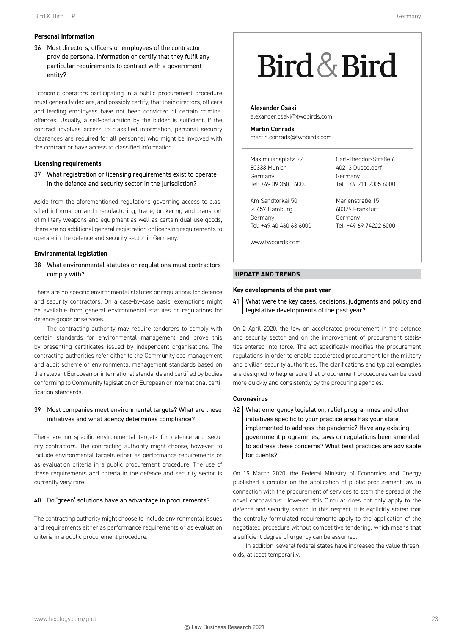# **Personal information**

36 | Must directors, officers or employees of the contractor provide personal information or certify that they fulfil any particular requirements to contract with a government entity?

Economic operators participating in a public procurement procedure must generally declare, and possibly certify, that their directors, officers and leading employees have not been convicted of certain criminal offences. Usually, a self-declaration by the bidder is sufficient. If the contract involves access to classified information, personal security clearances are required for all personnel who might be involved with the contract or have access to classified information.

# **Licensing requirements**

37 What registration or licensing requirements exist to operate in the defence and security sector in the jurisdiction?

Aside from the aforementioned regulations governing access to classified information and manufacturing, trade, brokering and transport of military weapons and equipment as well as certain dual-use goods, there are no additional general registration or licensing requirements to operate in the defence and security sector in Germany.

# **Environmental legislation**

38 What environmental statutes or regulations must contractors comply with?

There are no specific environmental statutes or regulations for defence and security contractors. On a case-by-case basis, exemptions might be available from general environmental statutes or regulations for defence goods or services.

The contracting authority may require tenderers to comply with certain standards for environmental management and prove this by presenting certificates issued by independent organisations. The contracting authorities refer either to the Community eco-management and audit scheme or environmental management standards based on the relevant European or international standards and certified by bodies conforming to Community legislation or European or international certification standards.

# 39 | Must companies meet environmental targets? What are these initiatives and what agency determines compliance?

There are no specific environmental targets for defence and security contractors. The contracting authority might choose, however, to include environmental targets either as performance requirements or as evaluation criteria in a public procurement procedure. The use of these requirements and criteria in the defence and security sector is currently very rare.

# 40 | Do 'green' solutions have an advantage in procurements?

The contracting authority might choose to include environmental issues and requirements either as performance requirements or as evaluation criteria in a public procurement procedure.

# Bird & Bird

Alexander Csaki alexander.csaki@twobirds.com

Martin Conrads martin.conrads@twobirds.com

Maximiliansplatz 22 80333 Munich Germany Tel: +49 89 3581 6000

Am Sandtorkai 50 20457 Hamburg Germany Tel: +49 40 460 63 6000 Carl-Theodor-Straße 6 40213 Dusseldorf Germany Tel: +49 211 2005 6000

Marienstraße 15 60329 Frankfurt Germany Tel: +49 69 74222 6000

www.twobirds.com

# **UPDATE AND TRENDS**

# **Key developments of the past year**

41 What were the key cases, decisions, judgments and policy and legislative developments of the past year?

On 2 April 2020, the law on accelerated procurement in the defence and security sector and on the improvement of procurement statistics entered into force. The act specifically modifies the procurement regulations in order to enable accelerated procurement for the military and civilian security authorities. The clarifications and typical examples are designed to help ensure that procurement procedures can be used more quickly and consistently by the procuring agencies.

# **Coronavirus**

42 What emergency legislation, relief programmes and other initiatives specific to your practice area has your state implemented to address the pandemic? Have any existing government programmes, laws or regulations been amended to address these concerns? What best practices are advisable for clients?

On 19 March 2020, the Federal Ministry of Economics and Energy published a circular on the application of public procurement law in connection with the procurement of services to stem the spread of the novel coronavirus. However, this Circular does not only apply to the defence and security sector. In this respect, it is explicitly stated that the centrally formulated requirements apply to the application of the negotiated procedure without competitive tendering, which means that a sufficient degree of urgency can be assumed.

In addition, several federal states have increased the value thresholds, at least temporarily.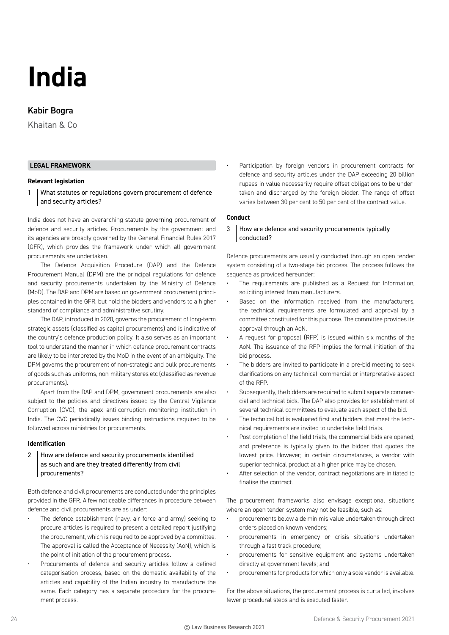# **India**

# Kabir Bogra

Khaitan & Co

# **LEGAL FRAMEWORK**

#### **Relevant legislation**

1 What statutes or regulations govern procurement of defence and security articles?

India does not have an overarching statute governing procurement of defence and security articles. Procurements by the government and its agencies are broadly governed by the General Financial Rules 2017 (GFR), which provides the framework under which all government procurements are undertaken.

The Defence Acquisition Procedure (DAP) and the Defence Procurement Manual (DPM) are the principal regulations for defence and security procurements undertaken by the Ministry of Defence (MoD). The DAP and DPM are based on government procurement principles contained in the GFR, but hold the bidders and vendors to a higher standard of compliance and administrative scrutiny.

The DAP, introduced in 2020, governs the procurement of long-term strategic assets (classified as capital procurements) and is indicative of the country's defence production policy. It also serves as an important tool to understand the manner in which defence procurement contracts are likely to be interpreted by the MoD in the event of an ambiguity. The DPM governs the procurement of non-strategic and bulk procurements of goods such as uniforms, non-military stores etc (classified as revenue procurements).

Apart from the DAP and DPM, government procurements are also subject to the policies and directives issued by the Central Vigilance Corruption (CVC), the apex anti-corruption monitoring institution in India. The CVC periodically issues binding instructions required to be followed across ministries for procurements.

#### **Identification**

2 How are defence and security procurements identified as such and are they treated differently from civil procurements?

Both defence and civil procurements are conducted under the principles provided in the GFR. A few noticeable differences in procedure between defence and civil procurements are as under:

- The defence establishment (navy, air force and army) seeking to procure articles is required to present a detailed report justifying the procurement, which is required to be approved by a committee. The approval is called the Acceptance of Necessity (AoN), which is the point of initiation of the procurement process.
- Procurements of defence and security articles follow a defined categorisation process, based on the domestic availability of the articles and capability of the Indian industry to manufacture the same. Each category has a separate procedure for the procurement process.

Participation by foreign vendors in procurement contracts for defence and security articles under the DAP exceeding 20 billion rupees in value necessarily require offset obligations to be undertaken and discharged by the foreign bidder. The range of offset varies between 30 per cent to 50 per cent of the contract value.

### **Conduct**

3 How are defence and security procurements typically conducted?

Defence procurements are usually conducted through an open tender system consisting of a two-stage bid process. The process follows the sequence as provided hereunder:

- The requirements are published as a Request for Information, soliciting interest from manufacturers.
- Based on the information received from the manufacturers, the technical requirements are formulated and approval by a committee constituted for this purpose. The committee provides its approval through an AoN.
- A request for proposal (RFP) is issued within six months of the AoN. The issuance of the RFP implies the formal initiation of the bid process.
- The bidders are invited to participate in a pre-bid meeting to seek clarifications on any technical, commercial or interpretative aspect of the RFP.
- Subsequently, the bidders are required to submit separate commercial and technical bids. The DAP also provides for establishment of several technical committees to evaluate each aspect of the bid.
- The technical bid is evaluated first and bidders that meet the technical requirements are invited to undertake field trials.
- Post completion of the field trials, the commercial bids are opened, and preference is typically given to the bidder that quotes the lowest price. However, in certain circumstances, a vendor with superior technical product at a higher price may be chosen.
- After selection of the vendor, contract negotiations are initiated to finalise the contract.

The procurement frameworks also envisage exceptional situations where an open tender system may not be feasible, such as:

- procurements below a de minimis value undertaken through direct orders placed on known vendors;
- procurements in emergency or crisis situations undertaken through a fast track procedure;
- procurements for sensitive equipment and systems undertaken directly at government levels; and
- procurements for products for which only a sole vendor is available.

For the above situations, the procurement process is curtailed, involves fewer procedural steps and is executed faster.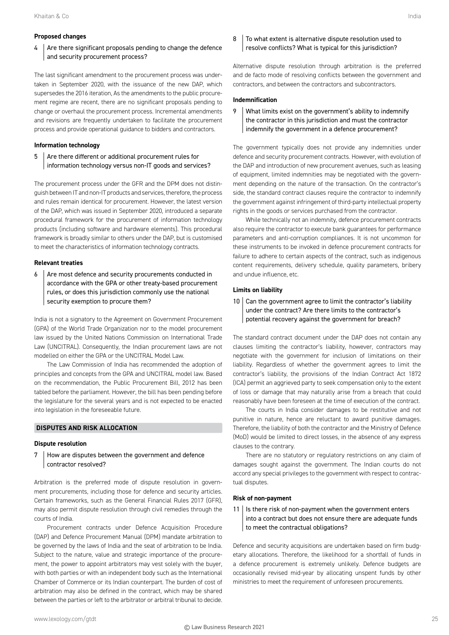#### **Proposed changes**

 $4$  Are there significant proposals pending to change the defence and security procurement process?

The last significant amendment to the procurement process was undertaken in September 2020, with the issuance of the new DAP, which supersedes the 2016 iteration, As the amendments to the public procurement regime are recent, there are no significant proposals pending to change or overhaul the procurement process. Incremental amendments and revisions are frequently undertaken to facilitate the procurement process and provide operational guidance to bidders and contractors.

#### **Information technology**

# 5 Are there different or additional procurement rules for information technology versus non-IT goods and services?

The procurement process under the GFR and the DPM does not distinguish between IT and non-IT products and services, therefore, the process and rules remain identical for procurement. However, the latest version of the DAP, which was issued in September 2020, introduced a separate procedural framework for the procurement of information technology products (including software and hardware elements). This procedural framework is broadly similar to others under the DAP, but is customised to meet the characteristics of information technology contracts.

# **Relevant treaties**

6 Are most defence and security procurements conducted in accordance with the GPA or other treaty-based procurement rules, or does this jurisdiction commonly use the national security exemption to procure them?

India is not a signatory to the Agreement on Government Procurement (GPA) of the World Trade Organization nor to the model procurement law issued by the United Nations Commission on International Trade Law (UNCITRAL). Consequently, the Indian procurement laws are not modelled on either the GPA or the UNCITRAL Model Law.

The Law Commission of India has recommended the adoption of principles and concepts from the GPA and UNCITRAL model law. Based on the recommendation, the Public Procurement Bill, 2012 has been tabled before the parliament. However, the bill has been pending before the legislature for the several years and is not expected to be enacted into legislation in the foreseeable future.

#### **DISPUTES AND RISK ALLOCATION**

#### **Dispute resolution**

7 How are disputes between the government and defence contractor resolved?

Arbitration is the preferred mode of dispute resolution in government procurements, including those for defence and security articles. Certain frameworks, such as the General Financial Rules 2017 (GFR), may also permit dispute resolution through civil remedies through the courts of India.

Procurement contracts under Defence Acquisition Procedure (DAP) and Defence Procurement Manual (DPM) mandate arbitration to be governed by the laws of India and the seat of arbitration to be India. Subject to the nature, value and strategic importance of the procurement, the power to appoint arbitrators may vest solely with the buyer, with both parties or with an independent body such as the International Chamber of Commerce or its Indian counterpart. The burden of cost of arbitration may also be defined in the contract, which may be shared between the parties or left to the arbitrator or arbitral tribunal to decide.

# 8 To what extent is alternative dispute resolution used to resolve conflicts? What is typical for this jurisdiction?

Alternative dispute resolution through arbitration is the preferred and de facto mode of resolving conflicts between the government and contractors, and between the contractors and subcontractors.

#### **Indemnification**

# 9 | What limits exist on the government's ability to indemnify the contractor in this jurisdiction and must the contractor indemnify the government in a defence procurement?

The government typically does not provide any indemnities under defence and security procurement contracts. However, with evolution of the DAP and introduction of new procurement avenues, such as leasing of equipment, limited indemnities may be negotiated with the government depending on the nature of the transaction. On the contractor's side, the standard contract clauses require the contractor to indemnify the government against infringement of third-party intellectual property rights in the goods or services purchased from the contractor.

While technically not an indemnity, defence procurement contracts also require the contractor to execute bank guarantees for performance parameters and anti-corruption compliances. It is not uncommon for these instruments to be invoked in defence procurement contracts for failure to adhere to certain aspects of the contract, such as indigenous content requirements, delivery schedule, quality parameters, bribery and undue influence, etc.

#### **Limits on liability**

 $10$  Can the government agree to limit the contractor's liability under the contract? Are there limits to the contractor's potential recovery against the government for breach?

The standard contract document under the DAP does not contain any clauses limiting the contractor's liability, however, contractors may negotiate with the government for inclusion of limitations on their liability. Regardless of whether the government agrees to limit the contractor's liability, the provisions of the Indian Contract Act 1872 (ICA) permit an aggrieved party to seek compensation only to the extent of loss or damage that may naturally arise from a breach that could reasonably have been foreseen at the time of execution of the contract.

The courts in India consider damages to be restitutive and not punitive in nature, hence are reluctant to award punitive damages. Therefore, the liability of both the contractor and the Ministry of Defence (MoD) would be limited to direct losses, in the absence of any express clauses to the contrary.

There are no statutory or regulatory restrictions on any claim of damages sought against the government. The Indian courts do not accord any special privileges to the government with respect to contractual disputes.

#### **Risk of non-payment**

 $11$  Is there risk of non-payment when the government enters into a contract but does not ensure there are adequate funds to meet the contractual obligations?

Defence and security acquisitions are undertaken based on firm budgetary allocations. Therefore, the likelihood for a shortfall of funds in a defence procurement is extremely unlikely. Defence budgets are occasionally revised mid-year by allocating unspent funds by other ministries to meet the requirement of unforeseen procurements.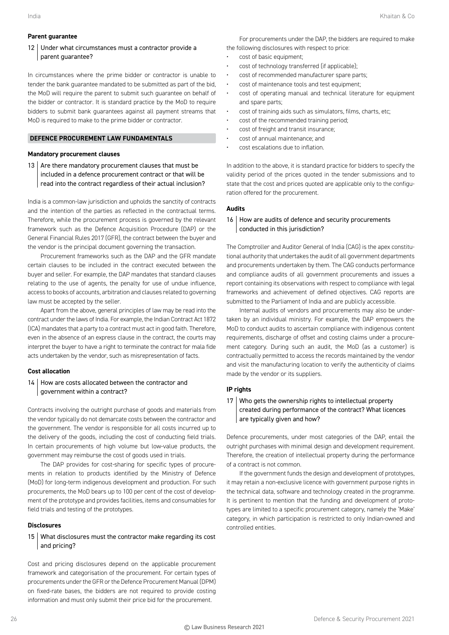#### **Parent guarantee**

# 12 Under what circumstances must a contractor provide a parent guarantee?

In circumstances where the prime bidder or contractor is unable to tender the bank guarantee mandated to be submitted as part of the bid, the MoD will require the parent to submit such guarantee on behalf of the bidder or contractor. It is standard practice by the MoD to require bidders to submit bank guarantees against all payment streams that MoD is required to make to the prime bidder or contractor.

# **DEFENCE PROCUREMENT LAW FUNDAMENTALS**

#### **Mandatory procurement clauses**

13  $\vert$  Are there mandatory procurement clauses that must be included in a defence procurement contract or that will be read into the contract regardless of their actual inclusion?

India is a common-law jurisdiction and upholds the sanctity of contracts and the intention of the parties as reflected in the contractual terms. Therefore, while the procurement process is governed by the relevant framework such as the Defence Acquisition Procedure (DAP) or the General Financial Rules 2017 (GFR), the contract between the buyer and the vendor is the principal document governing the transaction.

Procurement frameworks such as the DAP and the GFR mandate certain clauses to be included in the contract executed between the buyer and seller. For example, the DAP mandates that standard clauses relating to the use of agents, the penalty for use of undue influence, access to books of accounts, arbitration and clauses related to governing law must be accepted by the seller.

Apart from the above, general principles of law may be read into the contract under the laws of India. For example, the Indian Contract Act 1872 (ICA) mandates that a party to a contract must act in good faith. Therefore, even in the absence of an express clause in the contract, the courts may interpret the buyer to have a right to terminate the contract for mala fide acts undertaken by the vendor, such as misrepresentation of facts.

#### **Cost allocation**

# 14 How are costs allocated between the contractor and government within a contract?

Contracts involving the outright purchase of goods and materials from the vendor typically do not demarcate costs between the contractor and the government. The vendor is responsible for all costs incurred up to the delivery of the goods, including the cost of conducting field trials. In certain procurements of high volume but low-value products, the government may reimburse the cost of goods used in trials.

The DAP provides for cost-sharing for specific types of procurements in relation to products identified by the Ministry of Defence (MoD) for long-term indigenous development and production. For such procurements, the MoD bears up to 100 per cent of the cost of development of the prototype and provides facilities, items and consumables for field trials and testing of the prototypes.

#### **Disclosures**

# 15 What disclosures must the contractor make regarding its cost and pricing?

Cost and pricing disclosures depend on the applicable procurement framework and categorisation of the procurement. For certain types of procurements under the GFR or the Defence Procurement Manual (DPM) on fixed-rate bases, the bidders are not required to provide costing information and must only submit their price bid for the procurement.

For procurements under the DAP, the bidders are required to make

- the following disclosures with respect to price:
- cost of basic equipment;
- cost of technology transferred (if applicable);
- cost of recommended manufacturer spare parts;
- cost of maintenance tools and test equipment;
- cost of operating manual and technical literature for equipment and spare parts;
- cost of training aids such as simulators, films, charts, etc;
- cost of the recommended training period;
- cost of freight and transit insurance;
- cost of annual maintenance; and
- cost escalations due to inflation.

In addition to the above, it is standard practice for bidders to specify the validity period of the prices quoted in the tender submissions and to state that the cost and prices quoted are applicable only to the configuration offered for the procurement.

#### **Audits**

# 16 How are audits of defence and security procurements conducted in this jurisdiction?

The Comptroller and Auditor General of India (CAG) is the apex constitutional authority that undertakes the audit of all government departments and procurements undertaken by them. The CAG conducts performance and compliance audits of all government procurements and issues a report containing its observations with respect to compliance with legal frameworks and achievement of defined objectives. CAG reports are submitted to the Parliament of India and are publicly accessible.

Internal audits of vendors and procurements may also be undertaken by an individual ministry. For example, the DAP empowers the MoD to conduct audits to ascertain compliance with indigenous content requirements, discharge of offset and costing claims under a procurement category. During such an audit, the MoD (as a customer) is contractually permitted to access the records maintained by the vendor and visit the manufacturing location to verify the authenticity of claims made by the vendor or its suppliers.

#### **IP rights**

# 17 Who gets the ownership rights to intellectual property created during performance of the contract? What licences are typically given and how?

Defence procurements, under most categories of the DAP, entail the outright purchases with minimal design and development requirement. Therefore, the creation of intellectual property during the performance of a contract is not common.

If the government funds the design and development of prototypes, it may retain a non-exclusive licence with government purpose rights in the technical data, software and technology created in the programme. It is pertinent to mention that the funding and development of prototypes are limited to a specific procurement category, namely the 'Make' category, in which participation is restricted to only Indian-owned and controlled entities.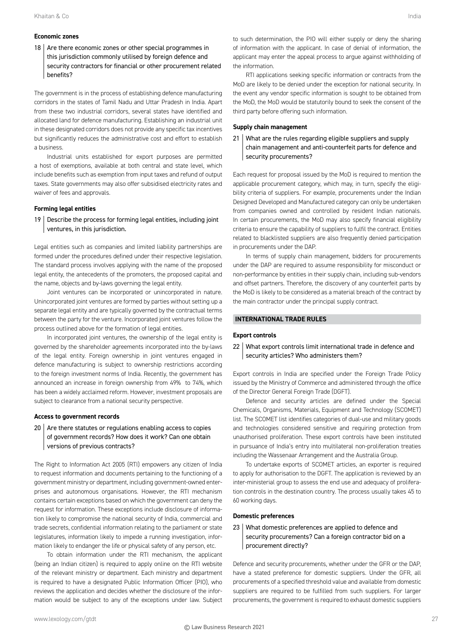# **Economic zones**

 $18$  Are there economic zones or other special programmes in this jurisdiction commonly utilised by foreign defence and security contractors for financial or other procurement related benefits?

The government is in the process of establishing defence manufacturing corridors in the states of Tamil Nadu and Uttar Pradesh in India. Apart from these two industrial corridors, several states have identified and allocated land for defence manufacturing. Establishing an industrial unit in these designated corridors does not provide any specific tax incentives but significantly reduces the administrative cost and effort to establish a business.

Industrial units established for export purposes are permitted a host of exemptions, available at both central and state level, which include benefits such as exemption from input taxes and refund of output taxes. State governments may also offer subsidised electricity rates and waiver of fees and approvals.

#### **Forming legal entities**

 $19$  Describe the process for forming legal entities, including joint ventures, in this jurisdiction.

Legal entities such as companies and limited liability partnerships are formed under the procedures defined under their respective legislation. The standard process involves applying with the name of the proposed legal entity, the antecedents of the promoters, the proposed capital and the name, objects and by-laws governing the legal entity.

Joint ventures can be incorporated or unincorporated in nature. Unincorporated joint ventures are formed by parties without setting up a separate legal entity and are typically governed by the contractual terms between the party for the venture. Incorporated joint ventures follow the process outlined above for the formation of legal entities.

In incorporated joint ventures, the ownership of the legal entity is governed by the shareholder agreements incorporated into the by-laws of the legal entity. Foreign ownership in joint ventures engaged in defence manufacturing is subject to ownership restrictions according to the foreign investment norms of India. Recently, the government has announced an increase in foreign ownership from 49% to 74%, which has been a widely acclaimed reform. However, investment proposals are subject to clearance from a national security perspective.

#### **Access to government records**

 $20$  Are there statutes or regulations enabling access to copies of government records? How does it work? Can one obtain versions of previous contracts?

The Right to Information Act 2005 (RTI) empowers any citizen of India to request information and documents pertaining to the functioning of a government ministry or department, including government-owned enterprises and autonomous organisations. However, the RTI mechanism contains certain exceptions based on which the government can deny the request for information. These exceptions include disclosure of information likely to compromise the national security of India, commercial and trade secrets, confidential information relating to the parliament or state legislatures, information likely to impede a running investigation, information likely to endanger the life or physical safety of any person, etc.

To obtain information under the RTI mechanism, the applicant (being an Indian citizen) is required to apply online on the RTI website of the relevant ministry or department. Each ministry and department is required to have a designated Public Information Officer (PIO), who reviews the application and decides whether the disclosure of the information would be subject to any of the exceptions under law. Subject

RTI applications seeking specific information or contracts from the MoD are likely to be denied under the exception for national security. In the event any vendor specific information is sought to be obtained from the MoD, the MoD would be statutorily bound to seek the consent of the third party before offering such information.

#### **Supply chain management**

21 What are the rules regarding eligible suppliers and supply chain management and anti-counterfeit parts for defence and security procurements?

Each request for proposal issued by the MoD is required to mention the applicable procurement category, which may, in turn, specify the eligibility criteria of suppliers. For example, procurements under the Indian Designed Developed and Manufactured category can only be undertaken from companies owned and controlled by resident Indian nationals. In certain procurements, the MoD may also specify financial eligibility criteria to ensure the capability of suppliers to fulfil the contract. Entities related to blacklisted suppliers are also frequently denied participation in procurements under the DAP.

In terms of supply chain management, bidders for procurements under the DAP are required to assume responsibility for misconduct or non-performance by entities in their supply chain, including sub-vendors and offset partners. Therefore, the discovery of any counterfeit parts by the MoD is likely to be considered as a material breach of the contract by the main contractor under the principal supply contract.

#### **INTERNATIONAL TRADE RULES**

#### **Export controls**

#### 22 What export controls limit international trade in defence and security articles? Who administers them?

Export controls in India are specified under the Foreign Trade Policy issued by the Ministry of Commerce and administered through the office of the Director General Foreign Trade (DGFT).

Defence and security articles are defined under the Special Chemicals, Organisms, Materials, Equipment and Technology (SCOMET) list. The SCOMET list identifies categories of dual-use and military goods and technologies considered sensitive and requiring protection from unauthorised proliferation. These export controls have been instituted in pursuance of India's entry into multilateral non-proliferation treaties including the Wassenaar Arrangement and the Australia Group.

To undertake exports of SCOMET articles, an exporter is required to apply for authorisation to the DGFT. The application is reviewed by an inter-ministerial group to assess the end use and adequacy of proliferation controls in the destination country. The process usually takes 45 to 60 working days.

#### **Domestic preferences**

# 23 What domestic preferences are applied to defence and security procurements? Can a foreign contractor bid on a procurement directly?

Defence and security procurements, whether under the GFR or the DAP, have a stated preference for domestic suppliers. Under the GFR, all procurements of a specified threshold value and available from domestic suppliers are required to be fulfilled from such suppliers. For larger procurements, the government is required to exhaust domestic suppliers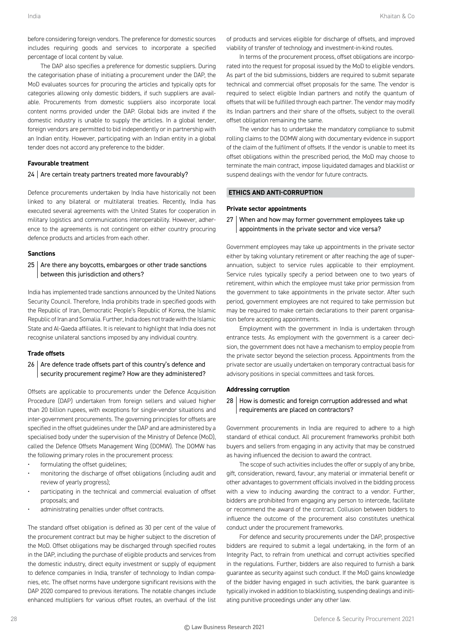before considering foreign vendors. The preference for domestic sources includes requiring goods and services to incorporate a specified percentage of local content by value.

The DAP also specifies a preference for domestic suppliers. During the categorisation phase of initiating a procurement under the DAP, the MoD evaluates sources for procuring the articles and typically opts for categories allowing only domestic bidders, if such suppliers are available. Procurements from domestic suppliers also incorporate local content norms provided under the DAP. Global bids are invited if the domestic industry is unable to supply the articles. In a global tender, foreign vendors are permitted to bid independently or in partnership with an Indian entity. However, participating with an Indian entity in a global tender does not accord any preference to the bidder.

#### **Favourable treatment**

#### $24$  Are certain treaty partners treated more favourably?

Defence procurements undertaken by India have historically not been linked to any bilateral or multilateral treaties. Recently, India has executed several agreements with the United States for cooperation in military logistics and communications interoperability. However, adherence to the agreements is not contingent on either country procuring defence products and articles from each other.

#### **Sanctions**

#### 25 Are there any boycotts, embargoes or other trade sanctions between this jurisdiction and others?

India has implemented trade sanctions announced by the United Nations Security Council. Therefore, India prohibits trade in specified goods with the Republic of Iran, Democratic People's Republic of Korea, the Islamic Republic of Iran and Somalia. Further, India does not trade with the Islamic State and Al-Qaeda affiliates. It is relevant to highlight that India does not recognise unilateral sanctions imposed by any individual country.

#### **Trade offsets**

# 26 | Are defence trade offsets part of this country's defence and security procurement regime? How are they administered?

Offsets are applicable to procurements under the Defence Acquisition Procedure (DAP) undertaken from foreign sellers and valued higher than 20 billion rupees, with exceptions for single-vendor situations and inter-government procurements. The governing principles for offsets are specified in the offset guidelines under the DAP and are administered by a specialised body under the supervision of the Ministry of Defence (MoD), called the Defence Offsets Management Wing (DOMW). The DOMW has the following primary roles in the procurement process:

- formulating the offset guidelines;
- monitoring the discharge of offset obligations (including audit and review of yearly progress);
- participating in the technical and commercial evaluation of offset proposals; and
- administrating penalties under offset contracts.

The standard offset obligation is defined as 30 per cent of the value of the procurement contract but may be higher subject to the discretion of the MoD. Offset obligations may be discharged through specified routes in the DAP, including the purchase of eligible products and services from the domestic industry, direct equity investment or supply of equipment to defence companies in India, transfer of technology to Indian companies, etc. The offset norms have undergone significant revisions with the DAP 2020 compared to previous iterations. The notable changes include enhanced multipliers for various offset routes, an overhaul of the list

of products and services eligible for discharge of offsets, and improved viability of transfer of technology and investment-in-kind routes.

In terms of the procurement process, offset obligations are incorporated into the request for proposal issued by the MoD to eligible vendors. As part of the bid submissions, bidders are required to submit separate technical and commercial offset proposals for the same. The vendor is required to select eligible Indian partners and notify the quantum of offsets that will be fulfilled through each partner. The vendor may modify its Indian partners and their share of the offsets, subject to the overall offset obligation remaining the same.

The vendor has to undertake the mandatory compliance to submit rolling claims to the DOMW along with documentary evidence in support of the claim of the fulfilment of offsets. If the vendor is unable to meet its offset obligations within the prescribed period, the MoD may choose to terminate the main contract, impose liquidated damages and blacklist or suspend dealings with the vendor for future contracts.

#### **ETHICS AND ANTI-CORRUPTION**

#### **Private sector appointments**

27 When and how may former government employees take up appointments in the private sector and vice versa?

Government employees may take up appointments in the private sector either by taking voluntary retirement or after reaching the age of superannuation, subject to service rules applicable to their employment. Service rules typically specify a period between one to two years of retirement, within which the employee must take prior permission from the government to take appointments in the private sector. After such period, government employees are not required to take permission but may be required to make certain declarations to their parent organisation before accepting appointments.

Employment with the government in India is undertaken through entrance tests. As employment with the government is a career decision, the government does not have a mechanism to employ people from the private sector beyond the selection process. Appointments from the private sector are usually undertaken on temporary contractual basis for advisory positions in special committees and task forces.

#### **Addressing corruption**

28 | How is domestic and foreign corruption addressed and what requirements are placed on contractors?

Government procurements in India are required to adhere to a high standard of ethical conduct. All procurement frameworks prohibit both buyers and sellers from engaging in any activity that may be construed as having influenced the decision to award the contract.

The scope of such activities includes the offer or supply of any bribe, gift, consideration, reward, favour, any material or immaterial benefit or other advantages to government officials involved in the bidding process with a view to inducing awarding the contract to a vendor. Further, bidders are prohibited from engaging any person to intercede, facilitate or recommend the award of the contract. Collusion between bidders to influence the outcome of the procurement also constitutes unethical conduct under the procurement frameworks.

For defence and security procurements under the DAP, prospective bidders are required to submit a legal undertaking, in the form of an Integrity Pact, to refrain from unethical and corrupt activities specified in the regulations. Further, bidders are also required to furnish a bank guarantee as security against such conduct. If the MoD gains knowledge of the bidder having engaged in such activities, the bank guarantee is typically invoked in addition to blacklisting, suspending dealings and initiating punitive proceedings under any other law.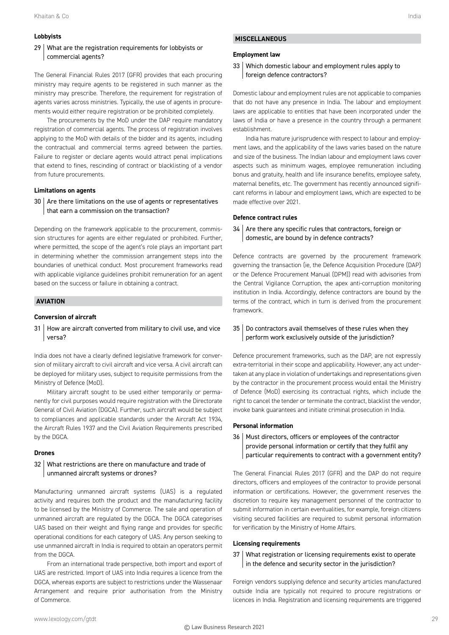# **Lobbyists**

# 29 What are the registration requirements for lobbyists or commercial agents?

The General Financial Rules 2017 (GFR) provides that each procuring ministry may require agents to be registered in such manner as the ministry may prescribe. Therefore, the requirement for registration of agents varies across ministries. Typically, the use of agents in procurements would either require registration or be prohibited completely.

The procurements by the MoD under the DAP require mandatory registration of commercial agents. The process of registration involves applying to the MoD with details of the bidder and its agents, including the contractual and commercial terms agreed between the parties. Failure to register or declare agents would attract penal implications that extend to fines, rescinding of contract or blacklisting of a vendor from future procurements.

#### **Limitations on agents**

 $30$   $\vert$  Are there limitations on the use of agents or representatives that earn a commission on the transaction?

Depending on the framework applicable to the procurement, commission structures for agents are either regulated or prohibited. Further, where permitted, the scope of the agent's role plays an important part in determining whether the commission arrangement steps into the boundaries of unethical conduct. Most procurement frameworks read with applicable vigilance guidelines prohibit remuneration for an agent based on the success or failure in obtaining a contract.

#### **AVIATION**

#### **Conversion of aircraft**

31 How are aircraft converted from military to civil use, and vice versa?

India does not have a clearly defined legislative framework for conversion of military aircraft to civil aircraft and vice versa. A civil aircraft can be deployed for military uses, subject to requisite permissions from the Ministry of Defence (MoD).

Military aircraft sought to be used either temporarily or permanently for civil purposes would require registration with the Directorate General of Civil Aviation (DGCA). Further, such aircraft would be subject to compliances and applicable standards under the Aircraft Act 1934, the Aircraft Rules 1937 and the Civil Aviation Requirements prescribed by the DGCA.

#### **Drones**

# 32 What restrictions are there on manufacture and trade of unmanned aircraft systems or drones?

Manufacturing unmanned aircraft systems (UAS) is a regulated activity and requires both the product and the manufacturing facility to be licensed by the Ministry of Commerce. The sale and operation of unmanned aircraft are regulated by the DGCA. The DGCA categorises UAS based on their weight and flying range and provides for specific operational conditions for each category of UAS. Any person seeking to use unmanned aircraft in India is required to obtain an operators permit from the DGCA.

From an international trade perspective, both import and export of UAS are restricted. Import of UAS into India requires a licence from the DGCA, whereas exports are subject to restrictions under the Wassenaar Arrangement and require prior authorisation from the Ministry of Commerce.

#### **Employment law**

# 33 Which domestic labour and employment rules apply to foreign defence contractors?

Domestic labour and employment rules are not applicable to companies that do not have any presence in India. The labour and employment laws are applicable to entities that have been incorporated under the laws of India or have a presence in the country through a permanent establishment.

India has mature jurisprudence with respect to labour and employment laws, and the applicability of the laws varies based on the nature and size of the business. The Indian labour and employment laws cover aspects such as minimum wages, employee remuneration including bonus and gratuity, health and life insurance benefits, employee safety, maternal benefits, etc. The government has recently announced significant reforms in labour and employment laws, which are expected to be made effective over 2021.

#### **Defence contract rules**

# $34$  Are there any specific rules that contractors, foreign or domestic, are bound by in defence contracts?

Defence contracts are governed by the procurement framework governing the transaction (ie, the Defence Acquisition Procedure (DAP) or the Defence Procurement Manual (DPM)) read with advisories from the Central Vigilance Corruption, the apex anti-corruption monitoring institution in India. Accordingly, defence contractors are bound by the terms of the contract, which in turn is derived from the procurement framework.

# 35 Do contractors avail themselves of these rules when they perform work exclusively outside of the jurisdiction?

Defence procurement frameworks, such as the DAP, are not expressly extra-territorial in their scope and applicability. However, any act undertaken at any place in violation of undertakings and representations given by the contractor in the procurement process would entail the Ministry of Defence (MoD) exercising its contractual rights, which include the right to cancel the tender or terminate the contract, blacklist the vendor, invoke bank guarantees and initiate criminal prosecution in India.

#### **Personal information**

# 36 | Must directors, officers or employees of the contractor provide personal information or certify that they fulfil any particular requirements to contract with a government entity?

The General Financial Rules 2017 (GFR) and the DAP do not require directors, officers and employees of the contractor to provide personal information or certifications. However, the government reserves the discretion to require key management personnel of the contractor to submit information in certain eventualities, for example, foreign citizens visiting secured facilities are required to submit personal information for verification by the Ministry of Home Affairs.

#### **Licensing requirements**

# 37 What registration or licensing requirements exist to operate in the defence and security sector in the jurisdiction?

Foreign vendors supplying defence and security articles manufactured outside India are typically not required to procure registrations or licences in India. Registration and licensing requirements are triggered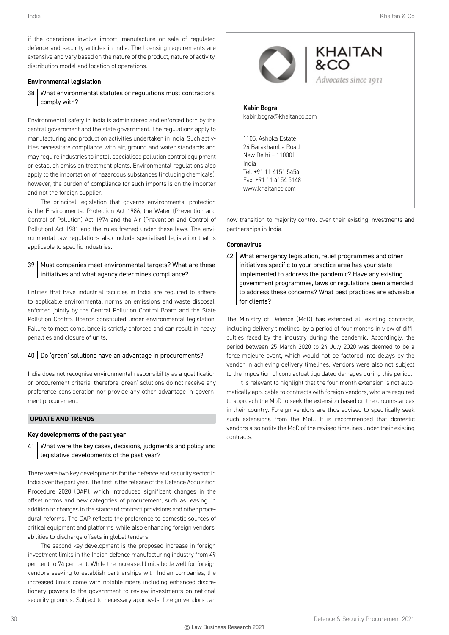if the operations involve import, manufacture or sale of regulated defence and security articles in India. The licensing requirements are extensive and vary based on the nature of the product, nature of activity, distribution model and location of operations.

#### **Environmental legislation**

38 What environmental statutes or regulations must contractors comply with?

Environmental safety in India is administered and enforced both by the central government and the state government. The regulations apply to manufacturing and production activities undertaken in India. Such activities necessitate compliance with air, ground and water standards and may require industries to install specialised pollution control equipment or establish emission treatment plants. Environmental regulations also apply to the importation of hazardous substances (including chemicals); however, the burden of compliance for such imports is on the importer and not the foreign supplier.

The principal legislation that governs environmental protection is the Environmental Protection Act 1986, the Water (Prevention and Control of Pollution) Act 1974 and the Air (Prevention and Control of Pollution) Act 1981 and the rules framed under these laws. The environmental law regulations also include specialised legislation that is applicable to specific industries.

# 39 Must companies meet environmental targets? What are these initiatives and what agency determines compliance?

Entities that have industrial facilities in India are required to adhere to applicable environmental norms on emissions and waste disposal, enforced jointly by the Central Pollution Control Board and the State Pollution Control Boards constituted under environmental legislation. Failure to meet compliance is strictly enforced and can result in heavy penalties and closure of units.

# 40 Do 'green' solutions have an advantage in procurements?

India does not recognise environmental responsibility as a qualification or procurement criteria, therefore 'green' solutions do not receive any preference consideration nor provide any other advantage in government procurement.

# **UPDATE AND TRENDS**

#### **Key developments of the past year**

41 | What were the key cases, decisions, judgments and policy and legislative developments of the past year?

There were two key developments for the defence and security sector in India over the past year. The first is the release of the Defence Acquisition Procedure 2020 (DAP), which introduced significant changes in the offset norms and new categories of procurement, such as leasing, in addition to changes in the standard contract provisions and other procedural reforms. The DAP reflects the preference to domestic sources of critical equipment and platforms, while also enhancing foreign vendors' abilities to discharge offsets in global tenders.

The second key development is the proposed increase in foreign investment limits in the Indian defence manufacturing industry from 49 per cent to 74 per cent. While the increased limits bode well for foreign vendors seeking to establish partnerships with Indian companies, the increased limits come with notable riders including enhanced discretionary powers to the government to review investments on national security grounds. Subject to necessary approvals, foreign vendors can



now transition to majority control over their existing investments and partnerships in India.

# **Coronavirus**

www.khaitanco.com

42 What emergency legislation, relief programmes and other initiatives specific to your practice area has your state implemented to address the pandemic? Have any existing government programmes, laws or regulations been amended to address these concerns? What best practices are advisable for clients?

The Ministry of Defence (MoD) has extended all existing contracts, including delivery timelines, by a period of four months in view of difficulties faced by the industry during the pandemic. Accordingly, the period between 25 March 2020 to 24 July 2020 was deemed to be a force majeure event, which would not be factored into delays by the vendor in achieving delivery timelines. Vendors were also not subject to the imposition of contractual liquidated damages during this period.

It is relevant to highlight that the four-month extension is not automatically applicable to contracts with foreign vendors, who are required to approach the MoD to seek the extension based on the circumstances in their country. Foreign vendors are thus advised to specifically seek such extensions from the MoD. It is recommended that domestic vendors also notify the MoD of the revised timelines under their existing contracts.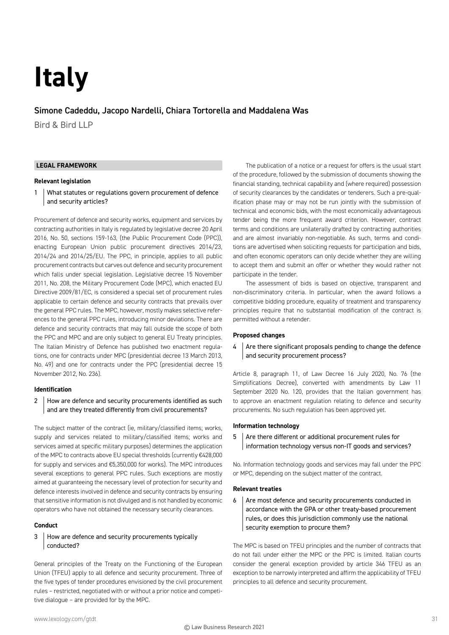# **Italy**

# Simone Cadeddu, Jacopo Nardelli, Chiara Tortorella and Maddalena Was

Bird & Bird LLP

# **LEGAL FRAMEWORK**

#### **Relevant legislation**

1 What statutes or regulations govern procurement of defence and security articles?

Procurement of defence and security works, equipment and services by contracting authorities in Italy is regulated by legislative decree 20 April 2016, No. 50, sections 159-163, (the Public Procurement Code (PPC)), enacting European Union public procurement directives 2014/23, 2014/24 and 2014/25/EU. The PPC, in principle, applies to all public procurement contracts but carves out defence and security procurement which falls under special legislation. Legislative decree 15 November 2011, No. 208, the Military Procurement Code (MPC), which enacted EU Directive 2009/81/EC, is considered a special set of procurement rules applicable to certain defence and security contracts that prevails over the general PPC rules. The MPC, however, mostly makes selective references to the general PPC rules, introducing minor deviations. There are defence and security contracts that may fall outside the scope of both the PPC and MPC and are only subject to general EU Treaty principles. The Italian Ministry of Defence has published two enactment regulations, one for contracts under MPC (presidential decree 13 March 2013, No. 49) and one for contracts under the PPC (presidential decree 15 November 2012, No. 236).

#### **Identification**

# 2 How are defence and security procurements identified as such and are they treated differently from civil procurements?

The subject matter of the contract (ie, military/classified items; works, supply and services related to military/classified items; works and services aimed at specific military purposes) determines the application of the MPC to contracts above EU special thresholds (currently €428,000 for supply and services and €5,350,000 for works). The MPC introduces several exceptions to general PPC rules. Such exceptions are mostly aimed at guaranteeing the necessary level of protection for security and defence interests involved in defence and security contracts by ensuring that sensitive information is not divulged and is not handled by economic operators who have not obtained the necessary security clearances.

#### **Conduct**

# 3 How are defence and security procurements typically conducted?

General principles of the Treaty on the Functioning of the European Union (TFEU) apply to all defence and security procurement. Three of the five types of tender procedures envisioned by the civil procurement rules – restricted, negotiated with or without a prior notice and competitive dialogue – are provided for by the MPC.

The publication of a notice or a request for offers is the usual start of the procedure, followed by the submission of documents showing the financial standing, technical capability and (where required) possession of security clearances by the candidates or tenderers. Such a pre-qualification phase may or may not be run jointly with the submission of technical and economic bids, with the most economically advantageous tender being the more frequent award criterion. However, contract terms and conditions are unilaterally drafted by contracting authorities and are almost invariably non-negotiable. As such, terms and conditions are advertised when soliciting requests for participation and bids, and often economic operators can only decide whether they are willing to accept them and submit an offer or whether they would rather not participate in the tender.

The assessment of bids is based on objective, transparent and non-discriminatory criteria. In particular, when the award follows a competitive bidding procedure, equality of treatment and transparency principles require that no substantial modification of the contract is permitted without a retender.

#### **Proposed changes**

# $4$  Are there significant proposals pending to change the defence and security procurement process?

Article 8, paragraph 11, of Law Decree 16 July 2020, No. 76 (the Simplifications Decree), converted with amendments by Law 11 September 2020 No. 120, provides that the Italian government has to approve an enactment regulation relating to defence and security procurements. No such regulation has been approved yet.

#### **Information technology**

 $5$   $\mid$  Are there different or additional procurement rules for information technology versus non-IT goods and services?

No. Information technology goods and services may fall under the PPC or MPC, depending on the subject matter of the contract.

#### **Relevant treaties**

 $6$  Are most defence and security procurements conducted in accordance with the GPA or other treaty-based procurement rules, or does this jurisdiction commonly use the national security exemption to procure them?

The MPC is based on TFEU principles and the number of contracts that do not fall under either the MPC or the PPC is limited. Italian courts consider the general exception provided by article 346 TFEU as an exception to be narrowly interpreted and affirm the applicability of TFEU principles to all defence and security procurement.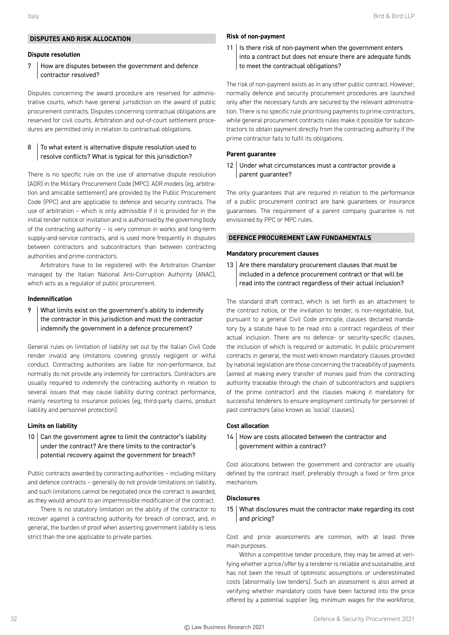# **DISPUTES AND RISK ALLOCATION**

#### **Dispute resolution**

# 7 How are disputes between the government and defence contractor resolved?

Disputes concerning the award procedure are reserved for administrative courts, which have general jurisdiction on the award of public procurement contracts. Disputes concerning contractual obligations are reserved for civil courts. Arbitration and out-of-court settlement procedures are permitted only in relation to contractual obligations.

# 8 To what extent is alternative dispute resolution used to resolve conflicts? What is typical for this jurisdiction?

There is no specific rule on the use of alternative dispute resolution (ADR) in the Military Procurement Code (MPC). ADR models (eg, arbitration and amicable settlement) are provided by the Public Procurement Code (PPC) and are applicable to defence and security contracts. The use of arbitration – which is only admissible if it is provided for in the initial tender notice or invitation and is authorised by the governing body of the contracting authority – is very common in works and long-term supply-and-service contracts, and is used more frequently in disputes between contractors and subcontractors than between contracting authorities and prime contractors.

Arbitrators have to be registered with the Arbitration Chamber managed by the Italian National Anti-Corruption Authority (ANAC), which acts as a regulator of public procurement.

#### **Indemnification**

9 What limits exist on the government's ability to indemnify the contractor in this jurisdiction and must the contractor indemnify the government in a defence procurement?

General rules on limitation of liability set out by the Italian Civil Code render invalid any limitations covering grossly negligent or wilful conduct. Contracting authorities are liable for non-performance, but normally do not provide any indemnity for contractors. Contractors are usually required to indemnify the contracting authority in relation to several issues that may cause liability during contract performance, mainly resorting to insurance policies (eg, third-party claims, product liability and personnel protection).

# **Limits on liability**

# $10$  Can the government agree to limit the contractor's liability under the contract? Are there limits to the contractor's potential recovery against the government for breach?

Public contracts awarded by contracting authorities – including military and defence contracts – generally do not provide limitations on liability, and such limitations cannot be negotiated once the contract is awarded, as they would amount to an impermissible modification of the contract.

There is no statutory limitation on the ability of the contractor to recover against a contracting authority for breach of contract, and, in general, the burden of proof when asserting government liability is less strict than the one applicable to private parties.

#### **Risk of non-payment**

11 | Is there risk of non-payment when the government enters into a contract but does not ensure there are adequate funds to meet the contractual obligations?

The risk of non-payment exists as in any other public contract. However, normally defence and security procurement procedures are launched only after the necessary funds are secured by the relevant administration. There is no specific rule prioritising payments to prime contractors, while general procurement contracts rules make it possible for subcontractors to obtain payment directly from the contracting authority if the prime contractor fails to fulfil its obligations.

# **Parent guarantee**

12 Under what circumstances must a contractor provide a parent guarantee?

The only guarantees that are required in relation to the performance of a public procurement contract are bank guarantees or insurance guarantees. The requirement of a parent company guarantee is not envisioned by PPC or MPC rules.

# **DEFENCE PROCUREMENT LAW FUNDAMENTALS**

#### **Mandatory procurement clauses**

13  $\vert$  Are there mandatory procurement clauses that must be included in a defence procurement contract or that will be read into the contract regardless of their actual inclusion?

The standard draft contract, which is set forth as an attachment to the contract notice, or the invitation to tender, is non-negotiable, but, pursuant to a general Civil Code principle, clauses declared mandatory by a statute have to be read into a contract regardless of their actual inclusion. There are no defence- or security-specific clauses, the inclusion of which is required or automatic. In public procurement contracts in general, the most well-known mandatory clauses provided by national legislation are those concerning the traceability of payments (aimed at making every transfer of monies paid from the contracting authority traceable through the chain of subcontractors and suppliers of the prime contractor) and the clauses making it mandatory for successful tenderers to ensure employment continuity for personnel of past contractors (also known as 'social' clauses).

# **Cost allocation**

#### 14 | How are costs allocated between the contractor and government within a contract?

Cost allocations between the government and contractor are usually defined by the contract itself, preferably through a fixed or firm price mechanism.

#### **Disclosures**

15 What disclosures must the contractor make regarding its cost and pricing?

Cost and price assessments are common, with at least three main purposes.

Within a competitive tender procedure, they may be aimed at verifying whether a price/offer by a tenderer is reliable and sustainable, and has not been the result of optimistic assumptions or underestimated costs (abnormally low tenders). Such an assessment is also aimed at verifying whether mandatory costs have been factored into the price offered by a potential supplier (eg, minimum wages for the workforce,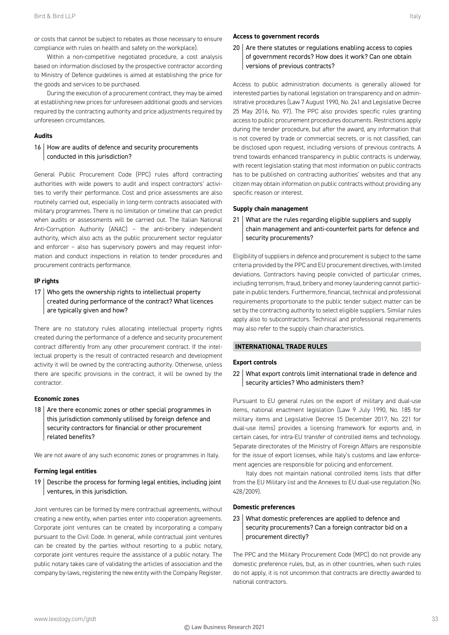or costs that cannot be subject to rebates as those necessary to ensure compliance with rules on health and safety on the workplace).

Within a non-competitive negotiated procedure, a cost analysis based on information disclosed by the prospective contractor according to Ministry of Defence guidelines is aimed at establishing the price for the goods and services to be purchased.

During the execution of a procurement contract, they may be aimed at establishing new prices for unforeseen additional goods and services required by the contracting authority and price adjustments required by unforeseen circumstances.

#### **Audits**

# 16 How are audits of defence and security procurements conducted in this jurisdiction?

General Public Procurement Code (PPC) rules afford contracting authorities with wide powers to audit and inspect contractors' activities to verify their performance. Cost and price assessments are also routinely carried out, especially in long-term contracts associated with military programmes. There is no limitation or timeline that can predict when audits or assessments will be carried out. The Italian National Anti-Corruption Authority (ANAC) – the anti-bribery independent authority, which also acts as the public procurement sector regulator and enforcer – also has supervisory powers and may request information and conduct inspections in relation to tender procedures and procurement contracts performance.

#### **IP rights**

17 Who gets the ownership rights to intellectual property created during performance of the contract? What licences are typically given and how?

There are no statutory rules allocating intellectual property rights created during the performance of a defence and security procurement contract differently from any other procurement contract. If the intellectual property is the result of contracted research and development activity it will be owned by the contracting authority. Otherwise, unless there are specific provisions in the contract, it will be owned by the contractor.

#### **Economic zones**

18  $\vert$  Are there economic zones or other special programmes in this jurisdiction commonly utilised by foreign defence and security contractors for financial or other procurement related benefits?

We are not aware of any such economic zones or programmes in Italy.

#### **Forming legal entities**

19  $\vert$  Describe the process for forming legal entities, including joint ventures, in this jurisdiction.

Joint ventures can be formed by mere contractual agreements, without creating a new entity, when parties enter into cooperation agreements. Corporate joint ventures can be created by incorporating a company pursuant to the Civil Code. In general, while contractual joint ventures can be created by the parties without resorting to a public notary, corporate joint ventures require the assistance of a public notary. The public notary takes care of validating the articles of association and the company by-laws, registering the new entity with the Company Register.

#### **Access to government records**

 $20$  Are there statutes or regulations enabling access to copies of government records? How does it work? Can one obtain versions of previous contracts?

Access to public administration documents is generally allowed for interested parties by national legislation on transparency and on administrative procedures (Law 7 August 1990, No. 241 and Legislative Decree 25 May 2016, No. 97). The PPC also provides specific rules granting access to public procurement procedures documents. Restrictions apply during the tender procedure, but after the award, any information that is not covered by trade or commercial secrets, or is not classified, can be disclosed upon request, including versions of previous contracts. A trend towards enhanced transparency in public contracts is underway, with recent legislation stating that most information on public contracts has to be published on contracting authorities' websites and that any citizen may obtain information on public contracts without providing any specific reason or interest.

#### **Supply chain management**

21 What are the rules regarding eligible suppliers and supply chain management and anti-counterfeit parts for defence and security procurements?

Eligibility of suppliers in defence and procurement is subject to the same criteria provided by the PPC and EU procurement directives, with limited deviations. Contractors having people convicted of particular crimes, including terrorism, fraud, bribery and money laundering cannot participate in public tenders. Furthermore, financial, technical and professional requirements proportionate to the public tender subject matter can be set by the contracting authority to select eligible suppliers. Similar rules apply also to subcontractors. Technical and professional requirements may also refer to the supply chain characteristics.

### **INTERNATIONAL TRADE RULES**

#### **Export controls**

22 What export controls limit international trade in defence and security articles? Who administers them?

Pursuant to EU general rules on the export of military and dual-use items, national enactment legislation (Law 9 July 1990, No. 185 for military items and Legislative Decree 15 December 2017, No. 221 for dual-use items) provides a licensing framework for exports and, in certain cases, for intra-EU transfer of controlled items and technology. Separate directorates of the Ministry of Foreign Affairs are responsible for the issue of export licenses, while Italy's customs and law enforcement agencies are responsible for policing and enforcement.

Italy does not maintain national controlled items lists that differ from the EU Military list and the Annexes to EU dual-use regulation (No. 428/2009).

#### **Domestic preferences**

# 23 What domestic preferences are applied to defence and security procurements? Can a foreign contractor bid on a procurement directly?

The PPC and the Military Procurement Code (MPC) do not provide any domestic preference rules, but, as in other countries, when such rules do not apply, it is not uncommon that contracts are directly awarded to national contractors.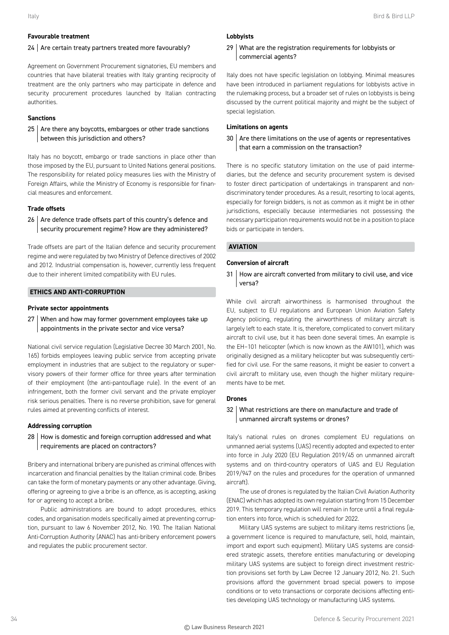# **Favourable treatment**

#### 24 Are certain treaty partners treated more favourably?

Agreement on Government Procurement signatories, EU members and countries that have bilateral treaties with Italy granting reciprocity of treatment are the only partners who may participate in defence and security procurement procedures launched by Italian contracting authorities.

# **Sanctions**

# $25$  Are there any boycotts, embargoes or other trade sanctions between this jurisdiction and others?

Italy has no boycott, embargo or trade sanctions in place other than those imposed by the EU, pursuant to United Nations general positions. The responsibility for related policy measures lies with the Ministry of Foreign Affairs, while the Ministry of Economy is responsible for financial measures and enforcement.

# **Trade offsets**

 $26$  Are defence trade offsets part of this country's defence and security procurement regime? How are they administered?

Trade offsets are part of the Italian defence and security procurement regime and were regulated by two Ministry of Defence directives of 2002 and 2012. Industrial compensation is, however, currently less frequent due to their inherent limited compatibility with EU rules.

# **ETHICS AND ANTI-CORRUPTION**

#### **Private sector appointments**

27 When and how may former government employees take up appointments in the private sector and vice versa?

National civil service regulation (Legislative Decree 30 March 2001, No. 165) forbids employees leaving public service from accepting private employment in industries that are subject to the regulatory or supervisory powers of their former office for three years after termination of their employment (the anti-pantouflage rule). In the event of an infringement, both the former civil servant and the private employer risk serious penalties. There is no reverse prohibition, save for general rules aimed at preventing conflicts of interest.

#### **Addressing corruption**

# 28 | How is domestic and foreign corruption addressed and what requirements are placed on contractors?

Bribery and international bribery are punished as criminal offences with incarceration and financial penalties by the Italian criminal code. Bribes can take the form of monetary payments or any other advantage. Giving, offering or agreeing to give a bribe is an offence, as is accepting, asking for or agreeing to accept a bribe.

Public administrations are bound to adopt procedures, ethics codes, and organisation models specifically aimed at preventing corruption, pursuant to law 6 November 2012, No. 190. The Italian National Anti-Corruption Authority (ANAC) has anti-bribery enforcement powers and regulates the public procurement sector.

# **Lobbyists**

# 29 What are the registration requirements for lobbyists or commercial agents?

Italy does not have specific legislation on lobbying. Minimal measures have been introduced in parliament regulations for lobbyists active in the rulemaking process, but a broader set of rules on lobbyists is being discussed by the current political majority and might be the subject of special legislation.

# **Limitations on agents**

# 30 Are there limitations on the use of agents or representatives that earn a commission on the transaction?

There is no specific statutory limitation on the use of paid intermediaries, but the defence and security procurement system is devised to foster direct participation of undertakings in transparent and nondiscriminatory tender procedures. As a result, resorting to local agents, especially for foreign bidders, is not as common as it might be in other jurisdictions, especially because intermediaries not possessing the necessary participation requirements would not be in a position to place bids or participate in tenders.

# **AVIATION**

# **Conversion of aircraft**

31 | How are aircraft converted from military to civil use, and vice versa?

While civil aircraft airworthiness is harmonised throughout the EU, subject to EU regulations and European Union Aviation Safety Agency policing, regulating the airworthiness of military aircraft is largely left to each state. It is, therefore, complicated to convert military aircraft to civil use, but it has been done several times. An example is the EH–101 helicopter (which is now known as the AW101), which was originally designed as a military helicopter but was subsequently certified for civil use. For the same reasons, it might be easier to convert a civil aircraft to military use, even though the higher military requirements have to be met.

#### **Drones**

# 32 What restrictions are there on manufacture and trade of unmanned aircraft systems or drones?

Italy's national rules on drones complement EU regulations on unmanned aerial systems (UAS) recently adopted and expected to enter into force in July 2020 (EU Regulation 2019/45 on unmanned aircraft systems and on third-country operators of UAS and EU Regulation 2019/947 on the rules and procedures for the operation of unmanned aircraft).

The use of drones is regulated by the Italian Civil Aviation Authority (ENAC) which has adopted its own regulation starting from 15 December 2019. This temporary regulation will remain in force until a final regulation enters into force, which is scheduled for 2022.

Military UAS systems are subject to military items restrictions (ie, a government licence is required to manufacture, sell, hold, maintain, import and export such equipment). Military UAS systems are considered strategic assets, therefore entities manufacturing or developing military UAS systems are subject to foreign direct investment restriction provisions set forth by Law Decree 12 January 2012, No. 21. Such provisions afford the government broad special powers to impose conditions or to veto transactions or corporate decisions affecting entities developing UAS technology or manufacturing UAS systems.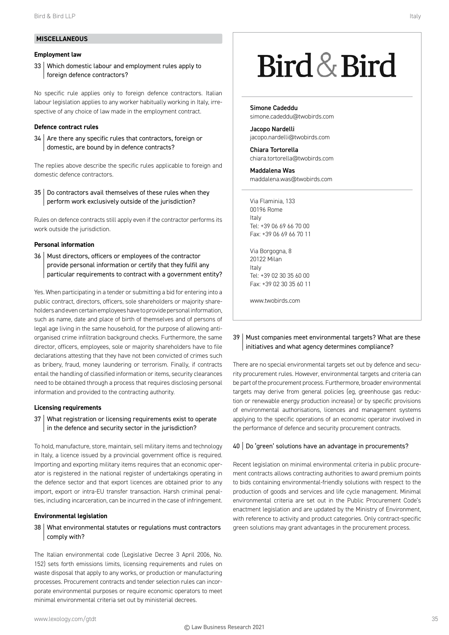# **MISCELLANEOUS**

# **Employment law**

33 Which domestic labour and employment rules apply to foreign defence contractors?

No specific rule applies only to foreign defence contractors. Italian labour legislation applies to any worker habitually working in Italy, irrespective of any choice of law made in the employment contract.

#### **Defence contract rules**

34 Are there any specific rules that contractors, foreign or domestic, are bound by in defence contracts?

The replies above describe the specific rules applicable to foreign and domestic defence contractors.

35 Do contractors avail themselves of these rules when they perform work exclusively outside of the jurisdiction?

Rules on defence contracts still apply even if the contractor performs its work outside the jurisdiction.

# **Personal information**

36 | Must directors, officers or employees of the contractor provide personal information or certify that they fulfil any particular requirements to contract with a government entity?

Yes. When participating in a tender or submitting a bid for entering into a public contract, directors, officers, sole shareholders or majority shareholders and even certain employees have to provide personal information, such as name, date and place of birth of themselves and of persons of legal age living in the same household, for the purpose of allowing antiorganised crime infiltration background checks. Furthermore, the same director, officers, employees, sole or majority shareholders have to file declarations attesting that they have not been convicted of crimes such as bribery, fraud, money laundering or terrorism. Finally, if contracts entail the handling of classified information or items, security clearances need to be obtained through a process that requires disclosing personal information and provided to the contracting authority.

#### **Licensing requirements**

37 What registration or licensing requirements exist to operate in the defence and security sector in the jurisdiction?

To hold, manufacture, store, maintain, sell military items and technology in Italy, a licence issued by a provincial government office is required. Importing and exporting military items requires that an economic operator is registered in the national register of undertakings operating in the defence sector and that export licences are obtained prior to any import, export or intra-EU transfer transaction. Harsh criminal penalties, including incarceration, can be incurred in the case of infringement.

#### **Environmental legislation**

# 38 What environmental statutes or regulations must contractors comply with?

The Italian environmental code (Legislative Decree 3 April 2006, No. 152) sets forth emissions limits, licensing requirements and rules on waste disposal that apply to any works, or production or manufacturing processes. Procurement contracts and tender selection rules can incorporate environmental purposes or require economic operators to meet minimal environmental criteria set out by ministerial decrees.

# Bird & Bird

Simone Cadeddu simone.cadeddu@twobirds.com

Jacopo Nardelli jacopo.nardelli@twobirds.com

Chiara Tortorella chiara.tortorella@twobirds.com

Maddalena Was maddalena.was@twobirds.com

Via Flaminia, 133 00196 Rome Italy Tel: +39 06 69 66 70 00 Fax: +39 06 69 66 70 11

Via Borgogna, 8 20122 Milan Italy Tel: +39 02 30 35 60 00 Fax: +39 02 30 35 60 11

www.twobirds.com

# 39 | Must companies meet environmental targets? What are these initiatives and what agency determines compliance?

There are no special environmental targets set out by defence and security procurement rules. However, environmental targets and criteria can be part of the procurement process. Furthermore, broader environmental targets may derive from general policies (eg, greenhouse gas reduction or renewable energy production increase) or by specific provisions of environmental authorisations, licences and management systems applying to the specific operations of an economic operator involved in the performance of defence and security procurement contracts.

# 40 | Do 'green' solutions have an advantage in procurements?

Recent legislation on minimal environmental criteria in public procurement contracts allows contracting authorities to award premium points to bids containing environmental-friendly solutions with respect to the production of goods and services and life cycle management. Minimal environmental criteria are set out in the Public Procurement Code's enactment legislation and are updated by the Ministry of Environment, with reference to activity and product categories. Only contract-specific green solutions may grant advantages in the procurement process.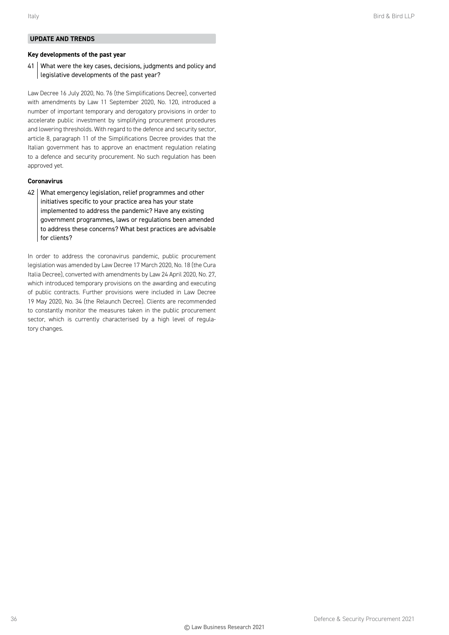# **UPDATE AND TRENDS**

# **Key developments of the past year**

41 | What were the key cases, decisions, judgments and policy and legislative developments of the past year?

Law Decree 16 July 2020, No. 76 (the Simplifications Decree), converted with amendments by Law 11 September 2020, No. 120, introduced a number of important temporary and derogatory provisions in order to accelerate public investment by simplifying procurement procedures and lowering thresholds. With regard to the defence and security sector, article 8, paragraph 11 of the Simplifications Decree provides that the Italian government has to approve an enactment regulation relating to a defence and security procurement. No such regulation has been approved yet.

#### **Coronavirus**

42 What emergency legislation, relief programmes and other initiatives specific to your practice area has your state implemented to address the pandemic? Have any existing government programmes, laws or regulations been amended to address these concerns? What best practices are advisable for clients?

In order to address the coronavirus pandemic, public procurement legislation was amended by Law Decree 17 March 2020, No. 18 (the Cura Italia Decree), converted with amendments by Law 24 April 2020, No. 27, which introduced temporary provisions on the awarding and executing of public contracts. Further provisions were included in Law Decree 19 May 2020, No. 34 (the Relaunch Decree). Clients are recommended to constantly monitor the measures taken in the public procurement sector, which is currently characterised by a high level of regulatory changes.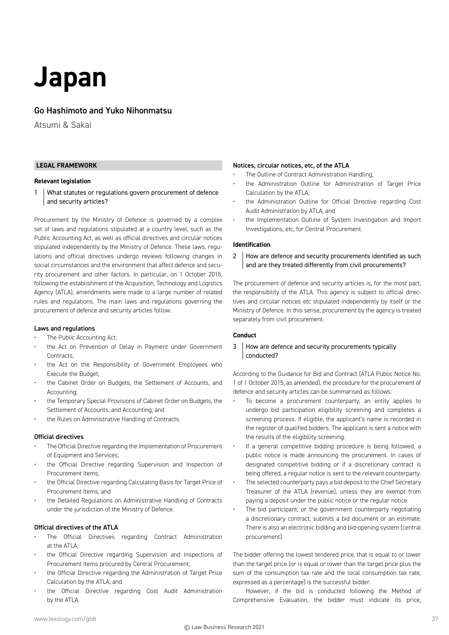# **Japan**

# Go Hashimoto and Yuko Nihonmatsu

Atsumi & Sakai

# **LEGAL FRAMEWORK**

# **Relevant legislation**

1 What statutes or regulations govern procurement of defence and security articles?

Procurement by the Ministry of Defence is governed by a complex set of laws and regulations stipulated at a country level, such as the Public Accounting Act, as well as official directives and circular notices stipulated independently by the Ministry of Defence. These laws, regulations and official directives undergo reviews following changes in social circumstances and the environment that affect defence and security procurement and other factors. In particular, on 1 October 2015, following the establishment of the Acquisition, Technology and Logistics Agency (ATLA), amendments were made to a large number of related rules and regulations. The main laws and regulations governing the procurement of defence and security articles follow.

#### Laws and regulations

- The Public Accounting Act;
- the Act on Prevention of Delay in Payment under Government Contracts;
- the Act on the Responsibility of Government Employees who Execute the Budget;
- the Cabinet Order on Budgets, the Settlement of Accounts, and Accounting;
- the Temporary Special Provisions of Cabinet Order on Budgets, the Settlement of Accounts, and Accounting; and
- the Rules on Administrative Handling of Contracts.

# Official directives

- The Official Directive regarding the Implementation of Procurement of Equipment and Services;
- the Official Directive regarding Supervision and Inspection of Procurement Items;
- the Official Directive regarding Calculating Basis for Target Price of Procurement Items; and
- the Detailed Regulations on Administrative Handling of Contracts under the jurisdiction of the Ministry of Defence.

# Official directives of the ATLA

- The Official Directives regarding Contract Administration at the ATLA;
- the Official Directive regarding Supervision and Inspections of Procurement Items procured by Central Procurement;
- the Official Directive regarding the Administration of Target Price Calculation by the ATLA; and
- the Official Directive regarding Cost Audit Administration by the ATLA.

#### Notices, circular notices, etc, of the ATLA

- The Outline of Contract Administration Handling;
- the Administration Outline for Administration of Target Price Calculation by the ATLA;
- the Administration Outline for Official Directive regarding Cost Audit Administration by ATLA; and
- the Implementation Outline of System Investigation and Import Investigations, etc, for Central Procurement.

# **Identification**

2 How are defence and security procurements identified as such and are they treated differently from civil procurements?

The procurement of defence and security articles is, for the most part, the responsibility of the ATLA. This agency is subject to official directives and circular notices etc stipulated independently by itself or the Ministry of Defence. In this sense, procurement by the agency is treated separately from civil procurement.

# **Conduct**

# 3 How are defence and security procurements typically conducted?

According to the Guidance for Bid and Contract (ATLA Public Notice No. 1 of 1 October 2015, as amended), the procedure for the procurement of defence and security articles can be summarised as follows:

- To become a procurement counterparty, an entity applies to undergo bid participation eligibility screening and completes a screening process. If eligible, the applicant's name is recorded in the register of qualified bidders. The applicant is sent a notice with the results of the eligibility screening.
- If a general competitive bidding procedure is being followed, a public notice is made announcing the procurement. In cases of designated competitive bidding or if a discretionary contract is being offered, a regular notice is sent to the relevant counterparty.
- The selected counterparty pays a bid deposit to the Chief Secretary Treasurer of the ATLA (revenue), unless they are exempt from paying a deposit under the public notice or the regular notice.
- The bid participant, or the government counterparty negotiating a discretionary contract, submits a bid document or an estimate. There is also an electronic bidding and bid-opening system (central procurement).

The bidder offering the lowest tendered price, that is equal to or lower than the target price (or is equal or lower than the target price plus the sum of the consumption tax rate and the local consumption tax rate, expressed as a percentage) is the successful bidder.

However, if the bid is conducted following the Method of Comprehensive Evaluation, the bidder must indicate its price,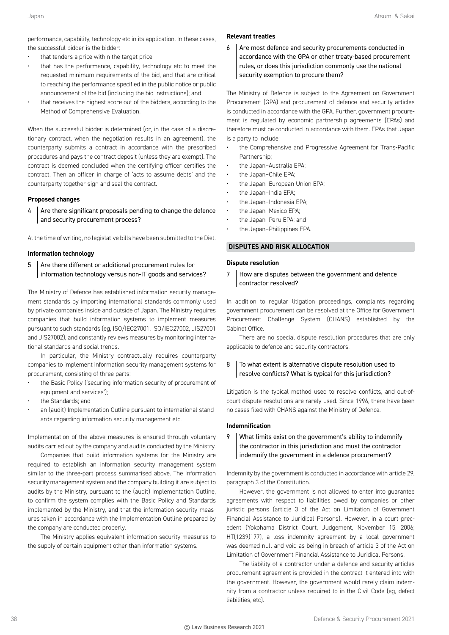performance, capability, technology etc in its application. In these cases, the successful bidder is the bidder:

- that tenders a price within the target price;
- that has the performance, capability, technology etc to meet the requested minimum requirements of the bid, and that are critical to reaching the performance specified in the public notice or public announcement of the bid (including the bid instructions); and
- that receives the highest score out of the bidders, according to the Method of Comprehensive Evaluation.

When the successful bidder is determined (or, in the case of a discretionary contract, when the negotiation results in an agreement), the counterparty submits a contract in accordance with the prescribed procedures and pays the contract deposit (unless they are exempt). The contract is deemed concluded when the certifying officer certifies the contract. Then an officer in charge of 'acts to assume debts' and the counterparty together sign and seal the contract.

#### **Proposed changes**

 $4$  Are there significant proposals pending to change the defence and security procurement process?

At the time of writing, no legislative bills have been submitted to the Diet.

# **Information technology**

5 Are there different or additional procurement rules for information technology versus non-IT goods and services?

The Ministry of Defence has established information security management standards by importing international standards commonly used by private companies inside and outside of Japan. The Ministry requires companies that build information systems to implement measures pursuant to such standards (eg, ISO/IEC27001, ISO/IEC27002, JIS27001 and JIS27002), and constantly reviews measures by monitoring international standards and social trends.

In particular, the Ministry contractually requires counterparty companies to implement information security management systems for procurement, consisting of three parts:

- the Basic Policy ('securing information security of procurement of equipment and services');
- the Standards; and
- an (audit) Implementation Outline pursuant to international standards regarding information security management etc.

Implementation of the above measures is ensured through voluntary audits carried out by the company and audits conducted by the Ministry.

Companies that build information systems for the Ministry are required to establish an information security management system similar to the three-part process summarised above. The information security management system and the company building it are subject to audits by the Ministry, pursuant to the (audit) Implementation Outline, to confirm the system complies with the Basic Policy and Standards implemented by the Ministry, and that the information security measures taken in accordance with the Implementation Outline prepared by the company are conducted properly.

The Ministry applies equivalent information security measures to the supply of certain equipment other than information systems.

#### **Relevant treaties**

 $6$  Are most defence and security procurements conducted in accordance with the GPA or other treaty-based procurement rules, or does this jurisdiction commonly use the national security exemption to procure them?

The Ministry of Defence is subject to the Agreement on Government Procurement (GPA) and procurement of defence and security articles is conducted in accordance with the GPA. Further, government procurement is regulated by economic partnership agreements (EPAs) and therefore must be conducted in accordance with them. EPAs that Japan is a party to include:

- the Comprehensive and Progressive Agreement for Trans-Pacific Partnership;
- the Japan–Australia EPA;
- the Japan–Chile EPA;
- the Japan-European Union EPA;
	- the Japan–India EPA;
	- the Japan-Indonesia EPA;
	- the Japan-Mexico EPA;
	- the Japan–Peru EPA; and
	- the Japan–Philippines EPA.

#### **DISPUTES AND RISK ALLOCATION**

# **Dispute resolution**

7 How are disputes between the government and defence contractor resolved?

In addition to regular litigation proceedings, complaints regarding government procurement can be resolved at the Office for Government Procurement Challenge System (CHANS) established by the Cabinet Office.

There are no special dispute resolution procedures that are only applicable to defence and security contractors.

# $8$  To what extent is alternative dispute resolution used to resolve conflicts? What is typical for this jurisdiction?

Litigation is the typical method used to resolve conflicts, and out-ofcourt dispute resolutions are rarely used. Since 1996, there have been no cases filed with CHANS against the Ministry of Defence.

# **Indemnification**

# 9 What limits exist on the government's ability to indemnify the contractor in this jurisdiction and must the contractor indemnify the government in a defence procurement?

Indemnity by the government is conducted in accordance with article 29, paragraph 3 of the Constitution.

However, the government is not allowed to enter into guarantee agreements with respect to liabilities owed by companies or other juristic persons (article 3 of the Act on Limitation of Government Financial Assistance to Juridical Persons). However, in a court precedent (Yokohama District Court, Judgement, November 15, 2006; HT(1239)177), a loss indemnity agreement by a local government was deemed null and void as being in breach of article 3 of the Act on Limitation of Government Financial Assistance to Juridical Persons.

The liability of a contractor under a defence and security articles procurement agreement is provided in the contract it entered into with the government. However, the government would rarely claim indemnity from a contractor unless required to in the Civil Code (eg, defect liabilities, etc).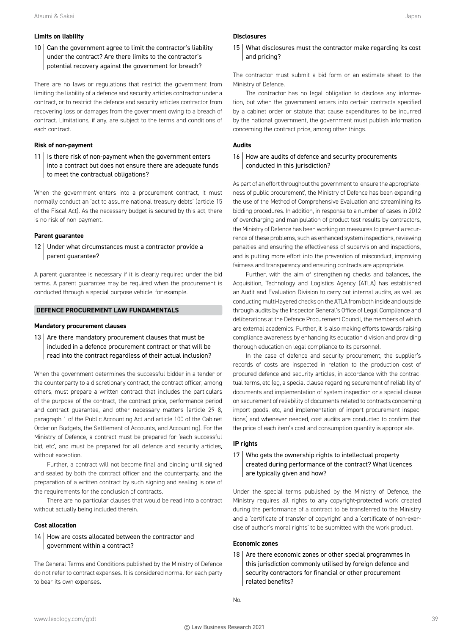# **Limits on liability**

# 10 Can the government agree to limit the contractor's liability under the contract? Are there limits to the contractor's potential recovery against the government for breach?

There are no laws or regulations that restrict the government from limiting the liability of a defence and security articles contractor under a contract, or to restrict the defence and security articles contractor from recovering loss or damages from the government owing to a breach of contract. Limitations, if any, are subject to the terms and conditions of each contract.

# **Risk of non-payment**

 $11$  | Is there risk of non-payment when the government enters into a contract but does not ensure there are adequate funds to meet the contractual obligations?

When the government enters into a procurement contract, it must normally conduct an 'act to assume national treasury debts' (article 15 of the Fiscal Act). As the necessary budget is secured by this act, there is no risk of non-payment.

# **Parent guarantee**

12 Under what circumstances must a contractor provide a parent guarantee?

A parent guarantee is necessary if it is clearly required under the bid terms. A parent guarantee may be required when the procurement is conducted through a special purpose vehicle, for example.

# **DEFENCE PROCUREMENT LAW FUNDAMENTALS**

# **Mandatory procurement clauses**

13  $\vert$  Are there mandatory procurement clauses that must be included in a defence procurement contract or that will be read into the contract regardless of their actual inclusion?

When the government determines the successful bidder in a tender or the counterparty to a discretionary contract, the contract officer, among others, must prepare a written contract that includes the particulars of the purpose of the contract, the contract price, performance period and contract guarantee, and other necessary matters (article 29–8, paragraph 1 of the Public Accounting Act and article 100 of the Cabinet Order on Budgets, the Settlement of Accounts, and Accounting). For the Ministry of Defence, a contract must be prepared for 'each successful bid, etc', and must be prepared for all defence and security articles, without exception.

Further, a contract will not become final and binding until signed and sealed by both the contract officer and the counterparty, and the preparation of a written contract by such signing and sealing is one of the requirements for the conclusion of contracts.

There are no particular clauses that would be read into a contract without actually being included therein.

# **Cost allocation**

14 | How are costs allocated between the contractor and government within a contract?

The General Terms and Conditions published by the Ministry of Defence do not refer to contract expenses. It is considered normal for each party to bear its own expenses.

#### **Disclosures**

# 15 What disclosures must the contractor make regarding its cost and pricing?

The contractor must submit a bid form or an estimate sheet to the Ministry of Defence.

The contractor has no legal obligation to disclose any information, but when the government enters into certain contracts specified by a cabinet order or statute that cause expenditures to be incurred by the national government, the government must publish information concerning the contract price, among other things.

# **Audits**

# 16 How are audits of defence and security procurements conducted in this jurisdiction?

As part of an effort throughout the government to 'ensure the appropriateness of public procurement', the Ministry of Defence has been expanding the use of the Method of Comprehensive Evaluation and streamlining its bidding procedures. In addition, in response to a number of cases in 2012 of overcharging and manipulation of product test results by contractors, the Ministry of Defence has been working on measures to prevent a recurrence of these problems, such as enhanced system inspections, reviewing penalties and ensuring the effectiveness of supervision and inspections, and is putting more effort into the prevention of misconduct, improving fairness and transparency and ensuring contracts are appropriate.

Further, with the aim of strengthening checks and balances, the Acquisition, Technology and Logistics Agency (ATLA) has established an Audit and Evaluation Division to carry out internal audits, as well as conducting multi-layered checks on the ATLA from both inside and outside through audits by the Inspector General's Office of Legal Compliance and deliberations at the Defence Procurement Council, the members of which are external academics. Further, it is also making efforts towards raising compliance awareness by enhancing its education division and providing thorough education on legal compliance to its personnel.

In the case of defence and security procurement, the supplier's records of costs are inspected in relation to the production cost of procured defence and security articles, in accordance with the contractual terms, etc (eg, a special clause regarding securement of reliability of documents and implementation of system inspection or a special clause on securement of reliability of documents related to contracts concerning import goods, etc, and implementation of import procurement inspections) and whenever needed, cost audits are conducted to confirm that the price of each item's cost and consumption quantity is appropriate.

# **IP rights**

# 17 Who gets the ownership rights to intellectual property created during performance of the contract? What licences are typically given and how?

Under the special terms published by the Ministry of Defence, the Ministry requires all rights to any copyright-protected work created during the performance of a contract to be transferred to the Ministry and a 'certificate of transfer of copyright' and a 'certificate of non-exercise of author's moral rights' to be submitted with the work product.

# **Economic zones**

18  $\vert$  Are there economic zones or other special programmes in this jurisdiction commonly utilised by foreign defence and security contractors for financial or other procurement related benefits?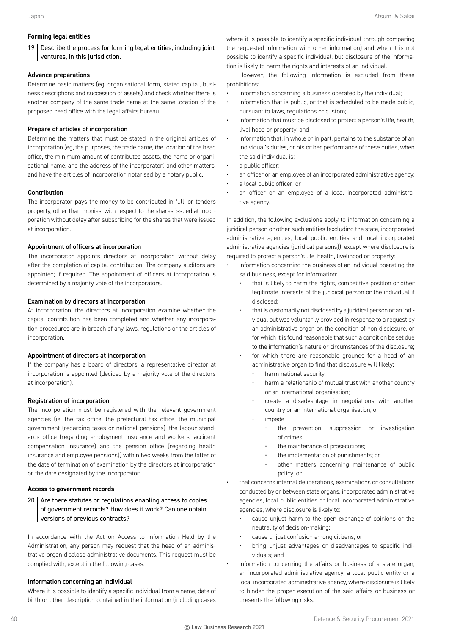# **Forming legal entities**

19 Describe the process for forming legal entities, including joint ventures, in this jurisdiction.

#### Advance preparations

Determine basic matters (eg, organisational form, stated capital, business descriptions and succession of assets) and check whether there is another company of the same trade name at the same location of the proposed head office with the legal affairs bureau.

# Prepare of articles of incorporation

Determine the matters that must be stated in the original articles of incorporation (eg, the purposes, the trade name, the location of the head office, the minimum amount of contributed assets, the name or organisational name, and the address of the incorporator) and other matters, and have the articles of incorporation notarised by a notary public.

# Contribution

The incorporator pays the money to be contributed in full, or tenders property, other than monies, with respect to the shares issued at incorporation without delay after subscribing for the shares that were issued at incorporation.

# Appointment of officers at incorporation

The incorporator appoints directors at incorporation without delay after the completion of capital contribution. The company auditors are appointed; if required. The appointment of officers at incorporation is determined by a majority vote of the incorporators.

#### Examination by directors at incorporation

At incorporation, the directors at incorporation examine whether the capital contribution has been completed and whether any incorporation procedures are in breach of any laws, regulations or the articles of incorporation.

# Appointment of directors at incorporation

If the company has a board of directors, a representative director at incorporation is appointed (decided by a majority vote of the directors at incorporation).

# Registration of incorporation

The incorporation must be registered with the relevant government agencies (ie, the tax office, the prefectural tax office, the municipal government (regarding taxes or national pensions), the labour standards office (regarding employment insurance and workers' accident compensation insurance) and the pension office (regarding health insurance and employee pensions)) within two weeks from the latter of the date of termination of examination by the directors at incorporation or the date designated by the incorporator.

#### **Access to government records**

 $20$  Are there statutes or regulations enabling access to copies of government records? How does it work? Can one obtain versions of previous contracts?

In accordance with the Act on Access to Information Held by the Administration, any person may request that the head of an administrative organ disclose administrative documents. This request must be complied with, except in the following cases.

# Information concerning an individual

Where it is possible to identify a specific individual from a name, date of birth or other description contained in the information (including cases where it is possible to identify a specific individual through comparing the requested information with other information) and when it is not possible to identify a specific individual, but disclosure of the information is likely to harm the rights and interests of an individual.

However, the following information is excluded from these prohibitions:

- information concerning a business operated by the individual;
- information that is public, or that is scheduled to be made public, pursuant to laws, regulations or custom;
- information that must be disclosed to protect a person's life, health, livelihood or property; and
- information that, in whole or in part, pertains to the substance of an individual's duties, or his or her performance of these duties, when the said individual is:
- a public officer;
- an officer or an employee of an incorporated administrative agency;
- a local public officer; or
- an officer or an employee of a local incorporated administrative agency.

In addition, the following exclusions apply to information concerning a juridical person or other such entities (excluding the state, incorporated administrative agencies, local public entities and local incorporated administrative agencies (juridical persons)), except where disclosure is required to protect a person's life, health, livelihood or property:

- information concerning the business of an individual operating the said business, except for information:
	- that is likely to harm the rights, competitive position or other legitimate interests of the juridical person or the individual if disclosed;
	- that is customarily not disclosed by a juridical person or an individual but was voluntarily provided in response to a request by an administrative organ on the condition of non-disclosure, or for which it is found reasonable that such a condition be set due to the information's nature or circumstances of the disclosure;
	- for which there are reasonable grounds for a head of an administrative organ to find that disclosure will likely:
		- harm national security;
		- harm a relationship of mutual trust with another country or an international organisation;
		- create a disadvantage in negotiations with another country or an international organisation; or
		- impede:
			- the prevention, suppression or investigation of crimes;
			- the maintenance of prosecutions;
			- the implementation of punishments; or
			- other matters concerning maintenance of public policy; or
- that concerns internal deliberations, examinations or consultations conducted by or between state organs, incorporated administrative agencies, local public entities or local incorporated administrative agencies, where disclosure is likely to:
	- cause unjust harm to the open exchange of opinions or the neutrality of decision-making;
	- cause unjust confusion among citizens; or
	- bring unjust advantages or disadvantages to specific individuals; and
- information concerning the affairs or business of a state organ, an incorporated administrative agency, a local public entity or a local incorporated administrative agency, where disclosure is likely to hinder the proper execution of the said affairs or business or presents the following risks: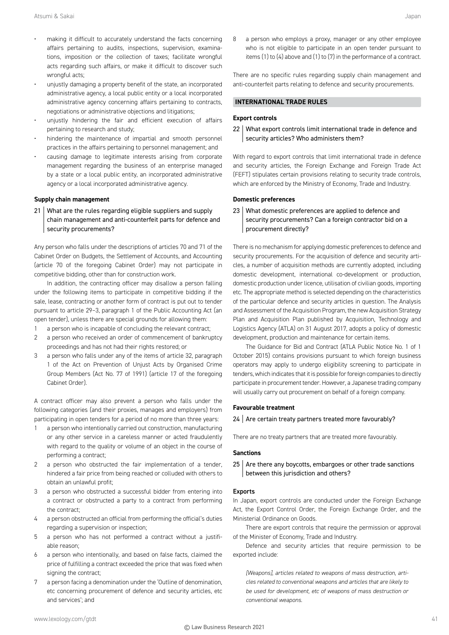- making it difficult to accurately understand the facts concerning affairs pertaining to audits, inspections, supervision, examinations, imposition or the collection of taxes; facilitate wrongful acts regarding such affairs, or make it difficult to discover such wrongful acts;
- unjustly damaging a property benefit of the state, an incorporated administrative agency, a local public entity or a local incorporated administrative agency concerning affairs pertaining to contracts, negotiations or administrative objections and litigations;
- unjustly hindering the fair and efficient execution of affairs pertaining to research and study;
- hindering the maintenance of impartial and smooth personnel practices in the affairs pertaining to personnel management; and
- causing damage to legitimate interests arising from corporate management regarding the business of an enterprise managed by a state or a local public entity, an incorporated administrative agency or a local incorporated administrative agency.

#### **Supply chain management**

21 What are the rules regarding eligible suppliers and supply chain management and anti-counterfeit parts for defence and security procurements?

Any person who falls under the descriptions of articles 70 and 71 of the Cabinet Order on Budgets, the Settlement of Accounts, and Accounting (article 70 of the foregoing Cabinet Order) may not participate in competitive bidding, other than for construction work.

In addition, the contracting officer may disallow a person falling under the following items to participate in competitive bidding if the sale, lease, contracting or another form of contract is put out to tender pursuant to article 29–3, paragraph 1 of the Public Accounting Act (an open tender), unless there are special grounds for allowing them:

- 1 a person who is incapable of concluding the relevant contract;
- 2 a person who received an order of commencement of bankruptcy proceedings and has not had their rights restored; or
- 3 a person who falls under any of the items of article 32, paragraph 1 of the Act on Prevention of Unjust Acts by Organised Crime Group Members (Act No. 77 of 1991) (article 17 of the foregoing Cabinet Order).

A contract officer may also prevent a person who falls under the following categories (and their proxies, manages and employers) from participating in open tenders for a period of no more than three years:

- 1 a person who intentionally carried out construction, manufacturing or any other service in a careless manner or acted fraudulently with regard to the quality or volume of an object in the course of performing a contract;
- 2 a person who obstructed the fair implementation of a tender, hindered a fair price from being reached or colluded with others to obtain an unlawful profit;
- 3 a person who obstructed a successful bidder from entering into a contract or obstructed a party to a contract from performing the contract;
- 4 a person obstructed an official from performing the official's duties regarding a supervision or inspection;
- 5 a person who has not performed a contract without a justifiable reason;
- 6 a person who intentionally, and based on false facts, claimed the price of fulfilling a contract exceeded the price that was fixed when signing the contract;
- 7 a person facing a denomination under the 'Outline of denomination, etc concerning procurement of defence and security articles, etc and services'; and

8 a person who employs a proxy, manager or any other employee who is not eligible to participate in an open tender pursuant to items (1) to (4) above and (1) to (7) in the performance of a contract.

There are no specific rules regarding supply chain management and anti-counterfeit parts relating to defence and security procurements.

# **INTERNATIONAL TRADE RULES**

#### **Export controls**

22 What export controls limit international trade in defence and security articles? Who administers them?

With regard to export controls that limit international trade in defence and security articles, the Foreign Exchange and Foreign Trade Act (FEFT) stipulates certain provisions relating to security trade controls, which are enforced by the Ministry of Economy, Trade and Industry.

# **Domestic preferences**

23 What domestic preferences are applied to defence and security procurements? Can a foreign contractor bid on a procurement directly?

There is no mechanism for applying domestic preferences to defence and security procurements. For the acquisition of defence and security articles, a number of acquisition methods are currently adopted, including domestic development, international co-development or production, domestic production under licence, utilisation of civilian goods, importing etc. The appropriate method is selected depending on the characteristics of the particular defence and security articles in question. The Analysis and Assessment of the Acquisition Program, the new Acquisition Strategy Plan and Acquisition Plan published by Acquisition, Technology and Logistics Agency (ATLA) on 31 August 2017, adopts a policy of domestic development, production and maintenance for certain items.

The Guidance for Bid and Contract (ATLA Public Notice No. 1 of 1 October 2015) contains provisions pursuant to which foreign business operators may apply to undergo eligibility screening to participate in tenders, which indicates that it is possible for foreign companies to directly participate in procurement tender. However, a Japanese trading company will usually carry out procurement on behalf of a foreign company.

# **Favourable treatment**

 $24$  Are certain treaty partners treated more favourably?

There are no treaty partners that are treated more favourably.

# **Sanctions**

 $25$  Are there any boycotts, embargoes or other trade sanctions between this jurisdiction and others?

# Exports

In Japan, export controls are conducted under the Foreign Exchange Act, the Export Control Order, the Foreign Exchange Order, and the Ministerial Ordinance on Goods.

There are export controls that require the permission or approval of the Minister of Economy, Trade and Industry.

Defence and security articles that require permission to be exported include:

*[Weapons], articles related to weapons of mass destruction, articles related to conventional weapons and articles that are likely to be used for development, etc of weapons of mass destruction or conventional weapons.*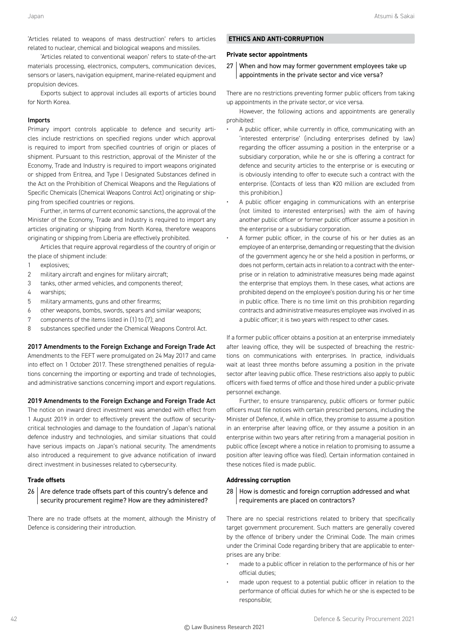'Articles related to weapons of mass destruction' refers to articles related to nuclear, chemical and biological weapons and missiles.

'Articles related to conventional weapon' refers to state-of-the-art materials processing, electronics, computers, communication devices, sensors or lasers, navigation equipment, marine-related equipment and propulsion devices.

Exports subject to approval includes all exports of articles bound for North Korea.

#### Imports

Primary import controls applicable to defence and security articles include restrictions on specified regions under which approval is required to import from specified countries of origin or places of shipment. Pursuant to this restriction, approval of the Minister of the Economy, Trade and Industry is required to import weapons originated or shipped from Eritrea, and Type I Designated Substances defined in the Act on the Prohibition of Chemical Weapons and the Regulations of Specific Chemicals (Chemical Weapons Control Act) originating or shipping from specified countries or regions.

Further, in terms of current economic sanctions, the approval of the Minister of the Economy, Trade and Industry is required to import any articles originating or shipping from North Korea, therefore weapons originating or shipping from Liberia are effectively prohibited.

Articles that require approval regardless of the country of origin or the place of shipment include:

- 1 explosives;
- 2 military aircraft and engines for military aircraft;
- 3 tanks, other armed vehicles, and components thereof;
- 4 warships;
- 5 military armaments, guns and other firearms;
- 6 other weapons, bombs, swords, spears and similar weapons;
- 7 components of the items listed in (1) to (7); and
- 8 substances specified under the Chemical Weapons Control Act.

#### 2017 Amendments to the Foreign Exchange and Foreign Trade Act

Amendments to the FEFT were promulgated on 24 May 2017 and came into effect on 1 October 2017. These strengthened penalties of regulations concerning the importing or exporting and trade of technologies, and administrative sanctions concerning import and export regulations.

#### 2019 Amendments to the Foreign Exchange and Foreign Trade Act

The notice on inward direct investment was amended with effect from 1 August 2019 in order to effectively prevent the outflow of securitycritical technologies and damage to the foundation of Japan's national defence industry and technologies, and similar situations that could have serious impacts on Japan's national security. The amendments also introduced a requirement to give advance notification of inward direct investment in businesses related to cybersecurity.

#### **Trade offsets**

# $26$  Are defence trade offsets part of this country's defence and security procurement regime? How are they administered?

There are no trade offsets at the moment, although the Ministry of Defence is considering their introduction.

# **ETHICS AND ANTI-CORRUPTION**

# **Private sector appointments**

27 When and how may former government employees take up appointments in the private sector and vice versa?

There are no restrictions preventing former public officers from taking up appointments in the private sector, or vice versa.

However, the following actions and appointments are generally prohibited:

- A public officer, while currently in office, communicating with an 'interested enterprise' (including enterprises defined by law) regarding the officer assuming a position in the enterprise or a subsidiary corporation, while he or she is offering a contract for defence and security articles to the enterprise or is executing or is obviously intending to offer to execute such a contract with the enterprise. (Contacts of less than ¥20 million are excluded from this prohibition.)
- A public officer engaging in communications with an enterprise (not limited to interested enterprises) with the aim of having another public officer or former public officer assume a position in the enterprise or a subsidiary corporation.
- A former public officer, in the course of his or her duties as an employee of an enterprise, demanding or requesting that the division of the government agency he or she held a position in performs, or does not perform, certain acts in relation to a contract with the enterprise or in relation to administrative measures being made against the enterprise that employs them. In these cases, what actions are prohibited depend on the employee's position during his or her time in public office. There is no time limit on this prohibition regarding contracts and administrative measures employee was involved in as a public officer; it is two years with respect to other cases.

If a former public officer obtains a position at an enterprise immediately after leaving office, they will be suspected of breaching the restrictions on communications with enterprises. In practice, individuals wait at least three months before assuming a position in the private sector after leaving public office. These restrictions also apply to public officers with fixed terms of office and those hired under a public-private personnel exchange.

Further, to ensure transparency, public officers or former public officers must file notices with certain prescribed persons, including the Minister of Defence, if, while in office, they promise to assume a position in an enterprise after leaving office, or they assume a position in an enterprise within two years after retiring from a managerial position in public office (except where a notice in relation to promising to assume a position after leaving office was filed). Certain information contained in these notices filed is made public.

# **Addressing corruption**

# 28 | How is domestic and foreign corruption addressed and what requirements are placed on contractors?

There are no special restrictions related to bribery that specifically target government procurement. Such matters are generally covered by the offence of bribery under the Criminal Code. The main crimes under the Criminal Code regarding bribery that are applicable to enterprises are any bribe:

- made to a public officer in relation to the performance of his or her official duties;
- made upon request to a potential public officer in relation to the performance of official duties for which he or she is expected to be responsible;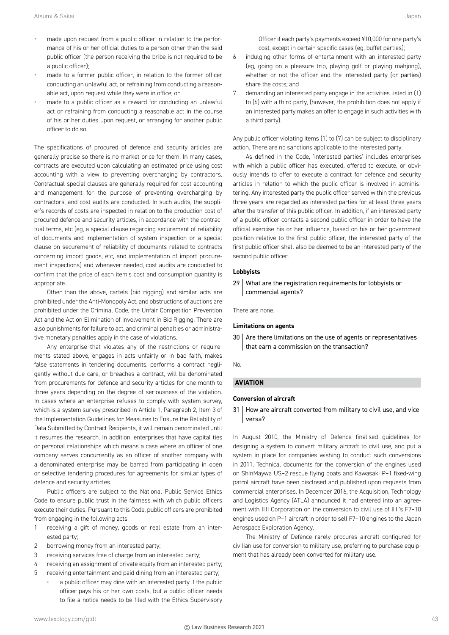- made upon request from a public officer in relation to the performance of his or her official duties to a person other than the said public officer (the person receiving the bribe is not required to be a public officer);
- made to a former public officer, in relation to the former officer conducting an unlawful act, or refraining from conducting a reasonable act, upon request while they were in office; or
- made to a public officer as a reward for conducting an unlawful act or refraining from conducting a reasonable act in the course of his or her duties upon request, or arranging for another public officer to do so.

The specifications of procured of defence and security articles are generally precise so there is no market price for them. In many cases, contracts are executed upon calculating an estimated price using cost accounting with a view to preventing overcharging by contractors. Contractual special clauses are generally required for cost accounting and management for the purpose of preventing overcharging by contractors, and cost audits are conducted. In such audits, the supplier's records of costs are inspected in relation to the production cost of procured defence and security articles, in accordance with the contractual terms, etc (eg, a special clause regarding securement of reliability of documents and implementation of system inspection or a special clause on securement of reliability of documents related to contracts concerning import goods, etc, and implementation of import procurement inspections) and whenever needed, cost audits are conducted to confirm that the price of each item's cost and consumption quantity is appropriate.

Other than the above, cartels (bid rigging) and similar acts are prohibited under the Anti-Monopoly Act, and obstructions of auctions are prohibited under the Criminal Code, the Unfair Competition Prevention Act and the Act on Elimination of Involvement in Bid Rigging. There are also punishments for failure to act, and criminal penalties or administrative monetary penalties apply in the case of violations.

Any enterprise that violates any of the restrictions or requirements stated above, engages in acts unfairly or in bad faith, makes false statements in tendering documents, performs a contract negligently without due care, or breaches a contract, will be denominated from procurements for defence and security articles for one month to three years depending on the degree of seriousness of the violation. In cases where an enterprise refuses to comply with system survey, which is a system survey prescribed in Article 1, Paragraph 2, Item 3 of the Implementation Guidelines for Measures to Ensure the Reliability of Data Submitted by Contract Recipients, it will remain denominated until it resumes the research. In addition, enterprises that have capital ties or personal relationships which means a case where an officer of one company serves concurrently as an officer of another company with a denominated enterprise may be barred from participating in open or selective tendering procedures for agreements for similar types of defence and security articles.

Public officers are subject to the National Public Service Ethics Code to ensure public trust in the fairness with which public officers execute their duties. Pursuant to this Code, public officers are prohibited from engaging in the following acts:

- 1 receiving a gift of money, goods or real estate from an interested party;
- 2 borrowing money from an interested party;
- 3 receiving services free of charge from an interested party;
- 4 receiving an assignment of private equity from an interested party;
- 5 receiving entertainment and paid dining from an interested party;
	- a public officer may dine with an interested party if the public officer pays his or her own costs, but a public officer needs to file a notice needs to be filed with the Ethics Supervisory

Officer if each party's payments exceed ¥10,000 for one party's cost, except in certain specific cases (eg, buffet parties);

- 6 indulging other forms of entertainment with an interested party (eg, going on a pleasure trip, playing golf or playing mahjong), whether or not the officer and the interested party (or parties) share the costs; and
- 7 demanding an interested party engage in the activities listed in (1) to (6) with a third party, (however, the prohibition does not apply if an interested party makes an offer to engage in such activities with a third party).

Any public officer violating items (1) to (7) can be subject to disciplinary action. There are no sanctions applicable to the interested party.

As defined in the Code, 'interested parties' includes enterprises with which a public officer has executed, offered to execute, or obviously intends to offer to execute a contract for defence and security articles in relation to which the public officer is involved in administering. Any interested party the public officer served within the previous three years are regarded as interested parties for at least three years after the transfer of this public officer. In addition, if an interested party of a public officer contacts a second public officer in order to have the official exercise his or her influence, based on his or her government position relative to the first public officer, the interested party of the first public officer shall also be deemed to be an interested party of the second public officer.

#### **Lobbyists**

29 What are the registration requirements for lobbyists or commercial agents?

There are none.

#### **Limitations on agents**

 $30$  Are there limitations on the use of agents or representatives that earn a commission on the transaction?

No.

# **AVIATION**

# **Conversion of aircraft**

31 How are aircraft converted from military to civil use, and vice versa?

In August 2010, the Ministry of Defence finalised guidelines for designing a system to convert military aircraft to civil use, and put a system in place for companies wishing to conduct such conversions in 2011. Technical documents for the conversion of the engines used on ShinMaywa US–2 rescue flying boats and Kawasaki P–1 fixed-wing patrol aircraft have been disclosed and published upon requests from commercial enterprises. In December 2016, the Acquisition, Technology and Logistics Agency (ATLA) announced it had entered into an agreement with IHI Corporation on the conversion to civil use of IHI's F7–10 engines used on P–1 aircraft in order to sell F7–10 engines to the Japan Aerospace Exploration Agency.

The Ministry of Defence rarely procures aircraft configured for civilian use for conversion to military use, preferring to purchase equipment that has already been converted for military use.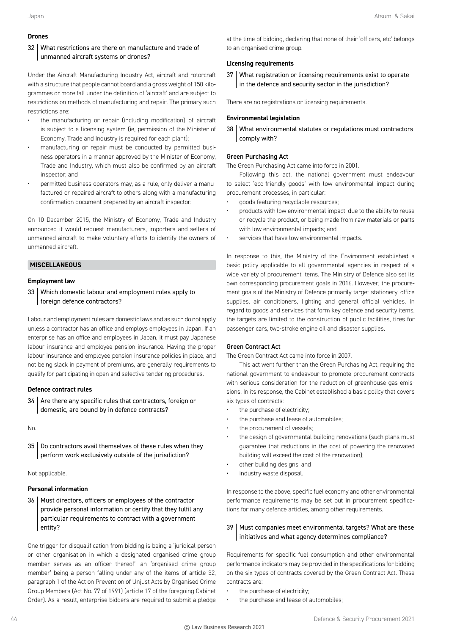#### **Drones**

# 32 What restrictions are there on manufacture and trade of unmanned aircraft systems or drones?

Under the Aircraft Manufacturing Industry Act, aircraft and rotorcraft with a structure that people cannot board and a gross weight of 150 kilogrammes or more fall under the definition of 'aircraft' and are subject to restrictions on methods of manufacturing and repair. The primary such restrictions are:

- the manufacturing or repair (including modification) of aircraft is subject to a licensing system (ie, permission of the Minister of Economy, Trade and Industry is required for each plant);
- manufacturing or repair must be conducted by permitted business operators in a manner approved by the Minister of Economy, Trade and Industry, which must also be confirmed by an aircraft inspector; and
- permitted business operators may, as a rule, only deliver a manufactured or repaired aircraft to others along with a manufacturing confirmation document prepared by an aircraft inspector.

On 10 December 2015, the Ministry of Economy, Trade and Industry announced it would request manufacturers, importers and sellers of unmanned aircraft to make voluntary efforts to identify the owners of unmanned aircraft.

# **MISCELLANEOUS**

#### **Employment law**

33 Which domestic labour and employment rules apply to foreign defence contractors?

Labour and employment rules are domestic laws and as such do not apply unless a contractor has an office and employs employees in Japan. If an enterprise has an office and employees in Japan, it must pay Japanese labour insurance and employee pension insurance. Having the proper labour insurance and employee pension insurance policies in place, and not being slack in payment of premiums, are generally requirements to qualify for participating in open and selective tendering procedures.

# **Defence contract rules**

 $34$  Are there any specific rules that contractors, foreign or domestic, are bound by in defence contracts?

No.

35 Do contractors avail themselves of these rules when they perform work exclusively outside of the jurisdiction?

Not applicable.

#### **Personal information**

36 | Must directors, officers or employees of the contractor provide personal information or certify that they fulfil any particular requirements to contract with a government entity?

One trigger for disqualification from bidding is being a 'juridical person or other organisation in which a designated organised crime group member serves as an officer thereof', an 'organised crime group member' being a person falling under any of the items of article 32, paragraph 1 of the Act on Prevention of Unjust Acts by Organised Crime Group Members (Act No. 77 of 1991) (article 17 of the foregoing Cabinet Order). As a result, enterprise bidders are required to submit a pledge

at the time of bidding, declaring that none of their 'officers, etc' belongs to an organised crime group.

# **Licensing requirements**

37 What registration or licensing requirements exist to operate in the defence and security sector in the jurisdiction?

There are no registrations or licensing requirements.

# **Environmental legislation**

38 What environmental statutes or regulations must contractors comply with?

#### Green Purchasing Act

The Green Purchasing Act came into force in 2001.

Following this act, the national government must endeavour to select 'eco-friendly goods' with low environmental impact during procurement processes, in particular:

- goods featuring recyclable resources;
- products with low environmental impact, due to the ability to reuse or recycle the product, or being made from raw materials or parts with low environmental impacts; and
- services that have low environmental impacts.

In response to this, the Ministry of the Environment established a basic policy applicable to all governmental agencies in respect of a wide variety of procurement items. The Ministry of Defence also set its own corresponding procurement goals in 2016. However, the procurement goals of the Ministry of Defence primarily target stationery, office supplies, air conditioners, lighting and general official vehicles. In regard to goods and services that form key defence and security items, the targets are limited to the construction of public facilities, tires for passenger cars, two-stroke engine oil and disaster supplies.

#### Green Contract Act

#### The Green Contract Act came into force in 2007.

This act went further than the Green Purchasing Act, requiring the national government to endeavour to promote procurement contracts with serious consideration for the reduction of greenhouse gas emissions. In its response, the Cabinet established a basic policy that covers six types of contracts:

- the purchase of electricity;
- the purchase and lease of automobiles;
- the procurement of vessels;
- the design of governmental building renovations (such plans must guarantee that reductions in the cost of powering the renovated building will exceed the cost of the renovation);
- other building designs; and
- industry waste disposal.

In response to the above, specific fuel economy and other environmental performance requirements may be set out in procurement specifications for many defence articles, among other requirements.

# 39 | Must companies meet environmental targets? What are these initiatives and what agency determines compliance?

Requirements for specific fuel consumption and other environmental performance indicators may be provided in the specifications for bidding on the six types of contracts covered by the Green Contract Act. These contracts are:

- the purchase of electricity;
- the purchase and lease of automobiles;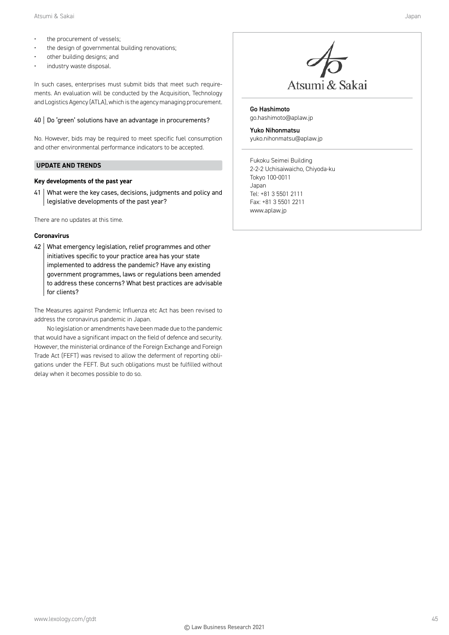- the procurement of vessels;
- the design of governmental building renovations;
- other building designs; and
- industry waste disposal.

In such cases, enterprises must submit bids that meet such requirements. An evaluation will be conducted by the Acquisition, Technology and Logistics Agency (ATLA), which is the agency managing procurement.

# 40 Do 'green' solutions have an advantage in procurements?

No. However, bids may be required to meet specific fuel consumption and other environmental performance indicators to be accepted.

# **UPDATE AND TRENDS**

# **Key developments of the past year**

41 What were the key cases, decisions, judgments and policy and legislative developments of the past year?

There are no updates at this time.

# **Coronavirus**

42 What emergency legislation, relief programmes and other initiatives specific to your practice area has your state implemented to address the pandemic? Have any existing government programmes, laws or regulations been amended to address these concerns? What best practices are advisable for clients?

The Measures against Pandemic Influenza etc Act has been revised to address the coronavirus pandemic in Japan.

No legislation or amendments have been made due to the pandemic that would have a significant impact on the field of defence and security. However, the ministerial ordinance of the Foreign Exchange and Foreign Trade Act (FEFT) was revised to allow the deferment of reporting obligations under the FEFT. But such obligations must be fulfilled without delay when it becomes possible to do so.



Go Hashimoto go.hashimoto@aplaw.jp

Yuko Nihonmatsu yuko.nihonmatsu@aplaw.jp

Fukoku Seimei Building 2-2-2 Uchisaiwaicho, Chiyoda-ku Tokyo 100-0011 Japan Tel: +81 3 5501 2111 Fax: +81 3 5501 2211 www.aplaw.jp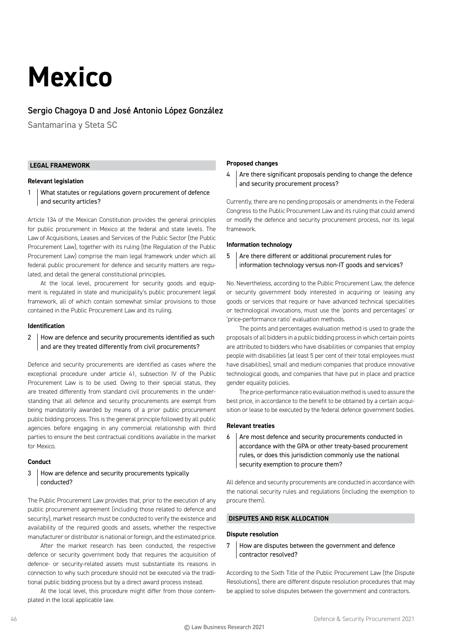# **Mexico**

# Sergio Chagoya D and José Antonio López González

Santamarina y Steta SC

# **LEGAL FRAMEWORK**

# **Relevant legislation**

1 What statutes or regulations govern procurement of defence and security articles?

Article 134 of the Mexican Constitution provides the general principles for public procurement in Mexico at the federal and state levels. The Law of Acquisitions, Leases and Services of the Public Sector (the Public Procurement Law), together with its ruling (the Regulation of the Public Procurement Law) comprise the main legal framework under which all federal public procurement for defence and security matters are regulated, and detail the general constitutional principles.

At the local level, procurement for security goods and equipment is regulated in state and municipality's public procurement legal framework, all of which contain somewhat similar provisions to those contained in the Public Procurement Law and its ruling.

#### **Identification**

# 2 | How are defence and security procurements identified as such and are they treated differently from civil procurements?

Defence and security procurements are identified as cases where the exceptional procedure under article 41, subsection IV of the Public Procurement Law is to be used. Owing to their special status, they are treated differently from standard civil procurements in the understanding that all defence and security procurements are exempt from being mandatorily awarded by means of a prior public procurement public bidding process. This is the general principle followed by all public agencies before engaging in any commercial relationship with third parties to ensure the best contractual conditions available in the market for Mexico.

# **Conduct**

# 3 How are defence and security procurements typically conducted?

The Public Procurement Law provides that, prior to the execution of any public procurement agreement (including those related to defence and security), market research must be conducted to verify the existence and availability of the required goods and assets, whether the respective manufacturer or distributor is national or foreign, and the estimated price.

After the market research has been conducted, the respective defence or security government body that requires the acquisition of defence- or security-related assets must substantiate its reasons in connection to why such procedure should not be executed via the traditional public bidding process but by a direct award process instead.

At the local level, this procedure might differ from those contemplated in the local applicable law.

# **Proposed changes**

 $4$  Are there significant proposals pending to change the defence and security procurement process?

Currently, there are no pending proposals or amendments in the Federal Congress to the Public Procurement Law and its ruling that could amend or modify the defence and security procurement process, nor its legal framework.

# **Information technology**

 $5$  Are there different or additional procurement rules for information technology versus non-IT goods and services?

No. Nevertheless, according to the Public Procurement Law, the defence or security government body interested in acquiring or leasing any goods or services that require or have advanced technical specialities or technological invocations, must use the 'points and percentages' or 'price-performance ratio' evaluation methods.

The points and percentages evaluation method is used to grade the proposals of all bidders in a public bidding process in which certain points are attributed to bidders who have disabilities or companies that employ people with disabilities (at least 5 per cent of their total employees must have disabilities), small and medium companies that produce innovative technological goods, and companies that have put in place and practice gender equality policies.

The price-performance ratio evaluation method is used to assure the best price, in accordance to the benefit to be obtained by a certain acquisition or lease to be executed by the federal defence government bodies.

# **Relevant treaties**

6 Are most defence and security procurements conducted in accordance with the GPA or other treaty-based procurement rules, or does this jurisdiction commonly use the national security exemption to procure them?

All defence and security procurements are conducted in accordance with the national security rules and regulations (including the exemption to procure them).

# **DISPUTES AND RISK ALLOCATION**

#### **Dispute resolution**

7 How are disputes between the government and defence contractor resolved?

According to the Sixth Title of the Public Procurement Law (the Dispute Resolutions), there are different dispute resolution procedures that may be applied to solve disputes between the government and contractors.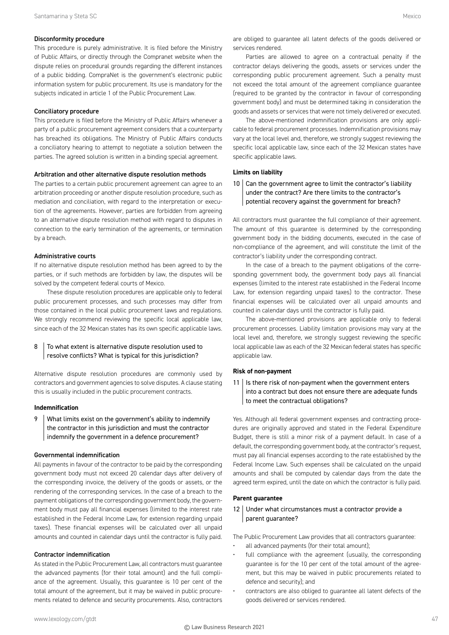#### Disconformity procedure

This procedure is purely administrative. It is filed before the Ministry of Public Affairs, or directly through the Compranet website when the dispute relies on procedural grounds regarding the different instances of a public bidding. CompraNet is the government's electronic public information system for public procurement. Its use is mandatory for the subjects indicated in article 1 of the Public Procurement Law.

#### Conciliatory procedure

This procedure is filed before the Ministry of Public Affairs whenever a party of a public procurement agreement considers that a counterparty has breached its obligations. The Ministry of Public Affairs conducts a conciliatory hearing to attempt to negotiate a solution between the parties. The agreed solution is written in a binding special agreement.

#### Arbitration and other alternative dispute resolution methods

The parties to a certain public procurement agreement can agree to an arbitration proceeding or another dispute resolution procedure, such as mediation and conciliation, with regard to the interpretation or execution of the agreements. However, parties are forbidden from agreeing to an alternative dispute resolution method with regard to disputes in connection to the early termination of the agreements, or termination by a breach.

#### Administrative courts

If no alternative dispute resolution method has been agreed to by the parties, or if such methods are forbidden by law, the disputes will be solved by the competent federal courts of Mexico.

These dispute resolution procedures are applicable only to federal public procurement processes, and such processes may differ from those contained in the local public procurement laws and regulations. We strongly recommend reviewing the specific local applicable law, since each of the 32 Mexican states has its own specific applicable laws.

# 8 To what extent is alternative dispute resolution used to resolve conflicts? What is typical for this jurisdiction?

Alternative dispute resolution procedures are commonly used by contractors and government agencies to solve disputes. A clause stating this is usually included in the public procurement contracts.

#### **Indemnification**

9 | What limits exist on the government's ability to indemnify the contractor in this jurisdiction and must the contractor indemnify the government in a defence procurement?

#### Governmental indemnification

All payments in favour of the contractor to be paid by the corresponding government body must not exceed 20 calendar days after delivery of the corresponding invoice, the delivery of the goods or assets, or the rendering of the corresponding services. In the case of a breach to the payment obligations of the corresponding government body, the government body must pay all financial expenses (limited to the interest rate established in the Federal Income Law, for extension regarding unpaid taxes). These financial expenses will be calculated over all unpaid amounts and counted in calendar days until the contractor is fully paid.

#### Contractor indemnification

As stated in the Public Procurement Law, all contractors must guarantee the advanced payments (for their total amount) and the full compliance of the agreement. Usually, this guarantee is 10 per cent of the total amount of the agreement, but it may be waived in public procurements related to defence and security procurements. Also, contractors are obliged to guarantee all latent defects of the goods delivered or services rendered.

Parties are allowed to agree on a contractual penalty if the contractor delays delivering the goods, assets or services under the corresponding public procurement agreement. Such a penalty must not exceed the total amount of the agreement compliance guarantee (required to be granted by the contractor in favour of corresponding government body) and must be determined taking in consideration the goods and assets or services that were not timely delivered or executed.

The above-mentioned indemnification provisions are only applicable to federal procurement processes. Indemnification provisions may vary at the local level and, therefore, we strongly suggest reviewing the specific local applicable law, since each of the 32 Mexican states have specific applicable laws.

#### **Limits on liability**

# 10 Can the government agree to limit the contractor's liability under the contract? Are there limits to the contractor's potential recovery against the government for breach?

All contractors must guarantee the full compliance of their agreement. The amount of this guarantee is determined by the corresponding government body in the bidding documents, executed in the case of non-compliance of the agreement, and will constitute the limit of the contractor's liability under the corresponding contract.

In the case of a breach to the payment obligations of the corresponding government body, the government body pays all financial expenses (limited to the interest rate established in the Federal Income Law, for extension regarding unpaid taxes) to the contractor. These financial expenses will be calculated over all unpaid amounts and counted in calendar days until the contractor is fully paid.

The above-mentioned provisions are applicable only to federal procurement processes. Liability limitation provisions may vary at the local level and, therefore, we strongly suggest reviewing the specific local applicable law as each of the 32 Mexican federal states has specific applicable law.

#### **Risk of non-payment**

 $11$  Is there risk of non-payment when the government enters into a contract but does not ensure there are adequate funds to meet the contractual obligations?

Yes. Although all federal government expenses and contracting procedures are originally approved and stated in the Federal Expenditure Budget, there is still a minor risk of a payment default. In case of a default, the corresponding government body, at the contractor's request, must pay all financial expenses according to the rate established by the Federal Income Law. Such expenses shall be calculated on the unpaid amounts and shall be computed by calendar days from the date the agreed term expired, until the date on which the contractor is fully paid.

# **Parent guarantee**

# 12 Under what circumstances must a contractor provide a parent guarantee?

The Public Procurement Law provides that all contractors guarantee:

- all advanced payments (for their total amount);
- full compliance with the agreement (usually, the corresponding guarantee is for the 10 per cent of the total amount of the agreement, but this may be waived in public procurements related to defence and security); and
- contractors are also obliged to guarantee all latent defects of the goods delivered or services rendered.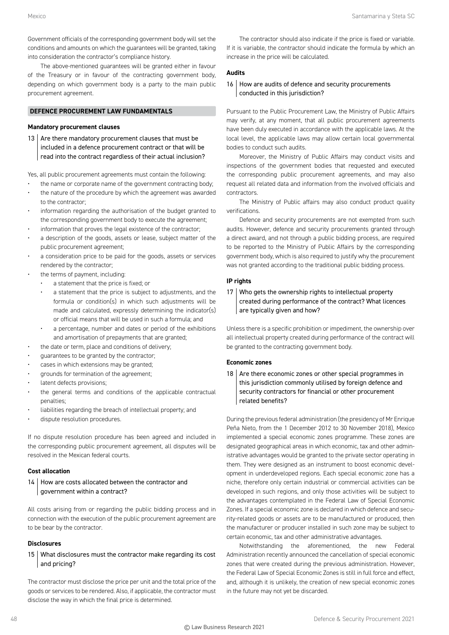Government officials of the corresponding government body will set the conditions and amounts on which the guarantees will be granted, taking into consideration the contractor's compliance history.

The above-mentioned guarantees will be granted either in favour of the Treasury or in favour of the contracting government body, depending on which government body is a party to the main public procurement agreement.

# **DEFENCE PROCUREMENT LAW FUNDAMENTALS**

# **Mandatory procurement clauses**

13 Are there mandatory procurement clauses that must be included in a defence procurement contract or that will be read into the contract regardless of their actual inclusion?

Yes, all public procurement agreements must contain the following:

- the name or corporate name of the government contracting body;
- the nature of the procedure by which the agreement was awarded to the contractor;
- information regarding the authorisation of the budget granted to the corresponding government body to execute the agreement;
- information that proves the legal existence of the contractor;
- a description of the goods, assets or lease, subject matter of the public procurement agreement;
- a consideration price to be paid for the goods, assets or services rendered by the contractor;
- the terms of payment, including:
	- a statement that the price is fixed; or
	- a statement that the price is subject to adjustments, and the formula or condition(s) in which such adjustments will be made and calculated, expressly determining the indicator(s) or official means that will be used in such a formula; and
	- a percentage, number and dates or period of the exhibitions and amortisation of prepayments that are granted;
- the date or term, place and conditions of delivery;
- guarantees to be granted by the contractor;
- cases in which extensions may be granted;
- grounds for termination of the agreement;
- latent defects provisions;
- the general terms and conditions of the applicable contractual penalties;
- liabilities regarding the breach of intellectual property; and
- dispute resolution procedures.

If no dispute resolution procedure has been agreed and included in the corresponding public procurement agreement, all disputes will be resolved in the Mexican federal courts.

#### **Cost allocation**

14 How are costs allocated between the contractor and government within a contract?

All costs arising from or regarding the public bidding process and in connection with the execution of the public procurement agreement are to be bear by the contractor.

#### **Disclosures**

15 What disclosures must the contractor make regarding its cost and pricing?

The contractor must disclose the price per unit and the total price of the goods or services to be rendered. Also, if applicable, the contractor must disclose the way in which the final price is determined.

The contractor should also indicate if the price is fixed or variable. If it is variable, the contractor should indicate the formula by which an increase in the price will be calculated.

# **Audits**

16 | How are audits of defence and security procurements conducted in this jurisdiction?

Pursuant to the Public Procurement Law, the Ministry of Public Affairs may verify, at any moment, that all public procurement agreements have been duly executed in accordance with the applicable laws. At the local level, the applicable laws may allow certain local governmental bodies to conduct such audits.

Moreover, the Ministry of Public Affairs may conduct visits and inspections of the government bodies that requested and executed the corresponding public procurement agreements, and may also request all related data and information from the involved officials and contractors.

The Ministry of Public affairs may also conduct product quality verifications.

Defence and security procurements are not exempted from such audits. However, defence and security procurements granted through a direct award, and not through a public bidding process, are required to be reported to the Ministry of Public Affairs by the corresponding government body, which is also required to justify why the procurement was not granted according to the traditional public bidding process.

# **IP rights**

 $17$  Who gets the ownership rights to intellectual property created during performance of the contract? What licences are typically given and how?

Unless there is a specific prohibition or impediment, the ownership over all intellectual property created during performance of the contract will be granted to the contracting government body.

#### **Economic zones**

18  $\vert$  Are there economic zones or other special programmes in this jurisdiction commonly utilised by foreign defence and security contractors for financial or other procurement related benefits?

During the previous federal administration (the presidency of Mr Enrique Peña Nieto, from the 1 December 2012 to 30 November 2018), Mexico implemented a special economic zones programme. These zones are designated geographical areas in which economic, tax and other administrative advantages would be granted to the private sector operating in them. They were designed as an instrument to boost economic development in underdeveloped regions. Each special economic zone has a niche, therefore only certain industrial or commercial activities can be developed in such regions, and only those activities will be subject to the advantages contemplated in the Federal Law of Special Economic Zones. If a special economic zone is declared in which defence and security-related goods or assets are to be manufactured or produced, then the manufacturer or producer installed in such zone may be subject to certain economic, tax and other administrative advantages.

Notwithstanding the aforementioned, the new Federal Administration recently announced the cancellation of special economic zones that were created during the previous administration. However, the Federal Law of Special Economic Zones is still in full force and effect, and, although it is unlikely, the creation of new special economic zones in the future may not yet be discarded.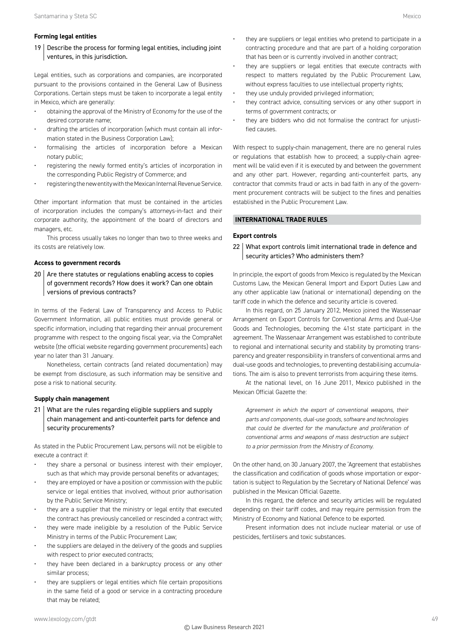19 Describe the process for forming legal entities, including joint ventures, in this jurisdiction.

Legal entities, such as corporations and companies, are incorporated pursuant to the provisions contained in the General Law of Business Corporations. Certain steps must be taken to incorporate a legal entity in Mexico, which are generally:

- obtaining the approval of the Ministry of Economy for the use of the desired corporate name;
- drafting the articles of incorporation (which must contain all information stated in the Business Corporation Law);
- formalising the articles of incorporation before a Mexican notary public;
- registering the newly formed entity's articles of incorporation in the corresponding Public Registry of Commerce; and
- registering the new entity with the Mexican Internal Revenue Service.

Other important information that must be contained in the articles of incorporation includes the company's attorneys-in-fact and their corporate authority, the appointment of the board of directors and managers, etc.

This process usually takes no longer than two to three weeks and its costs are relatively low.

# **Access to government records**

 $20$  Are there statutes or regulations enabling access to copies of government records? How does it work? Can one obtain versions of previous contracts?

In terms of the Federal Law of Transparency and Access to Public Government Information, all public entities must provide general or specific information, including that regarding their annual procurement programme with respect to the ongoing fiscal year, via the CompraNet website (the official website regarding government procurements) each year no later than 31 January.

Nonetheless, certain contracts (and related documentation) may be exempt from disclosure, as such information may be sensitive and pose a risk to national security.

# **Supply chain management**

21 What are the rules regarding eligible suppliers and supply chain management and anti-counterfeit parts for defence and security procurements?

As stated in the Public Procurement Law, persons will not be eligible to execute a contract if:

- they share a personal or business interest with their employer, such as that which may provide personal benefits or advantages;
- they are employed or have a position or commission with the public service or legal entities that involved, without prior authorisation by the Public Service Ministry;
- they are a supplier that the ministry or legal entity that executed the contract has previously cancelled or rescinded a contract with;
- they were made ineligible by a resolution of the Public Service Ministry in terms of the Public Procurement Law;
- the suppliers are delayed in the delivery of the goods and supplies with respect to prior executed contracts;
- they have been declared in a bankruptcy process or any other similar process;
- they are suppliers or legal entities which file certain propositions in the same field of a good or service in a contracting procedure that may be related;
- they are suppliers or legal entities who pretend to participate in a contracting procedure and that are part of a holding corporation that has been or is currently involved in another contract;
- they are suppliers or legal entities that execute contracts with respect to matters regulated by the Public Procurement Law, without express faculties to use intellectual property rights;
- they use unduly provided privileged information;
- they contract advice, consulting services or any other support in terms of government contracts; or
- they are bidders who did not formalise the contract for unjustified causes.

With respect to supply-chain management, there are no general rules or regulations that establish how to proceed; a supply-chain agreement will be valid even if it is executed by and between the government and any other part. However, regarding anti-counterfeit parts, any contractor that commits fraud or acts in bad faith in any of the government procurement contracts will be subject to the fines and penalties established in the Public Procurement Law.

# **INTERNATIONAL TRADE RULES**

# **Export controls**

22 What export controls limit international trade in defence and security articles? Who administers them?

In principle, the export of goods from Mexico is regulated by the Mexican Customs Law, the Mexican General Import and Export Duties Law and any other applicable law (national or international) depending on the tariff code in which the defence and security article is covered.

In this regard, on 25 January 2012, Mexico joined the Wassenaar Arrangement on Export Controls for Conventional Arms and Dual-Use Goods and Technologies, becoming the 41st state participant in the agreement. The Wassenaar Arrangement was established to contribute to regional and international security and stability by promoting transparency and greater responsibility in transfers of conventional arms and dual-use goods and technologies, to preventing destabilising accumulations. The aim is also to prevent terrorists from acquiring these items.

At the national level, on 16 June 2011, Mexico published in the Mexican Official Gazette the:

*Agreement in which the export of conventional weapons, their parts and components, dual-use goods, software and technologies that could be diverted for the manufacture and proliferation of conventional arms and weapons of mass destruction are subject to a prior permission from the Ministry of Economy.*

On the other hand, on 30 January 2007, the 'Agreement that establishes the classification and codification of goods whose importation or exportation is subject to Regulation by the Secretary of National Defence' was published in the Mexican Official Gazette.

In this regard, the defence and security articles will be regulated depending on their tariff codes, and may require permission from the Ministry of Economy and National Defence to be exported.

Present information does not include nuclear material or use of pesticides, fertilisers and toxic substances.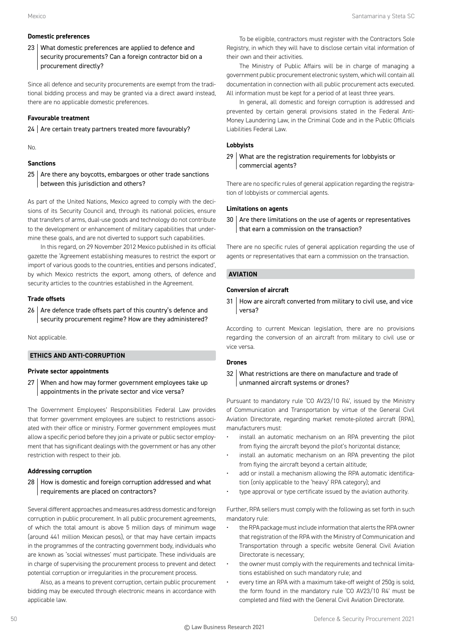# **Domestic preferences**

23 What domestic preferences are applied to defence and security procurements? Can a foreign contractor bid on a procurement directly?

Since all defence and security procurements are exempt from the traditional bidding process and may be granted via a direct award instead, there are no applicable domestic preferences.

# **Favourable treatment**

 $24$  Are certain treaty partners treated more favourably?

No.

# **Sanctions**

 $25$  Are there any boycotts, embargoes or other trade sanctions between this jurisdiction and others?

As part of the United Nations, Mexico agreed to comply with the decisions of its Security Council and, through its national policies, ensure that transfers of arms, dual-use goods and technology do not contribute to the development or enhancement of military capabilities that undermine these goals, and are not diverted to support such capabilities.

In this regard, on 29 November 2012 Mexico published in its official gazette the 'Agreement establishing measures to restrict the export or import of various goods to the countries, entities and persons indicated', by which Mexico restricts the export, among others, of defence and security articles to the countries established in the Agreement.

# **Trade offsets**

 $26$  Are defence trade offsets part of this country's defence and security procurement regime? How are they administered?

Not applicable.

# **ETHICS AND ANTI-CORRUPTION**

# **Private sector appointments**

27 When and how may former government employees take up appointments in the private sector and vice versa?

The Government Employees' Responsibilities Federal Law provides that former government employees are subject to restrictions associated with their office or ministry. Former government employees must allow a specific period before they join a private or public sector employment that has significant dealings with the government or has any other restriction with respect to their job.

# **Addressing corruption**

28 | How is domestic and foreign corruption addressed and what requirements are placed on contractors?

Several different approaches and measures address domestic and foreign corruption in public procurement. In all public procurement agreements, of which the total amount is above 5 million days of minimum wage (around 441 million Mexican pesos), or that may have certain impacts in the programmes of the contracting government body, individuals who are known as 'social witnesses' must participate. These individuals are in charge of supervising the procurement process to prevent and detect potential corruption or irregularities in the procurement process.

Also, as a means to prevent corruption, certain public procurement bidding may be executed through electronic means in accordance with applicable law.

To be eligible, contractors must register with the Contractors Sole Registry, in which they will have to disclose certain vital information of their own and their activities.

The Ministry of Public Affairs will be in charge of managing a government public procurement electronic system, which will contain all documentation in connection with all public procurement acts executed. All information must be kept for a period of at least three years.

In general, all domestic and foreign corruption is addressed and prevented by certain general provisions stated in the Federal Anti-Money Laundering Law, in the Criminal Code and in the Public Officials Liabilities Federal Law.

# **Lobbyists**

29 What are the registration requirements for lobbyists or commercial agents?

There are no specific rules of general application regarding the registration of lobbyists or commercial agents.

# **Limitations on agents**

 $30$  Are there limitations on the use of agents or representatives that earn a commission on the transaction?

There are no specific rules of general application regarding the use of agents or representatives that earn a commission on the transaction.

# **AVIATION**

# **Conversion of aircraft**

31 How are aircraft converted from military to civil use, and vice versa?

According to current Mexican legislation, there are no provisions regarding the conversion of an aircraft from military to civil use or vice versa.

# **Drones**

32 What restrictions are there on manufacture and trade of unmanned aircraft systems or drones?

Pursuant to mandatory rule 'CO AV23/10 R4', issued by the Ministry of Communication and Transportation by virtue of the General Civil Aviation Directorate, regarding market remote-piloted aircraft (RPA), manufacturers must:

- install an automatic mechanism on an RPA preventing the pilot from flying the aircraft beyond the pilot's horizontal distance;
- install an automatic mechanism on an RPA preventing the pilot from flying the aircraft beyond a certain altitude;
- add or install a mechanism allowing the RPA automatic identification (only applicable to the 'heavy' RPA category); and
- type approval or type certificate issued by the aviation authority.

Further, RPA sellers must comply with the following as set forth in such mandatory rule:

- the RPA package must include information that alerts the RPA owner that registration of the RPA with the Ministry of Communication and Transportation through a specific website General Civil Aviation Directorate is necessary;
- the owner must comply with the requirements and technical limitations established on such mandatory rule; and
- every time an RPA with a maximum take-off weight of 250g is sold, the form found in the mandatory rule 'CO AV23/10 R4' must be completed and filed with the General Civil Aviation Directorate.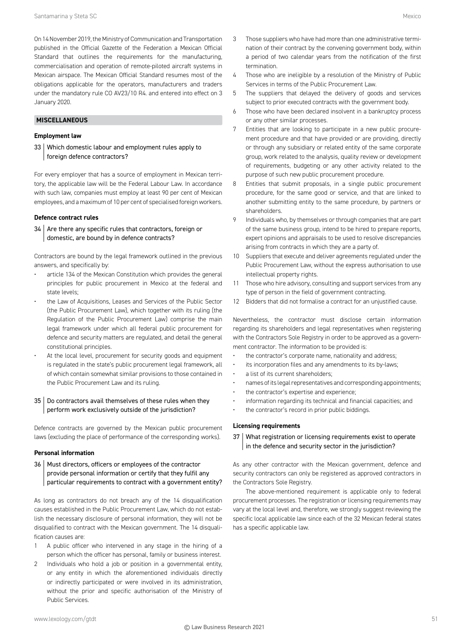On 14 November 2019, the Ministry of Communication and Transportation published in the Official Gazette of the Federation a Mexican Official Standard that outlines the requirements for the manufacturing, commercialisation and operation of remote-piloted aircraft systems in Mexican airspace. The Mexican Official Standard resumes most of the obligations applicable for the operators, manufacturers and traders under the mandatory rule CO AV23/10 R4. and entered into effect on 3 January 2020.

# **MISCELLANEOUS**

# **Employment law**

33 Which domestic labour and employment rules apply to foreign defence contractors?

For every employer that has a source of employment in Mexican territory, the applicable law will be the Federal Labour Law. In accordance with such law, companies must employ at least 90 per cent of Mexican employees, and a maximum of 10 per cent of specialised foreign workers.

#### **Defence contract rules**

 $34$  Are there any specific rules that contractors, foreign or domestic, are bound by in defence contracts?

Contractors are bound by the legal framework outlined in the previous answers, and specifically by:

- article 134 of the Mexican Constitution which provides the general principles for public procurement in Mexico at the federal and state levels;
- the Law of Acquisitions, Leases and Services of the Public Sector (the Public Procurement Law), which together with its ruling (the Regulation of the Public Procurement Law) comprise the main legal framework under which all federal public procurement for defence and security matters are regulated, and detail the general constitutional principles.
- At the local level, procurement for security goods and equipment is regulated in the state's public procurement legal framework, all of which contain somewhat similar provisions to those contained in the Public Procurement Law and its ruling.

# 35 Do contractors avail themselves of these rules when they perform work exclusively outside of the jurisdiction?

Defence contracts are governed by the Mexican public procurement laws (excluding the place of performance of the corresponding works).

# **Personal information**

36 | Must directors, officers or employees of the contractor provide personal information or certify that they fulfil any particular requirements to contract with a government entity?

As long as contractors do not breach any of the 14 disqualification causes established in the Public Procurement Law, which do not establish the necessary disclosure of personal information, they will not be disqualified to contract with the Mexican government. The 14 disqualification causes are:

- 1 A public officer who intervened in any stage in the hiring of a person which the officer has personal, family or business interest.
- 2 Individuals who hold a job or position in a governmental entity, or any entity in which the aforementioned individuals directly or indirectly participated or were involved in its administration, without the prior and specific authorisation of the Ministry of Public Services.
- 4 Those who are ineligible by a resolution of the Ministry of Public Services in terms of the Public Procurement Law.
- 5 The suppliers that delayed the delivery of goods and services subject to prior executed contracts with the government body.
- 6 Those who have been declared insolvent in a bankruptcy process or any other similar processes.
- 7 Entities that are looking to participate in a new public procurement procedure and that have provided or are providing, directly or through any subsidiary or related entity of the same corporate group, work related to the analysis, quality review or development of requirements, budgeting or any other activity related to the purpose of such new public procurement procedure.
- 8 Entities that submit proposals, in a single public procurement procedure, for the same good or service, and that are linked to another submitting entity to the same procedure, by partners or shareholders.
- 9 Individuals who, by themselves or through companies that are part of the same business group, intend to be hired to prepare reports, expert opinions and appraisals to be used to resolve discrepancies arising from contracts in which they are a party of.
- 10 Suppliers that execute and deliver agreements regulated under the Public Procurement Law, without the express authorisation to use intellectual property rights.
- 11 Those who hire advisory, consulting and support services from any type of person in the field of government contracting.
- 12 Bidders that did not formalise a contract for an unjustified cause.

Nevertheless, the contractor must disclose certain information regarding its shareholders and legal representatives when registering with the Contractors Sole Registry in order to be approved as a government contractor. The information to be provided is:

- the contractor's corporate name, nationality and address;
- its incorporation files and any amendments to its by-laws;
- a list of its current shareholders;
- names of its legal representatives and corresponding appointments;
- the contractor's expertise and experience;
- information regarding its technical and financial capacities; and
- the contractor's record in prior public biddings.

# **Licensing requirements**

# 37 What registration or licensing requirements exist to operate in the defence and security sector in the jurisdiction?

As any other contractor with the Mexican government, defence and security contractors can only be registered as approved contractors in the Contractors Sole Registry.

The above-mentioned requirement is applicable only to federal procurement processes. The registration or licensing requirements may vary at the local level and, therefore, we strongly suggest reviewing the specific local applicable law since each of the 32 Mexican federal states has a specific applicable law.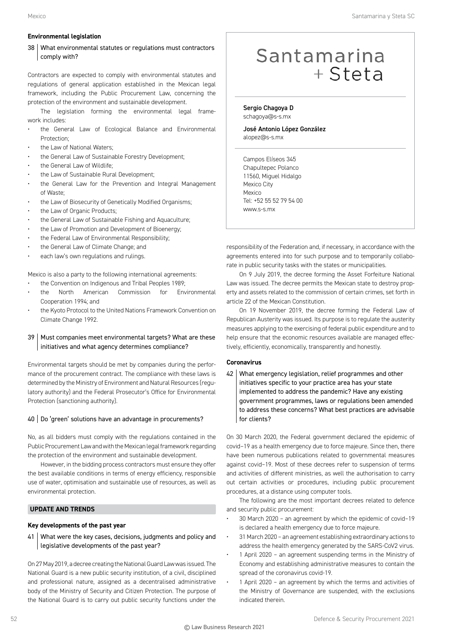# **Environmental legislation**

# 38 What environmental statutes or regulations must contractors comply with?

Contractors are expected to comply with environmental statutes and regulations of general application established in the Mexican legal framework, including the Public Procurement Law, concerning the protection of the environment and sustainable development.

The legislation forming the environmental legal framework includes:

- the General Law of Ecological Balance and Environmental Protection;
- the Law of National Waters;
- the General Law of Sustainable Forestry Development;
- the General Law of Wildlife;
- the Law of Sustainable Rural Development;
- the General Law for the Prevention and Integral Management of Waste;
- the Law of Biosecurity of Genetically Modified Organisms;
- the Law of Organic Products;
- the General Law of Sustainable Fishing and Aquaculture;
- the Law of Promotion and Development of Bioenergy;
- the Federal Law of Environmental Responsibility;
- the General Law of Climate Change; and
- each law's own regulations and rulings.

Mexico is also a party to the following international agreements:

- the Convention on Indigenous and Tribal Peoples 1989;
- the North American Commission for Environmental Cooperation 1994; and
- the Kyoto Protocol to the United Nations Framework Convention on Climate Change 1992.

# 39 | Must companies meet environmental targets? What are these initiatives and what agency determines compliance?

Environmental targets should be met by companies during the performance of the procurement contract. The compliance with these laws is determined by the Ministry of Environment and Natural Resources (regulatory authority) and the Federal Prosecutor's Office for Environmental Protection (sanctioning authority).

# 40 Do 'green' solutions have an advantage in procurements?

No, as all bidders must comply with the regulations contained in the Public Procurement Law and with the Mexican legal framework regarding the protection of the environment and sustainable development.

However, in the bidding process contractors must ensure they offer the best available conditions in terms of energy efficiency, responsible use of water, optimisation and sustainable use of resources, as well as environmental protection.

# **UPDATE AND TRENDS**

# **Key developments of the past year**

41 | What were the key cases, decisions, judgments and policy and legislative developments of the past year?

On 27 May 2019, a decree creating the National Guard Law was issued. The National Guard is a new public security institution, of a civil, disciplined and professional nature, assigned as a decentralised administrative body of the Ministry of Security and Citizen Protection. The purpose of the National Guard is to carry out public security functions under the

# Santamarina  $+$  Steta

Sergio Chagoya D schagoya@s-s.mx

José Antonio López González alopez@s-s.mx

Campos Elíseos 345 Chapultepec Polanco 11560, Miguel Hidalgo Mexico City Mexico Tel: +52 55 52 79 54 00 www.s-s.mx

responsibility of the Federation and, if necessary, in accordance with the agreements entered into for such purpose and to temporarily collaborate in public security tasks with the states or municipalities.

On 9 July 2019, the decree forming the Asset Forfeiture National Law was issued. The decree permits the Mexican state to destroy property and assets related to the commission of certain crimes, set forth in article 22 of the Mexican Constitution.

On 19 November 2019, the decree forming the Federal Law of Republican Austerity was issued. Its purpose is to regulate the austerity measures applying to the exercising of federal public expenditure and to help ensure that the economic resources available are managed effectively, efficiently, economically, transparently and honestly.

# **Coronavirus**

42 What emergency legislation, relief programmes and other initiatives specific to your practice area has your state implemented to address the pandemic? Have any existing government programmes, laws or regulations been amended to address these concerns? What best practices are advisable for clients?

On 30 March 2020, the Federal government declared the epidemic of covid–19 as a health emergency due to force majeure. Since then, there have been numerous publications related to governmental measures against covid–19. Most of these decrees refer to suspension of terms and activities of different ministries, as well the authorisation to carry out certain activities or procedures, including public procurement procedures, at a distance using computer tools.

The following are the most important decrees related to defence and security public procurement:

- 30 March 2020 an agreement by which the epidemic of covid–19 is declared a health emergency due to force majeure.
- 31 March 2020 an agreement establishing extraordinary actions to address the health emergency generated by the SARS-CoV2 virus.
- 1 April 2020 an agreement suspending terms in the Ministry of Economy and establishing administrative measures to contain the spread of the coronavirus covid-19.
- 1 April 2020 an agreement by which the terms and activities of the Ministry of Governance are suspended, with the exclusions indicated therein.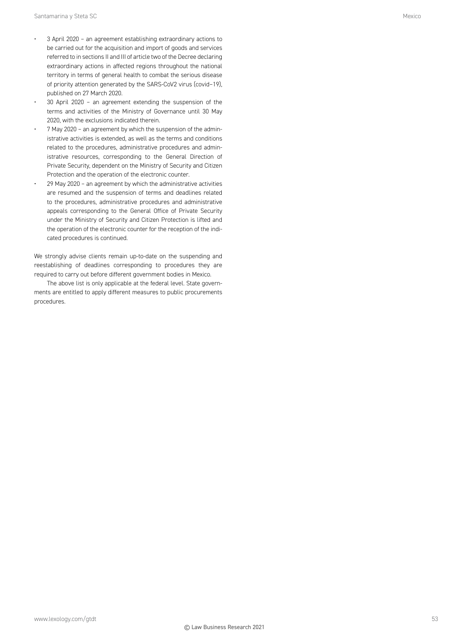- 3 April 2020 an agreement establishing extraordinary actions to be carried out for the acquisition and import of goods and services referred to in sections II and III of article two of the Decree declaring extraordinary actions in affected regions throughout the national territory in terms of general health to combat the serious disease of priority attention generated by the SARS-CoV2 virus (covid–19), published on 27 March 2020.
- 30 April 2020 an agreement extending the suspension of the terms and activities of the Ministry of Governance until 30 May 2020, with the exclusions indicated therein.
- 7 May 2020 an agreement by which the suspension of the administrative activities is extended, as well as the terms and conditions related to the procedures, administrative procedures and administrative resources, corresponding to the General Direction of Private Security, dependent on the Ministry of Security and Citizen Protection and the operation of the electronic counter.
- 29 May 2020 an agreement by which the administrative activities are resumed and the suspension of terms and deadlines related to the procedures, administrative procedures and administrative appeals corresponding to the General Office of Private Security under the Ministry of Security and Citizen Protection is lifted and the operation of the electronic counter for the reception of the indicated procedures is continued.

We strongly advise clients remain up-to-date on the suspending and reestablishing of deadlines corresponding to procedures they are required to carry out before different government bodies in Mexico.

The above list is only applicable at the federal level. State governments are entitled to apply different measures to public procurements procedures.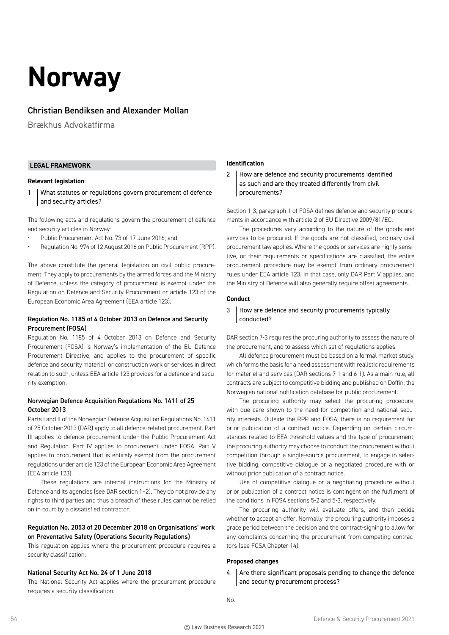# **Norway**

# Christian Bendiksen and Alexander Mollan

Brækhus Advokatfirma

# **LEGAL FRAMEWORK**

# **Relevant legislation**

1 What statutes or regulations govern procurement of defence and security articles?

The following acts and regulations govern the procurement of defence and security articles in Norway:

- Public Procurement Act No. 73 of 17 June 2016; and
- Regulation No. 974 of 12 August 2016 on Public Procurement (RPP).

The above constitute the general legislation on civil public procurement. They apply to procurements by the armed forces and the Ministry of Defence, unless the category of procurement is exempt under the Regulation on Defence and Security Procurement or article 123 of the European Economic Area Agreement (EEA article 123).

# Regulation No. 1185 of 4 October 2013 on Defence and Security Procurement (FOSA)

Regulation No. 1185 of 4 October 2013 on Defence and Security Procurement (FOSA) is Norway's implementation of the EU Defence Procurement Directive, and applies to the procurement of specific defence and security materiel, or construction work or services in direct relation to such, unless EEA article 123 provides for a defence and security exemption.

# Norwegian Defence Acquisition Regulations No. 1411 of 25 October 2013

Parts I and II of the Norwegian Defence Acquisition Regulations No. 1411 of 25 October 2013 (DAR) apply to all defence-related procurement. Part III applies to defence procurement under the Public Procurement Act and Regulation. Part IV applies to procurement under FOSA. Part V applies to procurement that is entirely exempt from the procurement regulations under article 123 of the European Economic Area Agreement (EEA article 123).

These regulations are internal instructions for the Ministry of Defence and its agencies (see DAR section 1–2). They do not provide any rights to third parties and thus a breach of these rules cannot be relied on in court by a dissatisfied contractor.

# Regulation No. 2053 of 20 December 2018 on Organisations' work on Preventative Safety (Operations Security Regulations)

This regulation applies where the procurement procedure requires a security classification.

# National Security Act No. 24 of 1 June 2018

The National Security Act applies where the procurement procedure requires a security classification.

# **Identification**

2 How are defence and security procurements identified as such and are they treated differently from civil procurements?

Section 1-3, paragraph 1 of FOSA defines defence and security procurements in accordance with article 2 of EU Directive 2009/81/EC.

The procedures vary according to the nature of the goods and services to be procured. If the goods are not classified, ordinary civil procurement law applies. Where the goods or services are highly sensitive, or their requirements or specifications are classified, the entire procurement procedure may be exempt from ordinary procurement rules under EEA article 123. In that case, only DAR Part V applies, and the Ministry of Defence will also generally require offset agreements.

# **Conduct**

3 How are defence and security procurements typically conducted?

DAR section 7-3 requires the procuring authority to assess the nature of the procurement, and to assess which set of regulations applies.

All defence procurement must be based on a formal market study, which forms the basis for a need assessment with realistic requirements for materiel and services (DAR sections 7-1 and 6-1). As a main rule, all contracts are subject to competitive bidding and published on Doffin, the Norwegian national notification database for public procurement.

The procuring authority may select the procuring procedure, with due care shown to the need for competition and national security interests. Outside the RPP and FOSA, there is no requirement for prior publication of a contract notice. Depending on certain circumstances related to EEA threshold values and the type of procurement, the procuring authority may choose to conduct the procurement without competition through a single-source procurement, to engage in selective bidding, competitive dialogue or a negotiated procedure with or without prior publication of a contract notice.

Use of competitive dialogue or a negotiating procedure without prior publication of a contract notice is contingent on the fulfilment of the conditions in FOSA sections 5-2 and 5-3, respectively.

The procuring authority will evaluate offers, and then decide whether to accept an offer. Normally, the procuring authority imposes a grace period between the decision and the contract-signing to allow for any complaints concerning the procurement from competing contractors (see FOSA Chapter 14).

# **Proposed changes**

 $4$  Are there significant proposals pending to change the defence and security procurement process?

No.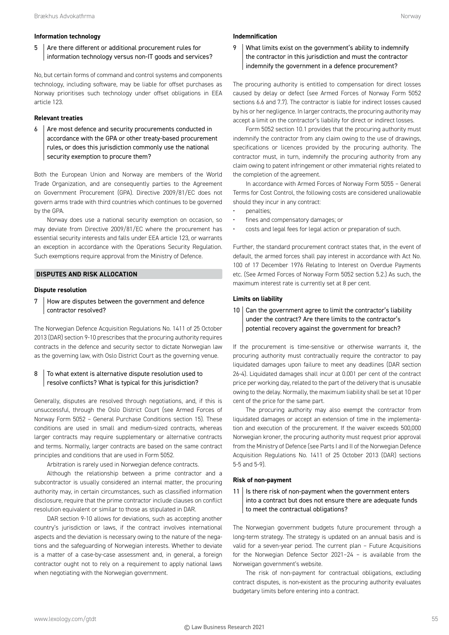#### **Information technology**

5 Are there different or additional procurement rules for information technology versus non-IT goods and services?

No, but certain forms of command and control systems and components technology, including software, may be liable for offset purchases as Norway prioritises such technology under offset obligations in EEA article 123.

#### **Relevant treaties**

 $6 \mid$  Are most defence and security procurements conducted in accordance with the GPA or other treaty-based procurement rules, or does this jurisdiction commonly use the national security exemption to procure them?

Both the European Union and Norway are members of the World Trade Organization, and are consequently parties to the Agreement on Government Procurement (GPA). Directive 2009/81/EC does not govern arms trade with third countries which continues to be governed by the GPA.

Norway does use a national security exemption on occasion, so may deviate from Directive 2009/81/EC where the procurement has essential security interests and falls under EEA article 123, or warrants an exception in accordance with the Operations Security Regulation. Such exemptions require approval from the Ministry of Defence.

# **DISPUTES AND RISK ALLOCATION**

#### **Dispute resolution**

7 How are disputes between the government and defence contractor resolved?

The Norwegian Defence Acquisition Regulations No. 1411 of 25 October 2013 (DAR) section 9-10 prescribes that the procuring authority requires contracts in the defence and security sector to dictate Norwegian law as the governing law, with Oslo District Court as the governing venue.

# 8 To what extent is alternative dispute resolution used to resolve conflicts? What is typical for this jurisdiction?

Generally, disputes are resolved through negotiations, and, if this is unsuccessful, through the Oslo District Court (see Armed Forces of Norway Form 5052 – General Purchase Conditions section 15). These conditions are used in small and medium-sized contracts, whereas larger contracts may require supplementary or alternative contracts and terms. Normally, larger contracts are based on the same contract principles and conditions that are used in Form 5052.

Arbitration is rarely used in Norwegian defence contracts.

Although the relationship between a prime contractor and a subcontractor is usually considered an internal matter, the procuring authority may, in certain circumstances, such as classified information disclosure, require that the prime contractor include clauses on conflict resolution equivalent or similar to those as stipulated in DAR.

DAR section 9-10 allows for deviations, such as accepting another country's jurisdiction or laws, if the contract involves international aspects and the deviation is necessary owing to the nature of the negations and the safeguarding of Norwegian interests. Whether to deviate is a matter of a case-by-case assessment and, in general, a foreign contractor ought not to rely on a requirement to apply national laws when negotiating with the Norwegian government.

# **Indemnification**

9 What limits exist on the government's ability to indemnify the contractor in this jurisdiction and must the contractor indemnify the government in a defence procurement?

The procuring authority is entitled to compensation for direct losses caused by delay or defect (see Armed Forces of Norway Form 5052 sections 6.6 and 7.7). The contractor is liable for indirect losses caused by his or her negligence. In larger contracts, the procuring authority may accept a limit on the contractor's liability for direct or indirect losses.

Form 5052 section 10.1 provides that the procuring authority must indemnify the contractor from any claim owing to the use of drawings, specifications or licences provided by the procuring authority. The contractor must, in turn, indemnify the procuring authority from any claim owing to patent infringement or other immaterial rights related to the completion of the agreement.

In accordance with Armed Forces of Norway Form 5055 – General Terms for Cost Control, the following costs are considered unallowable should they incur in any contract:

- penalties;
- fines and compensatory damages; or
- costs and legal fees for legal action or preparation of such.

Further, the standard procurement contract states that, in the event of default, the armed forces shall pay interest in accordance with Act No. 100 of 17 December 1976 Relating to Interest on Overdue Payments etc. (See Armed Forces of Norway Form 5052 section 5.2.) As such, the maximum interest rate is currently set at 8 per cent.

#### **Limits on liability**

10  $\vert$  Can the government agree to limit the contractor's liability under the contract? Are there limits to the contractor's potential recovery against the government for breach?

If the procurement is time-sensitive or otherwise warrants it, the procuring authority must contractually require the contractor to pay liquidated damages upon failure to meet any deadlines (DAR section 26-4). Liquidated damages shall incur at 0.001 per cent of the contract price per working day, related to the part of the delivery that is unusable owing to the delay. Normally, the maximum liability shall be set at 10 per cent of the price for the same part.

The procuring authority may also exempt the contractor from liquidated damages or accept an extension of time in the implementation and execution of the procurement. If the waiver exceeds 500,000 Norwegian kroner, the procuring authority must request prior approval from the Ministry of Defence (see Parts I and II of the Norwegian Defence Acquisition Regulations No. 1411 of 25 October 2013 (DAR) sections 5-5 and 5-9).

#### **Risk of non-payment**

# $11$  | Is there risk of non-payment when the government enters into a contract but does not ensure there are adequate funds to meet the contractual obligations?

The Norwegian government budgets future procurement through a long-term strategy. The strategy is updated on an annual basis and is valid for a seven-year period. The current plan – Future Acquisitions for the Norwegian Defence Sector 2021–24 – is available from the Norweigan government's website.

The risk of non-payment for contractual obligations, excluding contract disputes, is non-existent as the procuring authority evaluates budgetary limits before entering into a contract.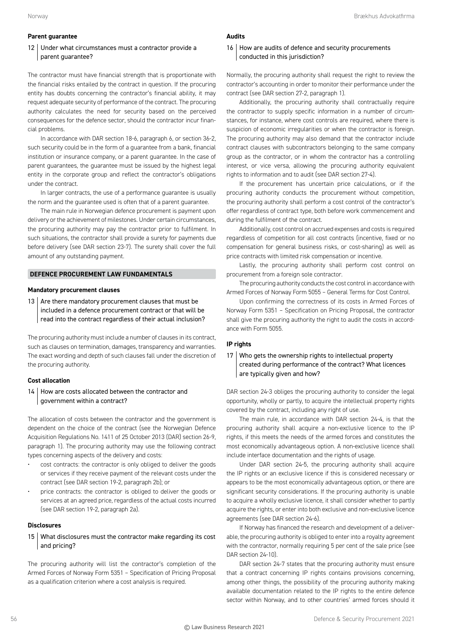# **Parent guarantee**

# 12 Under what circumstances must a contractor provide a parent guarantee?

The contractor must have financial strength that is proportionate with the financial risks entailed by the contract in question. If the procuring entity has doubts concerning the contractor's financial ability, it may request adequate security of performance of the contract. The procuring authority calculates the need for security based on the perceived consequences for the defence sector, should the contractor incur financial problems.

In accordance with DAR section 18-6, paragraph 6, or section 36-2, such security could be in the form of a guarantee from a bank, financial institution or insurance company, or a parent guarantee. In the case of parent guarantees, the guarantee must be issued by the highest legal entity in the corporate group and reflect the contractor's obligations under the contract.

In larger contracts, the use of a performance guarantee is usually the norm and the guarantee used is often that of a parent guarantee.

The main rule in Norwegian defence procurement is payment upon delivery or the achievement of milestones. Under certain circumstances, the procuring authority may pay the contractor prior to fulfilment. In such situations, the contractor shall provide a surety for payments due before delivery (see DAR section 23-7). The surety shall cover the full amount of any outstanding payment.

# **DEFENCE PROCUREMENT LAW FUNDAMENTALS**

#### **Mandatory procurement clauses**

13  $\vert$  Are there mandatory procurement clauses that must be included in a defence procurement contract or that will be read into the contract regardless of their actual inclusion?

The procuring authority must include a number of clauses in its contract, such as clauses on termination, damages, transparency and warranties. The exact wording and depth of such clauses fall under the discretion of the procuring authority.

# **Cost allocation**

14 | How are costs allocated between the contractor and government within a contract?

The allocation of costs between the contractor and the government is dependent on the choice of the contract (see the Norwegian Defence Acquisition Regulations No. 1411 of 25 October 2013 (DAR) section 26-9, paragraph 1). The procuring authority may use the following contract types concerning aspects of the delivery and costs:

- cost contracts: the contractor is only obliged to deliver the goods or services if they receive payment of the relevant costs under the contract (see DAR section 19-2, paragraph 2b); or
- price contracts: the contractor is obliged to deliver the goods or services at an agreed price, regardless of the actual costs incurred (see DAR section 19-2, paragraph 2a).

#### **Disclosures**

15 What disclosures must the contractor make regarding its cost and pricing?

The procuring authority will list the contractor's completion of the Armed Forces of Norway Form 5351 – Specification of Pricing Proposal as a qualification criterion where a cost analysis is required.

# **Audits**

# 16 How are audits of defence and security procurements conducted in this jurisdiction?

Normally, the procuring authority shall request the right to review the contractor's accounting in order to monitor their performance under the contract (see DAR section 27-2, paragraph 1).

Additionally, the procuring authority shall contractually require the contractor to supply specific information in a number of circumstances, for instance, where cost controls are required, where there is suspicion of economic irregularities or when the contractor is foreign. The procuring authority may also demand that the contractor include contract clauses with subcontractors belonging to the same company group as the contractor, or in whom the contractor has a controlling interest, or vice versa, allowing the procuring authority equivalent rights to information and to audit (see DAR section 27-4).

If the procurement has uncertain price calculations, or if the procuring authority conducts the procurement without competition, the procuring authority shall perform a cost control of the contractor's offer regardless of contract type, both before work commencement and during the fulfilment of the contract.

Additionally, cost control on accrued expenses and costs is required regardless of competition for all cost contracts (incentive, fixed or no compensation for general business risks, or cost-sharing) as well as price contracts with limited risk compensation or incentive.

Lastly, the procuring authority shall perform cost control on procurement from a foreign sole contractor.

The procuring authority conducts the cost control in accordance with Armed Forces of Norway Form 5055 – General Terms for Cost Control.

Upon confirming the correctness of its costs in Armed Forces of Norway Form 5351 – Specification on Pricing Proposal, the contractor shall give the procuring authority the right to audit the costs in accordance with Form 5055.

#### **IP rights**

# 17 Who gets the ownership rights to intellectual property created during performance of the contract? What licences are typically given and how?

DAR section 24-3 obliges the procuring authority to consider the legal opportunity, wholly or partly, to acquire the intellectual property rights covered by the contract, including any right of use.

The main rule, in accordance with DAR section 24-4, is that the procuring authority shall acquire a non-exclusive licence to the IP rights, if this meets the needs of the armed forces and constitutes the most economically advantageous option. A non-exclusive licence shall include interface documentation and the rights of usage.

Under DAR section 24-5, the procuring authority shall acquire the IP rights or an exclusive licence if this is considered necessary or appears to be the most economically advantageous option, or there are significant security considerations. If the procuring authority is unable to acquire a wholly exclusive licence, it shall consider whether to partly acquire the rights, or enter into both exclusive and non-exclusive licence agreements (see DAR section 24-6).

If Norway has financed the research and development of a deliverable, the procuring authority is obliged to enter into a royalty agreement with the contractor, normally requiring 5 per cent of the sale price (see DAR section 24-10).

DAR section 24-7 states that the procuring authority must ensure that a contract concerning IP rights contains provisions concerning, among other things, the possibility of the procuring authority making available documentation related to the IP rights to the entire defence sector within Norway, and to other countries' armed forces should it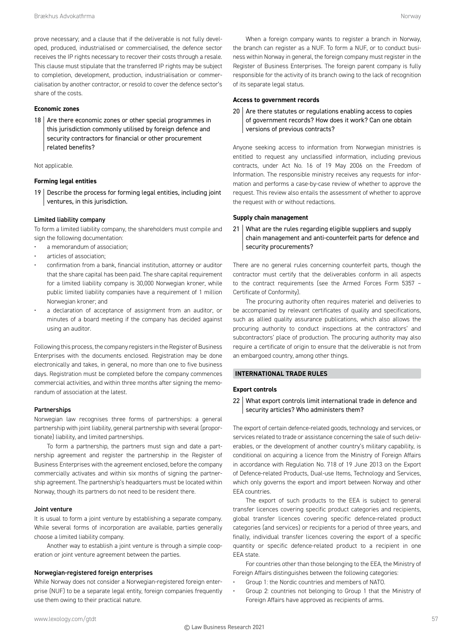prove necessary; and a clause that if the deliverable is not fully developed, produced, industrialised or commercialised, the defence sector receives the IP rights necessary to recover their costs through a resale. This clause must stipulate that the transferred IP rights may be subject to completion, development, production, industrialisation or commercialisation by another contractor, or resold to cover the defence sector's share of the costs.

# **Economic zones**

18  $\vert$  Are there economic zones or other special programmes in this jurisdiction commonly utilised by foreign defence and security contractors for financial or other procurement related benefits?

#### Not applicable.

#### **Forming legal entities**

19 Describe the process for forming legal entities, including joint ventures, in this jurisdiction.

#### Limited liability company

To form a limited liability company, the shareholders must compile and sign the following documentation:

- a memorandum of association;
- articles of association;
- confirmation from a bank, financial institution, attorney or auditor that the share capital has been paid. The share capital requirement for a limited liability company is 30,000 Norwegian kroner, while public limited liability companies have a requirement of 1 million Norwegian kroner; and
- a declaration of acceptance of assignment from an auditor, or minutes of a board meeting if the company has decided against using an auditor.

Following this process, the company registers in the Register of Business Enterprises with the documents enclosed. Registration may be done electronically and takes, in general, no more than one to five business days. Registration must be completed before the company commences commercial activities, and within three months after signing the memorandum of association at the latest.

#### Partnerships

Norwegian law recognises three forms of partnerships: a general partnership with joint liability, general partnership with several (proportionate) liability, and limited partnerships.

To form a partnership, the partners must sign and date a partnership agreement and register the partnership in the Register of Business Enterprises with the agreement enclosed, before the company commercially activates and within six months of signing the partnership agreement. The partnership's headquarters must be located within Norway, though its partners do not need to be resident there.

#### Joint venture

It is usual to form a joint venture by establishing a separate company. While several forms of incorporation are available, parties generally choose a limited liability company.

Another way to establish a joint venture is through a simple cooperation or joint venture agreement between the parties.

#### Norwegian-registered foreign enterprises

While Norway does not consider a Norwegian-registered foreign enterprise (NUF) to be a separate legal entity, foreign companies frequently use them owing to their practical nature.

When a foreign company wants to register a branch in Norway, the branch can register as a NUF. To form a NUF, or to conduct business within Norway in general, the foreign company must register in the Register of Business Enterprises. The foreign parent company is fully responsible for the activity of its branch owing to the lack of recognition of its separate legal status.

#### **Access to government records**

 $20$  Are there statutes or regulations enabling access to copies of government records? How does it work? Can one obtain versions of previous contracts?

Anyone seeking access to information from Norwegian ministries is entitled to request any unclassified information, including previous contracts, under Act No. 16 of 19 May 2006 on the Freedom of Information. The responsible ministry receives any requests for information and performs a case-by-case review of whether to approve the request. This review also entails the assessment of whether to approve the request with or without redactions.

#### **Supply chain management**

21 What are the rules regarding eligible suppliers and supply chain management and anti-counterfeit parts for defence and security procurements?

There are no general rules concerning counterfeit parts, though the contractor must certify that the deliverables conform in all aspects to the contract requirements (see the Armed Forces Form 5357 – Certificate of Conformity).

The procuring authority often requires materiel and deliveries to be accompanied by relevant certificates of quality and specifications, such as allied quality assurance publications, which also allows the procuring authority to conduct inspections at the contractors' and subcontractors' place of production. The procuring authority may also require a certificate of origin to ensure that the deliverable is not from an embargoed country, among other things.

# **INTERNATIONAL TRADE RULES**

#### **Export controls**

22 What export controls limit international trade in defence and security articles? Who administers them?

The export of certain defence-related goods, technology and services, or services related to trade or assistance concerning the sale of such deliverables, or the development of another country's military capability, is conditional on acquiring a licence from the Ministry of Foreign Affairs in accordance with Regulation No. 718 of 19 June 2013 on the Export of Defence-related Products, Dual-use Items, Technology and Services, which only governs the export and import between Norway and other EEA countries.

The export of such products to the EEA is subject to general transfer licences covering specific product categories and recipients, global transfer licences covering specific defence-related product categories (and services) or recipients for a period of three years, and finally, individual transfer licences covering the export of a specific quantity or specific defence-related product to a recipient in one EEA state.

For countries other than those belonging to the EEA, the Ministry of Foreign Affairs distinguishes between the following categories:

- Group 1: the Nordic countries and members of NATO.
- Group 2: countries not belonging to Group 1 that the Ministry of Foreign Affairs have approved as recipients of arms.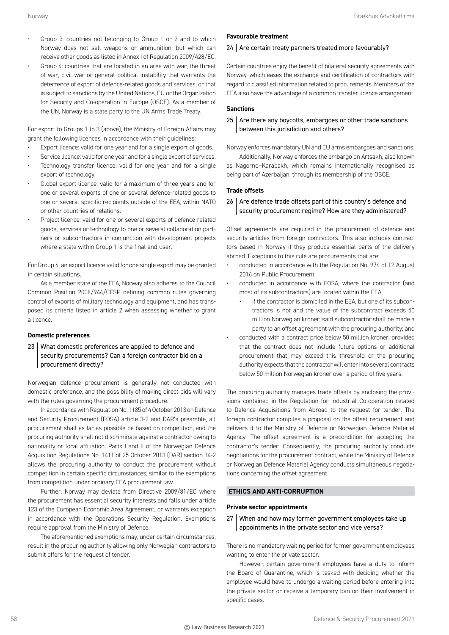- Group 3: countries not belonging to Group 1 or 2 and to which Norway does not sell weapons or ammunition, but which can receive other goods as listed in Annex I of Regulation 2009/428/EC.
- Group 4: countries that are located in an area with war, the threat of war, civil war or general political instability that warrants the deterrence of export of defence-related goods and services, or that is subject to sanctions by the United Nations, EU or the Organization for Security and Co-operation in Europe (OSCE). As a member of the UN, Norway is a state party to the UN Arms Trade Treaty.

For export to Groups 1 to 3 (above), the Ministry of Foreign Affairs may grant the following licences in accordance with their guidelines:

- Export licence: valid for one year and for a single export of goods.
- Service licence: valid for one year and for a single export of services.
- Technology transfer licence: valid for one year and for a single export of technology.
- Global export licence: valid for a maximum of three years and for one or several exports of one or several defence-related goods to one or several specific recipients outside of the EEA, within NATO or other countries of relations.
- Project licence: valid for one or several exports of defence-related goods, services or technology to one or several collaboration partners or subcontractors in conjunction with development projects where a state within Group 1 is the final end-user.

For Group 4, an export licence valid for one single export may be granted in certain situations.

As a member state of the EEA, Norway also adheres to the Council Common Position 2008/944/CFSP defining common rules governing control of exports of military technology and equipment, and has transposed its criteria listed in article 2 when assessing whether to grant a licence.

#### **Domestic preferences**

23 What domestic preferences are applied to defence and security procurements? Can a foreign contractor bid on a procurement directly?

Norwegian defence procurement is generally not conducted with domestic preference, and the possibility of making direct bids will vary with the rules governing the procurement procedure.

In accordance with Regulation No. 1185 of 4 October 2013 on Defence and Security Procurement (FOSA) article 3-2 and DAR's preamble, all procurement shall as far as possible be based on competition, and the procuring authority shall not discriminate against a contractor owing to nationality or local affiliation. Parts I and II of the Norwegian Defence Acquisition Regulations No. 1411 of 25 October 2013 (DAR) section 34-2 allows the procuring authority to conduct the procurement without competition in certain specific circumstances, similar to the exemptions from competition under ordinary EEA procurement law.

Further, Norway may deviate from Directive 2009/81/EC where the procurement has essential security interests and falls under article 123 of the European Economic Area Agreement, or warrants exception in accordance with the Operations Security Regulation. Exemptions require approval from the Ministry of Defence.

The aforementioned exemptions may, under certain circumstances, result in the procuring authority allowing only Norwegian contractors to submit offers for the request of tender.

#### **Favourable treatment**

#### 24 Are certain treaty partners treated more favourably?

Certain countries enjoy the benefit of bilateral security agreements with Norway, which eases the exchange and certification of contractors with regard to classified information related to procurements. Members of the EEA also have the advantage of a common transfer licence arrangement.

#### **Sanctions**

# $25$  Are there any boycotts, embargoes or other trade sanctions between this jurisdiction and others?

Norway enforces mandatory UN and EU arms embargoes and sanctions.

Additionally, Norway enforces the embargo on Artsakh, also known as Nagorno–Karabakh, which remains internationally recognised as being part of Azerbaijan, through its membership of the OSCE.

#### **Trade offsets**

# 26 Are defence trade offsets part of this country's defence and security procurement regime? How are they administered?

Offset agreements are required in the procurement of defence and security articles from foreign contractors. This also includes contractors based in Norway if they produce essential parts of the delivery abroad. Exceptions to this rule are procurements that are:

- conducted in accordance with the Regulation No. 974 of 12 August 2016 on Public Procurement;
- conducted in accordance with FOSA, where the contractor (and most of its subcontractors) are located within the EEA;
	- if the contractor is domiciled in the FFA, but one of its subcontractors is not and the value of the subcontract exceeds 50 million Norwegian kroner, said subcontractor shall be made a party to an offset agreement with the procuring authority; and
- conducted with a contract price below 50 million kroner, provided that the contract does not include future options or additional procurement that may exceed this threshold or the procuring authority expects that the contractor will enter into several contracts below 50 million Norwegian kroner over a period of five years.

The procuring authority manages trade offsets by enclosing the provisions contained in the Regulation for Industrial Co-operation related to Defence Acquisitions from Abroad to the request for tender. The foreign contractor compiles a proposal on the offset requirement and delivers it to the Ministry of Defence or Norwegian Defence Materiel Agency. The offset agreement is a precondition for accepting the contractor's tender. Consequently, the procuring authority conducts negotiations for the procurement contract, while the Ministry of Defence or Norwegian Defence Materiel Agency conducts simultaneous negotiations concerning the offset agreement.

# **ETHICS AND ANTI-CORRUPTION**

# **Private sector appointments**

27 When and how may former government employees take up appointments in the private sector and vice versa?

There is no mandatory waiting period for former government employees wanting to enter the private sector.

However, certain government employees have a duty to inform the Board of Quarantine, which is tasked with deciding whether the employee would have to undergo a waiting period before entering into the private sector or receive a temporary ban on their involvement in specific cases.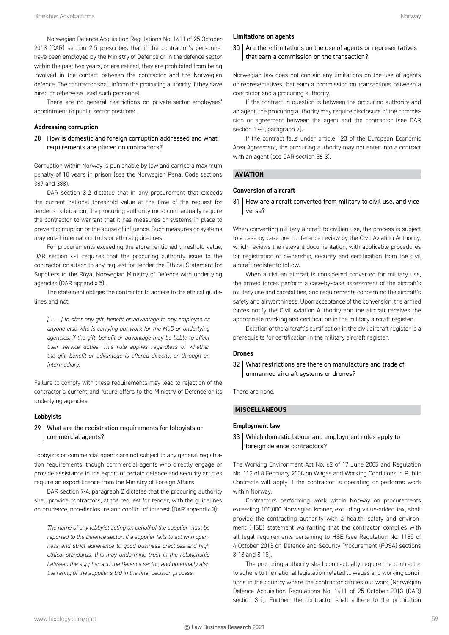Norwegian Defence Acquisition Regulations No. 1411 of 25 October 2013 (DAR) section 2-5 prescribes that if the contractor's personnel have been employed by the Ministry of Defence or in the defence sector within the past two years, or are retired, they are prohibited from being involved in the contact between the contractor and the Norwegian defence. The contractor shall inform the procuring authority if they have hired or otherwise used such personnel.

There are no general restrictions on private-sector employees' appointment to public sector positions.

# **Addressing corruption**

28 | How is domestic and foreign corruption addressed and what requirements are placed on contractors?

Corruption within Norway is punishable by law and carries a maximum penalty of 10 years in prison (see the Norwegian Penal Code sections 387 and 388).

DAR section 3-2 dictates that in any procurement that exceeds the current national threshold value at the time of the request for tender's publication, the procuring authority must contractually require the contractor to warrant that it has measures or systems in place to prevent corruption or the abuse of influence. Such measures or systems may entail internal controls or ethical guidelines.

For procurements exceeding the aforementioned threshold value, DAR section 4-1 requires that the procuring authority issue to the contractor or attach to any request for tender the Ethical Statement for Suppliers to the Royal Norwegian Ministry of Defence with underlying agencies (DAR appendix 5).

The statement obliges the contractor to adhere to the ethical guidelines and not:

*[ . . . ] to offer any gift, benefit or advantage to any employee or anyone else who is carrying out work for the MoD or underlying agencies, if the gift, benefit or advantage may be liable to affect their service duties. This rule applies regardless of whether the gift, benefit or advantage is offered directly, or through an intermediary.*

Failure to comply with these requirements may lead to rejection of the contractor's current and future offers to the Ministry of Defence or its underlying agencies.

# **Lobbyists**

# 29 What are the registration requirements for lobbyists or commercial agents?

Lobbyists or commercial agents are not subject to any general registration requirements, though commercial agents who directly engage or provide assistance in the export of certain defence and security articles require an export licence from the Ministry of Foreign Affairs.

DAR section 7-4, paragraph 2 dictates that the procuring authority shall provide contractors, at the request for tender, with the guidelines on prudence, non-disclosure and conflict of interest (DAR appendix 3):

*The name of any lobbyist acting on behalf of the supplier must be reported to the Defence sector. If a supplier fails to act with openness and strict adherence to good business practices and high ethical standards, this may undermine trust in the relationship between the supplier and the Defence sector, and potentially also the rating of the supplier's bid in the final decision process.*

# **Limitations on agents**

# 30 Are there limitations on the use of agents or representatives that earn a commission on the transaction?

Norwegian law does not contain any limitations on the use of agents or representatives that earn a commission on transactions between a contractor and a procuring authority.

If the contract in question is between the procuring authority and an agent, the procuring authority may require disclosure of the commission or agreement between the agent and the contractor (see DAR section 17-3, paragraph 7).

If the contract falls under article 123 of the European Economic Area Agreement, the procuring authority may not enter into a contract with an agent (see DAR section 36-3).

# **AVIATION**

#### **Conversion of aircraft**

31 | How are aircraft converted from military to civil use, and vice versa?

When converting military aircraft to civilian use, the process is subject to a case-by-case pre-conference review by the Civil Aviation Authority, which reviews the relevant documentation, with applicable procedures for registration of ownership, security and certification from the civil aircraft register to follow.

When a civilian aircraft is considered converted for military use, the armed forces perform a case-by-case assessment of the aircraft's military use and capabilities, and requirements concerning the aircraft's safety and airworthiness. Upon acceptance of the conversion, the armed forces notify the Civil Aviation Authority and the aircraft receives the appropriate marking and certification in the military aircraft register.

Deletion of the aircraft's certification in the civil aircraft register is a prerequisite for certification in the military aircraft register.

#### **Drones**

32 What restrictions are there on manufacture and trade of unmanned aircraft systems or drones?

There are none.

# **MISCELLANEOUS**

# **Employment law**

# 33 Which domestic labour and employment rules apply to foreign defence contractors?

The Working Environment Act No. 62 of 17 June 2005 and Regulation No. 112 of 8 February 2008 on Wages and Working Conditions in Public Contracts will apply if the contractor is operating or performs work within Norway.

Contractors performing work within Norway on procurements exceeding 100,000 Norwegian kroner, excluding value-added tax, shall provide the contracting authority with a health, safety and environment (HSE) statement warranting that the contractor complies with all legal requirements pertaining to HSE (see Regulation No. 1185 of 4 October 2013 on Defence and Security Procurement (FOSA) sections 3-13 and 8-18).

The procuring authority shall contractually require the contractor to adhere to the national legislation related to wages and working conditions in the country where the contractor carries out work (Norwegian Defence Acquisition Regulations No. 1411 of 25 October 2013 (DAR) section 3-1). Further, the contractor shall adhere to the prohibition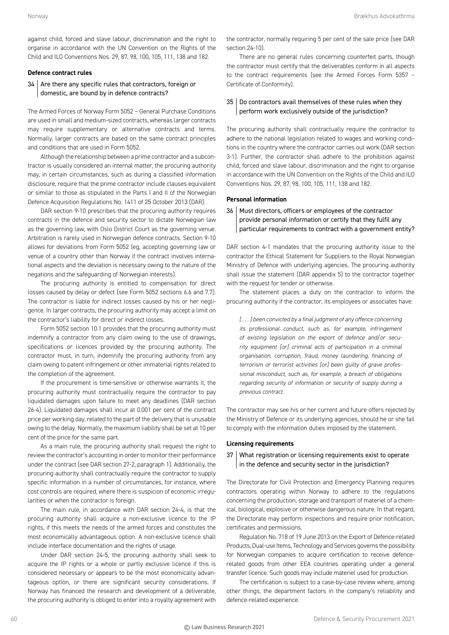against child, forced and slave labour, discrimination and the right to organise in accordance with the UN Convention on the Rights of the Child and ILO Conventions Nos. 29, 87, 98, 100, 105, 111, 138 and 182.

#### **Defence contract rules**

# 34 Are there any specific rules that contractors, foreign or domestic, are bound by in defence contracts?

The Armed Forces of Norway Form 5052 – General Purchase Conditions are used in small and medium-sized contracts, whereas larger contracts may require supplementary or alternative contracts and terms. Normally, larger contracts are based on the same contract principles and conditions that are used in Form 5052.

Although the relationship between a prime contractor and a subcontractor is usually considered an internal matter, the procuring authority may, in certain circumstances, such as during a classified information disclosure, require that the prime contractor include clauses equivalent or similar to those as stipulated in the Parts I and II of the Norwegian Defence Acquisition Regulations No. 1411 of 25 October 2013 (DAR).

DAR section 9-10 prescribes that the procuring authority requires contracts in the defence and security sector to dictate Norwegian law as the governing law, with Oslo District Court as the governing venue. Arbitration is rarely used in Norwegian defence contracts. Section 9-10 allows for deviations from Form 5052 (eg, accepting governing law or venue of a country other than Norway if the contract involves international aspects and the deviation is necessary owing to the nature of the negations and the safeguarding of Norwegian interests).

The procuring authority is entitled to compensation for direct losses caused by delay or defect (see Form 5052 sections 6.6 and 7.7). The contractor is liable for indirect losses caused by his or her negligence. In larger contracts, the procuring authority may accept a limit on the contractor's liability for direct or indirect losses.

Form 5052 section 10.1 provides that the procuring authority must indemnify a contractor from any claim owing to the use of drawings, specifications or licences provided by the procuring authority. The contractor must, in turn, indemnify the procuring authority from any claim owing to patent infringement or other immaterial rights related to the completion of the agreement.

If the procurement is time-sensitive or otherwise warrants it, the procuring authority must contractually require the contractor to pay liquidated damages upon failure to meet any deadlines (DAR section 26-4). Liquidated damages shall incur at 0.001 per cent of the contract price per working day, related to the part of the delivery that is unusable owing to the delay. Normally, the maximum liability shall be set at 10 per cent of the price for the same part.

As a main rule, the procuring authority shall request the right to review the contractor's accounting in order to monitor their performance under the contract (see DAR section 27-2, paragraph 1). Additionally, the procuring authority shall contractually require the contractor to supply specific information in a number of circumstances, for instance, where cost controls are required, where there is suspicion of economic irregularities or when the contractor is foreign.

The main rule, in accordance with DAR section 24-4, is that the procuring authority shall acquire a non-exclusive licence to the IP rights, if this meets the needs of the armed forces and constitutes the most economically advantageous option. A non-exclusive licence shall include interface documentation and the rights of usage.

Under DAR section 24-5, the procuring authority shall seek to acquire the IP rights or a whole or partly exclusive licence if this is considered necessary or appears to be the most economically advantageous option, or there are significant security considerations. If Norway has financed the research and development of a deliverable, the procuring authority is obliged to enter into a royalty agreement with

the contractor, normally requiring 5 per cent of the sale price (see DAR section 24-10)

There are no general rules concerning counterfeit parts, though the contractor must certify that the deliverables conform in all aspects to the contract requirements (see the Armed Forces Form 5357 – Certificate of Conformity).

# 35 | Do contractors avail themselves of these rules when they perform work exclusively outside of the jurisdiction?

The procuring authority shall contractually require the contractor to adhere to the national legislation related to wages and working conditions in the country where the contractor carries out work (DAR section 3-1). Further, the contractor shall adhere to the prohibition against child, forced and slave labour, discrimination and the right to organise in accordance with the UN Convention on the Rights of the Child and ILO Conventions Nos. 29, 87, 98, 100, 105, 111, 138 and 182.

# **Personal information**

# 36 Must directors, officers or employees of the contractor provide personal information or certify that they fulfil any particular requirements to contract with a government entity?

DAR section 4-1 mandates that the procuring authority issue to the contractor the Ethical Statement for Suppliers to the Royal Norwegian Ministry of Defence with underlying agencies. The procuring authority shall issue the statement (DAR appendix 5) to the contractor together with the request for tender or otherwise.

The statement places a duty on the contractor to inform the procuring authority if the contractor, its employees or associates have:

*[ . . . ] been convicted by a final judgment of any offence concerning its professional conduct, such as, for example, infringement of existing legislation on the export of defence and/or security equipment [or] criminal acts of participation in a criminal organisation, corruption, fraud, money laundering, financing of terrorism or terrorist activities [or] been guilty of grave professional misconduct, such as, for example, a breach of obligations regarding security of information or security of supply during a previous contract.*

The contractor may see his or her current and future offers rejected by the Ministry of Defence or its underlying agencies, should he or she fail to comply with the information duties imposed by the statement.

#### **Licensing requirements**

# 37 What registration or licensing requirements exist to operate in the defence and security sector in the jurisdiction?

The Directorate for Civil Protection and Emergency Planning requires contractors operating within Norway to adhere to the regulations concerning the production, storage and transport of materiel of a chemical, biological, explosive or otherwise dangerous nature. In that regard, the Directorate may perform inspections and require prior notification, certificates and permissions.

Regulation No. 718 of 19 June 2013 on the Export of Defence-related Products, Dual-use Items, Technology and Services governs the possibility for Norwegian companies to acquire certification to receive defencerelated goods from other EEA countries operating under a general transfer licence. Such goods may include materiel used for production.

The certification is subject to a case-by-case review where, among other things, the department factors in the company's reliability and defence-related experience.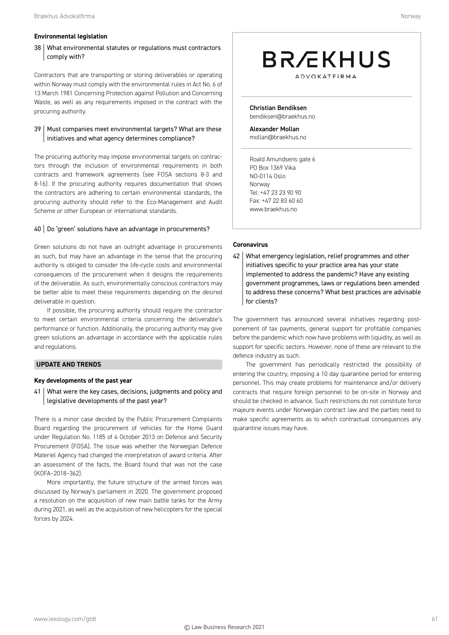# **Environmental legislation**

# 38 What environmental statutes or regulations must contractors comply with?

Contractors that are transporting or storing deliverables or operating within Norway must comply with the environmental rules in Act No. 6 of 13 March 1981 Concerning Protection against Pollution and Concerning Waste, as well as any requirements imposed in the contract with the procuring authority.

# 39 | Must companies meet environmental targets? What are these initiatives and what agency determines compliance?

The procuring authority may impose environmental targets on contractors through the inclusion of environmental requirements in both contracts and framework agreements (see FOSA sections 8-3 and 8-16). If the procuring authority requires documentation that shows the contractors are adhering to certain environmental standards, the procuring authority should refer to the Eco-Management and Audit Scheme or other European or international standards.

# 40 | Do 'green' solutions have an advantage in procurements?

Green solutions do not have an outright advantage in procurements as such, but may have an advantage in the sense that the procuring authority is obliged to consider the life-cycle costs and environmental consequences of the procurement when it designs the requirements of the deliverable. As such, environmentally conscious contractors may be better able to meet these requirements depending on the desired deliverable in question.

If possible, the procuring authority should require the contractor to meet certain environmental criteria concerning the deliverable's performance or function. Additionally, the procuring authority may give green solutions an advantage in accordance with the applicable rules and regulations.

# **UPDATE AND TRENDS**

# **Key developments of the past year**

41 What were the key cases, decisions, judgments and policy and legislative developments of the past year?

There is a minor case decided by the Public Procurement Complaints Board regarding the procurement of vehicles for the Home Guard under Regulation No. 1185 of 4 October 2013 on Defence and Security Procurement (FOSA). The issue was whether the Norwegian Defence Materiel Agency had changed the interpretation of award criteria. After an assessment of the facts, the Board found that was not the case (KOFA–2018–362).

More importantly, the future structure of the armed forces was discussed by Norway's parliament in 2020. The government proposed a resolution on the acquisition of new main battle tanks for the Army during 2021, as well as the acquisition of new helicopters for the special forces by 2024.

# **BR***E*KHUS **ADVOKATFIRMA**

Christian Bendiksen bendiksen@braekhus.no

Alexander Mollan mollan@braekhus.no

Roald Amundsens gate 6 PO Box 1369 Vika NO-0114 Oslo Norway Tel: +47 23 23 90 90 Fax: +47 22 83 60 60 www.braekhus.no

# **Coronavirus**

42 What emergency legislation, relief programmes and other initiatives specific to your practice area has your state implemented to address the pandemic? Have any existing government programmes, laws or regulations been amended to address these concerns? What best practices are advisable for clients?

The government has announced several initiatives regarding postponement of tax payments, general support for profitable companies before the pandemic which now have problems with liquidity, as well as support for specific sectors. However, none of these are relevant to the defence industry as such.

The government has periodically restricted the possibility of entering the country, imposing a 10 day quarantine period for entering personnel. This may create problems for maintenance and/or delivery contracts that require foreign personnel to be on-site in Norway and should be checked in advance. Such restrictions do not constitute force majeure events under Norwegian contract law and the parties need to make specific agreements as to which contractual consequences any quarantine issues may have.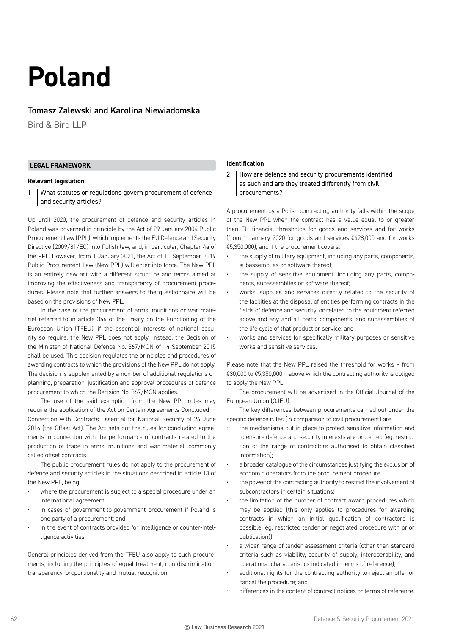# **Poland**

# Tomasz Zalewski and Karolina Niewiadomska

Bird & Bird LLP

# **LEGAL FRAMEWORK**

#### **Relevant legislation**

1 What statutes or regulations govern procurement of defence and security articles?

Up until 2020, the procurement of defence and security articles in Poland was governed in principle by the Act of 29 January 2004 Public Procurement Law (PPL), which implements the EU Defence and Security Directive (2009/81/EC) into Polish law, and, in particular, Chapter 4a of the PPL. However, from 1 January 2021, the Act of 11 September 2019 Public Procurement Law (New PPL) will enter into force. The New PPL is an entirely new act with a different structure and terms aimed at improving the effectiveness and transparency of procurement procedures. Please note that further answers to the questionnaire will be based on the provisions of New PPL.

In the case of the procurement of arms, munitions or war materiel referred to in article 346 of the Treaty on the Functioning of the European Union (TFEU), if the essential interests of national security so require, the New PPL does not apply. Instead, the Decision of the Minister of National Defence No. 367/MON of 14 September 2015 shall be used. This decision regulates the principles and procedures of awarding contracts to which the provisions of the New PPL do not apply. The decision is supplemented by a number of additional regulations on planning, preparation, justification and approval procedures of defence procurement to which the Decision No. 367/MON applies.

The use of the said exemption from the New PPL rules may require the application of the Act on Certain Agreements Concluded in Connection with Contracts Essential for National Security of 26 June 2014 (the Offset Act). The Act sets out the rules for concluding agreements in connection with the performance of contracts related to the production of trade in arms, munitions and war materiel, commonly called offset contracts.

The public procurement rules do not apply to the procurement of defence and security articles in the situations described in article 13 of the New PPL, being:

- where the procurement is subject to a special procedure under an international agreement;
- in cases of government-to-government procurement if Poland is one party of a procurement; and
- in the event of contracts provided for intelligence or counter-intelligence activities.

General principles derived from the TFEU also apply to such procurements, including the principles of equal treatment, non-discrimination, transparency, proportionality and mutual recognition.

# **Identification**

2 | How are defence and security procurements identified as such and are they treated differently from civil procurements?

A procurement by a Polish contracting authority falls within the scope of the New PPL when the contract has a value equal to or greater than EU financial thresholds for goods and services and for works (from 1 January 2020 for goods and services €428,000 and for works €5,350,000), and if the procurement covers:

- the supply of military equipment, including any parts, components, subassemblies or software thereof;
- the supply of sensitive equipment, including any parts, components, subassemblies or software thereof;
- works, supplies and services directly related to the security of the facilities at the disposal of entities performing contracts in the fields of defence and security, or related to the equipment referred above and any and all parts, components, and subassemblies of the life cycle of that product or service; and
- works and services for specifically military purposes or sensitive works and sensitive services.

Please note that the New PPL raised the threshold for works – from €30,000 to €5,350,000 – above which the contracting authority is obliged to apply the New PPL.

The procurement will be advertised in the Official Journal of the European Union (OJEU).

The key differences between procurements carried out under the specific defence rules (in comparison to civil procurement) are:

- the mechanisms put in place to protect sensitive information and to ensure defence and security interests are protected (eg, restriction of the range of contractors authorised to obtain classified information);
- a broader catalogue of the circumstances justifying the exclusion of economic operators from the procurement procedure;
- the power of the contracting authority to restrict the involvement of subcontractors in certain situations;
- the limitation of the number of contract award procedures which may be applied (this only applies to procedures for awarding contracts in which an initial qualification of contractors is possible (eg, restricted tender or negotiated procedure with prior publication));
- a wider range of tender assessment criteria (other than standard criteria such as viability, security of supply, interoperability, and operational characteristics indicated in terms of reference);
- additional rights for the contracting authority to reject an offer or cancel the procedure; and
- differences in the content of contract notices or terms of reference.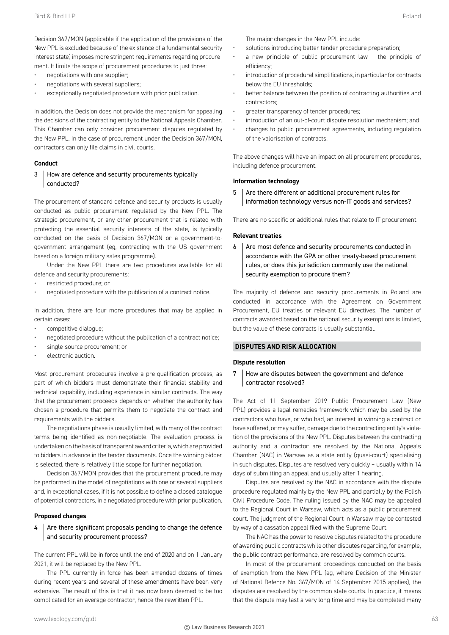Decision 367/MON (applicable if the application of the provisions of the New PPL is excluded because of the existence of a fundamental security interest state) imposes more stringent requirements regarding procurement. It limits the scope of procurement procedures to just three:

- negotiations with one supplier;
- negotiations with several suppliers;
- exceptionally negotiated procedure with prior publication.

In addition, the Decision does not provide the mechanism for appealing the decisions of the contracting entity to the National Appeals Chamber. This Chamber can only consider procurement disputes regulated by the New PPL. In the case of procurement under the Decision 367/MON, contractors can only file claims in civil courts.

#### **Conduct**

# 3 How are defence and security procurements typically conducted?

The procurement of standard defence and security products is usually conducted as public procurement regulated by the New PPL. The strategic procurement, or any other procurement that is related with protecting the essential security interests of the state, is typically conducted on the basis of Decision 367/MON or a government-togovernment arrangement (eg, contracting with the US government based on a foreign military sales programme).

Under the New PPL there are two procedures available for all defence and security procurements:

- restricted procedure; or
- negotiated procedure with the publication of a contract notice.

In addition, there are four more procedures that may be applied in certain cases:

- competitive dialogue;
- negotiated procedure without the publication of a contract notice;
- single-source procurement; or
- electronic auction.

Most procurement procedures involve a pre-qualification process, as part of which bidders must demonstrate their financial stability and technical capability, including experience in similar contracts. The way that the procurement proceeds depends on whether the authority has chosen a procedure that permits them to negotiate the contract and requirements with the bidders.

The negotiations phase is usually limited, with many of the contract terms being identified as non-negotiable. The evaluation process is undertaken on the basis of transparent award criteria, which are provided to bidders in advance in the tender documents. Once the winning bidder is selected, there is relatively little scope for further negotiation.

Decision 367/MON provides that the procurement procedure may be performed in the model of negotiations with one or several suppliers and, in exceptional cases, if it is not possible to define a closed catalogue of potential contractors, in a negotiated procedure with prior publication.

#### **Proposed changes**

 $4 \mid$  Are there significant proposals pending to change the defence and security procurement process?

The current PPL will be in force until the end of 2020 and on 1 January 2021, it will be replaced by the New PPL.

The PPL currently in force has been amended dozens of times during recent years and several of these amendments have been very extensive. The result of this is that it has now been deemed to be too complicated for an average contractor, hence the rewritten PPL.

The major changes in the New PPL include:

- solutions introducing better tender procedure preparation;
- a new principle of public procurement law the principle of efficiency;
- introduction of procedural simplifications, in particular for contracts below the EU thresholds;
- better balance between the position of contracting authorities and contractors;
- greater transparency of tender procedures;
- introduction of an out-of-court dispute resolution mechanism; and
- changes to public procurement agreements, including regulation of the valorisation of contracts.

The above changes will have an impact on all procurement procedures, including defence procurement.

#### **Information technology**

5 Are there different or additional procurement rules for information technology versus non-IT goods and services?

There are no specific or additional rules that relate to IT procurement.

#### **Relevant treaties**

6 Are most defence and security procurements conducted in accordance with the GPA or other treaty-based procurement rules, or does this jurisdiction commonly use the national security exemption to procure them?

The majority of defence and security procurements in Poland are conducted in accordance with the Agreement on Government Procurement, EU treaties or relevant EU directives. The number of contracts awarded based on the national security exemptions is limited, but the value of these contracts is usually substantial.

# **DISPUTES AND RISK ALLOCATION**

#### **Dispute resolution**

7 How are disputes between the government and defence contractor resolved?

The Act of 11 September 2019 Public Procurement Law (New PPL) provides a legal remedies framework which may be used by the contractors who have, or who had, an interest in winning a contract or have suffered, or may suffer, damage due to the contracting entity's violation of the provisions of the New PPL. Disputes between the contracting authority and a contractor are resolved by the National Appeals Chamber (NAC) in Warsaw as a state entity (quasi-court) specialising in such disputes. Disputes are resolved very quickly – usually within 14 days of submitting an appeal and usually after 1 hearing.

Disputes are resolved by the NAC in accordance with the dispute procedure regulated mainly by the New PPL and partially by the Polish Civil Procedure Code. The ruling issued by the NAC may be appealed to the Regional Court in Warsaw, which acts as a public procurement court. The judgment of the Regional Court in Warsaw may be contested by way of a cassation appeal filed with the Supreme Court.

The NAC has the power to resolve disputes related to the procedure of awarding public contracts while other disputes regarding, for example, the public contract performance, are resolved by common courts.

In most of the procurement proceedings conducted on the basis of exemption from the New PPL (eg, where Decision of the Minister of National Defence No. 367/MON of 14 September 2015 applies), the disputes are resolved by the common state courts. In practice, it means that the dispute may last a very long time and may be completed many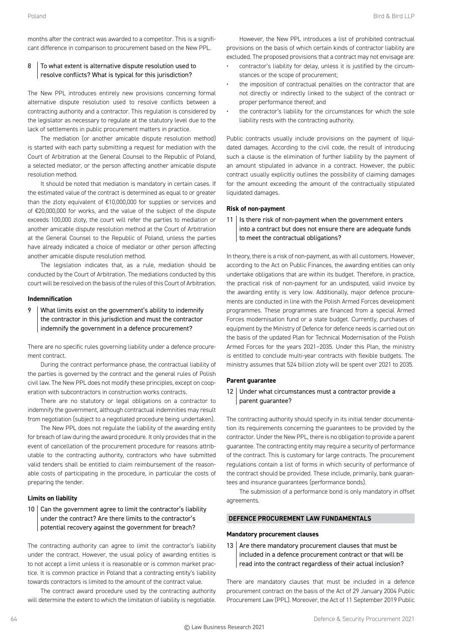months after the contract was awarded to a competitor. This is a significant difference in comparison to procurement based on the New PPL.

# 8 To what extent is alternative dispute resolution used to resolve conflicts? What is typical for this jurisdiction?

The New PPL introduces entirely new provisions concerning formal alternative dispute resolution used to resolve conflicts between a contracting authority and a contractor. This regulation is considered by the legislator as necessary to regulate at the statutory level due to the lack of settlements in public procurement matters in practice.

The mediation (or another amicable dispute resolution method) is started with each party submitting a request for mediation with the Court of Arbitration at the General Counsel to the Republic of Poland, a selected mediator, or the person affecting another amicable dispute resolution method.

It should be noted that mediation is mandatory in certain cases. If the estimated value of the contract is determined as equal to or greater than the zloty equivalent of €10,000,000 for supplies or services and of €20,000,000 for works, and the value of the subject of the dispute exceeds 100,000 zloty, the court will refer the parties to mediation or another amicable dispute resolution method at the Court of Arbitration at the General Counsel to the Republic of Poland, unless the parties have already indicated a choice of mediator or other person affecting another amicable dispute resolution method.

The legislation indicates that, as a rule, mediation should be conducted by the Court of Arbitration. The mediations conducted by this court will be resolved on the basis of the rules of this Court of Arbitration.

# **Indemnification**

9 What limits exist on the government's ability to indemnify the contractor in this jurisdiction and must the contractor indemnify the government in a defence procurement?

There are no specific rules governing liability under a defence procurement contract.

During the contract performance phase, the contractual liability of the parties is governed by the contract and the general rules of Polish civil law. The New PPL does not modify these principles, except on cooperation with subcontractors in construction works contracts.

There are no statutory or legal obligations on a contractor to indemnify the government, although contractual indemnities may result from negotiation (subject to a negotiated procedure being undertaken).

The New PPL does not regulate the liability of the awarding entity for breach of law during the award procedure. It only provides that in the event of cancellation of the procurement procedure for reasons attributable to the contracting authority, contractors who have submitted valid tenders shall be entitled to claim reimbursement of the reasonable costs of participating in the procedure, in particular the costs of preparing the tender.

# **Limits on liability**

# $10$  Can the government agree to limit the contractor's liability under the contract? Are there limits to the contractor's potential recovery against the government for breach?

The contracting authority can agree to limit the contractor's liability under the contract. However, the usual policy of awarding entities is to not accept a limit unless it is reasonable or is common market practice. It is common practice in Poland that a contracting entity's liability towards contractors is limited to the amount of the contract value.

The contract award procedure used by the contracting authority will determine the extent to which the limitation of liability is negotiable.

However, the New PPL introduces a list of prohibited contractual provisions on the basis of which certain kinds of contractor liability are excluded. The proposed provisions that a contract may not envisage are:

- contractor's liability for delay, unless it is justified by the circumstances or the scope of procurement;
- the imposition of contractual penalties on the contractor that are not directly or indirectly linked to the subject of the contract or proper performance thereof; and
- the contractor's liability for the circumstances for which the sole liability rests with the contracting authority.

Public contracts usually include provisions on the payment of liquidated damages. According to the civil code, the result of introducing such a clause is the elimination of further liability by the payment of an amount stipulated in advance in a contract. However, the public contract usually explicitly outlines the possibility of claiming damages for the amount exceeding the amount of the contractually stipulated liquidated damages.

#### **Risk of non-payment**

 $11$  | Is there risk of non-payment when the government enters into a contract but does not ensure there are adequate funds to meet the contractual obligations?

In theory, there is a risk of non-payment, as with all customers. However, according to the Act on Public Finances, the awarding entities can only undertake obligations that are within its budget. Therefore, in practice, the practical risk of non-payment for an undisputed, valid invoice by the awarding entity is very low. Additionally, major defence procurements are conducted in line with the Polish Armed Forces development programmes. These programmes are financed from a special Armed Forces modernisation fund or a state budget. Currently, purchases of equipment by the Ministry of Defence for defence needs is carried out on the basis of the updated Plan for Technical Modernisation of the Polish Armed Forces for the years 2021–2035. Under this Plan, the ministry is entitled to conclude multi-year contracts with flexible budgets. The ministry assumes that 524 billion zloty will be spent over 2021 to 2035.

#### **Parent guarantee**

12 Under what circumstances must a contractor provide a parent guarantee?

The contracting authority should specify in its initial tender documentation its requirements concerning the guarantees to be provided by the contractor. Under the New PPL, there is no obligation to provide a parent guarantee. The contracting entity may require a security of performance of the contract. This is customary for large contracts. The procurement regulations contain a list of forms in which security of performance of the contract should be provided. These include, primarily, bank guarantees and insurance guarantees (performance bonds).

The submission of a performance bond is only mandatory in offset agreements.

# **DEFENCE PROCUREMENT LAW FUNDAMENTALS**

#### **Mandatory procurement clauses**

13  $\vert$  Are there mandatory procurement clauses that must be included in a defence procurement contract or that will be read into the contract regardless of their actual inclusion?

There are mandatory clauses that must be included in a defence procurement contract on the basis of the Act of 29 January 2004 Public Procurement Law (PPL). Moreover, the Act of 11 September 2019 Public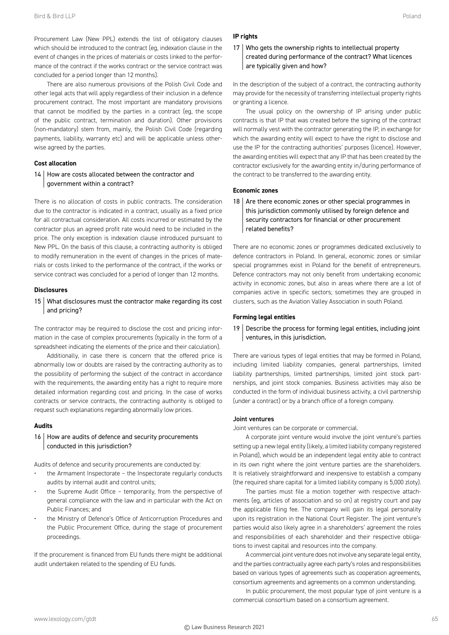Procurement Law (New PPL) extends the list of obligatory clauses which should be introduced to the contract (eg, indexation clause in the event of changes in the prices of materials or costs linked to the performance of the contract if the works contract or the service contract was concluded for a period longer than 12 months).

There are also numerous provisions of the Polish Civil Code and other legal acts that will apply regardless of their inclusion in a defence procurement contract. The most important are mandatory provisions that cannot be modified by the parties in a contract (eg, the scope of the public contract, termination and duration). Other provisions (non-mandatory) stem from, mainly, the Polish Civil Code (regarding payments, liability, warranty etc) and will be applicable unless otherwise agreed by the parties.

# **Cost allocation**

# 14 How are costs allocated between the contractor and government within a contract?

There is no allocation of costs in public contracts. The consideration due to the contractor is indicated in a contract, usually as a fixed price for all contractual consideration. All costs incurred or estimated by the contractor plus an agreed profit rate would need to be included in the price. The only exception is indexation clause introduced pursuant to New PPL. On the basis of this clause, a contracting authority is obliged to modify remuneration in the event of changes in the prices of materials or costs linked to the performance of the contract, if the works or service contract was concluded for a period of longer than 12 months.

#### **Disclosures**

# 15 What disclosures must the contractor make regarding its cost and pricing?

The contractor may be required to disclose the cost and pricing information in the case of complex procurements (typically in the form of a spreadsheet indicating the elements of the price and their calculation).

Additionally, in case there is concern that the offered price is abnormally low or doubts are raised by the contracting authority as to the possibility of performing the subject of the contract in accordance with the requirements, the awarding entity has a right to require more detailed information regarding cost and pricing. In the case of works contracts or service contracts, the contracting authority is obliged to request such explanations regarding abnormally low prices.

# **Audits**

# 16 How are audits of defence and security procurements conducted in this jurisdiction?

Audits of defence and security procurements are conducted by:

- the Armament Inspectorate the Inspectorate regularly conducts audits by internal audit and control units;
- the Supreme Audit Office temporarily, from the perspective of general compliance with the law and in particular with the Act on Public Finances; and
- the Ministry of Defence's Office of Anticorruption Procedures and the Public Procurement Office, during the stage of procurement proceedings.

If the procurement is financed from EU funds there might be additional audit undertaken related to the spending of EU funds.

#### **IP rights**

# 17 Who gets the ownership rights to intellectual property created during performance of the contract? What licences are typically given and how?

In the description of the subject of a contract, the contracting authority may provide for the necessity of transferring intellectual property rights or granting a licence.

The usual policy on the ownership of IP arising under public contracts is that IP that was created before the signing of the contract will normally vest with the contractor generating the IP, in exchange for which the awarding entity will expect to have the right to disclose and use the IP for the contracting authorities' purposes (licence). However, the awarding entities will expect that any IP that has been created by the contractor exclusively for the awarding entity in/during performance of the contract to be transferred to the awarding entity.

#### **Economic zones**

18  $\vert$  Are there economic zones or other special programmes in this jurisdiction commonly utilised by foreign defence and security contractors for financial or other procurement related benefits?

There are no economic zones or programmes dedicated exclusively to defence contractors in Poland. In general, economic zones or similar special programmes exist in Poland for the benefit of entrepreneurs. Defence contractors may not only benefit from undertaking economic activity in economic zones, but also in areas where there are a lot of companies active in specific sectors; sometimes they are grouped in clusters, such as the Aviation Valley Association in south Poland.

#### **Forming legal entities**

# 19 Describe the process for forming legal entities, including joint ventures, in this jurisdiction.

There are various types of legal entities that may be formed in Poland, including limited liability companies, general partnerships, limited liability partnerships, limited partnerships, limited joint stock partnerships, and joint stock companies. Business activities may also be conducted in the form of individual business activity, a civil partnership (under a contract) or by a branch office of a foreign company.

#### Joint ventures

Joint ventures can be corporate or commercial.

A corporate joint venture would involve the joint venture's parties setting up a new legal entity (likely, a limited liability company registered in Poland), which would be an independent legal entity able to contract in its own right where the joint venture parties are the shareholders. It is relatively straightforward and inexpensive to establish a company (the required share capital for a limited liability company is 5,000 zloty).

The parties must file a motion together with respective attachments (eg, articles of association and so on) at registry court and pay the applicable filing fee. The company will gain its legal personality upon its registration in the National Court Register. The joint venture's parties would also likely agree in a shareholders' agreement the roles and responsibilities of each shareholder and their respective obligations to invest capital and resources into the company.

A commercial joint venture does not involve any separate legal entity, and the parties contractually agree each party's roles and responsibilities based on various types of agreements such as cooperation agreements, consortium agreements and agreements on a common understanding.

In public procurement, the most popular type of joint venture is a commercial consortium based on a consortium agreement.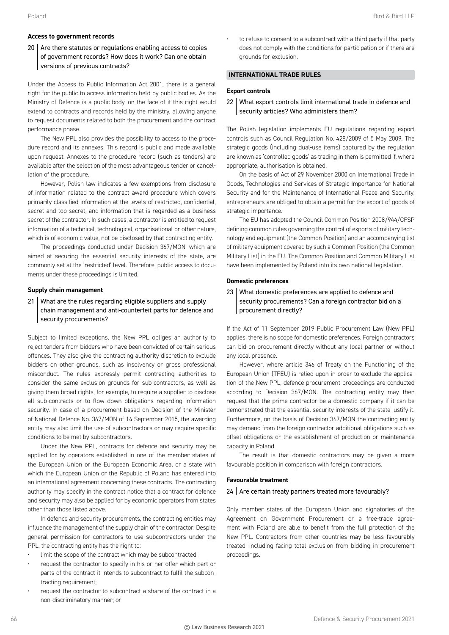# 20 Are there statutes or regulations enabling access to copies of government records? How does it work? Can one obtain versions of previous contracts?

Under the Access to Public Information Act 2001, there is a general right for the public to access information held by public bodies. As the Ministry of Defence is a public body, on the face of it this right would extend to contracts and records held by the ministry, allowing anyone to request documents related to both the procurement and the contract performance phase.

The New PPL also provides the possibility to access to the procedure record and its annexes. This record is public and made available upon request. Annexes to the procedure record (such as tenders) are available after the selection of the most advantageous tender or cancellation of the procedure.

However, Polish law indicates a few exemptions from disclosure of information related to the contract award procedure which covers primarily classified information at the levels of restricted, confidential, secret and top secret, and information that is regarded as a business secret of the contractor. In such cases, a contractor is entitled to request information of a technical, technological, organisational or other nature, which is of economic value, not be disclosed by that contracting entity.

The proceedings conducted under Decision 367/MON, which are aimed at securing the essential security interests of the state, are commonly set at the 'restricted' level. Therefore, public access to documents under these proceedings is limited.

# **Supply chain management**

21 What are the rules regarding eligible suppliers and supply chain management and anti-counterfeit parts for defence and security procurements?

Subject to limited exceptions, the New PPL obliges an authority to reject tenders from bidders who have been convicted of certain serious offences. They also give the contracting authority discretion to exclude bidders on other grounds, such as insolvency or gross professional misconduct. The rules expressly permit contracting authorities to consider the same exclusion grounds for sub-contractors, as well as giving them broad rights, for example, to require a supplier to disclose all sub-contracts or to flow down obligations regarding information security. In case of a procurement based on Decision of the Minister of National Defence No. 367/MON of 14 September 2015, the awarding entity may also limit the use of subcontractors or may require specific conditions to be met by subcontractors.

Under the New PPL, contracts for defence and security may be applied for by operators established in one of the member states of the European Union or the European Economic Area, or a state with which the European Union or the Republic of Poland has entered into an international agreement concerning these contracts. The contracting authority may specify in the contract notice that a contract for defence and security may also be applied for by economic operators from states other than those listed above.

In defence and security procurements, the contracting entities may influence the management of the supply chain of the contractor. Despite general permission for contractors to use subcontractors under the PPL, the contracting entity has the right to:

- limit the scope of the contract which may be subcontracted;
- request the contractor to specify in his or her offer which part or parts of the contract it intends to subcontract to fulfil the subcontracting requirement;
- request the contractor to subcontract a share of the contract in a non-discriminatory manner; or

• to refuse to consent to a subcontract with a third party if that party does not comply with the conditions for participation or if there are grounds for exclusion.

# **INTERNATIONAL TRADE RULES**

# **Export controls**

22 What export controls limit international trade in defence and security articles? Who administers them?

The Polish legislation implements EU regulations regarding export controls such as Council Regulation No. 428/2009 of 5 May 2009. The strategic goods (including dual-use items) captured by the regulation are known as 'controlled goods' as trading in them is permitted if, where appropriate, authorisation is obtained.

On the basis of Act of 29 November 2000 on International Trade in Goods, Technologies and Services of Strategic Importance for National Security and for the Maintenance of International Peace and Security, entrepreneurs are obliged to obtain a permit for the export of goods of strategic importance.

The EU has adopted the Council Common Position 2008/944/CFSP defining common rules governing the control of exports of military technology and equipment (the Common Position) and an accompanying list of military equipment covered by such a Common Position (the Common Military List) in the EU. The Common Position and Common Military List have been implemented by Poland into its own national legislation.

#### **Domestic preferences**

# 23 What domestic preferences are applied to defence and security procurements? Can a foreign contractor bid on a procurement directly?

If the Act of 11 September 2019 Public Procurement Law (New PPL) applies, there is no scope for domestic preferences. Foreign contractors can bid on procurement directly without any local partner or without any local presence.

However, where article 346 of Treaty on the Functioning of the European Union (TFEU) is relied upon in order to exclude the application of the New PPL, defence procurement proceedings are conducted according to Decision 367/MON. The contracting entity may then request that the prime contractor be a domestic company if it can be demonstrated that the essential security interests of the state justify it. Furthermore, on the basis of Decision 367/MON the contracting entity may demand from the foreign contractor additional obligations such as offset obligations or the establishment of production or maintenance capacity in Poland.

The result is that domestic contractors may be given a more favourable position in comparison with foreign contractors.

#### **Favourable treatment**

# $24$  Are certain treaty partners treated more favourably?

Only member states of the European Union and signatories of the Agreement on Government Procurement or a free-trade agreement with Poland are able to benefit from the full protection of the New PPL. Contractors from other countries may be less favourably treated, including facing total exclusion from bidding in procurement proceedings.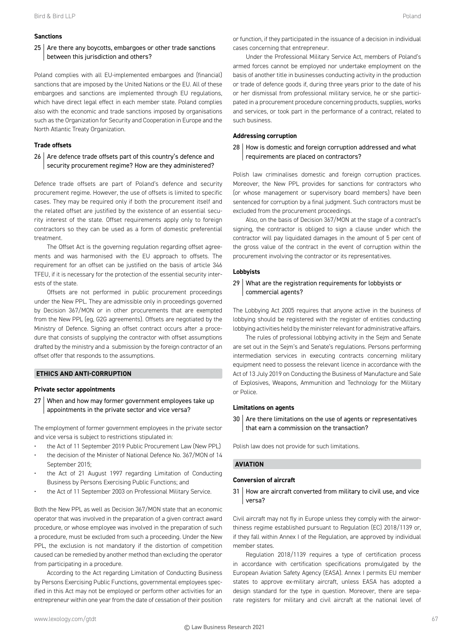# **Sanctions**

# $25$  Are there any boycotts, embargoes or other trade sanctions between this jurisdiction and others?

Poland complies with all EU-implemented embargoes and (financial) sanctions that are imposed by the United Nations or the EU. All of these embargoes and sanctions are implemented through EU regulations, which have direct legal effect in each member state. Poland complies also with the economic and trade sanctions imposed by organisations such as the Organization for Security and Cooperation in Europe and the North Atlantic Treaty Organization.

### **Trade offsets**

# $26$  Are defence trade offsets part of this country's defence and security procurement regime? How are they administered?

Defence trade offsets are part of Poland's defence and security procurement regime. However, the use of offsets is limited to specific cases. They may be required only if both the procurement itself and the related offset are justified by the existence of an essential security interest of the state. Offset requirements apply only to foreign contractors so they can be used as a form of domestic preferential treatment.

The Offset Act is the governing regulation regarding offset agreements and was harmonised with the EU approach to offsets. The requirement for an offset can be justified on the basis of article 346 TFEU, if it is necessary for the protection of the essential security interests of the state.

Offsets are not performed in public procurement proceedings under the New PPL. They are admissible only in proceedings governed by Decision 367/MON or in other procurements that are exempted from the New PPL (eg, G2G agreements). Offsets are negotiated by the Ministry of Defence. Signing an offset contract occurs after a procedure that consists of supplying the contractor with offset assumptions drafted by the ministry and a submission by the foreign contractor of an offset offer that responds to the assumptions.

# **ETHICS AND ANTI-CORRUPTION**

#### **Private sector appointments**

27 When and how may former government employees take up appointments in the private sector and vice versa?

The employment of former government employees in the private sector and vice versa is subject to restrictions stipulated in:

- the Act of 11 September 2019 Public Procurement Law (New PPL)
- the decision of the Minister of National Defence No. 367/MON of 14 September 2015;
- the Act of 21 August 1997 regarding Limitation of Conducting Business by Persons Exercising Public Functions; and
- the Act of 11 September 2003 on Professional Military Service.

Both the New PPL as well as Decision 367/MON state that an economic operator that was involved in the preparation of a given contract award procedure, or whose employee was involved in the preparation of such a procedure, must be excluded from such a proceeding. Under the New PPL, the exclusion is not mandatory if the distortion of competition caused can be remedied by another method than excluding the operator from participating in a procedure.

According to the Act regarding Limitation of Conducting Business by Persons Exercising Public Functions, governmental employees specified in this Act may not be employed or perform other activities for an entrepreneur within one year from the date of cessation of their position

Under the Professional Military Service Act, members of Poland's armed forces cannot be employed nor undertake employment on the basis of another title in businesses conducting activity in the production or trade of defence goods if, during three years prior to the date of his or her dismissal from professional military service, he or she participated in a procurement procedure concerning products, supplies, works and services, or took part in the performance of a contract, related to such business.

#### **Addressing corruption**

# 28 How is domestic and foreign corruption addressed and what requirements are placed on contractors?

Polish law criminalises domestic and foreign corruption practices. Moreover, the New PPL provides for sanctions for contractors who (or whose management or supervisory board members) have been sentenced for corruption by a final judgment. Such contractors must be excluded from the procurement proceedings.

Also, on the basis of Decision 367/MON at the stage of a contract's signing, the contractor is obliged to sign a clause under which the contractor will pay liquidated damages in the amount of 5 per cent of the gross value of the contract in the event of corruption within the procurement involving the contractor or its representatives.

#### **Lobbyists**

# 29 What are the registration requirements for lobbyists or commercial agents?

The Lobbying Act 2005 requires that anyone active in the business of lobbying should be registered with the register of entities conducting lobbying activities held by the minister relevant for administrative affairs.

The rules of professional lobbying activity in the Sejm and Senate are set out in the Sejm's and Senate's regulations. Persons performing intermediation services in executing contracts concerning military equipment need to possess the relevant licence in accordance with the Act of 13 July 2019 on Conducting the Business of Manufacture and Sale of Explosives, Weapons, Ammunition and Technology for the Military or Police.

#### **Limitations on agents**

 $30$  Are there limitations on the use of agents or representatives that earn a commission on the transaction?

Polish law does not provide for such limitations.

# **AVIATION**

#### **Conversion of aircraft**

31 | How are aircraft converted from military to civil use, and vice versa?

Civil aircraft may not fly in Europe unless they comply with the airworthiness regime established pursuant to Regulation (EC) 2018/1139 or, if they fall within Annex I of the Regulation, are approved by individual member states.

Regulation 2018/1139 requires a type of certification process in accordance with certification specifications promulgated by the European Aviation Safety Agency (EASA). Annex I permits EU member states to approve ex-military aircraft, unless EASA has adopted a design standard for the type in question. Moreover, there are separate registers for military and civil aircraft at the national level of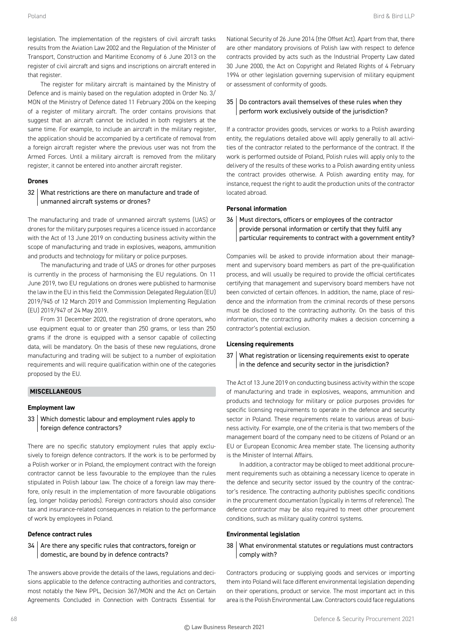legislation. The implementation of the registers of civil aircraft tasks results from the Aviation Law 2002 and the Regulation of the Minister of Transport, Construction and Maritime Economy of 6 June 2013 on the register of civil aircraft and signs and inscriptions on aircraft entered in that register.

The register for military aircraft is maintained by the Ministry of Defence and is mainly based on the regulation adopted in Order No. 3/ MON of the Ministry of Defence dated 11 February 2004 on the keeping of a register of military aircraft. The order contains provisions that suggest that an aircraft cannot be included in both registers at the same time. For example, to include an aircraft in the military register, the application should be accompanied by a certificate of removal from a foreign aircraft register where the previous user was not from the Armed Forces. Until a military aircraft is removed from the military register, it cannot be entered into another aircraft register.

# **Drones**

# 32 What restrictions are there on manufacture and trade of unmanned aircraft systems or drones?

The manufacturing and trade of unmanned aircraft systems (UAS) or drones for the military purposes requires a licence issued in accordance with the Act of 13 June 2019 on conducting business activity within the scope of manufacturing and trade in explosives, weapons, ammunition and products and technology for military or police purposes.

The manufacturing and trade of UAS or drones for other purposes is currently in the process of harmonising the EU regulations. On 11 June 2019, two EU regulations on drones were published to harmonise the law in the EU in this field: the Commission Delegated Regulation (EU) 2019/945 of 12 March 2019 and Commission Implementing Regulation (EU) 2019/947 of 24 May 2019.

From 31 December 2020, the registration of drone operators, who use equipment equal to or greater than 250 grams, or less than 250 grams if the drone is equipped with a sensor capable of collecting data, will be mandatory. On the basis of these new regulations, drone manufacturing and trading will be subject to a number of exploitation requirements and will require qualification within one of the categories proposed by the EU.

# **MISCELLANEOUS**

# **Employment law**

33 Which domestic labour and employment rules apply to foreign defence contractors?

There are no specific statutory employment rules that apply exclusively to foreign defence contractors. If the work is to be performed by a Polish worker or in Poland, the employment contract with the foreign contractor cannot be less favourable to the employee than the rules stipulated in Polish labour law. The choice of a foreign law may therefore, only result in the implementation of more favourable obligations (eg, longer holiday periods). Foreign contractors should also consider tax and insurance-related consequences in relation to the performance of work by employees in Poland.

# **Defence contract rules**

# $34$  Are there any specific rules that contractors, foreign or domestic, are bound by in defence contracts?

The answers above provide the details of the laws, regulations and decisions applicable to the defence contracting authorities and contractors, most notably the New PPL, Decision 367/MON and the Act on Certain Agreements Concluded in Connection with Contracts Essential for

National Security of 26 June 2014 (the Offset Act). Apart from that, there are other mandatory provisions of Polish law with respect to defence contracts provided by acts such as the Industrial Property Law dated 30 June 2000, the Act on Copyright and Related Rights of 4 February 1994 or other legislation governing supervision of military equipment or assessment of conformity of goods.

# 35 Do contractors avail themselves of these rules when they perform work exclusively outside of the jurisdiction?

If a contractor provides goods, services or works to a Polish awarding entity, the regulations detailed above will apply generally to all activities of the contractor related to the performance of the contract. If the work is performed outside of Poland, Polish rules will apply only to the delivery of the results of these works to a Polish awarding entity unless the contract provides otherwise. A Polish awarding entity may, for instance, request the right to audit the production units of the contractor located abroad.

# **Personal information**

36 | Must directors, officers or employees of the contractor provide personal information or certify that they fulfil any particular requirements to contract with a government entity?

Companies will be asked to provide information about their management and supervisory board members as part of the pre-qualification process, and will usually be required to provide the official certificates certifying that management and supervisory board members have not been convicted of certain offences. In addition, the name, place of residence and the information from the criminal records of these persons must be disclosed to the contracting authority. On the basis of this information, the contracting authority makes a decision concerning a contractor's potential exclusion.

# **Licensing requirements**

# 37 What registration or licensing requirements exist to operate in the defence and security sector in the jurisdiction?

The Act of 13 June 2019 on conducting business activity within the scope of manufacturing and trade in explosives, weapons, ammunition and products and technology for military or police purposes provides for specific licensing requirements to operate in the defence and security sector in Poland. These requirements relate to various areas of business activity. For example, one of the criteria is that two members of the management board of the company need to be citizens of Poland or an EU or European Economic Area member state. The licensing authority is the Minister of Internal Affairs.

In addition, a contractor may be obliged to meet additional procurement requirements such as obtaining a necessary licence to operate in the defence and security sector issued by the country of the contractor's residence. The contracting authority publishes specific conditions in the procurement documentation (typically in terms of reference). The defence contractor may be also required to meet other procurement conditions, such as military quality control systems.

# **Environmental legislation**

# 38 What environmental statutes or regulations must contractors comply with?

Contractors producing or supplying goods and services or importing them into Poland will face different environmental legislation depending on their operations, product or service. The most important act in this area is the Polish Environmental Law. Contractors could face regulations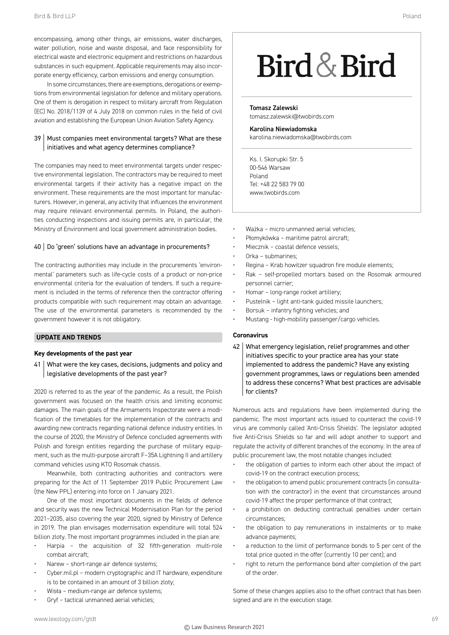encompassing, among other things, air emissions, water discharges, water pollution, noise and waste disposal, and face responsibility for electrical waste and electronic equipment and restrictions on hazardous substances in such equipment. Applicable requirements may also incorporate energy efficiency, carbon emissions and energy consumption.

In some circumstances, there are exemptions, derogations or exemptions from environmental legislation for defence and military operations. One of them is derogation in respect to military aircraft from Regulation (EC) No. 2018/1139 of 4 July 2018 on common rules in the field of civil aviation and establishing the European Union Aviation Safety Agency.

# 39 | Must companies meet environmental targets? What are these initiatives and what agency determines compliance?

The companies may need to meet environmental targets under respective environmental legislation. The contractors may be required to meet environmental targets if their activity has a negative impact on the environment. These requirements are the most important for manufacturers. However, in general, any activity that influences the environment may require relevant environmental permits. In Poland, the authorities conducting inspections and issuing permits are, in particular, the Ministry of Environment and local government administration bodies.

# 40 Do 'green' solutions have an advantage in procurements?

The contracting authorities may include in the procurements 'environmental' parameters such as life-cycle costs of a product or non-price environmental criteria for the evaluation of tenders. If such a requirement is included in the terms of reference then the contractor offering products compatible with such requirement may obtain an advantage. The use of the environmental parameters is recommended by the government however it is not obligatory.

# **UPDATE AND TRENDS**

#### **Key developments of the past year**

41 | What were the key cases, decisions, judgments and policy and legislative developments of the past year?

2020 is referred to as the year of the pandemic. As a result, the Polish government was focused on the health crisis and limiting economic damages. The main goals of the Armaments Inspectorate were a modification of the timetables for the implementation of the contracts and awarding new contracts regarding national defence industry entities. In the course of 2020, the Ministry of Defence concluded agreements with Polish and foreign entities regarding the purchase of military equipment, such as the multi-purpose aircraft F–35A Lightning II and artillery command vehicles using KTO Rosomak chassis.

Meanwhile, both contracting authorities and contractors were preparing for the Act of 11 September 2019 Public Procurement Law (the New PPL) entering into force on 1 January 2021.

One of the most important documents in the fields of defence and security was the new Technical Modernisation Plan for the period 2021–2035, also covering the year 2020, signed by Ministry of Defence in 2019. The plan envisages modernisation expenditure will total 524 billion zloty. The most important programmes included in the plan are:

- Harpia the acquisition of 32 fifth-generation multi-role combat aircraft;
- Narew short-range air defence systems;
- Cyber.mil.pl modern cryptographic and IT hardware, expenditure is to be contained in an amount of 3 billion zloty;
- Wisła medium-range air defence systems;
- Gryf tactical unmanned aerial vehicles;

# Bird & Bird

Tomasz Zalewski tomasz.zalewski@twobirds.com

Karolina Niewiadomska karolina.niewiadomska@twobirds.com

Ks. I. Skorupki Str. 5 00-546 Warsaw Poland Tel: +48 22 583 79 00 www.twobirds.com

- Ważka micro unmanned aerial vehicles;
- Płomykówka maritime patrol aircraft;
- Miecznik coastal defence vessels;
- Orka submarines;
- Regina Krab howitzer squadron fire module elements;
- Rak self-propelled mortars based on the Rosomak armoured personnel carrier;
- Homar long-range rocket artillery;
- Pustelnik light anti-tank guided missile launchers;
- Borsuk infantry fighting vehicles; and
- Mustang high-mobility passenger/cargo vehicles.

# **Coronavirus**

42 | What emergency legislation, relief programmes and other initiatives specific to your practice area has your state implemented to address the pandemic? Have any existing government programmes, laws or regulations been amended to address these concerns? What best practices are advisable for clients?

Numerous acts and regulations have been implemented during the pandemic. The most important acts issued to counteract the covid-19 virus are commonly called 'Anti-Crisis Shields'. The legislator adopted five Anti-Crisis Shields so far and will adopt another to support and regulate the activity of different branches of the economy. In the area of public procurement law, the most notable changes included:

- the obligation of parties to inform each other about the impact of covid-19 on the contract execution process;
- the obligation to amend public procurement contracts (in consultation with the contractor) in the event that circumstances around covid-19 affect the proper performance of that contract;
- a prohibition on deducting contractual penalties under certain circumstances;
- the obligation to pay remunerations in instalments or to make advance payments;
- a reduction to the limit of performance bonds to 5 per cent of the total price quoted in the offer (currently 10 per cent); and
- right to return the performance bond after completion of the part of the order.

Some of these changes applies also to the offset contract that has been signed and are in the execution stage.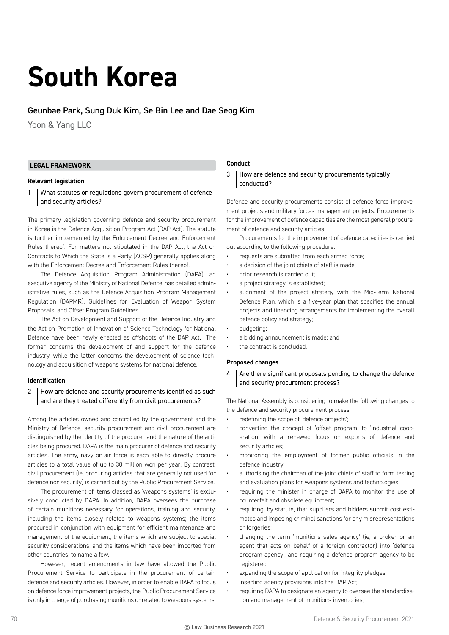# **South Korea**

#### Geunbae Park, Sung Duk Kim, Se Bin Lee and Dae Seog Kim

Yoon & Yang LLC

#### **LEGAL FRAMEWORK**

#### **Relevant legislation**

1 What statutes or regulations govern procurement of defence and security articles?

The primary legislation governing defence and security procurement in Korea is the Defence Acquisition Program Act (DAP Act). The statute is further implemented by the Enforcement Decree and Enforcement Rules thereof. For matters not stipulated in the DAP Act, the Act on Contracts to Which the State is a Party (ACSP) generally applies along with the Enforcement Decree and Enforcement Rules thereof.

The Defence Acquisition Program Administration (DAPA), an executive agency of the Ministry of National Defence, has detailed administrative rules, such as the Defence Acquisition Program Management Regulation (DAPMR), Guidelines for Evaluation of Weapon System Proposals, and Offset Program Guidelines.

The Act on Development and Support of the Defence Industry and the Act on Promotion of Innovation of Science Technology for National Defence have been newly enacted as offshoots of the DAP Act. The former concerns the development of and support for the defence industry, while the latter concerns the development of science technology and acquisition of weapons systems for national defence.

#### **Identification**

#### 2 How are defence and security procurements identified as such and are they treated differently from civil procurements?

Among the articles owned and controlled by the government and the Ministry of Defence, security procurement and civil procurement are distinguished by the identity of the procurer and the nature of the articles being procured. DAPA is the main procurer of defence and security articles. The army, navy or air force is each able to directly procure articles to a total value of up to 30 million won per year. By contrast, civil procurement (ie, procuring articles that are generally not used for defence nor security) is carried out by the Public Procurement Service.

The procurement of items classed as 'weapons systems' is exclusively conducted by DAPA. In addition, DAPA oversees the purchase of certain munitions necessary for operations, training and security, including the items closely related to weapons systems; the items procured in conjunction with equipment for efficient maintenance and management of the equipment; the items which are subject to special security considerations; and the items which have been imported from other countries, to name a few.

However, recent amendments in law have allowed the Public Procurement Service to participate in the procurement of certain defence and security articles. However, in order to enable DAPA to focus on defence force improvement projects, the Public Procurement Service is only in charge of purchasing munitions unrelated to weapons systems.

#### **Conduct**

3 How are defence and security procurements typically conducted?

Defence and security procurements consist of defence force improvement projects and military forces management projects. Procurements for the improvement of defence capacities are the most general procurement of defence and security articles.

Procurements for the improvement of defence capacities is carried out according to the following procedure:

- requests are submitted from each armed force;
- a decision of the joint chiefs of staff is made;
- prior research is carried out;
- a project strategy is established;
- alignment of the project strategy with the Mid-Term National Defence Plan, which is a five-year plan that specifies the annual projects and financing arrangements for implementing the overall defence policy and strategy;
- budgeting;
- a bidding announcement is made; and
- the contract is concluded.

#### **Proposed changes**

 $4$  Are there significant proposals pending to change the defence and security procurement process?

The National Assembly is considering to make the following changes to the defence and security procurement process:

- redefining the scope of 'defence projects';
- converting the concept of 'offset program' to 'industrial cooperation' with a renewed focus on exports of defence and security articles;
- monitoring the employment of former public officials in the defence industry;
- authorising the chairman of the joint chiefs of staff to form testing and evaluation plans for weapons systems and technologies;
- requiring the minister in charge of DAPA to monitor the use of counterfeit and obsolete equipment;
- requiring, by statute, that suppliers and bidders submit cost estimates and imposing criminal sanctions for any misrepresentations or forgeries;
- changing the term 'munitions sales agency' (ie, a broker or an agent that acts on behalf of a foreign contractor) into 'defence program agency', and requiring a defence program agency to be registered;
- expanding the scope of application for integrity pledges;
- inserting agency provisions into the DAP Act;
- requiring DAPA to designate an agency to oversee the standardisation and management of munitions inventories;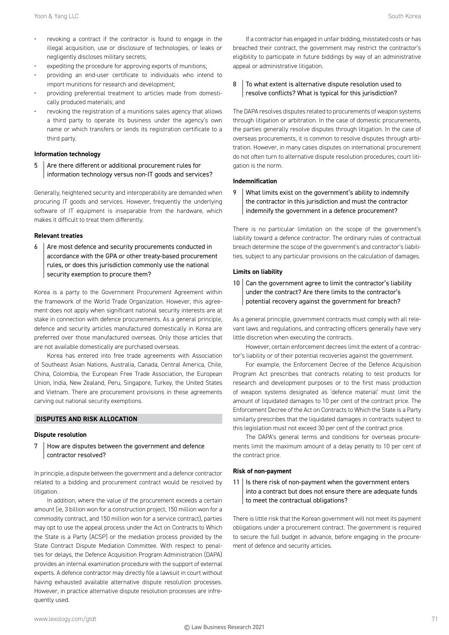- revoking a contract if the contractor is found to engage in the illegal acquisition, use or disclosure of technologies, or leaks or negligently discloses military secrets;
- expediting the procedure for approving exports of munitions;
- providing an end-user certificate to individuals who intend to import munitions for research and development;
- providing preferential treatment to articles made from domestically produced materials; and
- revoking the registration of a munitions sales agency that allows a third party to operate its business under the agency's own name or which transfers or lends its registration certificate to a third party.

#### **Information technology**

 $5$  Are there different or additional procurement rules for information technology versus non-IT goods and services?

Generally, heightened security and interoperability are demanded when procuring IT goods and services. However, frequently the underlying software of IT equipment is inseparable from the hardware, which makes it difficult to treat them differently.

#### **Relevant treaties**

 $6$  Are most defence and security procurements conducted in accordance with the GPA or other treaty-based procurement rules, or does this jurisdiction commonly use the national security exemption to procure them?

Korea is a party to the Government Procurement Agreement within the framework of the World Trade Organization. However, this agreement does not apply when significant national security interests are at stake in connection with defence procurements. As a general principle, defence and security articles manufactured domestically in Korea are preferred over those manufactured overseas. Only those articles that are not available domestically are purchased overseas.

Korea has entered into free trade agreements with Association of Southeast Asian Nations, Australia, Canada, Central America, Chile, China, Colombia, the European Free Trade Association, the European Union, India, New Zealand, Peru, Singapore, Turkey, the United States and Vietnam. There are procurement provisions in these agreements carving out national security exemptions.

#### **DISPUTES AND RISK ALLOCATION**

#### **Dispute resolution**

7 How are disputes between the government and defence contractor resolved?

In principle, a dispute between the government and a defence contractor related to a bidding and procurement contract would be resolved by litigation.

In addition, where the value of the procurement exceeds a certain amount (ie, 3 billion won for a construction project, 150 million won for a commodity contract, and 150 million won for a service contract), parties may opt to use the appeal process under the Act on Contracts to Which the State is a Party (ACSP) or the mediation process provided by the State Contract Dispute Mediation Committee. With respect to penalties for delays, the Defence Acquisition Program Administration (DAPA) provides an internal examination procedure with the support of external experts. A defence contractor may directly file a lawsuit in court without having exhausted available alternative dispute resolution processes. However, in practice alternative dispute resolution processes are infrequently used.

If a contractor has engaged in unfair bidding, misstated costs or has breached their contract, the government may restrict the contractor's eligibility to participate in future biddings by way of an administrative appeal or administrative litigation.

#### 8 To what extent is alternative dispute resolution used to resolve conflicts? What is typical for this jurisdiction?

The DAPA resolves disputes related to procurements of weapon systems through litigation or arbitration. In the case of domestic procurements, the parties generally resolve disputes through litigation. In the case of overseas procurements, it is common to resolve disputes through arbitration. However, in many cases disputes on international procurement do not often turn to alternative dispute resolution procedures; court litigation is the norm.

#### **Indemnification**

9 What limits exist on the government's ability to indemnify the contractor in this jurisdiction and must the contractor indemnify the government in a defence procurement?

There is no particular limitation on the scope of the government's liability toward a defence contractor. The ordinary rules of contractual breach determine the scope of the government's and contractor's liabilities, subject to any particular provisions on the calculation of damages.

#### **Limits on liability**

 $10$  Can the government agree to limit the contractor's liability under the contract? Are there limits to the contractor's potential recovery against the government for breach?

As a general principle, government contracts must comply with all relevant laws and regulations, and contracting officers generally have very little discretion when executing the contracts.

However, certain enforcement decrees limit the extent of a contractor's liability or of their potential recoveries against the government.

For example, the Enforcement Decree of the Defence Acquisition Program Act prescribes that contracts relating to test products for research and development purposes or to the first mass production of weapon systems designated as 'defence material' must limit the amount of liquidated damages to 10 per cent of the contract price. The Enforcement Decree of the Act on Contracts to Which the State is a Party similarly prescribes that the liquidated damages in contracts subject to this legislation must not exceed 30 per cent of the contract price.

The DAPA's general terms and conditions for overseas procurements limit the maximum amount of a delay penalty to 10 per cent of the contract price.

#### **Risk of non-payment**

11 | Is there risk of non-payment when the government enters into a contract but does not ensure there are adequate funds to meet the contractual obligations?

There is little risk that the Korean government will not meet its payment obligations under a procurement contract. The government is required to secure the full budget in advance, before engaging in the procurement of defence and security articles.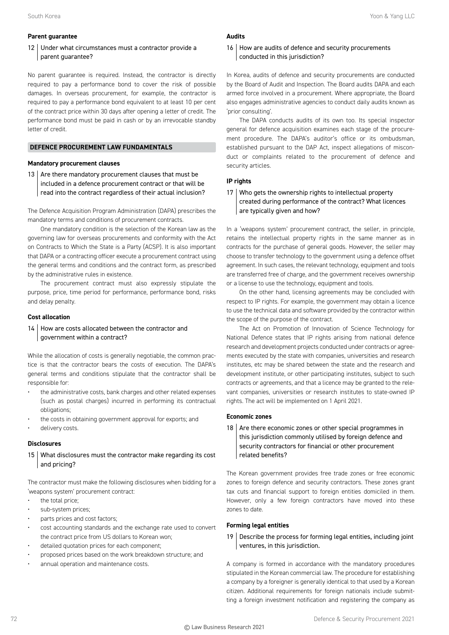#### **Parent guarantee**

#### 12 Under what circumstances must a contractor provide a parent guarantee?

No parent guarantee is required. Instead, the contractor is directly required to pay a performance bond to cover the risk of possible damages. In overseas procurement, for example, the contractor is required to pay a performance bond equivalent to at least 10 per cent of the contract price within 30 days after opening a letter of credit. The performance bond must be paid in cash or by an irrevocable standby letter of credit.

#### **DEFENCE PROCUREMENT LAW FUNDAMENTALS**

#### **Mandatory procurement clauses**

13  $\vert$  Are there mandatory procurement clauses that must be included in a defence procurement contract or that will be read into the contract regardless of their actual inclusion?

The Defence Acquisition Program Administration (DAPA) prescribes the mandatory terms and conditions of procurement contracts.

One mandatory condition is the selection of the Korean law as the governing law for overseas procurements and conformity with the Act on Contracts to Which the State is a Party (ACSP). It is also important that DAPA or a contracting officer execute a procurement contract using the general terms and conditions and the contract form, as prescribed by the administrative rules in existence.

The procurement contract must also expressly stipulate the purpose, price, time period for performance, performance bond, risks and delay penalty.

#### **Cost allocation**

#### 14 How are costs allocated between the contractor and government within a contract?

While the allocation of costs is generally negotiable, the common practice is that the contractor bears the costs of execution. The DAPA's general terms and conditions stipulate that the contractor shall be responsible for:

- the administrative costs, bank charges and other related expenses (such as postal charges) incurred in performing its contractual obligations;
- the costs in obtaining government approval for exports; and
- delivery costs.

#### **Disclosures**

15 What disclosures must the contractor make regarding its cost and pricing?

The contractor must make the following disclosures when bidding for a 'weapons system' procurement contract:

- the total price;
- sub-system prices;
- parts prices and cost factors;
- cost accounting standards and the exchange rate used to convert the contract price from US dollars to Korean won;
- detailed quotation prices for each component;
- proposed prices based on the work breakdown structure; and
- annual operation and maintenance costs.

#### **Audits**

#### 16 How are audits of defence and security procurements conducted in this jurisdiction?

In Korea, audits of defence and security procurements are conducted by the Board of Audit and Inspection. The Board audits DAPA and each armed force involved in a procurement. Where appropriate, the Board also engages administrative agencies to conduct daily audits known as 'prior consulting'.

The DAPA conducts audits of its own too. Its special inspector general for defence acquisition examines each stage of the procurement procedure. The DAPA's auditor's office or its ombudsman, established pursuant to the DAP Act, inspect allegations of misconduct or complaints related to the procurement of defence and security articles.

#### **IP rights**

17 Who gets the ownership rights to intellectual property created during performance of the contract? What licences are typically given and how?

In a 'weapons system' procurement contract, the seller, in principle, retains the intellectual property rights in the same manner as in contracts for the purchase of general goods. However, the seller may choose to transfer technology to the government using a defence offset agreement. In such cases, the relevant technology, equipment and tools are transferred free of charge, and the government receives ownership or a license to use the technology, equipment and tools.

On the other hand, licensing agreements may be concluded with respect to IP rights. For example, the government may obtain a licence to use the technical data and software provided by the contractor within the scope of the purpose of the contract.

The Act on Promotion of Innovation of Science Technology for National Defence states that IP rights arising from national defence research and development projects conducted under contracts or agreements executed by the state with companies, universities and research institutes, etc may be shared between the state and the research and development institute, or other participating institutes, subject to such contracts or agreements, and that a licence may be granted to the relevant companies, universities or research institutes to state-owned IP rights. The act will be implemented on 1 April 2021.

#### **Economic zones**

18  $\vert$  Are there economic zones or other special programmes in this jurisdiction commonly utilised by foreign defence and security contractors for financial or other procurement related benefits?

The Korean government provides free trade zones or free economic zones to foreign defence and security contractors. These zones grant tax cuts and financial support to foreign entities domiciled in them. However, only a few foreign contractors have moved into these zones to date.

#### **Forming legal entities**

19 Describe the process for forming legal entities, including joint ventures, in this jurisdiction.

A company is formed in accordance with the mandatory procedures stipulated in the Korean commercial law. The procedure for establishing a company by a foreigner is generally identical to that used by a Korean citizen. Additional requirements for foreign nationals include submitting a foreign investment notification and registering the company as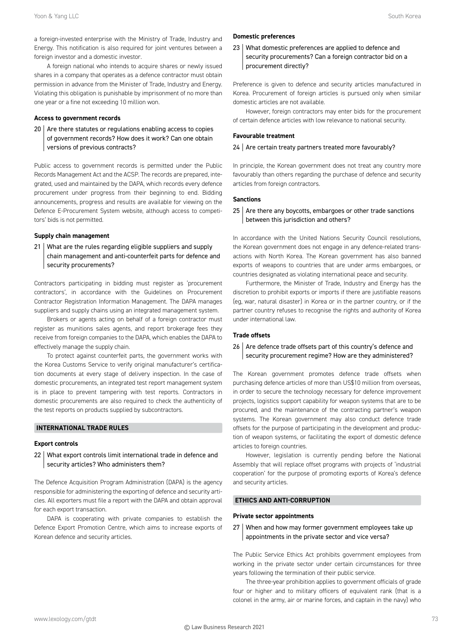a foreign-invested enterprise with the Ministry of Trade, Industry and Energy. This notification is also required for joint ventures between a foreign investor and a domestic investor.

A foreign national who intends to acquire shares or newly issued shares in a company that operates as a defence contractor must obtain permission in advance from the Minister of Trade, Industry and Energy. Violating this obligation is punishable by imprisonment of no more than one year or a fine not exceeding 10 million won.

#### **Access to government records**

 $20$   $\vert$  Are there statutes or regulations enabling access to copies of government records? How does it work? Can one obtain versions of previous contracts?

Public access to government records is permitted under the Public Records Management Act and the ACSP. The records are prepared, integrated, used and maintained by the DAPA, which records every defence procurement under progress from their beginning to end. Bidding announcements, progress and results are available for viewing on the Defence E-Procurement System website, although access to competitors' bids is not permitted.

#### **Supply chain management**

21 What are the rules regarding eligible suppliers and supply chain management and anti-counterfeit parts for defence and security procurements?

Contractors participating in bidding must register as 'procurement contractors', in accordance with the Guidelines on Procurement Contractor Registration Information Management. The DAPA manages suppliers and supply chains using an integrated management system.

Brokers or agents acting on behalf of a foreign contractor must register as munitions sales agents, and report brokerage fees they receive from foreign companies to the DAPA, which enables the DAPA to effectively manage the supply chain.

To protect against counterfeit parts, the government works with the Korea Customs Service to verify original manufacturer's certification documents at every stage of delivery inspection. In the case of domestic procurements, an integrated test report management system is in place to prevent tampering with test reports. Contractors in domestic procurements are also required to check the authenticity of the test reports on products supplied by subcontractors.

#### **INTERNATIONAL TRADE RULES**

#### **Export controls**

22 What export controls limit international trade in defence and security articles? Who administers them?

The Defence Acquisition Program Administration (DAPA) is the agency responsible for administering the exporting of defence and security articles. All exporters must file a report with the DAPA and obtain approval for each export transaction.

DAPA is cooperating with private companies to establish the Defence Export Promotion Centre, which aims to increase exports of Korean defence and security articles.

#### **Domestic preferences**

23 What domestic preferences are applied to defence and security procurements? Can a foreign contractor bid on a procurement directly?

Preference is given to defence and security articles manufactured in Korea. Procurement of foreign articles is pursued only when similar domestic articles are not available.

However, foreign contractors may enter bids for the procurement of certain defence articles with low relevance to national security.

#### **Favourable treatment**

#### $24$  Are certain treaty partners treated more favourably?

In principle, the Korean government does not treat any country more favourably than others regarding the purchase of defence and security articles from foreign contractors.

#### **Sanctions**

#### $25$  Are there any boycotts, embargoes or other trade sanctions between this jurisdiction and others?

In accordance with the United Nations Security Council resolutions, the Korean government does not engage in any defence-related transactions with North Korea. The Korean government has also banned exports of weapons to countries that are under arms embargoes, or countries designated as violating international peace and security.

Furthermore, the Minister of Trade, Industry and Energy has the discretion to prohibit exports or imports if there are justifiable reasons (eg, war, natural disaster) in Korea or in the partner country, or if the partner country refuses to recognise the rights and authority of Korea under international law.

#### **Trade offsets**

#### 26 Are defence trade offsets part of this country's defence and security procurement regime? How are they administered?

The Korean government promotes defence trade offsets when purchasing defence articles of more than US\$10 million from overseas, in order to secure the technology necessary for defence improvement projects, logistics support capability for weapon systems that are to be procured, and the maintenance of the contracting partner's weapon systems. The Korean government may also conduct defence trade offsets for the purpose of participating in the development and production of weapon systems, or facilitating the export of domestic defence articles to foreign countries.

However, legislation is currently pending before the National Assembly that will replace offset programs with projects of 'industrial cooperation' for the purpose of promoting exports of Korea's defence and security articles.

#### **ETHICS AND ANTI-CORRUPTION**

#### **Private sector appointments**

27 When and how may former government employees take up appointments in the private sector and vice versa?

The Public Service Ethics Act prohibits government employees from working in the private sector under certain circumstances for three years following the termination of their public service.

The three-year prohibition applies to government officials of grade four or higher and to military officers of equivalent rank (that is a colonel in the army, air or marine forces, and captain in the navy) who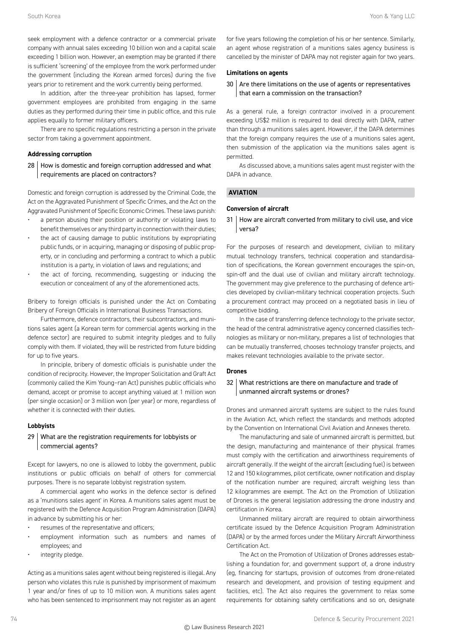seek employment with a defence contractor or a commercial private company with annual sales exceeding 10 billion won and a capital scale exceeding 1 billion won. However, an exemption may be granted if there is sufficient 'screening' of the employee from the work performed under the government (including the Korean armed forces) during the five years prior to retirement and the work currently being performed.

In addition, after the three-year prohibition has lapsed, former government employees are prohibited from engaging in the same duties as they performed during their time in public office, and this rule applies equally to former military officers.

There are no specific regulations restricting a person in the private sector from taking a government appointment.

#### **Addressing corruption**

28 How is domestic and foreign corruption addressed and what requirements are placed on contractors?

Domestic and foreign corruption is addressed by the Criminal Code, the Act on the Aggravated Punishment of Specific Crimes, and the Act on the Aggravated Punishment of Specific Economic Crimes. These laws punish:

- a person abusing their position or authority or violating laws to benefit themselves or any third party in connection with their duties;
- the act of causing damage to public institutions by expropriating public funds, or in acquiring, managing or disposing of public property, or in concluding and performing a contract to which a public institution is a party, in violation of laws and regulations; and
- the act of forcing, recommending, suggesting or inducing the execution or concealment of any of the aforementioned acts.

Bribery to foreign officials is punished under the Act on Combating Bribery of Foreign Officials in International Business Transactions.

Furthermore, defence contractors, their subcontractors, and munitions sales agent (a Korean term for commercial agents working in the defence sector) are required to submit integrity pledges and to fully comply with them. If violated, they will be restricted from future bidding for up to five years.

In principle, bribery of domestic officials is punishable under the condition of reciprocity. However, the Improper Solicitation and Graft Act (commonly called the Kim Young–ran Act) punishes public officials who demand, accept or promise to accept anything valued at 1 million won (per single occasion) or 3 million won (per year) or more, regardless of whether it is connected with their duties.

#### **Lobbyists**

#### 29 What are the registration requirements for lobbyists or commercial agents?

Except for lawyers, no one is allowed to lobby the government, public institutions or public officials on behalf of others for commercial purposes. There is no separate lobbyist registration system.

A commercial agent who works in the defence sector is defined as a 'munitions sales agent' in Korea. A munitions sales agent must be registered with the Defence Acquisition Program Administration (DAPA) in advance by submitting his or her:

- resumes of the representative and officers;
- employment information such as numbers and names of employees; and
- integrity pledge.

Acting as a munitions sales agent without being registered is illegal. Any person who violates this rule is punished by imprisonment of maximum 1 year and/or fines of up to 10 million won. A munitions sales agent who has been sentenced to imprisonment may not register as an agent

for five years following the completion of his or her sentence. Similarly, an agent whose registration of a munitions sales agency business is cancelled by the minister of DAPA may not register again for two years.

#### **Limitations on agents**

#### 30 Are there limitations on the use of agents or representatives that earn a commission on the transaction?

As a general rule, a foreign contractor involved in a procurement exceeding US\$2 million is required to deal directly with DAPA, rather than through a munitions sales agent. However, if the DAPA determines that the foreign company requires the use of a munitions sales agent, then submission of the application via the munitions sales agent is permitted.

As discussed above, a munitions sales agent must register with the DAPA in advance.

#### **AVIATION**

#### **Conversion of aircraft**

31 How are aircraft converted from military to civil use, and vice versa?

For the purposes of research and development, civilian to military mutual technology transfers, technical cooperation and standardisation of specifications, the Korean government encourages the spin-on, spin-off and the dual use of civilian and military aircraft technology. The government may give preference to the purchasing of defence articles developed by civilian-military technical cooperation projects. Such a procurement contract may proceed on a negotiated basis in lieu of competitive bidding.

In the case of transferring defence technology to the private sector, the head of the central administrative agency concerned classifies technologies as military or non-military, prepares a list of technologies that can be mutually transferred, chooses technology transfer projects, and makes relevant technologies available to the private sector.

#### **Drones**

#### 32 What restrictions are there on manufacture and trade of unmanned aircraft systems or drones?

Drones and unmanned aircraft systems are subject to the rules found in the Aviation Act, which reflect the standards and methods adopted by the Convention on International Civil Aviation and Annexes thereto.

The manufacturing and sale of unmanned aircraft is permitted, but the design, manufacturing and maintenance of their physical frames must comply with the certification and airworthiness requirements of aircraft generally. If the weight of the aircraft (excluding fuel) is between 12 and 150 kilogrammes, pilot certificate, owner notification and display of the notification number are required; aircraft weighing less than 12 kilogrammes are exempt. The Act on the Promotion of Utilization of Drones is the general legislation addressing the drone industry and certification in Korea.

Unmanned military aircraft are required to obtain airworthiness certificate issued by the Defence Acquisition Program Administration (DAPA) or by the armed forces under the Military Aircraft Airworthiness Certification Act.

The Act on the Promotion of Utilization of Drones addresses establishing a foundation for, and government support of, a drone industry (eg, financing for startups, provision of outcomes from drone-related research and development, and provision of testing equipment and facilities, etc). The Act also requires the government to relax some requirements for obtaining safety certifications and so on, designate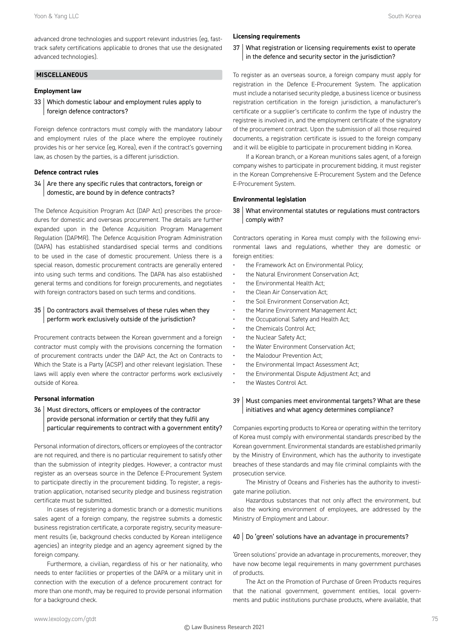advanced drone technologies and support relevant industries (eg, fasttrack safety certifications applicable to drones that use the designated advanced technologies).

#### **MISCELLANEOUS**

#### **Employment law**

33 Which domestic labour and employment rules apply to foreign defence contractors?

Foreign defence contractors must comply with the mandatory labour and employment rules of the place where the employee routinely provides his or her service (eg, Korea), even if the contract's governing law, as chosen by the parties, is a different jurisdiction.

#### **Defence contract rules**

 $34$  Are there any specific rules that contractors, foreign or domestic, are bound by in defence contracts?

The Defence Acquisition Program Act (DAP Act) prescribes the procedures for domestic and overseas procurement. The details are further expanded upon in the Defence Acquisition Program Management Regulation (DAPMR). The Defence Acquisition Program Administration (DAPA) has established standardised special terms and conditions to be used in the case of domestic procurement. Unless there is a special reason, domestic procurement contracts are generally entered into using such terms and conditions. The DAPA has also established general terms and conditions for foreign procurements, and negotiates with foreign contractors based on such terms and conditions.

#### 35 Do contractors avail themselves of these rules when they perform work exclusively outside of the jurisdiction?

Procurement contracts between the Korean government and a foreign contractor must comply with the provisions concerning the formation of procurement contracts under the DAP Act, the Act on Contracts to Which the State is a Party (ACSP) and other relevant legislation. These laws will apply even where the contractor performs work exclusively outside of Korea.

#### **Personal information**

36 | Must directors, officers or employees of the contractor provide personal information or certify that they fulfil any particular requirements to contract with a government entity?

Personal information of directors, officers or employees of the contractor are not required, and there is no particular requirement to satisfy other than the submission of integrity pledges. However, a contractor must register as an overseas source in the Defence E-Procurement System to participate directly in the procurement bidding. To register, a registration application, notarised security pledge and business registration certificate must be submitted.

In cases of registering a domestic branch or a domestic munitions sales agent of a foreign company, the registree submits a domestic business registration certificate, a corporate registry, security measurement results (ie, background checks conducted by Korean intelligence agencies) an integrity pledge and an agency agreement signed by the foreign company.

Furthermore, a civilian, regardless of his or her nationality, who needs to enter facilities or properties of the DAPA or a military unit in connection with the execution of a defence procurement contract for more than one month, may be required to provide personal information for a background check.

#### **Licensing requirements**

37 What registration or licensing requirements exist to operate in the defence and security sector in the jurisdiction?

To register as an overseas source, a foreign company must apply for registration in the Defence E-Procurement System. The application must include a notarised security pledge, a business licence or business registration certification in the foreign jurisdiction, a manufacturer's certificate or a supplier's certificate to confirm the type of industry the registree is involved in, and the employment certificate of the signatory of the procurement contract. Upon the submission of all those required documents, a registration certificate is issued to the foreign company and it will be eligible to participate in procurement bidding in Korea.

If a Korean branch, or a Korean munitions sales agent, of a foreign company wishes to participate in procurement bidding, it must register in the Korean Comprehensive E-Procurement System and the Defence E-Procurement System.

#### **Environmental legislation**

38 What environmental statutes or regulations must contractors comply with?

Contractors operating in Korea must comply with the following environmental laws and regulations, whether they are domestic or foreign entities:

- the Framework Act on Environmental Policy;
- the Natural Environment Conservation Act;
- the Environmental Health Act;
- the Clean Air Conservation Act;
- the Soil Environment Conservation Act;
- the Marine Environment Management Act;
- the Occupational Safety and Health Act;
- the Chemicals Control Act;
- the Nuclear Safety Act;
- the Water Environment Conservation Act;
- the Malodour Prevention Act;
- the Environmental Impact Assessment Act;
- the Environmental Dispute Adjustment Act; and
- the Wastes Control Act.

#### 39 | Must companies meet environmental targets? What are these initiatives and what agency determines compliance?

Companies exporting products to Korea or operating within the territory of Korea must comply with environmental standards prescribed by the Korean government. Environmental standards are established primarily by the Ministry of Environment, which has the authority to investigate breaches of these standards and may file criminal complaints with the prosecution service.

The Ministry of Oceans and Fisheries has the authority to investigate marine pollution.

Hazardous substances that not only affect the environment, but also the working environment of employees, are addressed by the Ministry of Employment and Labour.

#### 40 | Do 'green' solutions have an advantage in procurements?

'Green solutions' provide an advantage in procurements, moreover, they have now become legal requirements in many government purchases of products.

The Act on the Promotion of Purchase of Green Products requires that the national government, government entities, local governments and public institutions purchase products, where available, that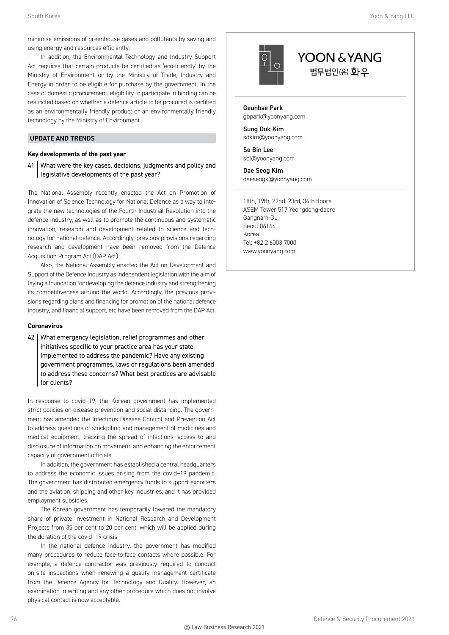minimise emissions of greenhouse gases and pollutants by saving and using energy and resources efficiently.

In addition, the Environmental Technology and Industry Support Act requires that certain products be certified as 'eco-friendly' by the Ministry of Environment or by the Ministry of Trade, Industry and Energy in order to be eligible for purchase by the government. In the case of domestic procurement, eligibility to participate in bidding can be restricted based on whether a defence article to be procured is certified as an environmentally friendly product or an environmentally friendly technology by the Ministry of Environment.

#### **UPDATE AND TRENDS**

#### **Key developments of the past year**

41 What were the key cases, decisions, judgments and policy and legislative developments of the past year?

The National Assembly recently enacted the Act on Promotion of Innovation of Science Technology for National Defence as a way to integrate the new technologies of the Fourth Industrial Revolution into the defence industry, as well as to promote the continuous and systematic innovation, research and development related to science and technology for national defence. Accordingly, previous provisions regarding research and development have been removed from the Defence Acquisition Program Act (DAP Act).

Also, the National Assembly enacted the Act on Development and Support of the Defence Industry as independent legislation with the aim of laying a foundation for developing the defence industry and strengthening its competitiveness around the world. Accordingly, the previous provisions regarding plans and financing for promotion of the national defence industry, and financial support, etc have been removed from the DAP Act.

#### **Coronavirus**

42 | What emergency legislation, relief programmes and other initiatives specific to your practice area has your state implemented to address the pandemic? Have any existing government programmes, laws or regulations been amended to address these concerns? What best practices are advisable for clients?

In response to covid–19, the Korean government has implemented strict policies on disease prevention and social distancing. The government has amended the Infectious Disease Control and Prevention Act to address questions of stockpiling and management of medicines and medical equipment, tracking the spread of infections, access to and disclosure of information on movement, and enhancing the enforcement capacity of government officials.

In addition, the government has established a central headquarters to address the economic issues arising from the covid–19 pandemic. The government has distributed emergency funds to support exporters and the aviation, shipping and other key industries; and it has provided employment subsidies.

The Korean government has temporarily lowered the mandatory share of private investment in National Research and Development Projects from 35 per cent to 20 per cent, which will be applied during the duration of the covid–19 crisis.

In the national defence industry, the government has modified many procedures to reduce face-to-face contacts where possible. For example, a defence contractor was previously required to conduct on-site inspections when renewing a quality management certificate from the Defence Agency for Technology and Quality. However, an examination in writing and any other procedure which does not involve physical contact is now acceptable.



### YOON & YANG 법무법인(유) 화우

Geunbae Park gbpark@yoonyang.com

Sung Duk Kim sdkim@yoonyang.com

Se Bin Lee sbl@yoonyang.com

Dae Seog Kim daeseogk@yoonyang.com

18th, 19th, 22nd, 23rd, 34th floors ASEM Tower 517 Yeongdong-daero Gangnam-Gu Seoul 06164 Korea Tel: +82 2 6003 7000 www.yoonyang.com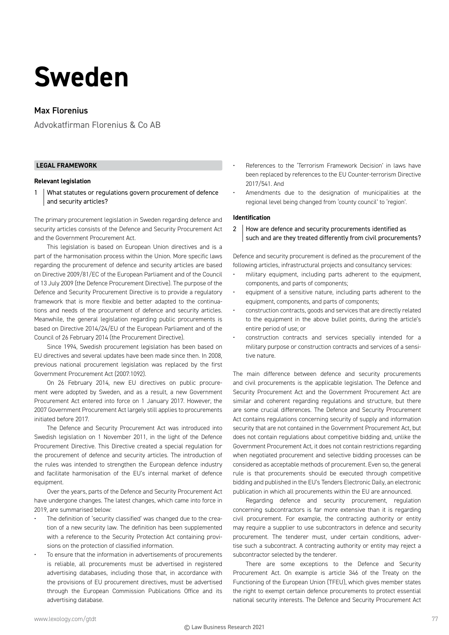## **Sweden**

#### Max Florenius

Advokatfirman Florenius & Co AB

#### **LEGAL FRAMEWORK**

#### **Relevant legislation**

1 What statutes or regulations govern procurement of defence and security articles?

The primary procurement legislation in Sweden regarding defence and security articles consists of the Defence and Security Procurement Act and the Government Procurement Act.

This legislation is based on European Union directives and is a part of the harmonisation process within the Union. More specific laws regarding the procurement of defence and security articles are based on Directive 2009/81/EC of the European Parliament and of the Council of 13 July 2009 (the Defence Procurement Directive). The purpose of the Defence and Security Procurement Directive is to provide a regulatory framework that is more flexible and better adapted to the continuations and needs of the procurement of defence and security articles. Meanwhile, the general legislation regarding public procurements is based on Directive 2014/24/EU of the European Parliament and of the Council of 26 February 2014 (the Procurement Directive).

Since 1994, Swedish procurement legislation has been based on EU directives and several updates have been made since then. In 2008, previous national procurement legislation was replaced by the first Government Procurement Act (2007:1092).

On 26 February 2014, new EU directives on public procurement were adopted by Sweden, and as a result, a new Government Procurement Act entered into force on 1 January 2017. However, the 2007 Government Procurement Act largely still applies to procurements initiated before 2017.

The Defence and Security Procurement Act was introduced into Swedish legislation on 1 November 2011, in the light of the Defence Procurement Directive. This Directive created a special regulation for the procurement of defence and security articles. The introduction of the rules was intended to strengthen the European defence industry and facilitate harmonisation of the EU's internal market of defence equipment.

Over the years, parts of the Defence and Security Procurement Act have undergone changes. The latest changes, which came into force in 2019, are summarised below:

- The definition of 'security classified' was changed due to the creation of a new security law. The definition has been supplemented with a reference to the Security Protection Act containing provisions on the protection of classified information.
- To ensure that the information in advertisements of procurements is reliable, all procurements must be advertised in registered advertising databases, including those that, in accordance with the provisions of EU procurement directives, must be advertised through the European Commission Publications Office and its advertising database.
- References to the 'Terrorism Framework Decision' in laws have been replaced by references to the EU Counter-terrorism Directive 2017/541. And
- Amendments due to the designation of municipalities at the regional level being changed from 'county council' to 'region'.

#### **Identification**

2 How are defence and security procurements identified as such and are they treated differently from civil procurements?

Defence and security procurement is defined as the procurement of the following articles, infrastructural projects and consultancy services:

- military equipment, including parts adherent to the equipment, components, and parts of components;
- equipment of a sensitive nature, including parts adherent to the equipment, components, and parts of components;
- construction contracts, goods and services that are directly related to the equipment in the above bullet points, during the article's entire period of use; or
- construction contracts and services specially intended for a military purpose or construction contracts and services of a sensitive nature.

The main difference between defence and security procurements and civil procurements is the applicable legislation. The Defence and Security Procurement Act and the Government Procurement Act are similar and coherent regarding regulations and structure, but there are some crucial differences. The Defence and Security Procurement Act contains regulations concerning security of supply and information security that are not contained in the Government Procurement Act, but does not contain regulations about competitive bidding and, unlike the Government Procurement Act, it does not contain restrictions regarding when negotiated procurement and selective bidding processes can be considered as acceptable methods of procurement. Even so, the general rule is that procurements should be executed through competitive bidding and published in the EU's Tenders Electronic Daily, an electronic publication in which all procurements within the EU are announced.

Regarding defence and security procurement, regulation concerning subcontractors is far more extensive than it is regarding civil procurement. For example, the contracting authority or entity may require a supplier to use subcontractors in defence and security procurement. The tenderer must, under certain conditions, advertise such a subcontract. A contracting authority or entity may reject a subcontractor selected by the tenderer.

There are some exceptions to the Defence and Security Procurement Act. On example is article 346 of the Treaty on the Functioning of the European Union (TFEU), which gives member states the right to exempt certain defence procurements to protect essential national security interests. The Defence and Security Procurement Act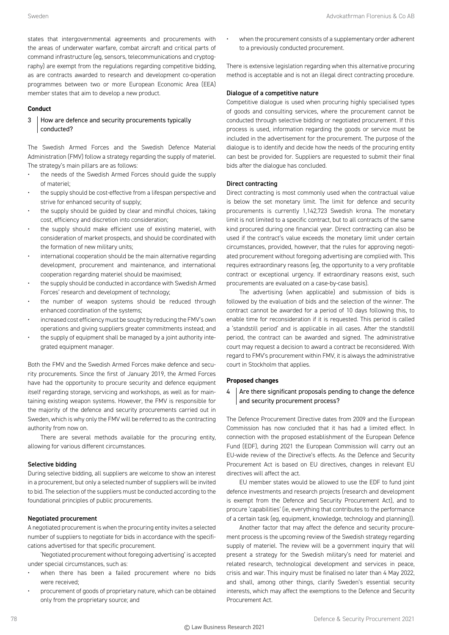states that intergovernmental agreements and procurements with the areas of underwater warfare, combat aircraft and critical parts of command infrastructure (eg, sensors, telecommunications and cryptography) are exempt from the regulations regarding competitive bidding, as are contracts awarded to research and development co-operation programmes between two or more European Economic Area (EEA) member states that aim to develop a new product.

#### **Conduct**

#### 3 How are defence and security procurements typically conducted?

The Swedish Armed Forces and the Swedish Defence Material Administration (FMV) follow a strategy regarding the supply of materiel. The strategy's main pillars are as follows:

- the needs of the Swedish Armed Forces should guide the supply of materiel;
- the supply should be cost-effective from a lifespan perspective and strive for enhanced security of supply;
- the supply should be guided by clear and mindful choices, taking cost, efficiency and discretion into consideration;
- the supply should make efficient use of existing materiel, with consideration of market prospects, and should be coordinated with the formation of new military units;
- international cooperation should be the main alternative regarding development, procurement and maintenance, and international cooperation regarding materiel should be maximised;
- the supply should be conducted in accordance with Swedish Armed Forces' research and development of technology;
- the number of weapon systems should be reduced through enhanced coordination of the systems;
- increased cost efficiency must be sought by reducing the FMV's own operations and giving suppliers greater commitments instead; and
- the supply of equipment shall be managed by a joint authority integrated equipment manager.

Both the FMV and the Swedish Armed Forces make defence and security procurements. Since the first of January 2019, the Armed Forces have had the opportunity to procure security and defence equipment itself regarding storage, servicing and workshops, as well as for maintaining existing weapon systems. However, the FMV is responsible for the majority of the defence and security procurements carried out in Sweden, which is why only the FMV will be referred to as the contracting authority from now on.

There are several methods available for the procuring entity, allowing for various different circumstances.

#### Selective bidding

During selective bidding, all suppliers are welcome to show an interest in a procurement, but only a selected number of suppliers will be invited to bid. The selection of the suppliers must be conducted according to the foundational principles of public procurements.

#### Negotiated procurement

A negotiated procurement is when the procuring entity invites a selected number of suppliers to negotiate for bids in accordance with the specifications advertised for that specific procurement.

'Negotiated procurement without foregoing advertising' is accepted under special circumstances, such as:

- when there has been a failed procurement where no bids were received;
- procurement of goods of proprietary nature, which can be obtained only from the proprietary source; and

when the procurement consists of a supplementary order adherent to a previously conducted procurement.

There is extensive legislation regarding when this alternative procuring method is acceptable and is not an illegal direct contracting procedure.

#### Dialogue of a competitive nature

Competitive dialogue is used when procuring highly specialised types of goods and consulting services, where the procurement cannot be conducted through selective bidding or negotiated procurement. If this process is used, information regarding the goods or service must be included in the advertisement for the procurement. The purpose of the dialogue is to identify and decide how the needs of the procuring entity can best be provided for. Suppliers are requested to submit their final bids after the dialogue has concluded.

#### Direct contracting

Direct contracting is most commonly used when the contractual value is below the set monetary limit. The limit for defence and security procurements is currently 1,142,723 Swedish krona. The monetary limit is not limited to a specific contract, but to all contracts of the same kind procured during one financial year. Direct contracting can also be used if the contract's value exceeds the monetary limit under certain circumstances, provided, however, that the rules for approving negotiated procurement without foregoing advertising are complied with. This requires extraordinary reasons (eg, the opportunity to a very profitable contract or exceptional urgency. If extraordinary reasons exist, such procurements are evaluated on a case-by-case basis).

The advertising (when applicable) and submission of bids is followed by the evaluation of bids and the selection of the winner. The contract cannot be awarded for a period of 10 days following this, to enable time for reconsideration if it is requested. This period is called a 'standstill period' and is applicable in all cases. After the standstill period, the contract can be awarded and signed. The administrative court may request a decision to award a contract be reconsidered. With regard to FMV's procurement within FMV, it is always the administrative court in Stockholm that applies.

#### **Proposed changes**

 $4$  Are there significant proposals pending to change the defence and security procurement process?

The Defence Procurement Directive dates from 2009 and the European Commission has now concluded that it has had a limited effect. In connection with the proposed establishment of the European Defence Fund (EDF), during 2021 the European Commission will carry out an EU-wide review of the Directive's effects. As the Defence and Security Procurement Act is based on EU directives, changes in relevant EU directives will affect the act.

EU member states would be allowed to use the EDF to fund joint defence investments and research projects (research and development is exempt from the Defence and Security Procurement Act), and to procure 'capabilities' (ie, everything that contributes to the performance of a certain task (eg, equipment, knowledge, technology and planning)).

Another factor that may affect the defence and security procurement process is the upcoming review of the Swedish strategy regarding supply of materiel. The review will be a government inquiry that will present a strategy for the Swedish military's need for materiel and related research, technological development and services in peace, crisis and war. This inquiry must be finalised no later than 4 May 2022, and shall, among other things, clarify Sweden's essential security interests, which may affect the exemptions to the Defence and Security Procurement Act.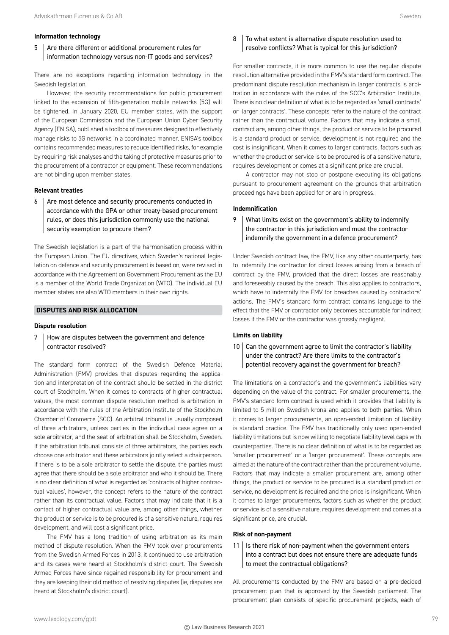#### **Information technology**

5 Are there different or additional procurement rules for information technology versus non-IT goods and services?

There are no exceptions regarding information technology in the Swedish legislation.

However, the security recommendations for public procurement linked to the expansion of fifth-generation mobile networks (5G) will be tightened. In January 2020, EU member states, with the support of the European Commission and the European Union Cyber Security Agency (ENISA), published a toolbox of measures designed to effectively manage risks to 5G networks in a coordinated manner. ENISA's toolbox contains recommended measures to reduce identified risks, for example by requiring risk analyses and the taking of protective measures prior to the procurement of a contractor or equipment. These recommendations are not binding upon member states.

#### **Relevant treaties**

 $6$  Are most defence and security procurements conducted in accordance with the GPA or other treaty-based procurement rules, or does this jurisdiction commonly use the national security exemption to procure them?

The Swedish legislation is a part of the harmonisation process within the European Union. The EU directives, which Sweden's national legislation on defence and security procurement is based on, were revised in accordance with the Agreement on Government Procurement as the EU is a member of the World Trade Organization (WTO). The individual EU member states are also WTO members in their own rights.

#### **DISPUTES AND RISK ALLOCATION**

#### **Dispute resolution**

7 | How are disputes between the government and defence contractor resolved?

The standard form contract of the Swedish Defence Material Administration (FMV) provides that disputes regarding the application and interpretation of the contract should be settled in the district court of Stockholm. When it comes to contracts of higher contractual values, the most common dispute resolution method is arbitration in accordance with the rules of the Arbitration Institute of the Stockholm Chamber of Commerce (SCC). An arbitral tribunal is usually composed of three arbitrators, unless parties in the individual case agree on a sole arbitrator, and the seat of arbitration shall be Stockholm, Sweden. If the arbitration tribunal consists of three arbitrators, the parties each choose one arbitrator and these arbitrators jointly select a chairperson. If there is to be a sole arbitrator to settle the dispute, the parties must agree that there should be a sole arbitrator and who it should be. There is no clear definition of what is regarded as 'contracts of higher contractual values', however, the concept refers to the nature of the contract rather than its contractual value. Factors that may indicate that it is a contact of higher contractual value are, among other things, whether the product or service is to be procured is of a sensitive nature, requires development, and will cost a significant price.

The FMV has a long tradition of using arbitration as its main method of dispute resolution. When the FMV took over procurements from the Swedish Armed Forces in 2013, it continued to use arbitration and its cases were heard at Stockholm's district court. The Swedish Armed Forces have since regained responsibility for procurement and they are keeping their old method of resolving disputes (ie, disputes are heard at Stockholm's district court).

#### 8 To what extent is alternative dispute resolution used to resolve conflicts? What is typical for this jurisdiction?

For smaller contracts, it is more common to use the regular dispute resolution alternative provided in the FMV's standard form contract. The predominant dispute resolution mechanism in larger contracts is arbitration in accordance with the rules of the SCC's Arbitration Institute. There is no clear definition of what is to be regarded as 'small contracts' or 'larger contracts'. These concepts refer to the nature of the contract rather than the contractual volume. Factors that may indicate a small contract are, among other things, the product or service to be procured is a standard product or service, development is not required and the cost is insignificant. When it comes to larger contracts, factors such as whether the product or service is to be procured is of a sensitive nature, requires development or comes at a significant price are crucial.

A contractor may not stop or postpone executing its obligations pursuant to procurement agreement on the grounds that arbitration proceedings have been applied for or are in progress.

#### **Indemnification**

9 What limits exist on the government's ability to indemnify the contractor in this jurisdiction and must the contractor indemnify the government in a defence procurement?

Under Swedish contract law, the FMV, like any other counterparty, has to indemnify the contractor for direct losses arising from a breach of contract by the FMV, provided that the direct losses are reasonably and foreseeably caused by the breach. This also applies to contractors, which have to indemnify the FMV for breaches caused by contractors' actions. The FMV's standard form contract contains language to the effect that the FMV or contractor only becomes accountable for indirect losses if the FMV or the contractor was grossly negligent.

#### **Limits on liability**

 $10$  Can the government agree to limit the contractor's liability under the contract? Are there limits to the contractor's potential recovery against the government for breach?

The limitations on a contractor's and the government's liabilities vary depending on the value of the contract. For smaller procurements, the FMV's standard form contract is used which it provides that liability is limited to 5 million Swedish krona and applies to both parties. When it comes to larger procurements, an open-ended limitation of liability is standard practice. The FMV has traditionally only used open-ended liability limitations but is now willing to negotiate liability level caps with counterparties. There is no clear definition of what is to be regarded as 'smaller procurement' or a 'larger procurement'. These concepts are aimed at the nature of the contract rather than the procurement volume. Factors that may indicate a smaller procurement are, among other things, the product or service to be procured is a standard product or service, no development is required and the price is insignificant. When it comes to larger procurements, factors such as whether the product or service is of a sensitive nature, requires development and comes at a significant price, are crucial.

#### **Risk of non-payment**

 $11$  | Is there risk of non-payment when the government enters into a contract but does not ensure there are adequate funds to meet the contractual obligations?

All procurements conducted by the FMV are based on a pre-decided procurement plan that is approved by the Swedish parliament. The procurement plan consists of specific procurement projects, each of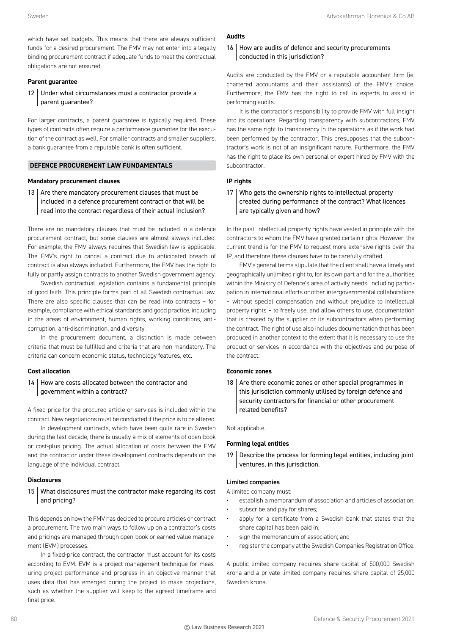which have set budgets. This means that there are always sufficient funds for a desired procurement. The FMV may not enter into a legally binding procurement contract if adequate funds to meet the contractual obligations are not ensured.

#### **Parent guarantee**

12 Under what circumstances must a contractor provide a parent guarantee?

For larger contracts, a parent guarantee is typically required. These types of contracts often require a performance guarantee for the execution of the contract as well. For smaller contracts and smaller suppliers, a bank guarantee from a reputable bank is often sufficient.

#### **DEFENCE PROCUREMENT LAW FUNDAMENTALS**

#### **Mandatory procurement clauses**

13 Are there mandatory procurement clauses that must be included in a defence procurement contract or that will be read into the contract regardless of their actual inclusion?

There are no mandatory clauses that must be included in a defence procurement contract, but some clauses are almost always included. For example, the FMV always requires that Swedish law is applicable. The FMV's right to cancel a contract due to anticipated breach of contract is also always included. Furthermore, the FMV has the right to fully or partly assign contracts to another Swedish government agency.

Swedish contractual legislation contains a fundamental principle of good faith. This principle forms part of all Swedish contractual law. There are also specific clauses that can be read into contracts – for example, compliance with ethical standards and good practice, including in the areas of environment, human rights, working conditions, anticorruption, anti-discrimination, and diversity.

In the procurement document, a distinction is made between criteria that must be fulfilled and criteria that are non-mandatory. The criteria can concern economic status, technology features, etc.

#### **Cost allocation**

#### 14 How are costs allocated between the contractor and government within a contract?

A fixed price for the procured article or services is included within the contract. New negotiations must be conducted if the price is to be altered.

In development contracts, which have been quite rare in Sweden during the last decade, there is usually a mix of elements of open-book or cost-plus pricing. The actual allocation of costs between the FMV and the contractor under these development contracts depends on the language of the individual contract.

#### **Disclosures**

#### 15 What disclosures must the contractor make regarding its cost and pricing?

This depends on how the FMV has decided to procure articles or contract a procurement. The two main ways to follow up on a contractor's costs and pricings are managed through open-book or earned value management (EVM) processes.

In a fixed-price contract, the contractor must account for its costs according to EVM. EVM is a project management technique for measuring project performance and progress in an objective manner that uses data that has emerged during the project to make projections, such as whether the supplier will keep to the agreed timeframe and final price.

#### **Audits**

16 How are audits of defence and security procurements conducted in this jurisdiction?

Audits are conducted by the FMV or a reputable accountant firm (ie, chartered accountants and their assistants) of the FMV's choice. Furthermore, the FMV has the right to call in experts to assist in performing audits.

It is the contractor's responsibility to provide FMV with full insight into its operations. Regarding transparency with subcontractors, FMV has the same right to transparency in the operations as if the work had been performed by the contractor. This presupposes that the subcontractor's work is not of an insignificant nature. Furthermore, the FMV has the right to place its own personal or expert hired by FMV with the subcontractor.

#### **IP rights**

17 Who gets the ownership rights to intellectual property created during performance of the contract? What licences are typically given and how?

In the past, intellectual property rights have vested in principle with the contractors to whom the FMV have granted certain rights. However, the current trend is for the FMV to request more extensive rights over the IP, and therefore these clauses have to be carefully drafted.

FMV's general terms stipulate that the client shall have a timely and geographically unlimited right to, for its own part and for the authorities within the Ministry of Defence's area of activity needs, including participation in international efforts or other intergovernmental collaborations – without special compensation and without prejudice to intellectual property rights – to freely use, and allow others to use, documentation that is created by the supplier or its subcontractors when performing the contract. The right of use also includes documentation that has been produced in another context to the extent that it is necessary to use the product or services in accordance with the objectives and purpose of the contract.

#### **Economic zones**

18  $\vert$  Are there economic zones or other special programmes in this jurisdiction commonly utilised by foreign defence and security contractors for financial or other procurement related benefits?

Not applicable.

#### **Forming legal entities**

19 | Describe the process for forming legal entities, including joint ventures, in this jurisdiction.

#### Limited companies

- A limited company must: establish a memorandum of association and articles of association;
- subscribe and pay for shares;
- apply for a certificate from a Swedish bank that states that the share capital has been paid in;
- sign the memorandum of association; and
- register the company at the Swedish Companies Registration Office.

A public limited company requires share capital of 500,000 Swedish krona and a private limited company requires share capital of 25,000 Swedish krona.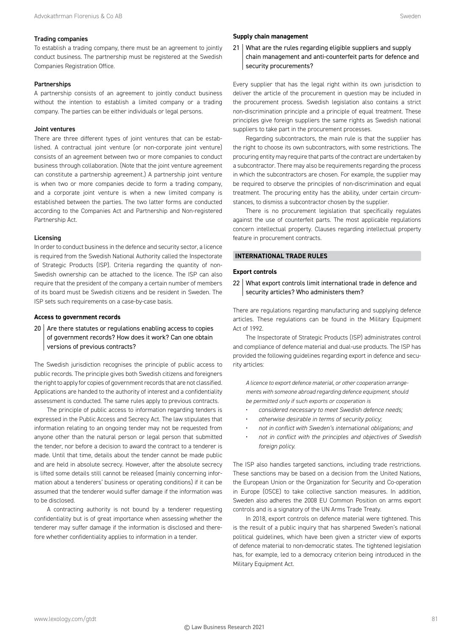#### Trading companies

To establish a trading company, there must be an agreement to jointly conduct business. The partnership must be registered at the Swedish Companies Registration Office.

#### Partnerships

A partnership consists of an agreement to jointly conduct business without the intention to establish a limited company or a trading company. The parties can be either individuals or legal persons.

#### Joint ventures

There are three different types of joint ventures that can be established. A contractual joint venture (or non-corporate joint venture) consists of an agreement between two or more companies to conduct business through collaboration. (Note that the joint venture agreement can constitute a partnership agreement.) A partnership joint venture is when two or more companies decide to form a trading company, and a corporate joint venture is when a new limited company is established between the parties. The two latter forms are conducted according to the Companies Act and Partnership and Non-registered Partnership Act.

#### Licensing

In order to conduct business in the defence and security sector, a licence is required from the Swedish National Authority called the Inspectorate of Strategic Products (ISP). Criteria regarding the quantity of non-Swedish ownership can be attached to the licence. The ISP can also require that the president of the company a certain number of members of its board must be Swedish citizens and be resident in Sweden. The ISP sets such requirements on a case-by-case basis.

#### **Access to government records**

#### $20$  Are there statutes or regulations enabling access to copies of government records? How does it work? Can one obtain versions of previous contracts?

The Swedish jurisdiction recognises the principle of public access to public records. The principle gives both Swedish citizens and foreigners the right to apply for copies of government records that are not classified. Applications are handed to the authority of interest and a confidentiality assessment is conducted. The same rules apply to previous contracts.

The principle of public access to information regarding tenders is expressed in the Public Access and Secrecy Act. The law stipulates that information relating to an ongoing tender may not be requested from anyone other than the natural person or legal person that submitted the tender, nor before a decision to award the contract to a tenderer is made. Until that time, details about the tender cannot be made public and are held in absolute secrecy. However, after the absolute secrecy is lifted some details still cannot be released (mainly concerning information about a tenderers' business or operating conditions) if it can be assumed that the tenderer would suffer damage if the information was to be disclosed.

A contracting authority is not bound by a tenderer requesting confidentiality but is of great importance when assessing whether the tenderer may suffer damage if the information is disclosed and therefore whether confidentiality applies to information in a tender.

#### **Supply chain management**

21 What are the rules regarding eligible suppliers and supply chain management and anti-counterfeit parts for defence and security procurements?

Every supplier that has the legal right within its own jurisdiction to deliver the article of the procurement in question may be included in the procurement process. Swedish legislation also contains a strict non-discrimination principle and a principle of equal treatment. These principles give foreign suppliers the same rights as Swedish national suppliers to take part in the procurement processes.

Regarding subcontractors, the main rule is that the supplier has the right to choose its own subcontractors, with some restrictions. The procuring entity may require that parts of the contract are undertaken by a subcontractor. There may also be requirements regarding the process in which the subcontractors are chosen. For example, the supplier may be required to observe the principles of non-discrimination and equal treatment. The procuring entity has the ability, under certain circumstances, to dismiss a subcontractor chosen by the supplier.

There is no procurement legislation that specifically regulates against the use of counterfeit parts. The most applicable regulations concern intellectual property. Clauses regarding intellectual property feature in procurement contracts.

#### **INTERNATIONAL TRADE RULES**

#### **Export controls**

22 What export controls limit international trade in defence and security articles? Who administers them?

There are regulations regarding manufacturing and supplying defence articles. These regulations can be found in the Military Equipment Act of 1992.

The Inspectorate of Strategic Products (ISP) administrates control and compliance of defence material and dual-use products. The ISP has provided the following guidelines regarding export in defence and security articles:

*A licence to export defence material, or other cooperation arrangements with someone abroad regarding defence equipment, should be permitted only if such exports or cooperation is*

- *considered necessary to meet Swedish defence needs;*
- *otherwise desirable in terms of security policy;*
- *not in conflict with Sweden's international obligations; and*
- *not in conflict with the principles and objectives of Swedish foreign policy.*

The ISP also handles targeted sanctions, including trade restrictions. These sanctions may be based on a decision from the United Nations, the European Union or the Organization for Security and Co-operation in Europe (OSCE) to take collective sanction measures. In addition, Sweden also adheres the 2008 EU Common Position on arms export controls and is a signatory of the UN Arms Trade Treaty.

In 2018, export controls on defence material were tightened. This is the result of a public inquiry that has sharpened Sweden's national political guidelines, which have been given a stricter view of exports of defence material to non-democratic states. The tightened legislation has, for example, led to a democracy criterion being introduced in the Military Equipment Act.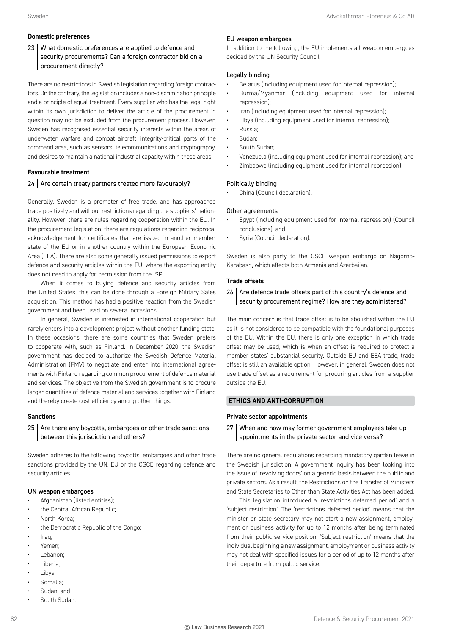#### **Domestic preferences**

23 What domestic preferences are applied to defence and security procurements? Can a foreign contractor bid on a procurement directly?

There are no restrictions in Swedish legislation regarding foreign contractors. On the contrary, the legislation includes a non-discrimination principle and a principle of equal treatment. Every supplier who has the legal right within its own jurisdiction to deliver the article of the procurement in question may not be excluded from the procurement process. However, Sweden has recognised essential security interests within the areas of underwater warfare and combat aircraft, integrity-critical parts of the command area, such as sensors, telecommunications and cryptography, and desires to maintain a national industrial capacity within these areas.

#### **Favourable treatment**

#### 24 Are certain treaty partners treated more favourably?

Generally, Sweden is a promoter of free trade, and has approached trade positively and without restrictions regarding the suppliers' nationality. However, there are rules regarding cooperation within the EU. In the procurement legislation, there are regulations regarding reciprocal acknowledgement for certificates that are issued in another member state of the EU or in another country within the European Economic Area (EEA). There are also some generally issued permissions to export defence and security articles within the EU, where the exporting entity does not need to apply for permission from the ISP.

When it comes to buying defence and security articles from the United States, this can be done through a Foreign Military Sales acquisition. This method has had a positive reaction from the Swedish government and been used on several occasions.

In general, Sweden is interested in international cooperation but rarely enters into a development project without another funding state. In these occasions, there are some countries that Sweden prefers to cooperate with, such as Finland. In December 2020, the Swedish government has decided to authorize the Swedish Defence Material Administration (FMV) to negotiate and enter into international agreements with Finland regarding common procurement of defence material and services. The objective from the Swedish government is to procure larger quantities of defence material and services together with Finland and thereby create cost efficiency among other things.

#### **Sanctions**

#### $25$  Are there any boycotts, embargoes or other trade sanctions between this jurisdiction and others?

Sweden adheres to the following boycotts, embargoes and other trade sanctions provided by the UN, EU or the OSCE regarding defence and security articles.

#### UN weapon embargoes

- Afghanistan (listed entities);
- the Central African Republic;
- North Korea;
- the Democratic Republic of the Congo;
- Iraq;
- Yemen;
- Lebanon;
- Liberia;
- Libya;
- Somalia;
- Sudan; and
- South Sudan.

#### EU weapon embargoes

In addition to the following, the EU implements all weapon embargoes decided by the UN Security Council.

#### Legally binding

- Belarus (including equipment used for internal repression);
- Burma/Myanmar (including equipment used for internal repression);
- Iran (including equipment used for internal repression);
- Libya (including equipment used for internal repression);
- Russia;
- Sudan;
- South Sudan;
- Venezuela (including equipment used for internal repression); and
- Zimbabwe (including equipment used for internal repression).

#### Politically binding

China (Council declaration).

#### Other agreements

- Egypt (including equipment used for internal repression) (Council conclusions); and
- Syria (Council declaration).

Sweden is also party to the OSCE weapon embargo on Nagorno-Karabash, which affects both Armenia and Azerbaijan.

#### **Trade offsets**

#### $26$  Are defence trade offsets part of this country's defence and security procurement regime? How are they administered?

The main concern is that trade offset is to be abolished within the EU as it is not considered to be compatible with the foundational purposes of the EU. Within the EU, there is only one exception in which trade offset may be used, which is when an offset is required to protect a member states' substantial security. Outside EU and EEA trade, trade offset is still an available option. However, in general, Sweden does not use trade offset as a requirement for procuring articles from a supplier outside the EU.

#### **ETHICS AND ANTI-CORRUPTION**

#### **Private sector appointments**

27 When and how may former government employees take up appointments in the private sector and vice versa?

There are no general regulations regarding mandatory garden leave in the Swedish jurisdiction. A government inquiry has been looking into the issue of 'revolving doors' on a generic basis between the public and private sectors. As a result, the Restrictions on the Transfer of Ministers and State Secretaries to Other than State Activities Act has been added.

This legislation introduced a 'restrictions deferred period' and a 'subject restriction'. The 'restrictions deferred period' means that the minister or state secretary may not start a new assignment, employment or business activity for up to 12 months after being terminated from their public service position. 'Subject restriction' means that the individual beginning a new assignment, employment or business activity may not deal with specified issues for a period of up to 12 months after their departure from public service.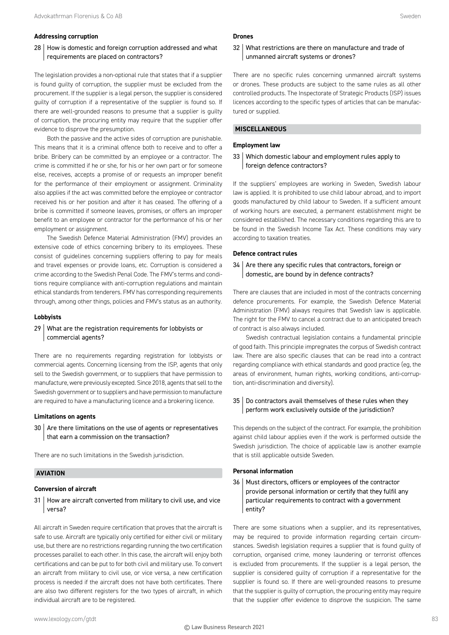#### **Addressing corruption**

#### 28 How is domestic and foreign corruption addressed and what requirements are placed on contractors?

The legislation provides a non-optional rule that states that if a supplier is found guilty of corruption, the supplier must be excluded from the procurement. If the supplier is a legal person, the supplier is considered guilty of corruption if a representative of the supplier is found so. If there are well-grounded reasons to presume that a supplier is guilty of corruption, the procuring entity may require that the supplier offer evidence to disprove the presumption.

Both the passive and the active sides of corruption are punishable. This means that it is a criminal offence both to receive and to offer a bribe. Bribery can be committed by an employee or a contractor. The crime is committed if he or she, for his or her own part or for someone else, receives, accepts a promise of or requests an improper benefit for the performance of their employment or assignment. Criminality also applies if the act was committed before the employee or contractor received his or her position and after it has ceased. The offering of a bribe is committed if someone leaves, promises, or offers an improper benefit to an employee or contractor for the performance of his or her employment or assignment.

The Swedish Defence Material Administration (FMV) provides an extensive code of ethics concerning bribery to its employees. These consist of guidelines concerning suppliers offering to pay for meals and travel expenses or provide loans, etc. Corruption is considered a crime according to the Swedish Penal Code. The FMV's terms and conditions require compliance with anti-corruption regulations and maintain ethical standards from tenderers. FMV has corresponding requirements through, among other things, policies and FMV's status as an authority.

#### **Lobbyists**

#### 29 What are the registration requirements for lobbyists or commercial agents?

There are no requirements regarding registration for lobbyists or commercial agents. Concerning licensing from the ISP, agents that only sell to the Swedish government, or to suppliers that have permission to manufacture, were previously excepted. Since 2018, agents that sell to the Swedish government or to suppliers and have permission to manufacture are required to have a manufacturing licence and a brokering licence.

#### **Limitations on agents**

 $30$  Are there limitations on the use of agents or representatives that earn a commission on the transaction?

There are no such limitations in the Swedish jurisdiction.

#### **AVIATION**

#### **Conversion of aircraft**

31 How are aircraft converted from military to civil use, and vice versa?

All aircraft in Sweden require certification that proves that the aircraft is safe to use. Aircraft are typically only certified for either civil or military use, but there are no restrictions regarding running the two certification processes parallel to each other. In this case, the aircraft will enjoy both certifications and can be put to for both civil and military use. To convert an aircraft from military to civil use, or vice versa, a new certification process is needed if the aircraft does not have both certificates. There are also two different registers for the two types of aircraft, in which individual aircraft are to be registered.

#### **Drones**

#### 32 What restrictions are there on manufacture and trade of unmanned aircraft systems or drones?

There are no specific rules concerning unmanned aircraft systems or drones. These products are subject to the same rules as all other controlled products. The Inspectorate of Strategic Products (ISP) issues licences according to the specific types of articles that can be manufactured or supplied.

#### **MISCELLANEOUS**

#### **Employment law**

#### 33 Which domestic labour and employment rules apply to foreign defence contractors?

If the suppliers' employees are working in Sweden, Swedish labour law is applied. It is prohibited to use child labour abroad, and to import goods manufactured by child labour to Sweden. If a sufficient amount of working hours are executed, a permanent establishment might be considered established. The necessary conditions regarding this are to be found in the Swedish Income Tax Act. These conditions may vary according to taxation treaties.

#### **Defence contract rules**

#### $34$   $\vert$  Are there any specific rules that contractors, foreign or domestic, are bound by in defence contracts?

There are clauses that are included in most of the contracts concerning defence procurements. For example, the Swedish Defence Material Administration (FMV) always requires that Swedish law is applicable. The right for the FMV to cancel a contract due to an anticipated breach of contract is also always included.

Swedish contractual legislation contains a fundamental principle of good faith. This principle impregnates the corpus of Swedish contract law. There are also specific clauses that can be read into a contract regarding compliance with ethical standards and good practice (eg, the areas of environment, human rights, working conditions, anti-corruption, anti-discrimination and diversity).

#### 35 Do contractors avail themselves of these rules when they perform work exclusively outside of the jurisdiction?

This depends on the subject of the contract. For example, the prohibition against child labour applies even if the work is performed outside the Swedish jurisdiction. The choice of applicable law is another example that is still applicable outside Sweden.

#### **Personal information**

36 | Must directors, officers or employees of the contractor provide personal information or certify that they fulfil any particular requirements to contract with a government entity?

There are some situations when a supplier, and its representatives, may be required to provide information regarding certain circumstances. Swedish legislation requires a supplier that is found guilty of corruption, organised crime, money laundering or terrorist offences is excluded from procurements. If the supplier is a legal person, the supplier is considered guilty of corruption if a representative for the supplier is found so. If there are well-grounded reasons to presume that the supplier is guilty of corruption, the procuring entity may require that the supplier offer evidence to disprove the suspicion. The same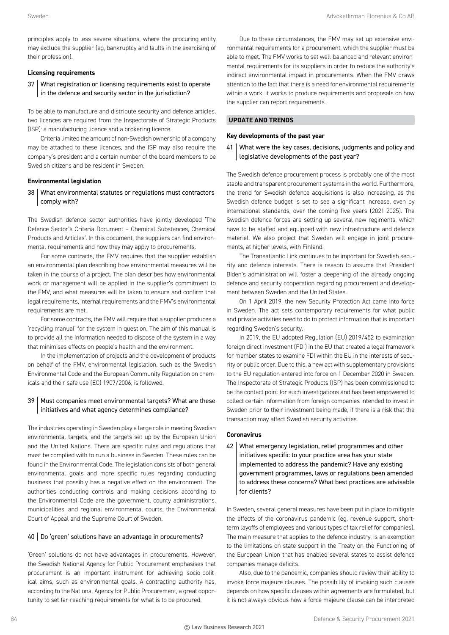principles apply to less severe situations, where the procuring entity may exclude the supplier (eg, bankruptcy and faults in the exercising of their profession).

#### **Licensing requirements**

37 What registration or licensing requirements exist to operate in the defence and security sector in the jurisdiction?

To be able to manufacture and distribute security and defence articles, two licences are required from the Inspectorate of Strategic Products (ISP): a manufacturing licence and a brokering licence.

Criteria limited the amount of non-Swedish ownership of a company may be attached to these licences, and the ISP may also require the company's president and a certain number of the board members to be Swedish citizens and be resident in Sweden.

#### **Environmental legislation**

38 What environmental statutes or regulations must contractors comply with?

The Swedish defence sector authorities have jointly developed 'The Defence Sector's Criteria Document – Chemical Substances, Chemical Products and Articles'. In this document, the suppliers can find environmental requirements and how they may apply to procurements.

For some contracts, the FMV requires that the supplier establish an environmental plan describing how environmental measures will be taken in the course of a project. The plan describes how environmental work or management will be applied in the supplier's commitment to the FMV, and what measures will be taken to ensure and confirm that legal requirements, internal requirements and the FMV's environmental requirements are met.

For some contracts, the FMV will require that a supplier produces a 'recycling manual' for the system in question. The aim of this manual is to provide all the information needed to dispose of the system in a way that minimises effects on people's health and the environment.

In the implementation of projects and the development of products on behalf of the FMV, environmental legislation, such as the Swedish Environmental Code and the European Community Regulation on chemicals and their safe use (EC) 1907/2006, is followed.

#### 39 | Must companies meet environmental targets? What are these initiatives and what agency determines compliance?

The industries operating in Sweden play a large role in meeting Swedish environmental targets, and the targets set up by the European Union and the United Nations. There are specific rules and regulations that must be complied with to run a business in Sweden. These rules can be found in the Environmental Code. The legislation consists of both general environmental goals and more specific rules regarding conducting business that possibly has a negative effect on the environment. The authorities conducting controls and making decisions according to the Environmental Code are the government, county administrations, municipalities, and regional environmental courts, the Environmental Court of Appeal and the Supreme Court of Sweden.

#### 40 Do 'green' solutions have an advantage in procurements?

'Green' solutions do not have advantages in procurements. However, the Swedish National Agency for Public Procurement emphasises that procurement is an important instrument for achieving socio-political aims, such as environmental goals. A contracting authority has, according to the National Agency for Public Procurement, a great opportunity to set far-reaching requirements for what is to be procured.

Due to these circumstances, the FMV may set up extensive environmental requirements for a procurement, which the supplier must be able to meet. The FMV works to set well-balanced and relevant environmental requirements for its suppliers in order to reduce the authority's indirect environmental impact in procurements. When the FMV draws attention to the fact that there is a need for environmental requirements within a work, it works to produce requirements and proposals on how the supplier can report requirements.

#### **UPDATE AND TRENDS**

#### **Key developments of the past year**

41 What were the key cases, decisions, judgments and policy and legislative developments of the past year?

The Swedish defence procurement process is probably one of the most stable and transparent procurement systems in the world. Furthermore, the trend for Swedish defence acquisitions is also increasing, as the Swedish defence budget is set to see a significant increase, even by international standards, over the coming five years (2021-2025). The Swedish defence forces are setting up several new regiments, which have to be staffed and equipped with new infrastructure and defence materiel. We also project that Sweden will engage in joint procurements, at higher levels, with Finland.

The Transatlantic Link continues to be important for Swedish security and defence interests. There is reason to assume that President Biden's administration will foster a deepening of the already ongoing defence and security cooperation regarding procurement and development between Sweden and the United States.

On 1 April 2019, the new Security Protection Act came into force in Sweden. The act sets contemporary requirements for what public and private activities need to do to protect information that is important regarding Sweden's security.

In 2019, the EU adopted Regulation (EU) 2019/452 to examination foreign direct investment (FDI) in the EU that created a legal framework for member states to examine FDI within the EU in the interests of security or public order. Due to this, a new act with supplementary provisions to the EU regulation entered into force on 1 December 2020 in Sweden. The Inspectorate of Strategic Products (ISP) has been commissioned to be the contact point for such investigations and has been empowered to collect certain information from foreign companies intended to invest in Sweden prior to their investment being made, if there is a risk that the transaction may affect Swedish security activities.

#### **Coronavirus**

42 What emergency legislation, relief programmes and other initiatives specific to your practice area has your state implemented to address the pandemic? Have any existing government programmes, laws or regulations been amended to address these concerns? What best practices are advisable for clients?

In Sweden, several general measures have been put in place to mitigate the effects of the coronavirus pandemic (eg, revenue support, shortterm layoffs of employees and various types of tax relief for companies). The main measure that applies to the defence industry, is an exemption to the limitations on state support in the Treaty on the Functioning of the European Union that has enabled several states to assist defence companies manage deficits.

Also, due to the pandemic, companies should review their ability to invoke force majeure clauses. The possibility of invoking such clauses depends on how specific clauses within agreements are formulated, but it is not always obvious how a force majeure clause can be interpreted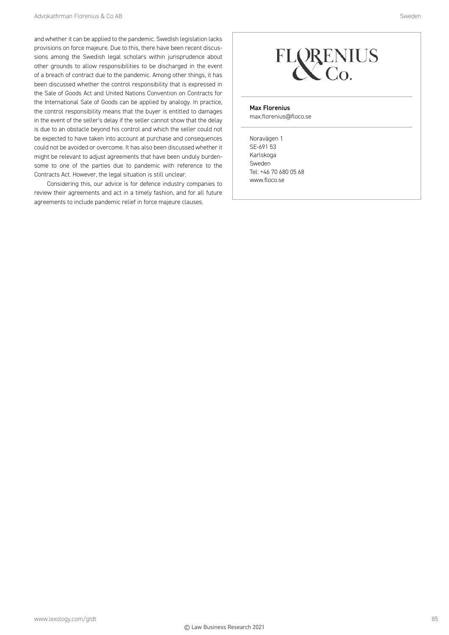and whether it can be applied to the pandemic. Swedish legislation lacks provisions on force majeure. Due to this, there have been recent discussions among the Swedish legal scholars within jurisprudence about other grounds to allow responsibilities to be discharged in the event of a breach of contract due to the pandemic. Among other things, it has been discussed whether the control responsibility that is expressed in the Sale of Goods Act and United Nations Convention on Contracts for the International Sale of Goods can be applied by analogy. In practice, the control responsibility means that the buyer is entitled to damages in the event of the seller's delay if the seller cannot show that the delay is due to an obstacle beyond his control and which the seller could not be expected to have taken into account at purchase and consequences could not be avoided or overcome. It has also been discussed whether it might be relevant to adjust agreements that have been unduly burdensome to one of the parties due to pandemic with reference to the Contracts Act. However, the legal situation is still unclear.

Considering this, our advice is for defence industry companies to review their agreements and act in a timely fashion, and for all future agreements to include pandemic relief in force majeure clauses.



#### Max Florenius

max.florenius@floco.se

Noravägen 1 SE-691 53 Karlskoga Sweden Tel: +46 70 680 05 68 www.floco.se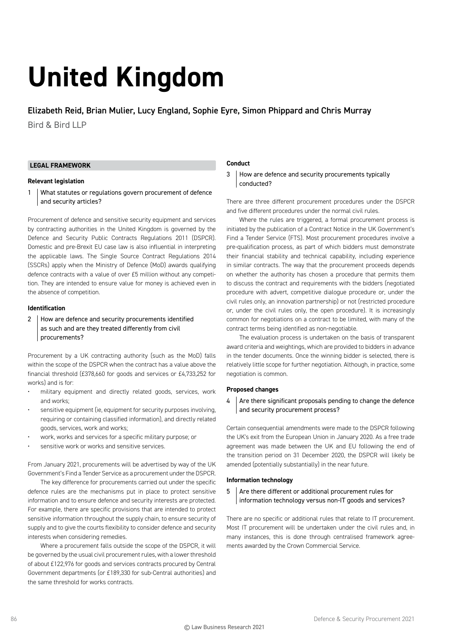# **United Kingdom**

Elizabeth Reid, Brian Mulier, Lucy England, Sophie Eyre, Simon Phippard and Chris Murray

Bird & Bird LLP

#### **LEGAL FRAMEWORK**

#### **Relevant legislation**

1 What statutes or regulations govern procurement of defence and security articles?

Procurement of defence and sensitive security equipment and services by contracting authorities in the United Kingdom is governed by the Defence and Security Public Contracts Regulations 2011 (DSPCR). Domestic and pre-Brexit EU case law is also influential in interpreting the applicable laws. The Single Source Contract Regulations 2014 (SSCRs) apply when the Ministry of Defence (MoD) awards qualifying defence contracts with a value of over £5 million without any competition. They are intended to ensure value for money is achieved even in the absence of competition.

#### **Identification**

2 How are defence and security procurements identified as such and are they treated differently from civil procurements?

Procurement by a UK contracting authority (such as the MoD) falls within the scope of the DSPCR when the contract has a value above the financial threshold (£378,660 for goods and services or £4,733,252 for works) and is for:

- military equipment and directly related goods, services, work and works;
- sensitive equipment (ie, equipment for security purposes involving, requiring or containing classified information), and directly related goods, services, work and works;
- work, works and services for a specific military purpose; or
- sensitive work or works and sensitive services.

From January 2021, procurements will be advertised by way of the UK Government's Find a Tender Service as a procurement under the DSPCR.

The key difference for procurements carried out under the specific defence rules are the mechanisms put in place to protect sensitive information and to ensure defence and security interests are protected. For example, there are specific provisions that are intended to protect sensitive information throughout the supply chain, to ensure security of supply and to give the courts flexibility to consider defence and security interests when considering remedies.

Where a procurement falls outside the scope of the DSPCR, it will be governed by the usual civil procurement rules, with a lower threshold of about £122,976 for goods and services contracts procured by Central Government departments (or £189,330 for sub-Central authorities) and the same threshold for works contracts.

#### **Conduct**

3 How are defence and security procurements typically conducted?

There are three different procurement procedures under the DSPCR and five different procedures under the normal civil rules.

Where the rules are triggered, a formal procurement process is initiated by the publication of a Contract Notice in the UK Government's Find a Tender Service (FTS). Most procurement procedures involve a pre-qualification process, as part of which bidders must demonstrate their financial stability and technical capability, including experience in similar contracts. The way that the procurement proceeds depends on whether the authority has chosen a procedure that permits them to discuss the contract and requirements with the bidders (negotiated procedure with advert, competitive dialogue procedure or, under the civil rules only, an innovation partnership) or not (restricted procedure or, under the civil rules only, the open procedure). It is increasingly common for negotiations on a contract to be limited, with many of the contract terms being identified as non-negotiable.

The evaluation process is undertaken on the basis of transparent award criteria and weightings, which are provided to bidders in advance in the tender documents. Once the winning bidder is selected, there is relatively little scope for further negotiation. Although, in practice, some negotiation is common.

#### **Proposed changes**

 $4$  Are there significant proposals pending to change the defence and security procurement process?

Certain consequential amendments were made to the DSPCR following the UK's exit from the European Union in January 2020. As a free trade agreement was made between the UK and EU following the end of the transition period on 31 December 2020, the DSPCR will likely be amended (potentially substantially) in the near future.

#### **Information technology**

#### 5 Are there different or additional procurement rules for information technology versus non-IT goods and services?

There are no specific or additional rules that relate to IT procurement. Most IT procurement will be undertaken under the civil rules and, in many instances, this is done through centralised framework agreements awarded by the Crown Commercial Service.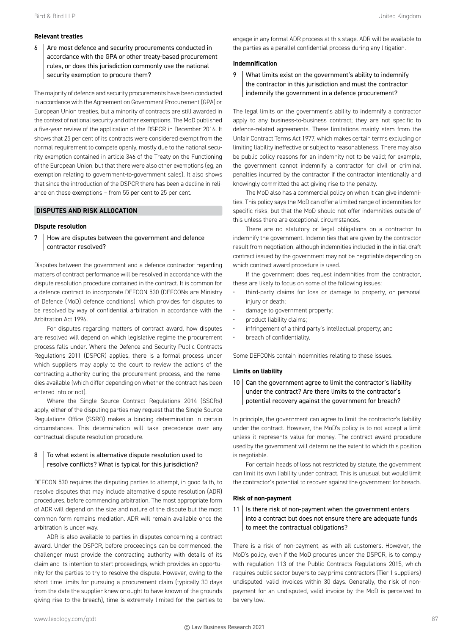#### **Relevant treaties**

 $6$  Are most defence and security procurements conducted in accordance with the GPA or other treaty-based procurement rules, or does this jurisdiction commonly use the national security exemption to procure them?

The majority of defence and security procurements have been conducted in accordance with the Agreement on Government Procurement (GPA) or European Union treaties, but a minority of contracts are still awarded in the context of national security and other exemptions. The MoD published a five-year review of the application of the DSPCR in December 2016. It shows that 25 per cent of its contracts were considered exempt from the normal requirement to compete openly, mostly due to the national security exemption contained in article 346 of the Treaty on the Functioning of the European Union, but that there were also other exemptions (eg, an exemption relating to government-to-government sales). It also shows that since the introduction of the DSPCR there has been a decline in reliance on these exemptions – from 55 per cent to 25 per cent.

#### **DISPUTES AND RISK ALLOCATION**

#### **Dispute resolution**

7 How are disputes between the government and defence contractor resolved?

Disputes between the government and a defence contractor regarding matters of contract performance will be resolved in accordance with the dispute resolution procedure contained in the contract. It is common for a defence contract to incorporate DEFCON 530 (DEFCONs are Ministry of Defence (MoD) defence conditions), which provides for disputes to be resolved by way of confidential arbitration in accordance with the Arbitration Act 1996.

For disputes regarding matters of contract award, how disputes are resolved will depend on which legislative regime the procurement process falls under. Where the Defence and Security Public Contracts Regulations 2011 (DSPCR) applies, there is a formal process under which suppliers may apply to the court to review the actions of the contracting authority during the procurement process, and the remedies available (which differ depending on whether the contract has been entered into or not).

Where the Single Source Contract Regulations 2014 (SSCRs) apply, either of the disputing parties may request that the Single Source Regulations Office (SSRO) makes a binding determination in certain circumstances. This determination will take precedence over any contractual dispute resolution procedure.

#### $8$  To what extent is alternative dispute resolution used to resolve conflicts? What is typical for this jurisdiction?

DEFCON 530 requires the disputing parties to attempt, in good faith, to resolve disputes that may include alternative dispute resolution (ADR) procedures, before commencing arbitration. The most appropriate form of ADR will depend on the size and nature of the dispute but the most common form remains mediation. ADR will remain available once the arbitration is under way.

ADR is also available to parties in disputes concerning a contract award. Under the DSPCR, before proceedings can be commenced, the challenger must provide the contracting authority with details of its claim and its intention to start proceedings, which provides an opportunity for the parties to try to resolve the dispute. However, owing to the short time limits for pursuing a procurement claim (typically 30 days from the date the supplier knew or ought to have known of the grounds giving rise to the breach), time is extremely limited for the parties to

#### **Indemnification**

9 | What limits exist on the government's ability to indemnify the contractor in this jurisdiction and must the contractor indemnify the government in a defence procurement?

The legal limits on the government's ability to indemnify a contractor apply to any business-to-business contract; they are not specific to defence-related agreements. These limitations mainly stem from the Unfair Contract Terms Act 1977, which makes certain terms excluding or limiting liability ineffective or subject to reasonableness. There may also be public policy reasons for an indemnity not to be valid; for example, the government cannot indemnify a contractor for civil or criminal penalties incurred by the contractor if the contractor intentionally and knowingly committed the act giving rise to the penalty.

The MoD also has a commercial policy on when it can give indemnities. This policy says the MoD can offer a limited range of indemnities for specific risks, but that the MoD should not offer indemnities outside of this unless there are exceptional circumstances.

There are no statutory or legal obligations on a contractor to indemnify the government. Indemnities that are given by the contractor result from negotiation, although indemnities included in the initial draft contract issued by the government may not be negotiable depending on which contract award procedure is used.

If the government does request indemnities from the contractor, these are likely to focus on some of the following issues:

- third-party claims for loss or damage to property, or personal injury or death;
- damage to government property;
- product liability claims;
- infringement of a third party's intellectual property; and
- breach of confidentiality.

Some DEFCONs contain indemnities relating to these issues.

#### **Limits on liability**

 $10$  Can the government agree to limit the contractor's liability under the contract? Are there limits to the contractor's potential recovery against the government for breach?

In principle, the government can agree to limit the contractor's liability under the contract. However, the MoD's policy is to not accept a limit unless it represents value for money. The contract award procedure used by the government will determine the extent to which this position is negotiable.

For certain heads of loss not restricted by statute, the government can limit its own liability under contract. This is unusual but would limit the contractor's potential to recover against the government for breach.

#### **Risk of non-payment**

 $11$  Is there risk of non-payment when the government enters into a contract but does not ensure there are adequate funds to meet the contractual obligations?

There is a risk of non-payment, as with all customers. However, the MoD's policy, even if the MoD procures under the DSPCR, is to comply with regulation 113 of the Public Contracts Regulations 2015, which requires public sector buyers to pay prime contractors (Tier 1 suppliers) undisputed, valid invoices within 30 days. Generally, the risk of nonpayment for an undisputed, valid invoice by the MoD is perceived to be very low.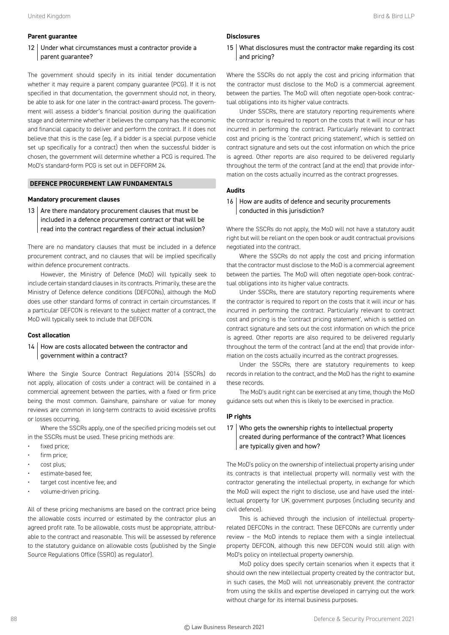#### **Parent guarantee**

#### 12 Under what circumstances must a contractor provide a parent guarantee?

The government should specify in its initial tender documentation whether it may require a parent company guarantee (PCG). If it is not specified in that documentation, the government should not, in theory, be able to ask for one later in the contract-award process. The government will assess a bidder's financial position during the qualification stage and determine whether it believes the company has the economic and financial capacity to deliver and perform the contract. If it does not believe that this is the case (eg, if a bidder is a special purpose vehicle set up specifically for a contract) then when the successful bidder is chosen, the government will determine whether a PCG is required. The MoD's standard-form PCG is set out in DEFFORM 24.

#### **DEFENCE PROCUREMENT LAW FUNDAMENTALS**

#### **Mandatory procurement clauses**

13  $\vert$  Are there mandatory procurement clauses that must be included in a defence procurement contract or that will be read into the contract regardless of their actual inclusion?

There are no mandatory clauses that must be included in a defence procurement contract, and no clauses that will be implied specifically within defence procurement contracts.

However, the Ministry of Defence (MoD) will typically seek to include certain standard clauses in its contracts. Primarily, these are the Ministry of Defence defence conditions (DEFCONs), although the MoD does use other standard forms of contract in certain circumstances. If a particular DEFCON is relevant to the subject matter of a contract, the MoD will typically seek to include that DEFCON.

#### **Cost allocation**

#### 14 | How are costs allocated between the contractor and government within a contract?

Where the Single Source Contract Regulations 2014 (SSCRs) do not apply, allocation of costs under a contract will be contained in a commercial agreement between the parties, with a fixed or firm price being the most common. Gainshare, painshare or value for money reviews are common in long-term contracts to avoid excessive profits or losses occurring.

Where the SSCRs apply, one of the specified pricing models set out in the SSCRs must be used. These pricing methods are:

- fixed price;
- firm price;
- cost plus;
- estimate-based fee;
- target cost incentive fee; and
- volume-driven pricing.

All of these pricing mechanisms are based on the contract price being the allowable costs incurred or estimated by the contractor plus an agreed profit rate. To be allowable, costs must be appropriate, attributable to the contract and reasonable. This will be assessed by reference to the statutory guidance on allowable costs (published by the Single Source Regulations Office (SSRO) as regulator).

#### **Disclosures**

#### 15 What disclosures must the contractor make regarding its cost and pricing?

Where the SSCRs do not apply the cost and pricing information that the contractor must disclose to the MoD is a commercial agreement between the parties. The MoD will often negotiate open-book contractual obligations into its higher value contracts.

Under SSCRs, there are statutory reporting requirements where the contractor is required to report on the costs that it will incur or has incurred in performing the contract. Particularly relevant to contract cost and pricing is the 'contract pricing statement', which is settled on contract signature and sets out the cost information on which the price is agreed. Other reports are also required to be delivered regularly throughout the term of the contract (and at the end) that provide information on the costs actually incurred as the contract progresses.

#### **Audits**

16 How are audits of defence and security procurements conducted in this jurisdiction?

Where the SSCRs do not apply, the MoD will not have a statutory audit right but will be reliant on the open book or audit contractual provisions negotiated into the contract.

Where the SSCRs do not apply the cost and pricing information that the contractor must disclose to the MoD is a commercial agreement between the parties. The MoD will often negotiate open-book contractual obligations into its higher value contracts.

Under SSCRs, there are statutory reporting requirements where the contractor is required to report on the costs that it will incur or has incurred in performing the contract. Particularly relevant to contract cost and pricing is the 'contract pricing statement', which is settled on contract signature and sets out the cost information on which the price is agreed. Other reports are also required to be delivered regularly throughout the term of the contract (and at the end) that provide information on the costs actually incurred as the contract progresses.

Under the SSCRs, there are statutory requirements to keep records in relation to the contract, and the MoD has the right to examine these records.

The MoD's audit right can be exercised at any time, though the MoD guidance sets out when this is likely to be exercised in practice.

#### **IP rights**

#### 17 Who gets the ownership rights to intellectual property created during performance of the contract? What licences are typically given and how?

The MoD's policy on the ownership of intellectual property arising under its contracts is that intellectual property will normally vest with the contractor generating the intellectual property, in exchange for which the MoD will expect the right to disclose, use and have used the intellectual property for UK government purposes (including security and civil defence).

This is achieved through the inclusion of intellectual propertyrelated DEFCONs in the contract. These DEFCONs are currently under review – the MoD intends to replace them with a single intellectual property DEFCON, although this new DEFCON would still align with MoD's policy on intellectual property ownership.

MoD policy does specify certain scenarios when it expects that it should own the new intellectual property created by the contractor but, in such cases, the MoD will not unreasonably prevent the contractor from using the skills and expertise developed in carrying out the work without charge for its internal business purposes.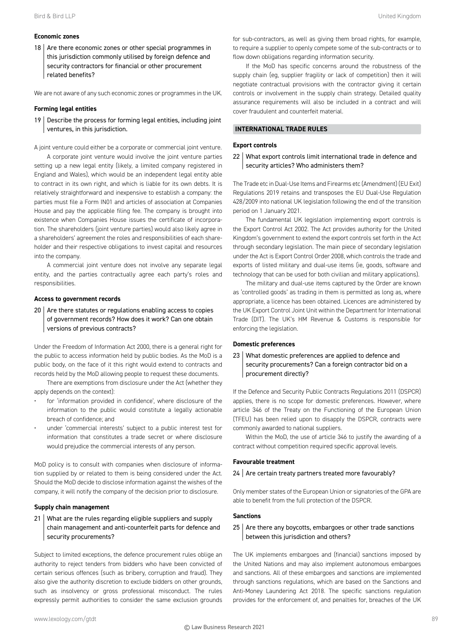#### **Economic zones**

18 Are there economic zones or other special programmes in this jurisdiction commonly utilised by foreign defence and security contractors for financial or other procurement related benefits?

We are not aware of any such economic zones or programmes in the UK.

#### **Forming legal entities**

 $19$  Describe the process for forming legal entities, including joint ventures, in this jurisdiction.

A joint venture could either be a corporate or commercial joint venture.

A corporate joint venture would involve the joint venture parties setting up a new legal entity (likely, a limited company registered in England and Wales), which would be an independent legal entity able to contract in its own right, and which is liable for its own debts. It is relatively straightforward and inexpensive to establish a company: the parties must file a Form IN01 and articles of association at Companies House and pay the applicable filing fee. The company is brought into existence when Companies House issues the certificate of incorporation. The shareholders (joint venture parties) would also likely agree in a shareholders' agreement the roles and responsibilities of each shareholder and their respective obligations to invest capital and resources into the company.

A commercial joint venture does not involve any separate legal entity, and the parties contractually agree each party's roles and responsibilities.

#### **Access to government records**

 $20$  Are there statutes or regulations enabling access to copies of government records? How does it work? Can one obtain versions of previous contracts?

Under the Freedom of Information Act 2000, there is a general right for the public to access information held by public bodies. As the MoD is a public body, on the face of it this right would extend to contracts and records held by the MoD allowing people to request these documents.

There are exemptions from disclosure under the Act (whether they apply depends on the context):

- for 'information provided in confidence', where disclosure of the information to the public would constitute a legally actionable breach of confidence; and
- under 'commercial interests' subject to a public interest test for information that constitutes a trade secret or where disclosure would prejudice the commercial interests of any person.

MoD policy is to consult with companies when disclosure of information supplied by or related to them is being considered under the Act. Should the MoD decide to disclose information against the wishes of the company, it will notify the company of the decision prior to disclosure.

#### **Supply chain management**

#### 21 What are the rules regarding eligible suppliers and supply chain management and anti-counterfeit parts for defence and security procurements?

Subject to limited exceptions, the defence procurement rules oblige an authority to reject tenders from bidders who have been convicted of certain serious offences (such as bribery, corruption and fraud). They also give the authority discretion to exclude bidders on other grounds, such as insolvency or gross professional misconduct. The rules expressly permit authorities to consider the same exclusion grounds

If the MoD has specific concerns around the robustness of the supply chain (eg, supplier fragility or lack of competition) then it will negotiate contractual provisions with the contractor giving it certain controls or involvement in the supply chain strategy. Detailed quality assurance requirements will also be included in a contract and will cover fraudulent and counterfeit material.

#### **INTERNATIONAL TRADE RULES**

#### **Export controls**

#### 22 What export controls limit international trade in defence and security articles? Who administers them?

The Trade etc in Dual-Use Items and Firearms etc (Amendment) (EU Exit) Regulations 2019 retains and transposes the EU Dual-Use Regulation 428/2009 into national UK legislation following the end of the transition period on 1 January 2021.

The fundamental UK legislation implementing export controls is the Export Control Act 2002. The Act provides authority for the United Kingdom's government to extend the export controls set forth in the Act through secondary legislation. The main piece of secondary legislation under the Act is Export Control Order 2008, which controls the trade and exports of listed military and dual-use items (ie, goods, software and technology that can be used for both civilian and military applications).

The military and dual-use items captured by the Order are known as 'controlled goods' as trading in them is permitted as long as, where appropriate, a licence has been obtained. Licences are administered by the UK Export Control Joint Unit within the Department for International Trade (DIT). The UK's HM Revenue & Customs is responsible for enforcing the legislation.

#### **Domestic preferences**

#### 23 What domestic preferences are applied to defence and security procurements? Can a foreign contractor bid on a procurement directly?

If the Defence and Security Public Contracts Regulations 2011 (DSPCR) applies, there is no scope for domestic preferences. However, where article 346 of the Treaty on the Functioning of the European Union (TFEU) has been relied upon to disapply the DSPCR, contracts were commonly awarded to national suppliers.

Within the MoD, the use of article 346 to justify the awarding of a contract without competition required specific approval levels.

#### **Favourable treatment**

#### 24 Are certain treaty partners treated more favourably?

Only member states of the European Union or signatories of the GPA are able to benefit from the full protection of the DSPCR.

#### **Sanctions**

#### $25$  Are there any boycotts, embargoes or other trade sanctions between this jurisdiction and others?

The UK implements embargoes and (financial) sanctions imposed by the United Nations and may also implement autonomous embargoes and sanctions. All of these embargoes and sanctions are implemented through sanctions regulations, which are based on the Sanctions and Anti-Money Laundering Act 2018. The specific sanctions regulation provides for the enforcement of, and penalties for, breaches of the UK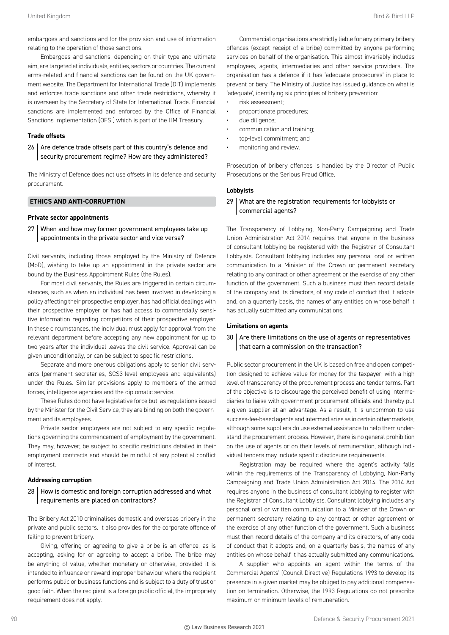embargoes and sanctions and for the provision and use of information relating to the operation of those sanctions.

Embargoes and sanctions, depending on their type and ultimate aim, are targeted at individuals, entities, sectors or countries. The current arms-related and financial sanctions can be found on the UK government website. The Department for International Trade (DIT) implements and enforces trade sanctions and other trade restrictions, whereby it is overseen by the Secretary of State for International Trade. Financial sanctions are implemented and enforced by the Office of Financial Sanctions Implementation (OFSI) which is part of the HM Treasury.

#### **Trade offsets**

 $26$  Are defence trade offsets part of this country's defence and security procurement regime? How are they administered?

The Ministry of Defence does not use offsets in its defence and security procurement.

#### **ETHICS AND ANTI-CORRUPTION**

#### **Private sector appointments**

27 When and how may former government employees take up appointments in the private sector and vice versa?

Civil servants, including those employed by the Ministry of Defence (MoD), wishing to take up an appointment in the private sector are bound by the Business Appointment Rules (the Rules).

For most civil servants, the Rules are triggered in certain circumstances, such as when an individual has been involved in developing a policy affecting their prospective employer, has had official dealings with their prospective employer or has had access to commercially sensitive information regarding competitors of their prospective employer. In these circumstances, the individual must apply for approval from the relevant department before accepting any new appointment for up to two years after the individual leaves the civil service. Approval can be given unconditionally, or can be subject to specific restrictions.

Separate and more onerous obligations apply to senior civil servants (permanent secretaries, SCS3-level employees and equivalents) under the Rules. Similar provisions apply to members of the armed forces, intelligence agencies and the diplomatic service.

These Rules do not have legislative force but, as regulations issued by the Minister for the Civil Service, they are binding on both the government and its employees.

Private sector employees are not subject to any specific regulations governing the commencement of employment by the government. They may, however, be subject to specific restrictions detailed in their employment contracts and should be mindful of any potential conflict of interest.

#### **Addressing corruption**

#### 28 How is domestic and foreign corruption addressed and what requirements are placed on contractors?

The Bribery Act 2010 criminalises domestic and overseas bribery in the private and public sectors. It also provides for the corporate offence of failing to prevent bribery.

Giving, offering or agreeing to give a bribe is an offence, as is accepting, asking for or agreeing to accept a bribe. The bribe may be anything of value, whether monetary or otherwise, provided it is intended to influence or reward improper behaviour where the recipient performs public or business functions and is subject to a duty of trust or good faith. When the recipient is a foreign public official, the impropriety requirement does not apply.

Commercial organisations are strictly liable for any primary bribery offences (except receipt of a bribe) committed by anyone performing services on behalf of the organisation. This almost invariably includes employees, agents, intermediaries and other service providers. The organisation has a defence if it has 'adequate procedures' in place to prevent bribery. The Ministry of Justice has issued guidance on what is 'adequate', identifying six principles of bribery prevention:

- risk assessment;
- proportionate procedures;
- due diligence;
- communication and training;
- top-level commitment; and
- monitoring and review.

Prosecution of bribery offences is handled by the Director of Public Prosecutions or the Serious Fraud Office.

#### **Lobbyists**

#### 29 | What are the registration requirements for lobbyists or commercial agents?

The Transparency of Lobbying, Non-Party Campaigning and Trade Union Administration Act 2014 requires that anyone in the business of consultant lobbying be registered with the Registrar of Consultant Lobbyists. Consultant lobbying includes any personal oral or written communication to a Minister of the Crown or permanent secretary relating to any contract or other agreement or the exercise of any other function of the government. Such a business must then record details of the company and its directors, of any code of conduct that it adopts and, on a quarterly basis, the names of any entities on whose behalf it has actually submitted any communications.

#### **Limitations on agents**

#### $30$  Are there limitations on the use of agents or representatives that earn a commission on the transaction?

Public sector procurement in the UK is based on free and open competition designed to achieve value for money for the taxpayer, with a high level of transparency of the procurement process and tender terms. Part of the objective is to discourage the perceived benefit of using intermediaries to liaise with government procurement officials and thereby put a given supplier at an advantage. As a result, it is uncommon to use success-fee-based agents and intermediaries as in certain other markets, although some suppliers do use external assistance to help them understand the procurement process. However, there is no general prohibition on the use of agents or on their levels of remuneration, although individual tenders may include specific disclosure requirements.

Registration may be required where the agent's activity falls within the requirements of the Transparency of Lobbying, Non-Party Campaigning and Trade Union Administration Act 2014. The 2014 Act requires anyone in the business of consultant lobbying to register with the Registrar of Consultant Lobbyists. Consultant lobbying includes any personal oral or written communication to a Minister of the Crown or permanent secretary relating to any contract or other agreement or the exercise of any other function of the government. Such a business must then record details of the company and its directors, of any code of conduct that it adopts and, on a quarterly basis, the names of any entities on whose behalf it has actually submitted any communications.

A supplier who appoints an agent within the terms of the Commercial Agents' (Council Directive) Regulations 1993 to develop its presence in a given market may be obliged to pay additional compensation on termination. Otherwise, the 1993 Regulations do not prescribe maximum or minimum levels of remuneration.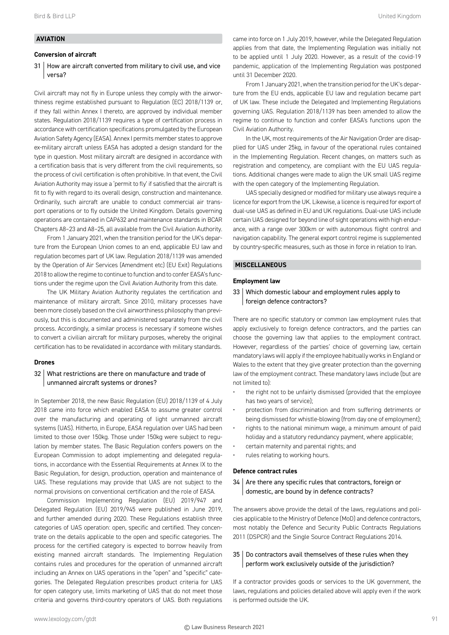#### **AVIATION**

#### **Conversion of aircraft**

31 How are aircraft converted from military to civil use, and vice versa?

Civil aircraft may not fly in Europe unless they comply with the airworthiness regime established pursuant to Regulation (EC) 2018/1139 or, if they fall within Annex I thereto, are approved by individual member states. Regulation 2018/1139 requires a type of certification process in accordance with certification specifications promulgated by the European Aviation Safety Agency (EASA). Annex I permits member states to approve ex-military aircraft unless EASA has adopted a design standard for the type in question. Most military aircraft are designed in accordance with a certification basis that is very different from the civil requirements, so the process of civil certification is often prohibitive. In that event, the Civil Aviation Authority may issue a 'permit to fly' if satisfied that the aircraft is fit to fly with regard to its overall design, construction and maintenance. Ordinarily, such aircraft are unable to conduct commercial air transport operations or to fly outside the United Kingdom. Details governing operations are contained in CAP632 and maintenance standards in BCAR Chapters A8–23 and A8–25, all available from the Civil Aviation Authority.

From 1 January 2021, when the transition period for the UK's departure from the European Union comes to an end, applicable EU law and regulation becomes part of UK law. Regulation 2018/1139 was amended by the Operation of Air Services (Amendment etc) (EU Exit) Regulations 2018 to allow the regime to continue to function and to confer EASA's functions under the regime upon the Civil Aviation Authority from this date.

The UK Military Aviation Authority regulates the certification and maintenance of military aircraft. Since 2010, military processes have been more closely based on the civil airworthiness philosophy than previously, but this is documented and administered separately from the civil process. Accordingly, a similar process is necessary if someone wishes to convert a civilian aircraft for military purposes, whereby the original certification has to be revalidated in accordance with military standards.

#### **Drones**

#### 32 What restrictions are there on manufacture and trade of unmanned aircraft systems or drones?

In September 2018, the new Basic Regulation (EU) 2018/1139 of 4 July 2018 came into force which enabled EASA to assume greater control over the manufacturing and operating of light unmanned aircraft systems (UAS). Hitherto, in Europe, EASA regulation over UAS had been limited to those over 150kg. Those under 150kg were subject to regulation by member states. The Basic Regulation confers powers on the European Commission to adopt implementing and delegated regulations, in accordance with the Essential Requirements at Annex IX to the Basic Regulation, for design, production, operation and maintenance of UAS. These regulations may provide that UAS are not subject to the normal provisions on conventional certification and the role of EASA.

Commission Implementing Regulation (EU) 2019/947 and Delegated Regulation (EU) 2019/945 were published in June 2019, and further amended during 2020. These Regulations establish three categories of UAS operation: open, specific and certified. They concentrate on the details applicable to the open and specific categories. The process for the certified category is expected to borrow heavily from existing manned aircraft standards. The Implementing Regulation contains rules and procedures for the operation of unmanned aircraft including an Annex on UAS operations in the "open" and "specific" categories. The Delegated Regulation prescribes product criteria for UAS for open category use, limits marketing of UAS that do not meet those criteria and governs third-country operators of UAS. Both regulations came into force on 1 July 2019, however, while the Delegated Regulation applies from that date, the Implementing Regulation was initially not to be applied until 1 July 2020. However, as a result of the covid-19 pandemic, application of the Implementing Regulation was postponed until 31 December 2020.

From 1 January 2021, when the transition period for the UK's departure from the EU ends, applicable EU law and regulation became part of UK law. These include the Delegated and Implementing Regulations governing UAS. Regulation 2018/1139 has been amended to allow the regime to continue to function and confer EASA's functions upon the Civil Aviation Authority.

In the UK, most requirements of the Air Navigation Order are disapplied for UAS under 25kg, in favour of the operational rules contained in the Implementing Regulation. Recent changes, on matters such as registration and competency, are compliant with the EU UAS regulations. Additional changes were made to align the UK small UAS regime with the open category of the Implementing Regulation.

UAS specially designed or modified for military use always require a licence for export from the UK. Likewise, a licence is required for export of dual-use UAS as defined in EU and UK regulations. Dual-use UAS include certain UAS designed for beyond line of sight operations with high endurance, with a range over 300km or with autonomous flight control and navigation capability. The general export control regime is supplemented by country-specific measures, such as those in force in relation to Iran.

#### **MISCELLANEOUS**

#### **Employment law**

#### 33 Which domestic labour and employment rules apply to foreign defence contractors?

There are no specific statutory or common law employment rules that apply exclusively to foreign defence contractors, and the parties can choose the governing law that applies to the employment contract. However, regardless of the parties' choice of governing law, certain mandatory laws will apply if the employee habitually works in England or Wales to the extent that they give greater protection than the governing law of the employment contract. These mandatory laws include (but are not limited to):

- the right not to be unfairly dismissed (provided that the employee has two years of service);
- protection from discrimination and from suffering detriments or being dismissed for whistle-blowing (from day one of employment);
- rights to the national minimum wage, a minimum amount of paid holiday and a statutory redundancy payment, where applicable;
- certain maternity and parental rights; and
- rules relating to working hours.

#### **Defence contract rules**

 $34$  Are there any specific rules that contractors, foreign or domestic, are bound by in defence contracts?

The answers above provide the detail of the laws, regulations and policies applicable to the Ministry of Defence (MoD) and defence contractors, most notably the Defence and Security Public Contracts Regulations 2011 (DSPCR) and the Single Source Contract Regulations 2014.

#### 35 Do contractors avail themselves of these rules when they perform work exclusively outside of the jurisdiction?

If a contractor provides goods or services to the UK government, the laws, regulations and policies detailed above will apply even if the work is performed outside the UK.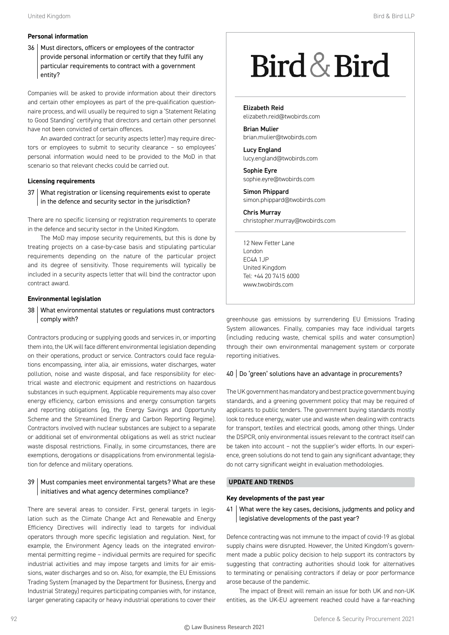#### **Personal information**

36 | Must directors, officers or employees of the contractor provide personal information or certify that they fulfil any particular requirements to contract with a government entity?

Companies will be asked to provide information about their directors and certain other employees as part of the pre-qualification questionnaire process, and will usually be required to sign a 'Statement Relating to Good Standing' certifying that directors and certain other personnel have not been convicted of certain offences.

An awarded contract (or security aspects letter) may require directors or employees to submit to security clearance – so employees' personal information would need to be provided to the MoD in that scenario so that relevant checks could be carried out.

#### **Licensing requirements**

37 What registration or licensing requirements exist to operate in the defence and security sector in the jurisdiction?

There are no specific licensing or registration requirements to operate in the defence and security sector in the United Kingdom.

The MoD may impose security requirements, but this is done by treating projects on a case-by-case basis and stipulating particular requirements depending on the nature of the particular project and its degree of sensitivity. Those requirements will typically be included in a security aspects letter that will bind the contractor upon contract award.

#### **Environmental legislation**

#### 38 What environmental statutes or regulations must contractors comply with?

Contractors producing or supplying goods and services in, or importing them into, the UK will face different environmental legislation depending on their operations, product or service. Contractors could face regulations encompassing, inter alia, air emissions, water discharges, water pollution, noise and waste disposal, and face responsibility for electrical waste and electronic equipment and restrictions on hazardous substances in such equipment. Applicable requirements may also cover energy efficiency, carbon emissions and energy consumption targets and reporting obligations (eg, the Energy Savings and Opportunity Scheme and the Streamlined Energy and Carbon Reporting Regime). Contractors involved with nuclear substances are subject to a separate or additional set of environmental obligations as well as strict nuclear waste disposal restrictions. Finally, in some circumstances, there are exemptions, derogations or disapplications from environmental legislation for defence and military operations.

#### 39 | Must companies meet environmental targets? What are these initiatives and what agency determines compliance?

There are several areas to consider. First, general targets in legislation such as the Climate Change Act and Renewable and Energy Efficiency Directives will indirectly lead to targets for individual operators through more specific legislation and regulation. Next, for example, the Environment Agency leads on the integrated environmental permitting regime – individual permits are required for specific industrial activities and may impose targets and limits for air emissions, water discharges and so on. Also, for example, the EU Emissions Trading System (managed by the Department for Business, Energy and Industrial Strategy) requires participating companies with, for instance, larger generating capacity or heavy industrial operations to cover their

# Bird & Bird

Elizabeth Reid elizabeth.reid@twobirds.com

Brian Mulier brian.mulier@twobirds.com

Lucy England lucy.england@twobirds.com

Sophie Eyre sophie.eyre@twobirds.com

Simon Phippard simon.phippard@twobirds.com

Chris Murray christopher.murray@twobirds.com

12 New Fetter Lane London EC4A 1JP United Kingdom Tel: +44 20 7415 6000 www.twobirds.com

greenhouse gas emissions by surrendering EU Emissions Trading System allowances. Finally, companies may face individual targets (including reducing waste, chemical spills and water consumption) through their own environmental management system or corporate reporting initiatives.

#### 40 Do 'green' solutions have an advantage in procurements?

The UK government has mandatory and best practice government buying standards, and a greening government policy that may be required of applicants to public tenders. The government buying standards mostly look to reduce energy, water use and waste when dealing with contracts for transport, textiles and electrical goods, among other things. Under the DSPCR, only environmental issues relevant to the contract itself can be taken into account – not the supplier's wider efforts. In our experience, green solutions do not tend to gain any significant advantage; they do not carry significant weight in evaluation methodologies.

#### **UPDATE AND TRENDS**

#### **Key developments of the past year**

41 What were the key cases, decisions, judgments and policy and legislative developments of the past year?

Defence contracting was not immune to the impact of covid-19 as global supply chains were disrupted. However, the United Kingdom's government made a public policy decision to help support its contractors by suggesting that contracting authorities should look for alternatives to terminating or penalising contractors if delay or poor performance arose because of the pandemic.

The impact of Brexit will remain an issue for both UK and non-UK entities, as the UK-EU agreement reached could have a far-reaching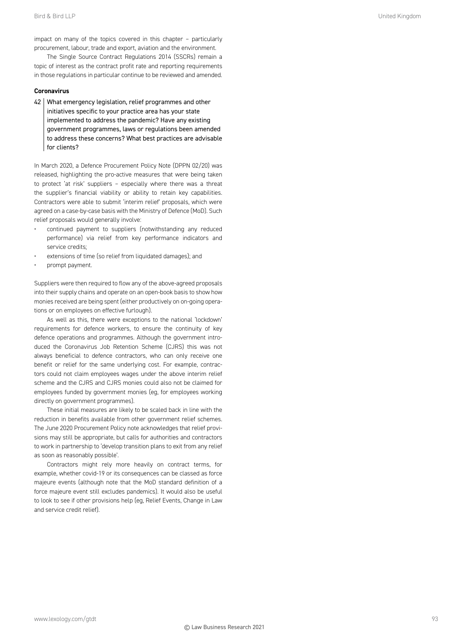impact on many of the topics covered in this chapter – particularly procurement, labour, trade and export, aviation and the environment.

The Single Source Contract Regulations 2014 (SSCRs) remain a topic of interest as the contract profit rate and reporting requirements in those regulations in particular continue to be reviewed and amended.

#### **Coronavirus**

42 What emergency legislation, relief programmes and other initiatives specific to your practice area has your state implemented to address the pandemic? Have any existing government programmes, laws or regulations been amended to address these concerns? What best practices are advisable for clients?

In March 2020, a Defence Procurement Policy Note (DPPN 02/20) was released, highlighting the pro-active measures that were being taken to protect 'at risk' suppliers – especially where there was a threat the supplier's financial viability or ability to retain key capabilities. Contractors were able to submit 'interim relief' proposals, which were agreed on a case-by-case basis with the Ministry of Defence (MoD). Such relief proposals would generally involve:

- continued payment to suppliers (notwithstanding any reduced performance) via relief from key performance indicators and service credits;
- extensions of time (so relief from liquidated damages); and
- prompt payment.

Suppliers were then required to flow any of the above-agreed proposals into their supply chains and operate on an open-book basis to show how monies received are being spent (either productively on on-going operations or on employees on effective furlough).

As well as this, there were exceptions to the national 'lockdown' requirements for defence workers, to ensure the continuity of key defence operations and programmes. Although the government introduced the Coronavirus Job Retention Scheme (CJRS) this was not always beneficial to defence contractors, who can only receive one benefit or relief for the same underlying cost. For example, contractors could not claim employees wages under the above interim relief scheme and the CJRS and CJRS monies could also not be claimed for employees funded by government monies (eg, for employees working directly on government programmes).

These initial measures are likely to be scaled back in line with the reduction in benefits available from other government relief schemes. The June 2020 Procurement Policy note acknowledges that relief provisions may still be appropriate, but calls for authorities and contractors to work in partnership to 'develop transition plans to exit from any relief as soon as reasonably possible'.

Contractors might rely more heavily on contract terms, for example, whether covid-19 or its consequences can be classed as force majeure events (although note that the MoD standard definition of a force majeure event still excludes pandemics). It would also be useful to look to see if other provisions help (eg, Relief Events, Change in Law and service credit relief).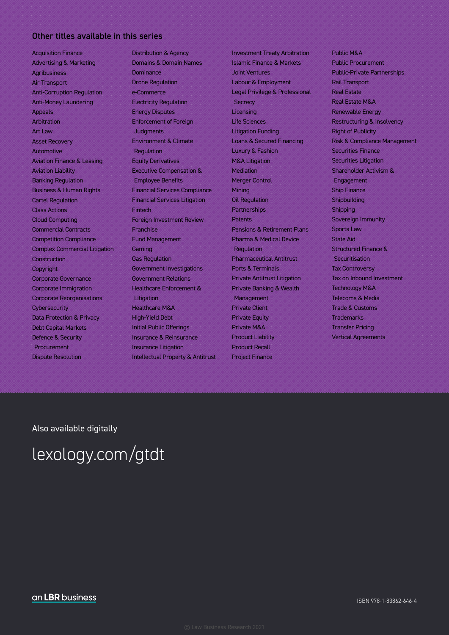#### Other titles available in this series

Acquisition Finance Advertising & Marketing Agribusiness Air Transport Anti-Corruption Regulation Anti-Money Laundering Appeals Arbitration Art Law Asset Recovery Automotive Aviation Finance & Leasing Aviation Liability Banking Regulation Business & Human Rights Cartel Regulation Class Actions Cloud Computing Commercial Contracts Competition Compliance Complex Commercial Litigation **Construction Copyright** Corporate Governance Corporate Immigration Corporate Reorganisations **Cybersecurity** Data Protection & Privacy Debt Capital Markets Defence & Security Procurement Dispute Resolution

Distribution & Agency Domains & Domain Names Dominance Drone Regulation e-Commerce Electricity Regulation Energy Disputes Enforcement of Foreign **Judaments** Environment & Climate **Regulation** Equity Derivatives Executive Compensation & Employee Benefits Financial Services Compliance Financial Services Litigation Fintech Foreign Investment Review Franchise Fund Management Gaming Gas Regulation Government Investigations Government Relations Healthcare Enforcement & **Litigation** Healthcare M&A High-Yield Debt Initial Public Offerings Insurance & Reinsurance Insurance Litigation Intellectual Property & Antitrust Investment Treaty Arbitration Islamic Finance & Markets Joint Ventures Labour & Employment Legal Privilege & Professional **Secrecy Licensing** Life Sciences Litigation Funding Loans & Secured Financing Luxury & Fashion M&A Litigation **Mediation** Merger Control **Mining** Oil Regulation Partnerships Patents Pensions & Retirement Plans Pharma & Medical Device **Regulation** Pharmaceutical Antitrust Ports & Terminals Private Antitrust Litigation Private Banking & Wealth Management Private Client Private Equity Private M&A Product Liability Product Recall Project Finance

Public M&A Public Procurement Public-Private Partnerships Rail Transport Real Estate Real Estate M&A Renewable Energy Restructuring & Insolvency Right of Publicity Risk & Compliance Management Securities Finance Securities Litigation Shareholder Activism & Engagement Ship Finance **Shipbuilding** Shipping Sovereign Immunity Sports Law State Aid Structured Finance & Securitisation Tax Controversy Tax on Inbound Investment Technology M&A Telecoms & Media Trade & Customs **Trademarks** Transfer Pricing Vertical Agreements

Also available digitally

### lexology.com/gtdt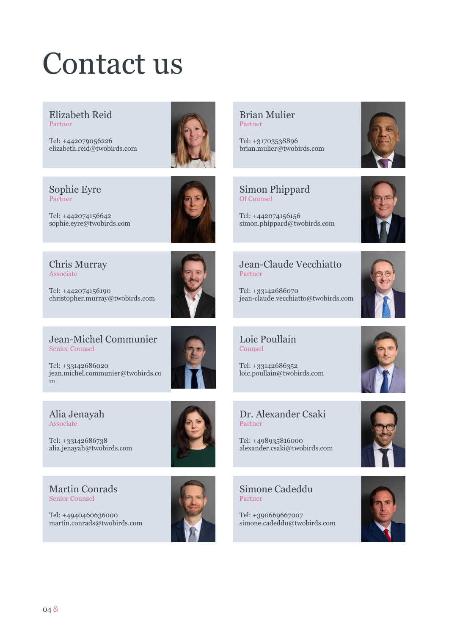# Contact us

Elizabeth Reid Partner

Tel: +442079056226 elizabeth.reid@twobirds.com



Sophie Eyre Partner

Tel: +442074156642 sophie.eyre@twobirds.com



Chris Murray Associate

Tel: +442074156190 christopher.murray@twobirds.com



Tel: +33142686020 jean.michel.communier@twobirds.co m

#### Alia Jenayah Associate

Tel: +33142686738 alia.jenayah@twobirds.com

Martin Conrads Senior Counsel

Tel: +4940460636000 martin.conrads@twobirds.com



Brian Mulier Partner

Tel: +31703538896 brian.mulier@twobirds.com





Tel: +442074156156 simon.phippard@twobirds.com



### Jean-Claude Vecchiatto Partner

Tel: +33142686070 jean-claude.vecchiatto@twobirds.com



Loic Poullain Counsel

Tel: +33142686352 loic.poullain@twobirds.com

### Dr. Alexander Csaki Partner

Tel: +498935816000 alexander.csaki@twobirds.com

Simone Cadeddu Partner

Tel: +390669667007 simone.cadeddu@twobirds.com



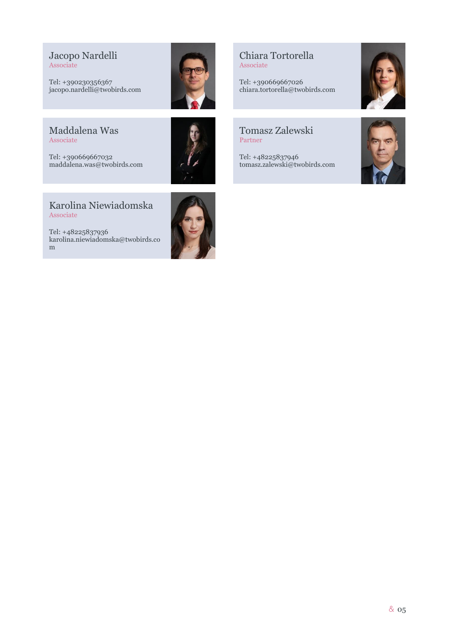Jacopo Nardelli Associate

Tel: +390230356367 jacopo.nardelli@twobirds.com

Maddalena Was Associate

Tel: +390669667032 maddalena.was@twobirds.com



#### Chiara Tortorella Associate

Tel: +390669667026 chiara.tortorella@twobirds.com

#### Tomasz Zalewski Partner

Tel: +48225837946 tomasz.zalewski@twobirds.com





Karolina Niewiadomska Associate

Tel: +48225837936 karolina.niewiadomska@twobirds.co m